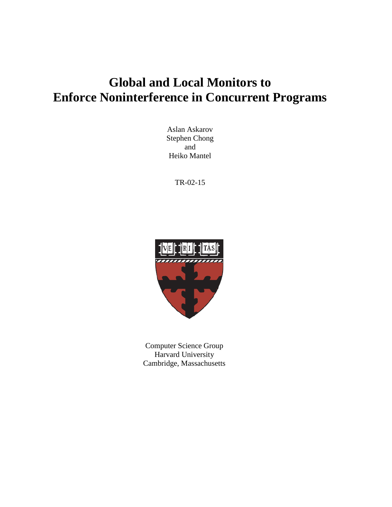## **Global and Local Monitors to Enforce Noninterference in Concurrent Programs**

Aslan Askarov Stephen Chong and Heiko Mantel

TR-02-15



Computer Science Group Harvard University Cambridge, Massachusetts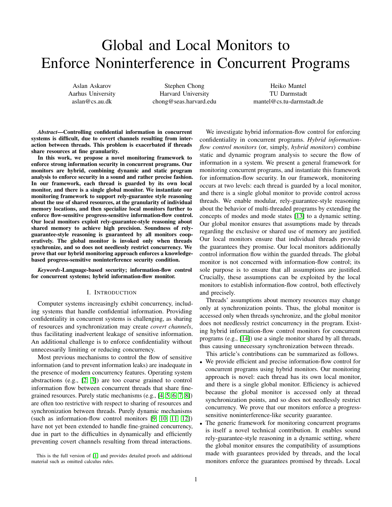# Global and Local Monitors to Enforce Noninterference in Concurrent Programs

Aslan Askarov Aarhus University aslan@cs.au.dk

Stephen Chong Harvard University chong@seas.harvard.edu

Heiko Mantel TU Darmstadt mantel@cs.tu-darmstadt.de

*Abstract*—Controlling confidential information in concurrent systems is difficult, due to covert channels resulting from interaction between threads. This problem is exacerbated if threads share resources at fine granularity.

In this work, we propose a novel monitoring framework to enforce strong information security in concurrent programs. Our monitors are hybrid, combining dynamic and static program analysis to enforce security in a sound and rather precise fashion. In our framework, each thread is guarded by its own local monitor, and there is a single global monitor. We instantiate our monitoring framework to support rely-guarantee style reasoning about the use of shared resources, at the granularity of individual memory locations, and then specialize local monitors further to enforce flow-sensitive progress-sensitive information-flow control. Our local monitors exploit rely-guarantee-style reasoning about shared memory to achieve high precision. Soundness of relyguarantee-style reasoning is guaranteed by all monitors cooperatively. The global monitor is invoked only when threads synchronize, and so does not needlessly restrict concurrency. We prove that our hybrid monitoring approach enforces a knowledgebased progress-sensitive noninterference security condition.

*Keywords*-Language-based security; information-flow control for concurrent systems; hybrid information-flow monitor.

## I. INTRODUCTION

Computer systems increasingly exhibit concurrency, including systems that handle confidential information. Providing confidentiality in concurrent systems is challenging, as sharing of resources and synchronization may create *covert channels*, thus facilitating inadvertent leakage of sensitive information. An additional challenge is to enforce confidentiality without unnecessarily limiting or reducing concurrency.

Most previous mechanisms to control the flow of sensitive information (and to prevent information leaks) are inadequate in the presence of modern concurrency features. Operating system abstractions (e.g., [\[2,](#page-15-0) [3\]](#page-15-1)) are too coarse grained to control information flow between concurrent threads that share finegrained resources. Purely static mechanisms (e.g., [\[4,](#page-15-2) [5,](#page-15-3) [6,](#page-16-0) [7,](#page-16-1) [8\]](#page-16-2)) are often too restrictive with respect to sharing of resources and synchronization between threads. Purely dynamic mechanisms (such as information-flow control monitors [\[9,](#page-16-3) [10,](#page-16-4) [11,](#page-16-5) [12\]](#page-16-6)) have not yet been extended to handle fine-grained concurrency, due in part to the difficulties in dynamically and efficiently preventing covert channels resulting from thread interactions.

We investigate hybrid information-flow control for enforcing confidentiality in concurrent programs. *Hybrid informationflow control monitors* (or, simply, *hybrid monitors*) combine static and dynamic program analysis to secure the flow of information in a system. We present a general framework for monitoring concurrent programs, and instantiate this framework for information-flow security. In our framework, monitoring occurs at two levels: each thread is guarded by a local monitor, and there is a single global monitor to provide control across threads. We enable modular, rely-guarantee-style reasoning about the behavior of multi-threaded programs by extending the concepts of modes and mode states [\[13\]](#page-16-7) to a dynamic setting. Our global monitor ensures that assumptions made by threads regarding the exclusive or shared use of memory are justified. Our local monitors ensure that individual threads provide the guarantees they promise. Our local monitors additionally control information flow within the guarded threads. The global monitor is not concerned with information-flow control; its sole purpose is to ensure that all assumptions are justified. Crucially, these assumptions can be exploited by the local monitors to establish information-flow control, both effectively and precisely.

Threads' assumptions about memory resources may change only at synchronization points. Thus, the global monitor is accessed only when threads synchronize, and the global monitor does not needlessly restrict concurrency in the program. Existing hybrid information-flow control monitors for concurrent programs (e.g., [\[14\]](#page-16-8)) use a single monitor shared by all threads, thus causing unnecessary synchronization between threads.

This article's contributions can be summarized as follows.

- We provide efficient and precise information-flow control for concurrent programs using hybrid monitors. Our monitoring approach is novel: each thread has its own local monitor, and there is a single global monitor. Efficiency is achieved because the global monitor is accessed only at thread synchronization points, and so does not needlessly restrict concurrency. We prove that our monitors enforce a progresssensitive noninterference-like security guarantee.
- The generic framework for monitoring concurrent programs is itself a novel technical contribution. It enables sound rely-guarantee-style reasoning in a dynamic setting, where the global monitor ensures the compatibility of assumptions made with guarantees provided by threads, and the local monitors enforce the guarantees promised by threads. Local

This is the full version of [\[1\]](#page-15-4) and provides detailed proofs and additional material such as omitted calculus rules.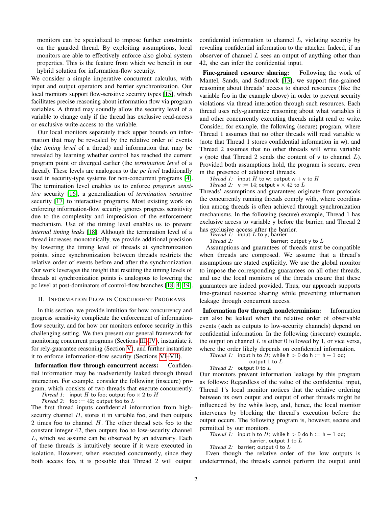monitors can be specialized to impose further constraints on the guarded thread. By exploiting assumptions, local monitors are able to effectively enforce also global system properties. This is the feature from which we benefit in our hybrid solution for information-flow security.

We consider a simple imperative concurrent calculus, with input and output operators and barrier synchronization. Our local monitors support flow-sensitive security types [\[15\]](#page-16-9), which facilitates precise reasoning about information flow via program variables. A thread may soundly allow the security level of a variable to change only if the thread has exclusive read-access or exclusive write-access to the variable.

Our local monitors separately track upper bounds on information that may be revealed by the relative order of events (the *timing level* of a thread) and information that may be revealed by learning whether control has reached the current program point or diverged earlier (the *termination level* of a thread). These levels are analogous to the *pc level* traditionally used in security-type systems for non-concurrent programs [\[4\]](#page-15-2). The termination level enables us to enforce *progress sensitive* security [\[16\]](#page-16-10), a generalization of *termination sensitive* security [\[17\]](#page-16-11) to interactive programs. Most existing work on enforcing information-flow security ignores progress sensitivity due to the complexity and imprecision of the enforcement mechanism. Use of the timing level enables us to prevent *internal timing leaks* [\[18\]](#page-16-12). Although the termination level of a thread increases monotonically, we provide additional precision by lowering the timing level of threads at synchronization points, since synchronization between threads restricts the relative order of events before and after the synchronization. Our work leverages the insight that resetting the timing levels of threads at synchronization points is analogous to lowering the pc level at post-dominators of control-flow branches [\[18,](#page-16-12) [4,](#page-15-2) [19\]](#page-16-13).

## <span id="page-2-0"></span>II. INFORMATION FLOW IN CONCURRENT PROGRAMS

In this section, we provide intuition for how concurrency and progress sensitivity complicate the enforcement of informationflow security, and for how our monitors enforce security in this challenging setting. We then present our general framework for monitoring concurrent programs (Sections [III](#page-3-0)[–IV\)](#page-7-0), instantiate it for rely-guarantee reasoning (Section [V\)](#page-8-0), and further instantiate it to enforce information-flow security (Sections [VI–](#page-10-0)[VII\)](#page-10-1).

Information flow through concurrent access: Confidential information may be inadvertently leaked through thread interaction. For example, consider the following (insecure) program, which consists of two threads that execute concurrently.

*Thread 1:* input *H* to foo; output foo  $\times$  2 to *H* 

*Thread 2:* foo  $:= 42$ ; output foo to  $L$ 

The first thread inputs confidential information from highsecurity channel  $H$ , stores it in variable foo, and then outputs 2 times foo to channel  $H$ . The other thread sets foo to the constant integer 42, then outputs foo to low-security channel L, which we assume can be observed by an adversary. Each of these threads is intuitively secure if it were executed in isolation. However, when executed concurrently, since they both access foo, it is possible that Thread 2 will output

confidential information to channel L, violating security by revealing confidential information to the attacker. Indeed, if an observer of channel  $L$  sees an output of anything other than 42, she can infer the confidential input.

Fine-grained resource sharing: Following the work of Mantel, Sands, and Sudbrock [\[13\]](#page-16-7), we support fine-grained reasoning about threads' access to shared resources (like the variable foo in the example above) in order to prevent security violations via thread interaction through such resources. Each thread uses rely-guarantee reasoning about what variables it and other concurrently executing threads might read or write. Consider, for example, the following (secure) program, where Thread 1 assumes that no other threads will read variable w (note that Thread 1 stores confidential information in w), and Thread 2 assumes that no other threads will write variable v (note that Thread 2 sends the content of v to channel  $L$ ). Provided both assumptions hold, the program is secure, even in the presence of additional threads.

*Thread 1:* input H to w; output  $w + v$  to H

*Thread 2:*  $v := 14$ ; output  $v \times 42$  to L Threads' assumptions and guarantees originate from protocols the concurrently running threads comply with, where coordination among threads is often achieved through synchronization mechanisms. In the following (secure) example, Thread 1 has exclusive access to variable y before the barrier, and Thread 2 has exclusive access after the barrier.

*Thread 1:* input L to y; barrier

*Thread 2:* barrier; output y to L

Assumptions and guarantees of threads must be compatible when threads are composed. We assume that a thread's assumptions are stated explicitly. We use the global monitor to impose the corresponding guarantees on all other threads, and use the local monitors of the threads ensure that these guarantees are indeed provided. Thus, our approach supports fine-grained resource sharing while preventing information leakage through concurrent access.

Information flow through nondeterminism: Information can also be leaked when the relative order of observable events (such as outputs to low-security channels) depend on confidential information. In the following (insecure) example, the output on channel  $L$  is either 0 followed by 1, or vice versa, where the order likely depends on confidential information.

*Thread 1:* input h to  $\hat{H}$ ; while h > 0 do h := h - 1 od; output 1 to  $L$ 

$$
d\ 2: \quad \text{output } 0 \text{ to } L
$$

*Threa* 

Our monitors prevent information leakage by this program as follows: Regardless of the value of the confidential input, Thread 1's local monitor notices that the relative ordering between its own output and output of other threads might be influenced by the while loop, and, hence, the local monitor intervenes by blocking the thread's execution before the output occurs. The following program is, however, secure and permitted by our monitors.

*Thread 1:* input h to H; while  $h > 0$  do  $h := h - 1$  od;

barrier; output  $1$  to  $L$ 

*Thread 2:* barrier; output 0 to L

Even though the relative order of the low outputs is undetermined, the threads cannot perform the output until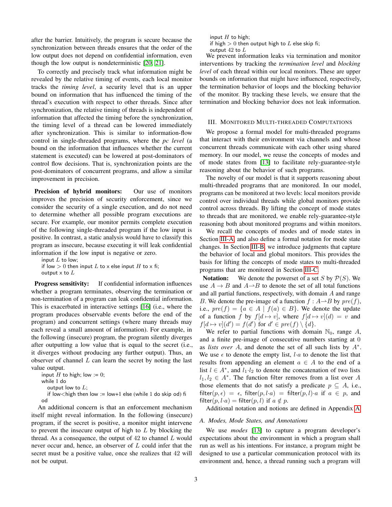after the barrier. Intuitively, the program is secure because the synchronization between threads ensures that the order of the low output does not depend on confidential information, even though the low output is nondeterministic [\[20,](#page-16-14) [21\]](#page-16-15).

To correctly and precisely track what information might be revealed by the relative timing of events, each local monitor tracks the *timing level*, a security level that is an upper bound on information that has influenced the timing of the thread's execution with respect to other threads. Since after synchronization, the relative timing of threads is independent of information that affected the timing before the synchronization, the timing level of a thread can be lowered immediately after synchronization. This is similar to information-flow control in single-threaded programs, where the *pc level* (a bound on the information that influences whether the current statement is executed) can be lowered at post-dominators of control flow decisions. That is, synchronization points are the post-dominators of concurrent programs, and allow a similar improvement in precision.

Precision of hybrid monitors: Our use of monitors improves the precision of security enforcement, since we consider the security of a single execution, and do not need to determine whether all possible program executions are secure. For example, our monitor permits complete execution of the following single-threaded program if the low input is positive. In contrast, a static analysis would have to classify this program as insecure, because executing it will leak confidential information if the low input is negative or zero.

input  $L$  to low; if low  $> 0$  then input L to x else input H to x fi; output x to  $L$ 

Progress sensitivity: If confidential information influences whether a program terminates, observing the termination or non-termination of a program can leak confidential information. This is exacerbated in interactive settings [\[16\]](#page-16-10) (i.e., where the program produces observable events before the end of the program) and concurrent settings (where many threads may each reveal a small amount of information). For example, in the following (insecure) program, the program silently diverges after outputting a low value that is equal to the secret (i.e., it diverges without producing any further output). Thus, an observer of channel  $L$  can learn the secret by noting the last value output.

input H to high; low := 0; while 1 do output low to  $L$ ; if low<high then low  $:=$  low+1 else (while 1 do skip od) fi od

An additional concern is that an enforcement mechanism itself might reveal information. In the following (insecure) program, if the secret is positive, a monitor might intervene to prevent the insecure output of high to  $L$  by blocking the thread. As a consequence, the output of  $42$  to channel  $L$  would never occur and, hence, an observer of L could infer that the secret must be a positive value, once she realizes that 42 will not be output.

input  $H$  to high;

if high  $> 0$  then output high to L else skip fi; output 42 to L

We prevent information leaks via termination and monitor interventions by tracking the *termination level* and *blocking level* of each thread within our local monitors. These are upper bounds on information that might have influenced, respectively, the termination behavior of loops and the blocking behavior of the monitor. By tracking these levels, we ensure that the termination and blocking behavior does not leak information.

#### <span id="page-3-0"></span>III. MONITORED MULTI-THREADED COMPUTATIONS

We propose a formal model for multi-threaded programs that interact with their environment via channels and whose concurrent threads communicate with each other using shared memory. In our model, we reuse the concepts of modes and of mode states from [\[13\]](#page-16-7) to facilitate rely-guarantee-style reasoning about the behavior of such programs.

The novelty of our model is that it supports reasoning about multi-threaded programs that are monitored. In our model, programs can be monitored at two levels: local monitors provide control over individual threads while global monitors provide control across threads. By lifting the concept of mode states to threads that are monitored, we enable rely-guarantee-style reasoning both about monitored programs and within monitors.

We recall the concepts of modes and of mode states in Section [III-A,](#page-3-1) and also define a formal notation for mode state changes. In Section [III-B,](#page-5-0) we introduce judgments that capture the behavior of local and global monitors. This provides the basis for lifting the concepts of mode states to multi-threaded programs that are monitored in Section [III-C.](#page-5-1)

**Notation:** We denote the powerset of a set S by  $\mathcal{P}(S)$ . We use  $A \rightarrow B$  and  $A \rightarrow B$  to denote the set of all total functions and all partial functions, respectively, with domain A and range B. We denote the pre-image of a function  $f : A \rightarrow B$  by  $pre(f)$ , i.e.,  $pre(f) = \{a \in A \mid f(a) \in B\}$ . We denote the update of a function f by  $f[d \mapsto v]$ , where  $f[d \mapsto v](d) = v$  and  $f[d \mapsto v](d') = f(d')$  for  $d' \in pre(f) \setminus \{d\}.$ 

We refer to partial functions with domain  $\mathbb{N}_0$ , range A, and a finite pre-image of consecutive numbers starting at 0 as *lists over*  $A$ , and denote the set of all such lists by  $A^*$ . We use  $\epsilon$  to denote the empty list,  $l \cdot a$  to denote the list that results from appending an element  $a \in A$  to the end of a list  $l \in A^*$ , and  $l_1 \cdot l_2$  to denote the concatenation of two lists  $l_1, l_2 \in A^*$ . The function filter removes from a list over A those elements that do not satisfy a predicate  $p \subseteq A$ , i.e., filter $(p, \epsilon) = \epsilon$ , filter $(p, l \cdot a) =$  filter $(p, l) \cdot a$  if  $a \in p$ , and filter(p, l·a) = filter(p, l) if  $a \notin p$ .

Additional notation and notions are defined in Appendix [A.](#page-18-0)

#### <span id="page-3-1"></span>*A. Modes, Mode States, and Annotations*

We use *modes* [\[13\]](#page-16-7) to capture a program developer's expectations about the environment in which a program shall run as well as his intentions. For instance, a program might be designed to use a particular communication protocol with its environment and, hence, a thread running such a program will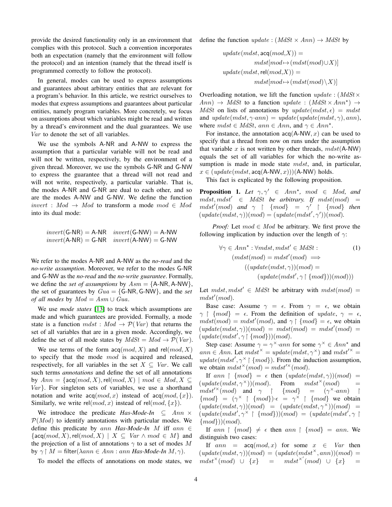provide the desired functionality only in an environment that complies with this protocol. Such a convention incorporates both an expectation (namely that the environment will follow the protocol) and an intention (namely that the thread itself is programmed correctly to follow the protocol).

In general, modes can be used to express assumptions and guarantees about arbitrary entities that are relevant for a program's behavior. In this article, we restrict ourselves to modes that express assumptions and guarantees about particular entities, namely program variables. More concretely, we focus on assumptions about which variables might be read and written by a thread's environment and the dual guarantees. We use Var to denote the set of all variables.

We use the symbols A-NR and A-NW to express the assumption that a particular variable will not be read and will not be written, respectively, by the environment of a given thread. Moreover, we use the symbols G-NR and G-NW to express the guarantee that a thread will not read and will not write, respectively, a particular variable. That is, the modes A-NR and G-NR are dual to each other, and so are the modes A-NW and G-NW. We define the function invert : Mod  $\rightarrow$  Mod to transform a mode mod  $\in$  Mod into its dual mode:

$$
invert(G-NR) = A-NR \quad invert(G-NW) = A-NW
$$
  

$$
invert(A-NR) = G-NR \quad invert(A-NW) = G-NW
$$

We refer to the modes A-NR and A-NW as the *no-read* and the *no-write assumption*. Moreover, we refer to the modes G-NR and G-NW as the *no-read* and the *no-write guarantee*. Formally, we define the *set of assumptions* by  $Asm = \{A-NR, A-NW\},\$ the set of guarantees by  $Gua = {G-NR, G-NW}$ , and the *set of all modes* by  $Mod = Asm \cup Gua$ .

We use *mode states* [\[13\]](#page-16-7) to track which assumptions are made and which guarantees are provided. Formally, a mode state is a function  $mdst : Mod \rightarrow \mathcal{P}(Var)$  that returns the set of all variables that are in a given mode. Accordingly, we define the set of all mode states by  $M dSt = Mod \rightarrow \mathcal{P}(Var)$ .

We use terms of the form  $\text{acq}(mod, X)$  and rel $(mod, X)$ to specify that the mode mod is acquired and released, respectively, for all variables in the set  $X \subseteq Var$ . We call such terms *annotations* and define the set of all annotations by  $Ann = \{ \text{acq}(mod, X), \text{rel}(mod, X) \mid mod \in Mod, X \subseteq \emptyset \}$ Var}. For singleton sets of variables, we use a shorthand notation and write  $acq(mod, x)$  instead of  $acq(mod, \{x\})$ . Similarly, we write rel( $mod, x$ ) instead of rel( $mod, \{x\}$ ).

We introduce the predicate  $Has-Mode-In \subseteq Ann \times$  $P(Mod)$  to identify annotations with particular modes. We define this predicate by ann *Has-Mode-In* M iff ann ∈  ${a \in \text{card}(mod, X), \text{rel}(mod, X) \mid X \subseteq Var \land mod \in M}$  and the projection of a list of annotations  $\gamma$  to a set of modes M by  $\gamma \upharpoonright M = \text{filter}(\lambda ann \in Ann : ann Has-Mode-In M, \gamma).$ 

To model the effects of annotations on mode states, we

define the function  $update : (MdSt \times Ann) \rightarrow MdSt$  by

$$
update(mdst, \texttt{acq}(mod, X)) = \\ mdst[mod \rightarrow (mdst(mod) \cup X)]
$$
  

$$
update(mdst, \texttt{rel}(mod, X)) = \\ mdst[mod \rightarrow (mdst(mod) \setminus X)]
$$

Overloading notation, we lift the function  $update : (MdSt \times$  $Ann) \rightarrow M dSt$  to a function update :  $(M dSt \times Ann^*) \rightarrow$ MdSt on lists of annotations by update(mdst,  $\epsilon$ ) = mdst and  $update(mdst, \gamma \cdot ann) = update(wplate(mdst, \gamma), ann),$ where  $mdst \in M dSt$ ,  $ann \in Ann$ , and  $\gamma \in Ann^{\star}$ .

For instance, the annotation  $acq(A-NW, x)$  can be used to specify that a thread from now on runs under the assumption that variable x is not written by other threads,  $mdst(A-NW)$ equals the set of all variables for which the no-write assumption is made in mode state *mdst*, and, in particular,  $x \in (update(mdst, \text{acq}(A-NW, x)))(A-NW)$  holds.

This fact is explicated by the following proposition.

<span id="page-4-1"></span>**Proposition 1.** Let  $\gamma, \gamma' \in Ann^{\star}, mod \in Mod, and$  $mdst, mdst' \in MdSt$  *be arbitrary. If*  $mdst(mod)$  =  $mdst'(mod)$  *and*  $\gamma \restriction$  { $mod$ } =  $\gamma' \restriction$  { $mod$ } *then*  $(\textit{update}( \textit{mdst}, \gamma))(\textit{mod}) = (\textit{update}(\textit{mdst}', \gamma'))(\textit{mod}).$ 

*Proof:* Let  $mod \in Mod$  be arbitrary. We first prove the following implication by induction over the length of  $\gamma$ :

<span id="page-4-0"></span>
$$
\forall \gamma \in Ann^* : \forall mdst, mdst' \in MdSt : \qquad (1)
$$

$$
(mdst(mod) = mdst'(mod) \implies
$$

$$
((update(mdst, \gamma))(mod) =
$$

$$
(update(mdst', \gamma \upharpoonright \{mod\})) (mod)))
$$

Let  $mdst, mdst' \in MdSt$  be arbitrary with  $mdst(mod)$  =  $mdst'(mod).$ 

Base case: Assume  $\gamma = \epsilon$ . From  $\gamma = \epsilon$ , we obtain  $\gamma \restriction$  {mod} =  $\epsilon$ . From the definition of update,  $\gamma = \epsilon$ ,  $mdst(mod) = mdst'(mod)$ , and  $\gamma \upharpoonright \{mod\} = \epsilon$ , we obtain  $(\text{update}(mdst, \gamma))(mod) = mdst(mod) = mdst'(mod) =$  $(update(mdst', \gamma \upharpoonright \{mod\})) (mod).$ 

Step case: Assume  $\gamma = \gamma^{\times}$  ann for some  $\gamma^{\times} \in Ann^{\times}$  and ann  $\in$  Ann. Let mdst<sup> $\times$ </sup> = update(mdst,  $\gamma^{\times}$ ) and mdst<sup>'</sup> $\times$  = update(mdst',  $\gamma^*$  | {mod}). From the induction assumption, we obtain  $mdst^{\times}(mod) = mdst^{\prime\times}(mod)$ .

If ann  $\upharpoonright$  {mod} =  $\epsilon$  then  $(\text{update}(mdst, \gamma))(mod)$  =  $(wplate(mdst, \gamma^{\times})) (mod).$  From  $mdst^{\times}(mod)$  =  $mdst'^{\times}(mod)$  and  $\gamma$  |  $\{mod\}$  =  $(\gamma^{\times}.ann)$  |  ${mod}$  =  $(\gamma^{\times} \restriction {mod}) \cdot \epsilon = \gamma^{\times} \restriction {mod}$  we obtain  $(\text{update}(mdst, \gamma))(mod) = (\text{update}(mdst, \gamma^{\times})) (mod) =$  $(\text{update}(mdst', \gamma^{\times}) \mid \{mod\})) (mod) = (\text{update}(mdst', \gamma))$  ${mod})$  $(mod).$ 

If ann  $\upharpoonright$  {mod}  $\neq$   $\epsilon$  then ann  $\upharpoonright$  {mod} = ann. We distinguish two cases:

If ann =  $\text{acq}(mod, x)$  for some  $x \in Var$  then  $(\text{update}(mdst, \gamma))(mod) = (\text{update}(mdst^{\times}, ann))(mod) =$  $mdst^{\times}(mod) \cup \{x\}$  =  $mdst^{\times'}(mod) \cup \{x\}$  =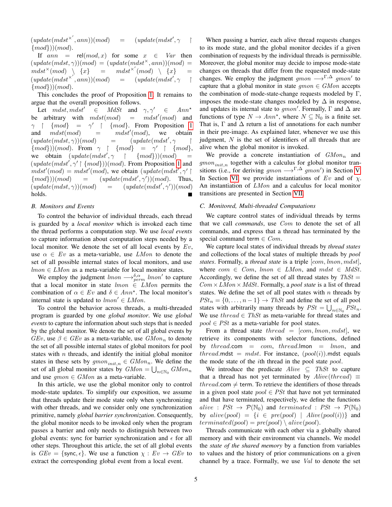$(\textit{update}(\textit{mdst}^{\times'}, \textit{ann}))(\textit{mod}) = (\textit{update}(\textit{mdst}^{\times'})$  $(update(mdst', \gamma$  ${mod})$  $(mod).$ 

If ann = rel(mod, x) for some  $x \in Var$  then  $(\text{update}(mdst, \gamma))(mod) = (\text{update}(mdst^{\times}, ann))(mod) =$  $mdst^{\times}(mod) \ \setminus \ \{x\} \quad =$  $mdst^{\times'}(mod) \quad \{x\}$  =  $(update(mdst^{\times'}, ann))(mod) = (update(mdst'))$  $(\textit{update}(mdst', \gamma))$  ${mod})$  $(mod).$ 

This concludes the proof of Proposition [1.](#page-4-0) It remains to argue that the overall proposition follows.

Let  $mdst, mdst' \in Mdst$  and  $\gamma, \gamma' \in Ann^*$ be arbitrary with  $mdst(mod)$  =  $mdst'(mod)$  and  $\gamma \upharpoonright \{mod\}$  =  $\gamma'$  | {mod}. From Proposition [1](#page-4-0) and  $mdst(mod)$  =  $mdst'(mod)$ , we obtain  $(\textit{update}(mdst, \gamma))(mod) =$  $(update(mdst', \gamma$  ${mod}\)(mod)$ . From  $\gamma \upharpoonright {mod}$  $\uparrow \uparrow \{mod\},$ we obtain  $update(mdst', \gamma)$  $\uparrow$  {mod})(mod)  $(update(mdst', \gamma' \upharpoonright \{mod\})) (mod).$  From Proposition [1](#page-4-0) and  $mdst'(mod) = mdst'(mod)$ , we obtain (update(mdst',  $\gamma'$ )  ${mod}$ )(mod) =  $, \gamma'$ ))(*mod*). Thus,  $(\text{update}(mdst, \gamma))(mod) =$  $, \gamma')$ )(mod) holds.

#### <span id="page-5-0"></span>*B. Monitors and Events*

To control the behavior of individual threads, each thread is guarded by a *local monitor* which is invoked each time the thread performs a computation step. We use *local events* to capture information about computation steps needed by a local monitor. We denote the set of all local events by  $Ev$ , use  $\alpha \in Ev$  as a meta-variable, use *LMon* to denote the set of all possible internal states of local monitors, and use  $l$ mon  $\in LM$ on as a meta-variable for local monitor states.

We employ the judgment  $lmon \longrightarrow_{perm}^{\delta,\alpha} lmon'$  to capture that a local monitor in state  $l$ mon  $\in LM$ on permits the combination of  $\alpha \in Ev$  and  $\delta \in Ann^{\star}$ . The local monitor's internal state is updated to  $lmon' \in LMon$ .

To control the behavior across threads, a multi-threaded program is guarded by one *global monitor*. We use *global events* to capture the information about such steps that is needed by the global monitor. We denote the set of all global events by  $GEv$ , use  $\beta \in GEv$  as a meta-variable, use  $GMon_n$  to denote the set of all possible internal states of global monitors for pool states with  $n$  threads, and identify the initial global monitor states in these sets by  $gmon_{init,n} \in GMon_n$ . We define the set of all global monitor states by  $GMon = \bigcup_{n \in \mathbb{N}_0} GMon_n$ and use  $qmon \in GMon$  as a meta-variable.

In this article, we use the global monitor only to control mode-state updates. To simplify our exposition, we assume that threads update their mode state only when synchronizing with other threads, and we consider only one synchronization primitive, namely *global barrier synchronization*. Consequently, the global monitor needs to be invoked only when the program passes a barrier and only needs to distinguish between two global events: sync for barrier synchronization and  $\epsilon$  for all other steps. Throughout this article, the set of all global events is  $GEv = \{\text{sync}, \epsilon\}$ . We use a function  $\chi : Ev \to GEv$  to extract the corresponding global event from a local event.

When passing a barrier, each alive thread requests changes to its mode state, and the global monitor decides if a given combination of requests by the individual threads is permissible. Moreover, the global monitor may decide to impose mode-state changes on threads that differ from the requested mode-state changes. We employ the judgment  $gmon \rightarrow \Gamma, \Delta gmon'$  to capture that a global monitor in state  $qmon \in GMon$  accepts the combination of mode-state-change requests modeled by  $\Gamma$ , imposes the mode-state changes modeled by  $\Delta$  in response, and updates its internal state to  $gmon'$ . Formally,  $\Gamma$  and  $\Delta$  are functions of type  $N \to Ann^*$ , where  $N \subseteq \mathbb{N}_0$  is a finite set. That is,  $\Gamma$  and  $\Delta$  return a list of annotations for each number in their pre-image. As explained later, whenever we use this judgment,  $N$  is the set of identifiers of all threads that are alive when the global monitor is invoked.

We provide a concrete instantiation of  $GMon_n$  and  $gmon_{init,n}$  together with a calculus for global monitor transitions (i.e., for deriving  $gmon \rightarrow \Gamma, \Delta gmon'$ ) in Section [V.](#page-8-0) In Section [VI,](#page-10-0) we provide instantiations of  $Ev$  and of  $\chi$ . An instantiation of LMon and a calculus for local monitor transitions are presented in Section [VII.](#page-10-1)

#### <span id="page-5-1"></span>*C. Monitored, Multi-threaded Computations*

We capture control states of individual threads by terms that we call *commands*, use Com to denote the set of all commands, and express that a thread has terminated by the special command term  $\in Com$ .

We capture local states of individual threads by *thread states* and collections of the local states of multiple threads by *pool states*. Formally, a *thread state* is a triple [com, lmon, mdst], where  $com \in Com$ ,  $lmon \in LMon$ , and  $mdst \in MdSt$ . Accordingly, we define the set of all thread states by  $ThSt =$  $Com \times LMon \times MdSt.$  Formally, a *pool state* is a list of thread states. We define the set of all pool states with  $n$  threads by  $PSt_n = \{0, \ldots, n-1\} \rightarrow ThSt$  and define the set of all pool states with arbitrarily many threads by  $PSt = \bigcup_{n \in \mathbb{N}_0} PSt_n$ . We use  $thread \in ThSt$  as meta-variable for thread states and  $pool \in PSt$  as a meta-variable for pool states.

From a thread state  $thread = [com, lmon, mdst]$ , we retrieve its components with selector functions, defined by thread.com = com, thread.lmon =  $lmon$ , and thread.mdst = mdst. For instance,  $(pool(i))$ .mdst equals the mode state of the *i*th thread in the pool state *pool*.

We introduce the predicate  $Alive \subseteq ThSt$  to capture that a thread has not yet terminated by  $Alive(thread) \equiv$ thread.com  $\neq$  term. To retrieve the identifiers of those threads in a given pool state  $pool \in PSt$  that have not yet terminated and that have terminated, respectively, we define the functions alive :  $PSt \rightarrow \mathcal{P}(\mathbb{N}_0)$  and terminated :  $PSt \rightarrow \mathcal{P}(\mathbb{N}_0)$ by  $alive(pool) = \{i \in pre(pool) \mid Alice(pool(i))\}$  and terminated(pool) =  $pre(pool) \setminus alive(pool)$ .

Threads communicate with each other via a globally shared memory and with their environment via channels. We model the *state of the shared memory* by a function from variables to values and the history of prior communications on a given channel by a trace. Formally, we use Val to denote the set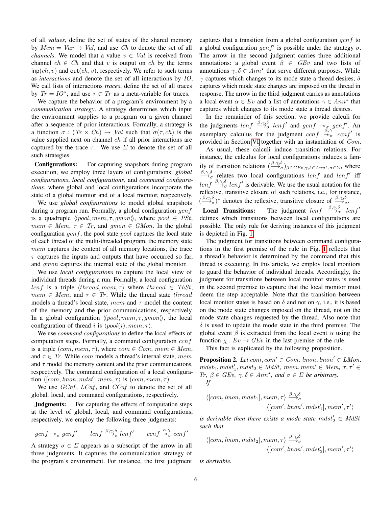of all *values*, define the set of states of the shared memory by  $Mem = Var \rightarrow Val$ , and use Ch to denote the set of all *channels*. We model that a value  $v \in Val$  is received from channel  $ch \in Ch$  and that v is output on ch by the terms  $inp(ch, v)$  and  $out(ch, v)$ , respectively. We refer to such terms as *interactions* and denote the set of all interactions by IO. We call lists of interactions *traces*, define the set of all traces by  $Tr = IO^*$ , and use  $\tau \in Tr$  as a meta-variable for traces.

We capture the behavior of a program's environment by a *communication strategy*. A strategy determines which input the environment supplies to a program on a given channel after a sequence of prior interactions. Formally, a strategy is a function  $\sigma : (Tr \times Ch) \rightarrow Val$  such that  $\sigma(\tau, ch)$  is the value supplied next on channel ch if all prior interactions are captured by the trace  $\tau$ . We use  $\Sigma$  to denote the set of all such strategies.

Configurations: For capturing snapshots during program execution, we employ three layers of configurations: *global configurations*, *local configurations*, and *command configurations*, where global and local configurations incorporate the state of a global monitor and of a local monitor, respectively.

We use *global configurations* to model global snapshots during a program run. Formally, a global configuration  $gcnf$ is a quadruple  $\langle \langle pool, mem, \tau, gmon \rangle \rangle$ , where  $pool \in PSt$ ,  $mem \in Mem, \tau \in Tr$ , and  $qmon \in GMon$ . In the global configuration  $gcnf$ , the pool state *pool* captures the local state of each thread of the multi-threaded program, the memory state mem captures the content of all memory locations, the trace  $\tau$  captures the inputs and outputs that have occurred so far, and *gmon* captures the internal state of the global monitor.

We use *local configurations* to capture the local view of individual threads during a run. Formally, a local configuration lcnf is a triple  $\langle thread, mem, \tau \rangle$  where thread  $\in$  ThSt,  $mem \in Mem$ , and  $\tau \in Tr$ . While the thread state thread models a thread's local state, mem and  $\tau$  model the content of the memory and the prior communications, respectively. In a global configuration  $\langle \langle pool, mem, \tau, gmon \rangle \rangle$ , the local configuration of thread i is  $\langle pool(i), mem, \tau \rangle$ .

We use *command configurations* to define the local effects of computation steps. Formally, a command configuration  $cnf$ is a triple  $(com, mem, \tau)$ , where  $com \in Com, mem \in Mem$ , and  $\tau \in Tr$ . While *com* models a thread's internal state, *mem* and  $\tau$  model the memory content and the prior communications, respectively. The command configuration of a local configuration  $\langle [com, lmon, mdst], mem, \tau \rangle$  is  $(com, mem, \tau)$ .

We use  $GCnf$ ,  $LCnf$ , and  $CCnf$  to denote the set of all global, local, and command configurations, respectively.

**Judgments:** For capturing the effects of computation steps at the level of global, local, and command configurations, respectively, we employ the following three judgments:

$$
gcnf \twoheadrightarrow_{\sigma} gcnf' \qquad \text{lcnf} \xrightarrow{\beta,\gamma,\delta} \text{lcnf}' \qquad \text{conf} \xrightarrow{\alpha,\gamma} \text{cnf}'
$$

A strategy  $\sigma \in \Sigma$  appears as a subscript of the arrow in all three judgments. It captures the communication strategy of the program's environment. For instance, the first judgment

captures that a transition from a global configuration  $qcnf$  to a global configuration  $gcnf'$  is possible under the strategy  $\sigma$ . The arrow in the second judgment carries three additional annotations: a global event  $\beta \in GEv$  and two lists of annotations  $\gamma, \delta \in Ann^*$  that serve different purposes. While  $\gamma$  captures which changes to its mode state a thread desires,  $\delta$ captures which mode state changes are imposed on the thread in response. The arrow in the third judgment carries as annotations a local event  $\alpha \in Ev$  and a list of annotations  $\gamma \in Ann^{\star}$  that captures which changes to its mode state a thread desires.

In the remainder of this section, we provide calculi for the judgments  $lcnf \stackrel{\beta,\gamma,\delta}{\longrightarrow}_{\sigma} lenf'$  and  $gcnf \rightarrow_{\sigma} genf'$ . An exemplary calculus for the judgment  $\overline{c}$  conf  $\rightarrow_{\sigma}^{\alpha,\gamma}$  conf' is provided in Section [VI](#page-10-0) together with an instantiation of Com.

As usual, these calculi induce transition relations. For instance, the calculus for local configurations induces a family of transition relations  $\left(\frac{\beta,\gamma_{\delta}\delta}{\rightarrow \sigma}\right)_{\beta \in GEv, \gamma, \delta \in Ann^*, \sigma \in \Sigma}$ , where  $\frac{\beta,\gamma_{\delta}\delta}{\rightarrow \sigma}$  relates two local configurations *lcnf* and *lcnf'* iff lcnf  $\stackrel{\beta,\gamma,\delta}{\longrightarrow}_{\sigma}$  lcnf' is derivable. We use the usual notation for the reflexive, transitive closure of such relations, i.e., for instance,  $(\frac{\beta,\gamma,\delta}{\sigma})^*$  denotes the reflexive, transitive closure of  $\frac{\beta,\gamma,\delta}{\sigma}$ . **Local Transitions:** The judgment  $lcnf \stackrel{\beta,\gamma,\delta}{\longrightarrow}_{\sigma} lcnf'$ defines which transitions between local configurations are possible. The only rule for deriving instances of this judgment is depicted in Fig. [1.](#page-7-1)

The judgment for transitions between command configurations in the first premise of the rule in Fig. [1](#page-7-1) reflects that a thread's behavior is determined by the command that this thread is executing. In this article, we employ local monitors to guard the behavior of individual threads. Accordingly, the judgment for transitions between local monitor states is used in the second premise to capture that the local monitor must deem the step acceptable. Note that the transition between local monitor states is based on  $\delta$  and not on  $\gamma$ , i.e., it is based on the mode state changes imposed on the thread, not on the mode state changes requested by the thread. Also note that  $\delta$  is used to update the mode state in the third premise. The global event  $\beta$  is extracted from the local event  $\alpha$  using the function  $\chi: Ev \to GEv$  in the last premise of the rule.

This fact is explicated by the following proposition.

**Proposition 2.** Let  $com, com' \in Com, lmon, lmon' \in LMon$ ,  $mdst_1, mdst'_1, mdst_2 \in MdSt, \, mem, mem' \in Mem, \, \tau, \tau' \in$ Tr,  $\beta \in \mathbb{G}Ev$ ,  $\gamma, \delta \in Ann^{\star}, and \sigma \in \Sigma$  *be arbitrary. If*

$$
\langle [com, lmon, mdst_1], mem, \tau \rangle \xrightarrow{\beta, \gamma, \delta}_{\sigma} \langle [com', lmon', mdst_1'], mem', \tau' \rangle
$$

is derivable then there exists a mode state  $mdst_2' \in M\Delta S t$ *such that*

$$
\langle [com, lmon, mdst_2], mem, \tau \rangle \xrightarrow{\beta, \gamma, \delta} \langle [com', lmon', mdst_2'], mem', \tau' \rangle
$$

*is derivable.*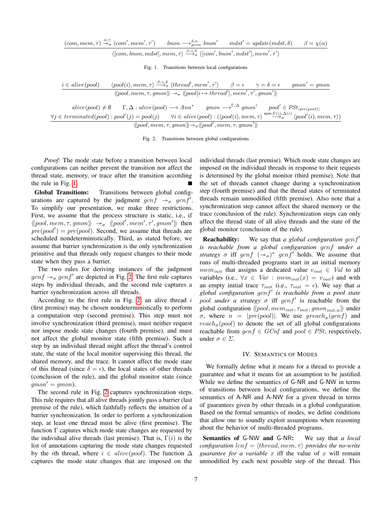$$
\frac{(com, mem, \tau) \xrightarrow{\alpha, \gamma} (com', mem', \tau') \quad lmon \longrightarrow_{perm}^{\delta, \alpha} lmon' \quad mdst' = update(mdst, \delta) \quad \beta = \chi(\alpha)}{\langle [com, lmon, mdst], mem, \tau \rangle \xrightarrow{\beta, \gamma, \delta} \langle [com', lmon', mdst'], mem', \tau' \rangle}
$$

<span id="page-7-1"></span>Fig. 1. Transitions between local configurations

$$
\frac{i \in alive(pool) \qquad \langle pool(i), mem, \tau \rangle \xrightarrow{\beta, \gamma_c \delta} \langle thread', mem', \tau' \rangle \qquad \beta = \epsilon \qquad \gamma = \delta = \epsilon \qquad gmon' = gmon' \qquad \langle pool, mem, \tau, gmon \rangle \xrightarrow{\sim_{\sigma} \langle pool[i \mapsto thread'],mem', \tau', gmon' \rangle}
$$

 $alive(pool) \neq \emptyset$   $\Gamma, \Delta: alive(pool) \longrightarrow Ann^*$  $gmon \longrightarrow^{\Gamma,\Delta} gmon'$  $pool' \in PSt_{|pre(pool)|}$  $\forall j \in terminated(pool): pool'(j) = pool(j)$  $(j) = pool(j)$   $\forall i \in alive(pool) : (\langle pool(i), mem, \tau \rangle \stackrel{\text{sync}, \Gamma(i), \Delta(i)}{\longrightarrow} \langle pool'(i), mem, \tau \rangle)$  $\langle\!\langle pool, mem, \tau, gmon \rangle\!\rangle \rightarrow_\sigma \langle\!\langle pool', mem, \tau, gmon' \rangle\!\rangle$ 

<span id="page-7-2"></span>Fig. 2. Transitions between global configurations

*Proof:* The mode state before a transition between local configurations can neither prevent the transition nor affect the thread state, memory, or trace after the transition according the rule in Fig. [1.](#page-7-1)

Global Transitions: Transitions between global configurations are captured by the judgment  $gcn\bar{f} \rightarrow_{\sigma} gcn\bar{f}'$ . To simplify our presentation, we make three restrictions. First, we assume that the process structure is static, i.e., if  $\langle \langle pool, mem, \tau, gmon \rangle \rangle \rightarrow_{\sigma}^{\bullet} \langle \langle pool', mem', \tau', gmon' \rangle \rangle$  then  $\text{pre}(\text{pool}') = \text{pre}(\text{pool})$ . Second, we assume that threads are scheduled nondeterministically. Third, as stated before, we assume that barrier synchronization is the only synchronization primitive and that threads only request changes to their mode state when they pass a barrier.

The two rules for deriving instances of the judgment  $gcnf \rightarrow_{\sigma} gcnf'$  are depicted in Fig. [2.](#page-7-2) The first rule captures steps by individual threads, and the second rule captures a barrier synchronization across all threads.

According to the first rule in Fig. [2,](#page-7-2) an alive thread  $i$ (first premise) may be chosen nondeterministically to perform a computation step (second premise). This step must not involve synchronization (third premise), must neither request nor impose mode state changes (fourth premise), and must not affect the global monitor state (fifth premise). Such a step by an individual thread might affect the thread's control state, the state of the local monitor supervising this thread, the shared memory, and the trace. It cannot affect the mode state of this thread (since  $\delta = \epsilon$ ), the local states of other threads (conclusion of the rule), and the global monitor state (since  $qmon' = qmon$ ).

The second rule in Fig. [2](#page-7-2) captures synchronization steps. This rule requires that all alive threads jointly pass a barrier (last premise of the rule), which faithfully reflects the intuition of a barrier synchronization. In order to perform a synchronization step, at least one thread must be alive (first premise). The function  $\Gamma$  captures which mode state changes are requested by the individual alive threads (last premise). That is,  $\Gamma(i)$  is the list of annotations capturing the mode state changes requested by the *i*th thread, where  $i \in alive(pool)$ . The function  $\Delta$ captures the mode state changes that are imposed on the

individual threads (last premise). Which mode state changes are imposed on the individual threads in response to their requests is determined by the global monitor (third premise). Note that the set of threads cannot change during a synchronization step (fourth premise) and that the thread states of terminated threads remain unmodified (fifth premise). Also note that a synchronization step cannot affect the shared memory or the trace (conclusion of the rule). Synchronization steps can only affect the thread state of all alive threads and the state of the global monitor (conclusion of the rule).

**Reachability:** We say that *a global configuration gcnf<sup>'</sup> is reachable from a global configuration* gcnf *under a strategy*  $\sigma$  iff gcnf $(\rightarrow_{\sigma})^*$  gcnf<sup>'</sup> holds. We assume that runs of multi-threaded programs start in an initial memory mem<sub>init</sub> that assigns a dedicated value  $v_{init} \in Val$  to all variables (i.e.,  $\forall x \in Var : mem_{init}(x) = v_{init}$ ) and with an empty initial trace  $\tau_{init}$  (i.e.,  $\tau_{init} = \epsilon$ ). We say that *a*  $global$  configuration  $gcnf'$  is reachable from a pool state pool *under a strategy*  $\sigma$  iff gcnf' is reachable from the global configuration  $\langle \langle pool, mem_{init}, \tau_{init}, gmon_{init,n} \rangle \rangle$  under  $\sigma$ , where  $n = |pre(pool)|$ . We use  $greach_{\sigma}(gcnf)$  and  $reach_{\sigma}(pool)$  to denote the set of all global configurations reachable from  $gcnf \in GCnf$  and  $pool \in PSt$ , respectively, under  $\sigma \in \Sigma$ .

#### IV. SEMANTICS OF MODES

<span id="page-7-0"></span>We formally define what it means for a thread to provide a guarantee and what it means for an assumption to be justified. While we define the semantics of G-NR and G-NW in terms of transitions between local configurations, we define the semantics of A-NR and A-NW for a given thread in terms of guarantees given by other threads in a global configuration. Based on the formal semantics of modes, we define conditions that allow one to soundly exploit assumptions when reasoning about the behavior of multi-threaded programs.

Semantics of G-NW and G-NR: We say that *a local configuration*  $lcnf = \langle thread, mem, \tau \rangle$  *provides the no-write guarantee for a variable*  $x$  iff the value of  $x$  will remain unmodified by each next possible step of the thread. This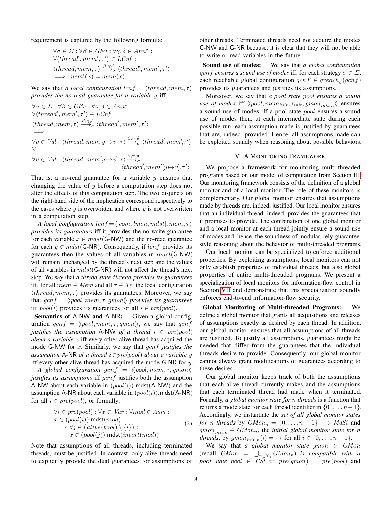requirement is captured by the following formula:

$$
\forall \sigma \in \Sigma : \forall \beta \in GEv : \forall \gamma, \delta \in Ann^* : \forall \langle thread, mem', \tau' \rangle \in LCnf : \langle thread, mem, \tau \rangle \xrightarrow{\beta, \gamma, \delta} \langle thread', mem', \tau' \rangle \Rightarrow mem'(x) = mem(x)
$$

We say that *a local configuration*  $lcnf = \langle thread, mem, \tau \rangle$ *provides the no-read guarantee for a variable* y iff

$$
\forall \sigma \in \Sigma : \forall \beta \in GEv : \forall \gamma, \delta \in Ann^* : \forall \langle thread, mem', \tau' \rangle \in LCnf : \langle thread, mem, \tau \rangle \xrightarrow{\beta, \gamma, \delta} \langle thread, mem', \tau' \rangle \Rightarrow \forall v \in Val : \langle thread, mem[y \mapsto v], \tau \rangle \xrightarrow{\beta, \gamma, \delta} \langle thread, mem \rangle, \forall v \in Val : \langle thread, mem[y \mapsto v], \tau \rangle \xrightarrow{\beta, \gamma, \delta} \langle thread, mem'[y \mapsto v], \tau' \rangle
$$

That is, a no-read guarantee for a variable  $y$  ensures that changing the value of y before a computation step does not alter the effects of this computation step. The two disjuncts on the right-hand side of the implication correspond respectively to the cases where  $y$  is overwritten and where  $y$  is not overwritten in a computation step.

*A local configuration*  $lcnf = \langle [com, lmon, mdst], mem, \tau \rangle$ *provides its guarantees* iff it provides the no-write guarantee for each variable  $x \in m\ell st$  (G-NW) and the no-read guarantee for each  $y \in mdst$  (G-NR). Consequently, if *lcnf* provides its guarantees then the values of all variables in  $mdst$  (G-NW) will remain unchanged by the thread's next step and the values of all variables in  $mdst$ (G-NR) will not affect the thread's next step. We say that *a thread state* thread *provides its guarantees* iff, for all  $mem \in Mem$  and all  $\tau \in Tr$ , the local configuration  $\langle thread, mem, \tau \rangle$  provides its guarantees. Moreover, we say that  $qcnf = \langle \nmid pool, mem, \tau, qmon \rangle$  *provides its guarantees* iff  $pool(i)$  provides its guarantees for all  $i \in pre(pool)$ .

Semantics of A-NW and A-NR: Given a global configuration  $gcnf = \langle \langle pool, mem, \tau, gmon \rangle \rangle$ , we say that gcnf *justifies the assumption* A-NW *of a thread*  $i \in pre(pool)$ *about a variable* x iff every other alive thread has acquired the mode G-NW for x. Similarly, we say that gcnf *justifies the* assumption A-NR of a thread  $i \in pre(pool)$  about a variable y iff every other alive thread has acquired the mode  $G-NR$  for  $y$ .

*A* global configuration gcnf =  $\langle \langle pool, mem, \tau, gmon \rangle \rangle$ *justifies its assumptions* iff *gcn f* justifies both the assumption A-NW about each variable in  $(pool(i))$ .mdst(A-NW) and the assumption A-NR about each variable in  $(pool(i))$ .mdst(A-NR) for all  $i \in pre(pool)$ , or formally:

$$
\forall i \in pre(pool) : \forall x \in Var : \forall mod \in Asm : \n x \in (pool(i)).\n mdst(mod) \n \implies \forall j \in (alive(pool) \setminus \{i\}) : \n x \in (pool(j)).\n mdst(invert(mod))
$$
\n(2)

Note that assumptions of all threads, including terminated threads, must be justified. In contrast, only alive threads need to explicitly provide the dual guarantees for assumptions of

other threads. Terminated threads need not acquire the modes G-NW and G-NR because, it is clear that they will not be able to write or read variables in the future.

Sound use of modes: We say that *a global configuration* gcnf ensures a sound use of modes iff, for each strategy  $\sigma \in \Sigma$ , each reachable global configuration  $gcnf' \in {\textit{greach}}_{\sigma}(\textit{gcnf})$ provides its guarantees and justifies its assumptions.

Moreover, we say that *a pool state* pool *ensures a sound use of modes* if  $\langle \langle pool, mem_{init}, \tau_{init}, gmon_{init,n} \rangle \rangle$  ensures a sound use of modes. If a pool state pool ensures a sound use of modes then, at each intermediate state during each possible run, each assumption made is justified by guarantees that are, indeed, provided. Hence, all assumptions made can be exploited soundly when reasoning about possible behaviors.

#### V. A MONITORING FRAMEWORK

<span id="page-8-0"></span>We propose a framework for monitoring multi-threaded programs based on our model of computation from Section [III.](#page-3-0) Our monitoring framework consists of the definition of a global monitor and of a local monitor. The role of these monitors is complementary. Our global monitor ensures that assumptions made by threads are, indeed, justified. Our local monitor ensures that an individual thread, indeed, provides the guarantees that it promises to provide. The combination of one global monitor and a local monitor at each thread jointly ensure a sound use of modes and, hence, the soundness of modular, rely-guaranteestyle reasoning about the behavior of multi-threaded programs.

Our local monitor can be specialized to enforce additional properties. By exploiting assumptions, local monitors can not only establish properties of individual threads, but also global properties of entire multi-threaded programs. We present a specialization of local monitors for information-flow control in Section [VII](#page-10-1) and demonstrate that this specialization soundly enforces end-to-end information-flow security.

Global Monitoring of Multi-threaded Programs: We define a global monitor that grants all acquisitions and releases of assumptions exactly as desired by each thread. In addition, our global monitor ensures that all assumptions of all threads are justified. To justify all assumptions, guarantees might be needed that differ from the guarantees that the individual threads desire to provide. Consequently, our global monitor cannot always grant modifications of guarantees according to these desires.

Our global monitor keeps track of both the assumptions that each alive thread currently makes and the assumptions that each terminated thread had made when it terminated. Formally, *a global monitor state for* n *threads* is a function that returns a mode state for each thread identifier in  $\{0, \ldots, n-1\}$ . Accordingly, we instantiate the *set of all global monitor states for n threads* by  $GMon_n = \{0, ..., n-1\} \longrightarrow MdSt$  and  $gmon_{init,n} \in GMon_n$ , the *initial global monitor state for* n *threads*, by  $gmon_{init,n}(i) = \{\}$  for all  $i \in \{0, ..., n - 1\}$ .

We say that *a global monitor state* gmon ∈ GMon (recall  $GMon = \bigcup_{n \in \mathbb{N}_0} GMon_n$ ) is compatible with a *pool state pool*  $\in$  *PSt* iff  $pre(gmon) = pre(pool)$  and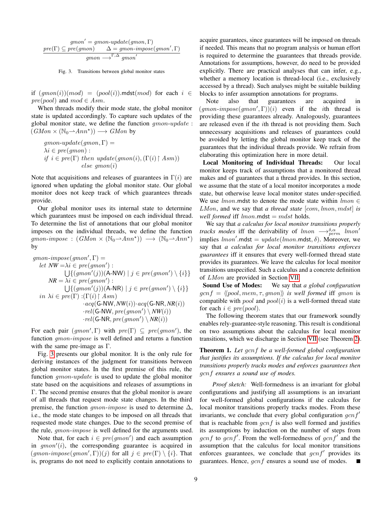$$
gmon' = gmon-update(gmon, \Gamma)
$$

$$
pre(\Gamma) \subseteq pre(gmon) \qquad \Delta = gmon-impose(gmon', \Gamma)
$$

$$
gmon \rightarrow^{\Gamma, \Delta} gmon'
$$

<span id="page-9-0"></span>Fig. 3. Transitions between global monitor states

if  $(gmon(i))(mod) = (pool(i)).$ mdst $(mod)$  for each  $i \in$  $pre(pool)$  and  $mod \in Asm$ .

When threads modify their mode state, the global monitor state is updated accordingly. To capture such updates of the global monitor state, we define the function gmon-update :  $(GMon \times (\mathbb{N}_0 \rightarrow Ann^*)) \longrightarrow GMon$  by

$$
gmon-update(gmon, \Gamma) =
$$
  
\n $\lambda i \in pre(gmon) :$   
\nif  $i \in pre(\Gamma)$  then update(gmon(i), (\Gamma(i) \upharpoonright Asm))  
\nelse gmon(i)

Note that acquisitions and releases of guarantees in  $\Gamma(i)$  are ignored when updating the global monitor state. Our global monitor does not keep track of which guarantees threads provide.

Our global monitor uses its internal state to determine which guarantees must be imposed on each individual thread. To determine the list of annotations that our global monitor imposes on the individual threads, we define the function  $gmon\text{-}impose : (GMon \times (\mathbb{N}_0 \rightarrow Ann^*)) \longrightarrow (\mathbb{N}_0 \rightarrow Ann^*)$ by

 $gmon\text{-}impose(gmon',\Gamma) =$ let  $NW = \lambda i \in pre(gmon')$ :  $\bigcup \{ (gmon'(j))$ (A-NW)  $| j \in pre(gmon') \setminus \{i\} \}$  $NR = \lambda i \in pre(gmon')$ :  $\bigcup \{ (gmon'(j))(\mathsf{A}\text{-}\mathsf{NR}) \mid j \in pre(gmon') \setminus \{i\} \}$ in  $\lambda i \in pre(\Gamma) : (\Gamma(i) \upharpoonright Asm)$  $rac{a}{a}$ (G-NW, *NW*(i)) $rac{a}{a}$ (G-NR, *NR*(i))  $\cdot$ rel(G-NW, pre(gmon') \ NW(i))  $\cdot$ rel(G-NR, pre(gmon') \ NR(i))

For each pair  $(gmon', \Gamma)$  with  $pre(\Gamma) \subseteq pre(gmon')$ , the function gmon-impose is well defined and returns a function with the same pre-image as  $\Gamma$ .

Fig. [3](#page-9-0) presents our global monitor. It is the only rule for deriving instances of the judgment for transitions between global monitor states. In the first premise of this rule, the function *qmon-update* is used to update the global monitor state based on the acquisitions and releases of assumptions in Γ. The second premise ensures that the global monitor is aware of all threads that request mode state changes. In the third premise, the function gmon-impose is used to determine  $\Delta$ , i.e., the mode state changes to be imposed on all threads that requested mode state changes. Due to the second premise of the rule, *gmon-impose* is well defined for the arguments used.

Note that, for each  $i \in pre(gmon')$  and each assumption in  $gmon'(i)$ , the corresponding guarantee is acquired in  $(gmon\text{-}impose(gmon',\Gamma))(j)$  for all  $j \in pre(\Gamma) \setminus \{i\}$ . That is, programs do not need to explicitly contain annotations to

acquire guarantees, since guarantees will be imposed on threads if needed. This means that no program analysis or human effort is required to determine the guarantees that threads provide. Annotations for assumptions, however, do need to be provided explicitly. There are practical analyses that can infer, e.g., whether a memory location is thread-local (i.e., exclusively accessed by a thread). Such analyses might be suitable building blocks to infer assumption annotations for programs.

Note also that guarantees are acquired in  $(gmon\text{-}impose(gmon',\Gamma))(i)$  even if the *i*th thread is providing these guarantees already. Analogously, guarantees are released even if the ith thread is not providing them. Such unnecessary acquisitions and releases of guarantees could be avoided by letting the global monitor keep track of the guarantees that the individual threads provide. We refrain from elaborating this optimization here in more detail.

Local Monitoring of Individual Threads: Our local monitor keeps track of assumptions that a monitored thread makes and of guarantees that a thread provides. In this section, we assume that the state of a local monitor incorporates a mode state, but otherwise leave local monitor states under-specified. We use *lmon*.mdst to denote the mode state within  $l$ *mon*  $\in$ LMon, and we say that *a thread state* [com, lmon, mdst] is *well formed* iff  $l$ *mon.mdst* =  $mdst$  holds.

We say that *a calculus for local monitor transitions properly tracks modes* iff the derivability of  $l$ *mon*  $\longrightarrow_{perm}^{\delta,\alpha}$   $l$ *mon*<sup>'</sup> implies  $lmon'$ .mdst =  $update(lmon.mdst, \delta)$ . Moreover, we say that *a calculus for local monitor transitions enforces guarantees* iff it ensures that every well-formed thread state provides its guarantees. We leave the calculus for local monitor transitions unspecified. Such a calculus and a concrete definition of LMon are provided in Section [VII.](#page-10-1)

Sound Use of Modes: We say that *a global configuration*  $qcnf = \langle \langle pool, mem, \tau, qmon \rangle \rangle$  *is well formed* iff *qmon* is compatible with *pool* and  $pool(i)$  is a well-formed thread state for each  $i \in pre(pool)$ .

The following theorem states that our framework soundly enables rely-guarantee-style reasoning. This result is conditional on two assumptions about the calculus for local monitor transitions, which we discharge in Section [VII](#page-10-1) (see Theorem [2\)](#page-14-0).

<span id="page-9-1"></span>Theorem 1. *Let* gcnf *be a well-formed global configuration that justifies its assumptions. If the calculus for local monitor transitions properly tracks modes and enforces guarantees then* gcnf *ensures a sound use of modes.*

*Proof sketch:* Well-formedness is an invariant for global configurations and justifying all assumptions is an invariant for well-formed global configurations if the calculus for local monitor transitions properly tracks modes. From these invariants, we conclude that every global configuration  $gcnf'$ that is reachable from  $gcnf$  is also well formed and justifies its assumptions by induction on the number of steps from gcnf to gcnf'. From the well-formedness of gcnf<sup> $'$ </sup> and the assumption that the calculus for local monitor transitions enforces guarantees, we conclude that  $gcnf'$  provides its guarantees. Hence,  $gcnf$  ensures a sound use of modes.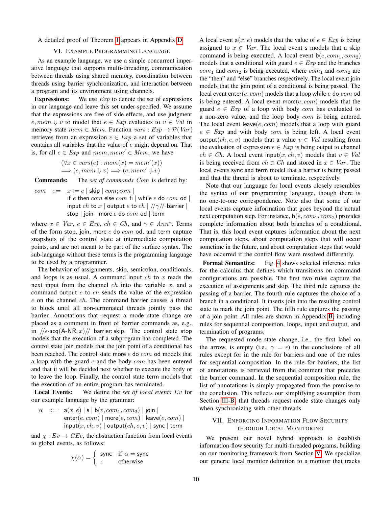<span id="page-10-0"></span>A detailed proof of Theorem [1](#page-9-1) appears in Appendix [D.](#page-23-0)

## VI. EXAMPLE PROGRAMMING LANGUAGE

As an example language, we use a simple concurrent imperative language that supports multi-threading, communication between threads using shared memory, coordination between threads using barrier synchronization, and interaction between a program and its environment using channels.

**Expressions:** We use  $Exp$  to denote the set of expressions in our language and leave this set under-specified. We assume that the expressions are free of side effects, and use judgment e, mem  $\Downarrow v$  to model that  $e \in Exp$  evaluates to  $v \in Val$  in memory state  $mem \in Mem$ . Function vars :  $Exp \rightarrow \mathcal{P}(Var)$ retrieves from an expression  $e \in Exp$  a set of variables that contains all variables that the value of  $e$  might depend on. That is, for all  $e \in Exp$  and mem, mem'  $\in Mem$ , we have

$$
(\forall x \in vars(e) : mem(x) = mem'(x))
$$
  

$$
\implies (e, mem \Downarrow v) \implies (e, mem' \Downarrow v)
$$

Commands: The *set of commands* Com is defined by:

$$
com ::= x := e | \textsf{skip} | com; com |
$$
  
if e then com else com fi | w

rhile  $e$  do  $com$  od  $\parallel$ input ch to x | output e to ch |  $/\gamma$  | barrier | stop | join | more  $e$  do  $com$  od | term

where  $x \in Var$ ,  $e \in Exp$ ,  $ch \in Ch$ , and  $\gamma \in Ann^{\star}$ . Terms of the form stop, join, more  $e$  do  $com$  od, and term capture snapshots of the control state at intermediate computation points, and are not meant to be part of the surface syntax. The sub-language without these terms is the programming language to be used by a programmer.

The behavior of assignments, skip, semicolon, conditionals, and loops is as usual. A command input  $ch$  to  $x$  reads the next input from the channel  $ch$  into the variable  $x$ , and a command output  $e$  to  $ch$  sends the value of the expression  $e$  on the channel  $ch$ . The command barrier causes a thread to block until all non-terminated threads jointly pass the barrier. Annotations that request a mode state change are placed as a comment in front of barrier commands as, e.g., in  $\sqrt{\epsilon}$ -acq(A-NR, x) $\sqrt{\epsilon}$  barrier; skip. The control state stop models that the execution of a subprogram has completed. The control state join models that the join point of a conditional has been reached. The control state more  $e$  do  $com$  od models that a loop with the guard  $e$  and the body  $com$  has been entered and that it will be decided next whether to execute the body or to leave the loop. Finally, the control state term models that the execution of an entire program has terminated.

Local Events: We define the *set of local events* Ev for our example language by the grammar:

$$
\alpha ::= \mathsf{a}(x, e) \mid \mathsf{s} \mid \mathsf{b}(e, com_1, com_2) \mid \mathsf{join} \mid
$$
\n
$$
\mathsf{enter}(e, com) \mid \mathsf{more}(e, com) \mid \mathsf{leave}(e, com) \mid
$$
\n
$$
\mathsf{input}(x, ch, v) \mid \mathsf{output}(ch, e, v) \mid \mathsf{sync} \mid \mathsf{term}
$$

and  $\chi: Ev \to GEv$ , the abstraction function from local events to global events, as follows:

$$
\chi(\alpha) = \begin{cases} \text{ sync} & \text{if } \alpha = \text{sync} \\ \epsilon & \text{otherwise} \end{cases}
$$

A local event  $a(x, e)$  models that the value of  $e \in Exp$  is being assigned to  $x \in Var$ . The local event s models that a skip command is being executed. A local event  $b(e, com_1, com_2)$ models that a conditional with guard  $e \in Exp$  and the branches  $com_1$  and  $com_2$  is being executed, where  $com_1$  and  $com_2$  are the "then" and "else" branches respectively. The local event join models that the join point of a conditional is being passed. The local event enter $(e, com)$  models that a loop while e do com od is being entered. A local event more $(e, com)$  models that the guard  $e \in Exp$  of a loop with body *com* has evaluated to a non-zero value, and the loop body com is being entered. The local event leave $(e, com)$  models that a loop with guard  $e \in Exp$  and with body *com* is being left. A local event output(ch, e, v) models that a value  $v \in Val$  resulting from the evaluation of expression  $e \in Exp$  is being output to channel  $ch \in Ch$ . A local event input $(x, ch, v)$  models that  $v \in Val$ is being received from  $ch \in Ch$  and stored in  $x \in Var$ . The local events sync and term model that a barrier is being passed and that the thread is about to terminate, respectively.

Note that our language for local events closely resembles the syntax of our programming language, though there is no one-to-one correspondence. Note also that some of our local events capture information that goes beyond the actual next computation step. For instance,  $b(e, com_1, com_2)$  provides complete information about both branches of a conditional. That is, this local event captures information about the next computation steps, about computation steps that will occur sometime in the future, and about computation steps that would have occurred if the control flow were resolved differently.

Formal Semantics: Fig. [4](#page-11-0) shows selected inference rules for the calculus that defines which transitions on command configurations are possible. The first two rules capture the execution of assignments and skip. The third rule captures the passing of a barrier. The fourth rule captures the choice of a branch in a conditional. It inserts join into the resulting control state to mark the join point. The fifth rule captures the passing of a join point. All rules are shown in Appendix [B,](#page-19-0) including rules for sequential composition, loops, input and output, and termination of programs.

The requested mode state change, i.e., the first label on the arrow, is empty (i.e.,  $\gamma = \epsilon$ ) in the conclusions of all rules except for in the rule for barriers and one of the rules for sequential composition. In the rule for barriers, the list of annotations is retrieved from the comment that precedes the barrier command. In the sequential composition rule, the list of annotations is simply propagated from the premise to the conclusion. This reflects our simplifying assumption from Section [III-B,](#page-5-0) that threads request mode state changes only when synchronizing with other threads.

## <span id="page-10-1"></span>VII. ENFORCING INFORMATION FLOW SECURITY THROUGH LOCAL MONITORING

We present our novel hybrid approach to establish information-flow security for multi-threaded programs, building on our monitoring framework from Section [V.](#page-8-0) We specialize our generic local monitor definition to a monitor that tracks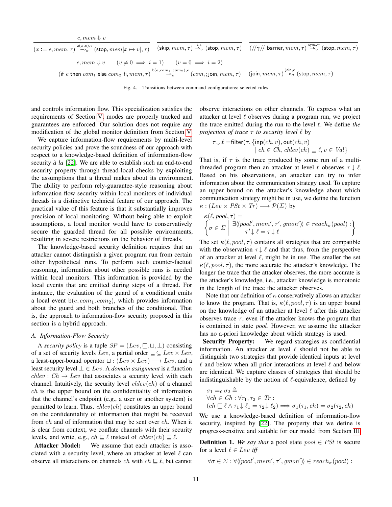$$
e, mem \Downarrow v
$$

$$
\overbrace{(x := e, mem, \tau) \xrightarrow{\mathfrak{a}(x,e), \epsilon} (\text{stop}, mem[x \mapsto v], \tau)}^{\mathfrak{a}(x,e), \epsilon} (\text{stop}, mem[x \mapsto v], \tau) \xrightarrow{\mathfrak{a}(x,e), \epsilon} (\text{stop}, mem, \tau) \xrightarrow{\mathfrak{s}, \epsilon} (\text{stop},mem, \tau) \xrightarrow{\mathfrak{s}, \epsilon} (\text{stop},mem, \tau) \xrightarrow{\mathfrak{s}, \text{pre}, \gamma} (\text{stop}, mem, \tau) \xrightarrow{\mathfrak{s}, \text{pre}, \gamma} (\text{stop},mem, \tau) \xrightarrow{\mathfrak{s}, \text{pre}, \gamma} (\text{stop},mem, \tau) \xrightarrow{\mathfrak{s}, \text{pre}, \gamma} (\text{stop},mem, \tau) \xrightarrow{\mathfrak{s}, \text{pre}, \gamma} (\text{stop},mem, \tau) \xrightarrow{\mathfrak{s}, \text{pre}, \gamma} (\text{stop},mem, \tau) \xrightarrow{\mathfrak{b}(e, comm, \tau, com_1, com_2), \epsilon} (\text{comp}, mem, \tau) \xrightarrow{\mathfrak{b}(e, comm, \tau, com_1, com_2), \epsilon} (\text{join}, mem, \tau) \xrightarrow{\mathfrak{p} \text{in}, \epsilon} (\text{stop}, mem, \tau)
$$

<span id="page-11-0"></span>Fig. 4. Transitions between command configurations: selected rules

and controls information flow. This specialization satisfies the requirements of Section [V,](#page-8-0) modes are properly tracked and guarantees are enforced. Our solution does not require any modification of the global monitor definition from Section [V.](#page-8-0)

We capture information-flow requirements by multi-level security policies and prove the soundness of our approach with respect to a knowledge-based definition of information-flow security *à la* [\[22\]](#page-16-16). We are able to establish such an end-to-end security property through thread-local checks by exploiting the assumptions that a thread makes about its environment. The ability to perform rely-guarantee-style reasoning about information-flow security within local monitors of individual threads is a distinctive technical feature of our approach. The practical value of this feature is that it substantially improves precision of local monitoring. Without being able to exploit assumptions, a local monitor would have to conservatively secure the guarded thread for all possible environments, resulting in severe restrictions on the behavior of threads.

The knowledge-based security definition requires that an attacker cannot distinguish a given program run from certain other hypothetical runs. To perform such counter-factual reasoning, information about other possible runs is needed within local monitors. This information is provided by the local events that are emitted during steps of a thread. For instance, the evaluation of the guard of a conditional emits a local event  $b(e, com_1, com_2)$ , which provides information about the guard and both branches of the conditional. That is, the approach to information-flow security proposed in this section is a hybrid approach.

## *A. Information-Flow Security*

A *security policy* is a tuple  $SP = (Lev, \sqsubseteq, \sqcup, \perp)$  consisting of a set of security levels Lev, a partial order  $\subseteq \subseteq Lev \times Lev$ , a least-upper-bound operator  $\sqcup$ :  $(Lev \times Lev) \longrightarrow Lev$ , and a least security level ⊥ ∈ Lev. A *domain assignment* is a function  $chlev: Ch \rightarrow Lev$  that associates a security level with each channel. Intuitively, the security level  $chlev(ch)$  of a channel ch is the upper bound on the confidentiality of information that the channel's endpoint (e.g., a user or another system) is permitted to learn. Thus,  $chlev(ch)$  constitutes an upper bound on the confidentiality of information that might be received from ch and of information that may be sent over ch. When it is clear from context, we conflate channels with their security levels, and write, e.g.,  $ch \sqsubset \ell$  instead of  $chlev(ch) \sqsubset \ell$ .

Attacker Model: We assume that each attacker is associated with a security level, where an attacker at level  $\ell$  can observe all interactions on channels *ch* with  $ch \sqsubseteq \ell$ , but cannot

observe interactions on other channels. To express what an attacker at level  $\ell$  observes during a program run, we project the trace emitted during the run to the level  $\ell$ . We define *the projection of trace*  $\tau$  *to security level*  $\ell$  by

$$
\tau \downarrow \ell = \text{filter}(\tau, \{ \text{inp}(ch, v), \text{out}(ch, v) \\ \mid ch \in Ch, \text{chlev}(ch) \sqsubseteq \ell, v \in Val \}
$$

That is, if  $\tau$  is the trace produced by some run of a multithreaded program then an attacker at level  $\ell$  observes  $\tau \downarrow \ell$ . Based on his observations, an attacker can try to infer information about the communication strategy used. To capture an upper bound on the attacker's knowledge about which communication strategy might be in use, we define the function  $\kappa : (Lev \times PSt \times Tr) \longrightarrow \mathcal{P}(\Sigma)$  by

$$
\kappa(\ell, pool, \tau) =
$$
\n
$$
\left\{\sigma \in \Sigma \middle| \begin{array}{c} \exists \langle pool',mem', \tau', gmon' \rangle \in reach_{\sigma}(pool) : \\ \tau' \downarrow \ell = \tau \downarrow \ell \end{array}\right\}
$$

The set  $\kappa(\ell, pool, \tau)$  contains all strategies that are compatible with the observation  $\tau \downarrow \ell$  and that thus, from the perspective of an attacker at level  $\ell$ , might be in use. The smaller the set  $\kappa(\ell, pool, \tau)$ , the more accurate the attacker's knowledge. The longer the trace that the attacker observes, the more accurate is the attacker's knowledge, i.e., attacker knowledge is monotonic in the length of the trace the attacker observes.

Note that our definition of  $\kappa$  conservatively allows an attacker to know the program. That is,  $\kappa(\ell, pool, \tau)$  is an upper bound on the knowledge of an attacker at level  $\ell$  after this attacker observes trace  $\tau$ , even if the attacker knows the program that is contained in state pool. However, we assume the attacker has no a-priori knowledge about which strategy is used.

Security Property: We regard strategies as confidential information. An attacker at level  $\ell$  should not be able to distinguish two strategies that provide identical inputs at level  $\ell$  and below when all prior interactions at level  $\ell$  and below are identical. We capture classes of strategies that should be indistinguishable by the notion of  $\ell$ -equivalence, defined by

$$
\sigma_1 =_{\ell} \sigma_2 \triangleq
$$
  
\n
$$
\forall ch \in Ch : \forall \tau_1, \tau_2 \in Tr :
$$
  
\n
$$
(ch \sqsubseteq \ell \land \tau_1 \downarrow \ell_1 = \tau_2 \downarrow \ell_2) \Longrightarrow \sigma_1(\tau_1, ch) = \sigma_2(\tau_2, ch)
$$

We use a knowledge-based definition of information-flow security, inspired by [\[22\]](#page-16-16). The property that we define is progress-sensitive and suitable for our model from Section [III.](#page-3-0)

<span id="page-11-1"></span>**Definition 1.** *We say that* a pool state  $pool \in PSt$  is secure for a level  $\ell \in Lev$  *iff* 

$$
\forall \sigma \in \Sigma : \forall \langle \langle pool',mem', \tau',gmon' \rangle \rangle \in reach_{\sigma}(pool) :
$$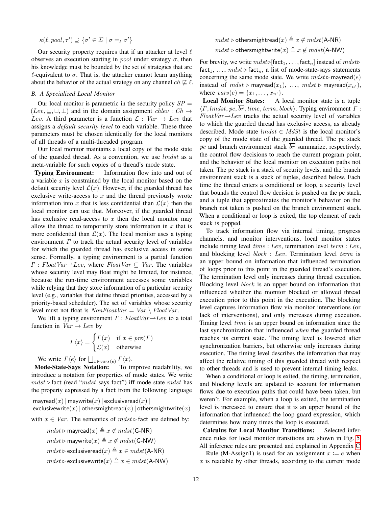$$
\kappa(\ell, pool, \tau') \supseteq {\sigma' \in \Sigma \mid \sigma =_{\ell} \sigma' }
$$

Our security property requires that if an attacker at level  $\ell$ observes an execution starting in *pool* under strategy  $\sigma$ , then his knowledge must be bounded by the set of strategies that are  $\ell$ -equivalent to  $\sigma$ . That is, the attacker cannot learn anything about the behavior of the actual strategy on any channel  $ch \not\sqsubseteq \ell$ .

## <span id="page-12-0"></span>*B. A Specialized Local Monitor*

Our local monitor is parametric in the security policy  $SP =$  $(Lev, \square, \square, \bot)$  and in the domain assignment chlev : Ch  $\rightarrow$ Lev. A third parameter is a function  $\mathcal{L}: Var \rightarrow Lev$  that assigns a *default security level* to each variable. These three parameters must be chosen identically for the local monitors of all threads of a multi-threaded program.

Our local monitor maintains a local copy of the mode state of the guarded thread. As a convention, we use *lmdst* as a meta-variable for such copies of a thread's mode state.

Typing Environment: Information flow into and out of a variable  $x$  is constrained by the local monitor based on the default security level  $\mathcal{L}(x)$ . However, if the guarded thread has exclusive write-access to  $x$  and the thread previously wrote information into x that is less confidential than  $\mathcal{L}(x)$  then the local monitor can use that. Moreover, if the guarded thread has exclusive read-access to  $x$  then the local monitor may allow the thread to temporarily store information in  $x$  that is more confidential than  $\mathcal{L}(x)$ . The local monitor uses a typing environment  $\Gamma$  to track the actual security level of variables for which the guarded thread has exclusive access in some sense. Formally, a typing environment is a partial function  $\Gamma$ : FloatVar $\rightarrow$ Lev, where FloatVar  $\subseteq$  Var. The variables whose security level may float might be limited, for instance, because the run-time environment accesses some variables while relying that they store information of a particular security level (e.g., variables that define thread priorities, accessed by a priority-based scheduler). The set of variables whose security level must not float is  $NonFloatVar = Var \setminus floatVar$ .

We lift a typing environment  $\Gamma:$  Float Var $\rightarrow$ Lev to a total function in  $Var \rightarrow Lev$  by

$$
\Gamma \langle x \rangle = \begin{cases} \Gamma(x) & \text{if } x \in pre(\Gamma) \\ \mathcal{L}(x) & \text{otherwise} \end{cases}
$$

We write  $\Gamma \langle e \rangle$  for  $\bigsqcup_{x \in vars(e)} \Gamma \langle x \rangle$ .

Mode-State-Says Notation: To improve readability, we introduce a notation for properties of mode states. We write  $mdst \triangleright$  fact (read "mdst says fact") iff mode state mdst has the property expressed by a fact from the following language

 $m$ ayread $(x)$ | maywrite $(x)$ | exclusiveread $(x)$ | exclusivewrite $(x)|$  othersmightread $(x)|$  othersmightwrite $(x)$ 

with  $x \in Var$ . The semantics of  $mdst \triangleright$  fact are defined by:

 $mdst \triangleright$  mayread $(x) \triangleq x \notin mdst(\mathsf{G-NR})$  $mdst \triangleright$  maywrite $(x) \triangleq x \notin mdst(\textsf{G-NW})$  $mdst \triangleright$  exclusiveread $(x) \triangleq x \in mdst(\mathsf{A}\text{-}\mathsf{NR})$  $mdst \triangleright$  exclusivewrite $(x) \triangleq x \in mdst(\mathsf{A}\text{-}\mathsf{NW})$   $mdst \triangleright$  othersmightread $(x) \triangleq x \notin mdst(\mathsf{A}\text{-}\mathsf{NR})$  $mdst \triangleright$  othersmightwrite $(x) \triangleq x \notin mdst(A-NW)$ 

For brevity, we write  $mdst\triangleright$  [fact<sub>1</sub>, . . . , fact<sub>n</sub>] instead of  $mdst\triangleright$ fact<sub>1</sub>, ...,  $mdst \triangleright$  fact<sub>n</sub>, a list of mode-state-says statements concerning the same mode state. We write  $mdst \triangleright$  mayread(e) instead of  $mdst \triangleright$  mayread $(x_1), \ldots, mdst \triangleright$  mayread $(x_{n'}),$ where  $vars(e) = \{x_1, \ldots, x_{n'}\}.$ 

Local Monitor States: A local monitor state is a tuple  $\langle \Gamma, \text{Imdst}, \overline{pc}, \overline{br}, \text{time}, \text{term}, \text{block} \rangle$ . Typing environment  $\Gamma$ :  $F\theta$ loatVar $\rightarrow$ Lev tracks the actual security level of variables to which the guarded thread has exclusive access, as already described. Mode state  $lmdst \in MdSt$  is the local monitor's copy of the mode state of the guarded thread. The pc stack  $\overline{pc}$  and branch environment stack  $\overline{br}$  summarize, respectively, the control flow decisions to reach the current program point, and the behavior of the local monitor on execution paths not taken. The pc stack is a stack of security levels, and the branch environment stack is a stack of tuples, described below. Each time the thread enters a conditional or loop, a security level that bounds the control flow decision is pushed on the pc stack, and a tuple that approximates the monitor's behavior on the branch not taken is pushed on the branch environment stack. When a conditional or loop is exited, the top element of each stack is popped.

To track information flow via internal timing, progress channels, and monitor interventions, local monitor states include timing level  $time: Lev$ , termination level  $term: Lev$ , and blocking level  $block$ : Lev. Termination level  $term$  is an upper bound on information that influenced termination of loops prior to this point in the guarded thread's execution. The termination level only increases during thread execution. Blocking level *block* is an upper bound on information that influenced whether the monitor blocked or allowed thread execution prior to this point in the execution. The blocking level captures information flow via monitor interventions (or lack of interventions), and only increases during execution. Timing level time is an upper bound on information since the last synchronization that influenced *when* the guarded thread reaches its current state. The timing level is lowered after synchronization barriers, but otherwise only increases during execution. The timing level describes the information that may affect the relative timing of this guarded thread with respect to other threads and is used to prevent internal timing leaks.

When a conditional or loop is exited, the timing, termination, and blocking levels are updated to account for information flows due to execution paths that could have been taken, but weren't. For example, when a loop is exited, the termination level is increased to ensure that it is an upper bound of the information that influenced the loop guard expression, which determines how many times the loop is executed.

Calculus for Local Monitor Transitions: Selected inference rules for local monitor transitions are shown in Fig. [5.](#page-13-0) All inference rules are presented and explained in Appendix [C.](#page-20-0)

Rule (M-Assign1) is used for an assignment  $x := e$  when  $x$  is readable by other threads, according to the current mode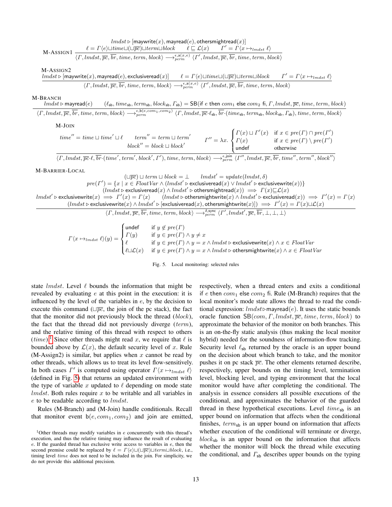**M-ASSIGN1**  $\ell = \Gamma \langle e \rangle \sqcup time \sqcup (\sqcup \overline{pc}) \sqcup term \sqcup block$   $\ell \sqsubseteq \mathcal{L}(x)$   $\Gamma' = \Gamma \langle x \mapsto_{lmdst} \ell \rangle$  $lmdst \triangleright [$ maywrite $(x)$ , mayread $(e)$ , othersmightread $(x)]$  $\langle \mathnormal{\Gamma}, \mathnormal{lmdst}, \overline{pc}, \overline{br}, \mathnormal{time}, \mathnormal{term}, \mathnormal{block} \rangle \longrightarrow_{perm}^{\epsilon, \mathsf{a} (x, e)} \langle \mathnormal{\Gamma}', \mathnormal{lmdst}, \overline{pc}, \overline{br}, \mathnormal{time}, \mathnormal{term}, \mathnormal{block} \rangle$ 

M-ASSIGN2

 $lmdst$   $\triangleright$   $[\mathsf{maywrite}(x), \mathsf{mayread}(e), \mathsf{exclusiveread}(x)]$   $\ell = \Gamma \langle e \rangle \sqcup time \sqcup (\sqcup \overline{pc}) \sqcup term \sqcup block$   $\Gamma' = \Gamma \langle x \mapsto_{lmdst} \ell \rangle$  $\langle \Gamma, \textit{lmdst}, \overline{pc}, \overline{br}, \textit{time}, \textit{term}, \textit{block} \rangle \longrightarrow_{\textit{perm}}^{\epsilon, \mathsf{a(x,e)}} \langle \Gamma', \textit{lmdst}, \overline{pc}, \overline{br}, \textit{time}, \textit{term}, \textit{block} \rangle$ 

M-BRANCH

 $lmdst \triangleright$  mayread $(e)$   $(\ell_{sb}, \text{time}_{sb}, \text{term}_{sb}, \text{block}_{sb}, \Gamma_{sb}) = \mathsf{SB}(\text{if } e \text{ then } \text{com}_1 \text{ else } \text{com}_2 \text{ fi}, \Gamma, \text{lmdst}, \overline{pc}, \text{time}, \text{term}, \text{block})$  $\langle \Gamma,lmdst,\overline{pc},\overline{br},time,term,block\rangle \longrightarrow_{perm}^{\epsilon, \mathsf{b}(e,comm,comm)} \langle \Gamma,lmdst,\overline{pc}\cdot \ell_{\mathsf{sb}},\overline{br}\cdot (time_{\mathsf{sb}},term_{\mathsf{sb}},block_{\mathsf{sb}},\Gamma_{\mathsf{sb}}),time,term,block\rangle$ 

M-JOIN

$$
time'' = time \sqcup time' \sqcup \ell \quad term'' = term \sqcup term' \quad \Gamma'' = \lambda x. \begin{cases} \Gamma(x) \sqcup \Gamma'(x) & \text{if } x \in pre(\Gamma) \cap pre(\Gamma') \\ \Gamma(x) & \text{if } x \in pre(\Gamma) \setminus pre(\Gamma') \\ \text{under} & \text{otherwise} \end{cases}
$$

 $\langle \Gamma,lmdst, \overline{pc}\cdot\ell, \overline{br}\cdot (time', term', block', \Gamma'), time, term, block \rangle \longrightarrow_{perm}^{\epsilon, join} \langle \Gamma'',lmdst, \overline{pc}, \overline{br}, time'', term'', block'' \rangle$ 

M-BARRIER-LOCAL

 $(\Box \overline{pc}) \sqcup term \sqcup block = \bot$   $lmdst' = update(lmdst, \delta)$  $pre(\Gamma') = \{x \mid x \in \text{FloatVar} \land (\text{lmdst}' \triangleright \text{exclusiveread}(x) \vee \text{lmdst}' \triangleright \text{exclusivewrite}(x))\}$  $(\textit{lmdst} \triangleright \textsf{exclusiveread}(x) \wedge \textit{lmdst}' \triangleright \textsf{othersmightread}(x)) \implies \Gamma(x) \square \mathcal{L}(x)$  $\mathit{lmdst'} \triangleright \mathsf{exclusivewrite}(x) \implies \Gamma'(x) = \Gamma \langle x \rangle \quad \quad (\mathit{lmdst} \triangleright \mathsf{otherwise}(x) \wedge \mathit{lmdst'} \triangleright \mathsf{exclusiveread}(x)) \implies \Gamma'(x) = \Gamma \langle x \rangle$  $(lmdst \triangleright \text{exclusivewrite}(x) \land lmdst' \triangleright [\text{exclusiveread}(x), \text{otherwise}(x)]) \implies \Gamma'(x) = \Gamma(x) \sqcup \mathcal{L}(x)$ 

 $\langle \Gamma, lmdst, \overline{pc}, \overline{br}, \textit{time}, \textit{term}, \textit{block} \rangle \longrightarrow_{perm}^{\delta, \textsf{sync}} \langle \Gamma', lmdst', \overline{pc}, \overline{br}, \bot, \bot, \bot \rangle$ 

 $\Gamma\langle x \mapsto_{lmdst} \ell\rangle(y) =$  $\sqrt{ }$  $\int$  $\overline{\mathcal{L}}$ undef if  $y \notin pre(\Gamma)$  $\Gamma(y)$  if  $y \in pre(\Gamma) \wedge y \neq x$  $\ell$  if  $y \in pre(\Gamma) \wedge y = x \wedge lmdst \triangleright$  exclusivewrite $(x) \wedge x \in FloatVar$  $\ell \sqcup \mathcal{L}(x)$  if  $y \in pre(\Gamma) \land y = x \land \text{lmdst} \triangleright \text{othersmightwrite}(x) \land x \in \text{FloatVar}$ 

<span id="page-13-0"></span>Fig. 5. Local monitoring: selected rules

state *lmdst*. Level  $\ell$  bounds the information that might be revealed by evaluating  $e$  at this point in the execution: it is influenced by the level of the variables in  $e$ , by the decision to execute this command ( $\Box \overline{pc}$ , the join of the pc stack), the fact that the monitor did not previously block the thread (block), the fact that the thread did not previously diverge  $(term)$ , and the relative timing of this thread with respect to others (*time*).<sup>[1](#page-13-1)</sup> Since other threads might read x, we require that  $\ell$  is bounded above by  $\mathcal{L}(x)$ , the default security level of x. Rule  $(M-Assign2)$  is similar, but applies when x cannot be read by other threads, which allows us to treat its level flow-sensitively. In both cases  $\Gamma'$  is computed using operator  $\Gamma \langle x \mapsto_{lmdst} \ell \rangle$ (defined in Fig. [5\)](#page-13-0) that returns an updated environment with the type of variable x updated to  $\ell$  depending on mode state  $lmdst$ . Both rules require x to be writable and all variables in e to be readable according to lmdst.

Rules (M-Branch) and (M-Join) handle conditionals. Recall that monitor event  $b(e, com_1, com_2)$  and join are emitted, respectively, when a thread enters and exits a conditional if e then  $com_1$  else  $com_2$  fi. Rule (M-Branch) requires that the local monitor's mode state allows the thread to read the conditional expression:  $lmdst \triangleright$  mayread(e). It uses the static bounds oracle function  $SB(com, \Gamma, \text{lmdst}, \overline{pc}, \text{time}, \text{term}, \text{block})$  to approximate the behavior of the monitor on both branches. This is an on-the-fly static analysis (thus making the local monitor hybrid) needed for the soundness of information-flow tracking. Security level  $\ell_{sb}$  returned by the oracle is an upper bound on the decision about which branch to take, and the monitor pushes it on pc stack  $\overline{pc}$ . The other elements returned describe, respectively, upper bounds on the timing level, termination level, blocking level, and typing environment that the local monitor would have after completing the conditional. The analysis in essence considers all possible executions of the conditional, and approximates the behavior of the guarded thread in these hypothetical executions. Level  $time_{sb}$  is an upper bound on information that affects when the conditional finishes,  $term_{\text{ch}}$  is an upper bound on information that affects whether execution of the conditional will terminate or diverge,  $block_{sb}$  is an upper bound on the information that affects whether the monitor will block the thread while executing the conditional, and  $\Gamma_{sb}$  describes upper bounds on the typing

<span id="page-13-1"></span><sup>&</sup>lt;sup>1</sup>Other threads may modify variables in  $e$  concurrently with this thread's execution, and thus the relative timing may influence the result of evaluating e. If the guarded thread has exclusive write access to variables in e, then the second premise could be replaced by  $\ell = \Gamma \langle e \rangle \sqcup (\sqcup \overline{pc}) \sqcup term \sqcup block$ , i.e., timing level time does not need to be included in the join. For simplicity, we do not provide this additional precision.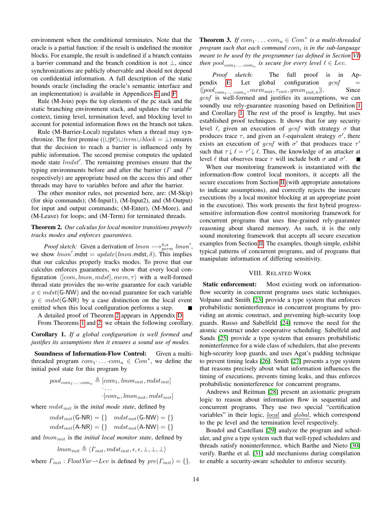environment when the conditional terminates. Note that the oracle is a partial function: if the result is undefined the monitor blocks. For example, the result is undefined if a branch contains a barrier command and the branch condition is not ⊥, since synchronizations are publicly observable and should not depend on confidential information. A full description of the static bounds oracle (including the oracle's semantic interface and an implementation) is available in Appendices [E](#page-28-0) and [F.](#page-58-0)

Rule (M-Join) pops the top elements of the pc stack and the static branching environment stack, and updates the variable context, timing level, termination level, and blocking level to account for potential information flows on the branch not taken.

Rule (M-Barrier-Local) regulates when a thread may synchronize. The first premise  $((\Box \overline{pc}) \Box term \Box block = \bot)$  ensures that the decision to reach a barrier is influenced only by public information. The second premise computes the updated mode state  $lmdst'$ . The remaining premises ensure that the typing environments before and after the barrier  $(\Gamma \text{ and } \Gamma)$ respectively) are appropriate based on the access this and other threads may have to variables before and after the barrier.

The other monitor rules, not presented here, are: (M-Skip) (for skip commands); (M-Input1), (M-Input2), and (M-Output) for input and output commands; (M-Enter), (M-More), and (M-Leave) for loops; and (M-Term) for terminated threads.

## <span id="page-14-0"></span>Theorem 2. *Our calculus for local monitor transitions properly tracks modes and enforces guarantees.*

*Proof sketch:* Given a derivation of  $l$ *mon*  $\rightarrow$   $\frac{\delta_0 \alpha}{perm}$   $lmon',$ we show  $lmon'$ .mdst =  $update(lmon.mdst, \delta)$ . This implies that our calculus properly tracks modes. To prove that our calculus enforces guarantees, we show that every local configuration  $\langle [com, lmon, mdst], mem, \tau \rangle$  with a well-formed thread state provides the no-write guarantee for each variable  $x \in mdst$ (G-NW) and the no-read guarantee for each variable  $y \in mdst(G-NR)$  by a case distinction on the local event emitted when this local configuration performs a step.

A detailed proof of Theorem [2](#page-14-0) appears in Appendix [D.](#page-23-0)

From Theorems [1](#page-9-1) and [2,](#page-14-0) we obtain the following corollary.

<span id="page-14-1"></span>Corollary 1. *If a global configuration is well formed and justifies its assumptions then it ensures a sound use of modes.*

Soundness of Information-Flow Control: Given a multithreaded program  $com_1 \cdot \ldots \cdot com_n \in Com^*$ , we define the initial pool state for this program by

> $pool_{com_1 \dots com_n} \triangleq [com_1, lmon_{init}, mdst_{init}]$ · . . .  $\cdot$ [com<sub>n</sub>, lmon<sub>init</sub>, mdst<sub>init</sub>]

where  $mdst_{init}$  is the *inital mode state*, defined by

$$
mdst_{init}(G\text{-}NR) = \{\} \quad mdst_{init}(G\text{-}NW) = \{\}
$$

$$
mdst_{init}(A\text{-}NR) = \{\} \quad mdst_{init}(A\text{-}NW) = \{\}
$$

and *lmon<sub>init</sub>* is the *initial local monitor state*, defined by

 $lmon_{init} \triangleq \langle \Gamma_{init}, mdst_{init}, \epsilon, \epsilon, \perp, \perp, \perp \rangle$ 

where  $\Gamma_{init}$ : FloatVar $\rightarrow$ Lev is defined by  $pre(\Gamma_{init}) = \{\}.$ 

<span id="page-14-2"></span>**Theorem 3.** If  $com_1 \cdot \ldots \cdot com_n \in Com^*$  is a multi-threaded *program such that each command* com<sup>i</sup> *is in the sub-language meant to be used by the programmer (as defined in Section [VI\)](#page-10-0) then*  $pool_{com_1 \cdots com_n}$  *is secure for every level*  $\ell \in Lev$ *.* 

*Proof sketch:* The full proof is in Ap-pendix [E.](#page-28-0) Let global configuration  $qcnf =$  $\langle \langle pool_{com_1 \cdots com_n}, mem_{init}, \tau_{init}, gmon_{init,n} \rangle \rangle$ . Since gcnf is well-formed and justifies its assumptions, we can soundly use rely-guarantee reasoning based on Definition [1](#page-11-1) and Corollary [1.](#page-14-1) The rest of the proof is lengthy, but uses established proof techniques. It shows that for any security level  $\ell$ , given an execution of gcnf with strategy  $\sigma$  that produces trace  $\tau$ , and given an  $\ell$ -equivalent strategy  $\sigma'$ , there exists an execution of gcnf with  $\sigma'$  that produces trace  $\tau'$ such that  $\tau \downarrow \ell = \tau' \downarrow \ell$ . Thus, the knowledge of an attacker at level  $\ell$  that observes trace  $\tau$  will include both  $\sigma$  and  $\sigma'$ . п

When our monitoring framework is instantiated with the information-flow control local monitors, it accepts all the secure executions from Section [II](#page-2-0) (with appropriate annotations to indicate assumptions), and correctly rejects the insecure executions (by a local monitor blocking at an appropriate point in the execution). This work presents the first hybrid progresssensitive information-flow control monitoring framework for concurrent programs that uses fine-grained rely-guarantee reasoning about shared memory. As such, it is the only sound monitoring framework that accepts all secure execution examples from Section [II.](#page-2-0) The examples, though simple, exhibit typical patterns of concurrent programs, and of programs that manipulate information of differing sensitivity.

#### VIII. RELATED WORK

Static enforcement: Most existing work on informationflow security in concurrent programs uses static techniques. Volpano and Smith [\[23\]](#page-16-17) provide a type system that enforces probabilistic noninterference in concurrent programs by providing an atomic construct, and preventing high-security loop guards. Russo and Sabelfeld [\[24\]](#page-16-18) remove the need for the atomic construct under cooperative scheduling. Sabelfeld and Sands [\[25\]](#page-16-19) provide a type system that ensures probabilistic noninterference for a wide class of schedulers, that also prevents high-security loop guards, and uses Agat's padding technique to prevent timing leaks [\[26\]](#page-16-20). Smith [\[27\]](#page-16-21) presents a type system that reasons precisely about what information influences the timing of executions, prevents timing leaks, and thus enforces probabilistic noninterference for concurrent programs.

Andrews and Reitman [\[28\]](#page-16-22) present an axiomatic program logic to reason about information flow in sequential and concurrent programs. They use two special "certification variables" in their logic, *local* and *global*, which correspond to the pc level and the termination level respectively.

Boudol and Castellani [\[29\]](#page-16-23) analyze the program and scheduler, and give a type system such that well-typed schedulers and threads satisfy noninterference, which Barthe and Nieto [\[30\]](#page-16-24) verify. Barthe et al. [\[31\]](#page-16-25) add mechanisms during compilation to enable a security-aware scheduler to enforce security.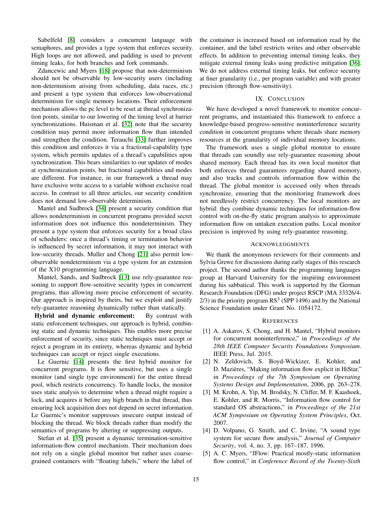Sabelfeld [\[8\]](#page-16-2) considers a concurrent language with semaphores, and provides a type system that enforces security. High loops are not allowed, and padding is used to prevent timing leaks, for both branches and fork commands.

Zdancewic and Myers [\[18\]](#page-16-12) propose that non-determinism should not be observable by low-security users (including non-determinism arising from scheduling, data races, etc.) and present a type system that enforces low-observational determinism for single memory locations. Their enforcement mechanism allows the pc level to be reset at thread synchronization points, similar to our lowering of the timing level at barrier synchronizations. Huisman et al. [\[32\]](#page-16-26) note that the security condition may permit more information flow than intended and strengthen the condition. Terauchi [\[33\]](#page-16-27) further improves this condition and enforces it via a fractional-capability type system, which permits updates of a thread's capabilities upon synchronization. This bears similarities to our updates of modes at synchronization points, but fractional capabilities and modes are different. For instance, in our framework a thread may have exclusive write access to a variable without exclusive read access. In contrast to all three articles, our security condition does not demand low-observable determinism.

Mantel and Sudbrock [\[34\]](#page-17-0) present a security condition that allows nondeterminism in concurrent programs provided secret information does not influence this nondeterminism. They present a type system that enforces security for a broad class of schedulers: once a thread's timing or termination behavior is influenced by secret information, it may not interact with low-security threads. Muller and Chong [\[21\]](#page-16-15) also permit lowobservable nondeterminism via a type system for an extension of the X10 programming language.

Mantel, Sands, and Sudbrock [\[13\]](#page-16-7) use rely-guarantee reasoning to support flow-sensitive security types in concurrent programs, thus allowing more precise enforcement of security. Our approach is inspired by theirs, but we exploit and justify rely-guarantee reasoning dynamically rather than statically.

Hybrid and dynamic enforcement: By contrast with static enforcement techniques, our approach is hybrid, combining static and dynamic techniques. This enables more precise enforcement of security, since static techniques must accept or reject a program in its entirety, whereas dynamic and hybrid techniques can accept or reject single executions.

Le Guernic [\[14\]](#page-16-8) presents the first hybrid monitor for concurrent programs. It is flow sensitive, but uses a single monitor (and single type environment) for the entire thread pool, which restricts concurrency. To handle locks, the monitor uses static analysis to determine when a thread might require a lock, and acquires it before any high branch in that thread, thus ensuring lock acquisition does not depend on secret information. Le Guernic's monitor suppresses insecure output instead of blocking the thread. We block threads rather than modify the semantics of programs by altering or suppressing outputs.

Stefan et al. [\[35\]](#page-17-1) present a dynamic termination-sensitive information-flow control mechanism. Their mechanism does not rely on a single global monitor but rather uses coarsegrained containers with "floating labels," where the label of the container is increased based on information read by the container, and the label restricts writes and other observable effects. In addition to preventing internal timing leaks, they mitigate external timing leaks using predictive mitigation [\[36\]](#page-17-2). We do not address external timing leaks, but enforce security at finer granularity (i.e., per program variable) and with greater precision (through flow-sensitivity).

## IX. CONCLUSION

We have developed a novel framework to monitor concurrent programs, and instantiated this framework to enforce a knowledge-based progress-sensitive noninterference security condition in concurrent programs where threads share memory resources at the granularity of individual memory locations.

The framework uses a single global monitor to ensure that threads can soundly use rely-guarantee reasoning about shared memory. Each thread has its own local monitor that both enforces thread guarantees regarding shared memory, and also tracks and controls information flow within the thread. The global monitor is accessed only when threads synchronize, ensuring that the monitoring framework does not needlessly restrict concurrency. The local monitors are hybrid: they combine dynamic techniques for information-flow control with on-the-fly static program analysis to approximate information flow on untaken execution paths. Local monitor precision is improved by using rely-guarantee reasoning.

#### ACKNOWLEDGMENTS

We thank the anonymous reviewers for their comments and Sylvia Grewe for discussions during early stages of this research project. The second author thanks the programming languages group at Harvard University for the inspiring environment during his sabbatical. This work is supported by the German Research Foundation (DFG) under project RSCP (MA 33326/4-  $2/3$ ) in the priority program RS<sup>3</sup> (SPP 1496) and by the National Science Foundation under Grant No. 1054172.

## **REFERENCES**

- <span id="page-15-4"></span>[1] A. Askarov, S. Chong, and H. Mantel, "Hybrid monitors for concurrent noninterference," in *Proceedings of the 28th IEEE Computer Security Foundations Symposium*. IEEE Press, Jul. 2015.
- <span id="page-15-0"></span>[2] N. Zeldovich, S. Boyd-Wickizer, E. Kohler, and D. Mazieres, "Making information flow explicit in HiStar," ` in *Proceedings of the 7th Symposium on Operating Systems Design and Implementation*, 2006, pp. 263–278.
- <span id="page-15-1"></span>[3] M. Krohn, A. Yip, M. Brodsky, N. Cliffer, M. F. Kaashoek, E. Kohler, and R. Morris, "Information flow control for standard OS abstractions," in *Proceedings of the 21st ACM Symposium on Operating System Principles*, Oct. 2007.
- <span id="page-15-2"></span>[4] D. Volpano, G. Smith, and C. Irvine, "A sound type system for secure flow analysis," *Journal of Computer Security*, vol. 4, no. 3, pp. 167–187, 1996.
- <span id="page-15-3"></span>[5] A. C. Myers, "JFlow: Practical mostly-static information flow control," in *Conference Record of the Twenty-Sixth*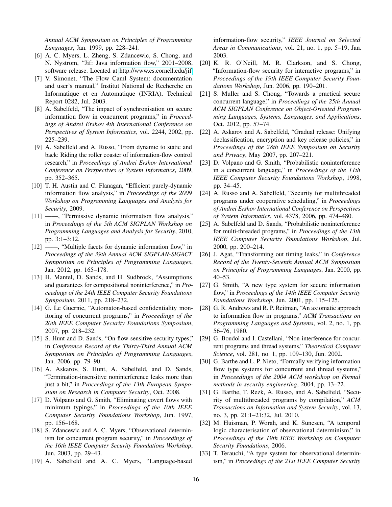*Annual ACM Symposium on Principles of Programming Languages*, Jan. 1999, pp. 228–241.

- <span id="page-16-0"></span>[6] A. C. Myers, L. Zheng, S. Zdancewic, S. Chong, and N. Nystrom, "Jif: Java information flow," 2001–2008, software release. Located at [http://www.cs.cornell.edu/jif.](http://www.cs.cornell.edu/jif)
- <span id="page-16-1"></span>[7] V. Simonet, "The Flow Caml System: documentation and user's manual," Institut National de Recherche en Informatique et en Automatique (INRIA), Technical Report 0282, Jul. 2003.
- <span id="page-16-2"></span>[8] A. Sabelfeld, "The impact of synchronisation on secure information flow in concurrent programs," in *Proceedings of Andrei Ershov 4th International Conference on Perspectives of System Informatics*, vol. 2244, 2002, pp. 225–239.
- <span id="page-16-3"></span>[9] A. Sabelfeld and A. Russo, "From dynamic to static and back: Riding the roller coaster of information-flow control research," in *Proceedings of Andrei Ershov International Conference on Perspectives of System Informatics*, 2009, pp. 352–365.
- <span id="page-16-4"></span>[10] T. H. Austin and C. Flanagan, "Efficient purely-dynamic information flow analysis," in *Proceedings of the 2009 Workshop on Programming Languages and Analysis for Security*, 2009.
- <span id="page-16-5"></span>[11] ——, "Permissive dynamic information flow analysis," in *Proceedings of the 5th ACM SIGPLAN Workshop on Programming Languages and Analysis for Security*, 2010, pp. 3:1–3:12.
- <span id="page-16-6"></span>[12] ——, "Multiple facets for dynamic information flow," in *Proceedings of the 39th Annual ACM SIGPLAN-SIGACT Symposium on Principles of Programming Languages*, Jan. 2012, pp. 165–178.
- <span id="page-16-7"></span>[13] H. Mantel, D. Sands, and H. Sudbrock, "Assumptions and guarantees for compositional noninterference," in *Proceedings of the 24th IEEE Computer Security Foundations Symposium*, 2011, pp. 218–232.
- <span id="page-16-8"></span>[14] G. Le Guernic, "Automaton-based confidentiality monitoring of concurrent programs," in *Proceedings of the 20th IEEE Computer Security Foundations Symposium*, 2007, pp. 218–232.
- <span id="page-16-9"></span>[15] S. Hunt and D. Sands, "On flow-sensitive security types," in *Conference Record of the Thirty-Third Annual ACM Symposium on Principles of Programming Languages*, Jan. 2006, pp. 79–90.
- <span id="page-16-10"></span>[16] A. Askarov, S. Hunt, A. Sabelfeld, and D. Sands, "Termination-insensitive noninterference leaks more than just a bit," in *Proceedings of the 13th European Symposium on Research in Computer Security*, Oct. 2008.
- <span id="page-16-11"></span>[17] D. Volpano and G. Smith, "Eliminating covert flows with minimum typings," in *Proceedings of the 10th IEEE Computer Security Foundations Workshop*, Jun. 1997, pp. 156–168.
- <span id="page-16-12"></span>[18] S. Zdancewic and A. C. Myers, "Observational determinism for concurrent program security," in *Proceedings of the 16th IEEE Computer Security Foundations Workshop*, Jun. 2003, pp. 29–43.
- <span id="page-16-13"></span>[19] A. Sabelfeld and A. C. Myers, "Language-based

information-flow security," *IEEE Journal on Selected Areas in Communications*, vol. 21, no. 1, pp. 5–19, Jan. 2003.

- <span id="page-16-14"></span>[20] K. R. O'Neill, M. R. Clarkson, and S. Chong, "Information-flow security for interactive programs," in *Proceedings of the 19th IEEE Computer Security Foundations Workshop*, Jun. 2006, pp. 190–201.
- <span id="page-16-15"></span>[21] S. Muller and S. Chong, "Towards a practical secure concurrent language," in *Proceedings of the 25th Annual ACM SIGPLAN Conference on Object-Oriented Programming Languages, Systems, Languages, and Applications*, Oct. 2012, pp. 57–74.
- <span id="page-16-16"></span>[22] A. Askarov and A. Sabelfeld, "Gradual release: Unifying declassification, encryption and key release policies," in *Proceedings of the 28th IEEE Symposium on Security and Privacy*, May 2007, pp. 207–221.
- <span id="page-16-17"></span>[23] D. Volpano and G. Smith, "Probabilistic noninterference in a concurrent language," in *Proceedings of the 11th IEEE Computer Security Foundations Workshop*, 1998, pp. 34–45.
- <span id="page-16-18"></span>[24] A. Russo and A. Sabelfeld, "Security for multithreaded programs under cooperative scheduling," in *Proceedings of Andrei Ershov International Conference on Perspectives of System Informatics*, vol. 4378, 2006, pp. 474–480.
- <span id="page-16-19"></span>[25] A. Sabelfeld and D. Sands, "Probabilistic noninterference for multi-threaded programs," in *Proceedings of the 13th IEEE Computer Security Foundations Workshop*, Jul. 2000, pp. 200–214.
- <span id="page-16-20"></span>[26] J. Agat, "Transforming out timing leaks," in *Conference Record of the Twenty-Seventh Annual ACM Symposium on Principles of Programming Languages*, Jan. 2000, pp. 40–53.
- <span id="page-16-21"></span>[27] G. Smith, "A new type system for secure information flow," in *Proceedings of the 14th IEEE Computer Security Foundations Workshop*, Jun. 2001, pp. 115–125.
- <span id="page-16-22"></span>[28] G. R. Andrews and R. P. Reitman, "An axiomatic approach to information flow in programs," *ACM Transactions on Programming Languages and Systems*, vol. 2, no. 1, pp. 56–76, 1980.
- <span id="page-16-23"></span>[29] G. Boudol and I. Castellani, "Non-interference for concurrent programs and thread systems," *Theoretical Computer Science*, vol. 281, no. 1, pp. 109–130, Jun. 2002.
- <span id="page-16-24"></span>[30] G. Barthe and L. P. Nieto, "Formally verifying information flow type systems for concurrent and thread systems," in *Proceedings of the 2004 ACM workshop on Formal methods in security engineering*, 2004, pp. 13–22.
- <span id="page-16-25"></span>[31] G. Barthe, T. Rezk, A. Russo, and A. Sabelfeld, "Security of multithreaded programs by compilation," *ACM Transactions on Information and System Security*, vol. 13, no. 3, pp. 21:1–21:32, Jul. 2010.
- <span id="page-16-26"></span>[32] M. Huisman, P. Worah, and K. Sunesen, "A temporal logic characterisation of observational determinism," in *Proceedings of the 19th IEEE Workshop on Computer Security Foundations*, 2006.
- <span id="page-16-27"></span>[33] T. Terauchi, "A type system for observational determinism," in *Proceedings of the 21st IEEE Computer Security*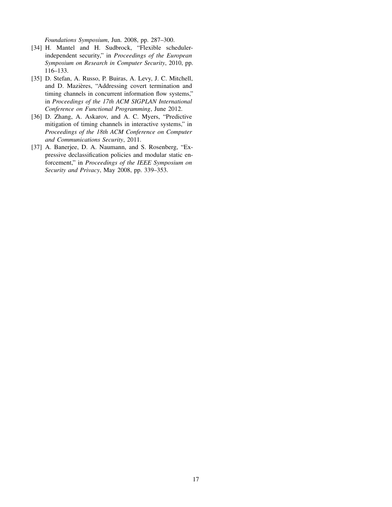*Foundations Symposium*, Jun. 2008, pp. 287–300.

- <span id="page-17-0"></span>[34] H. Mantel and H. Sudbrock, "Flexible schedulerindependent security," in *Proceedings of the European Symposium on Research in Computer Security*, 2010, pp. 116–133.
- <span id="page-17-1"></span>[35] D. Stefan, A. Russo, P. Buiras, A. Levy, J. C. Mitchell, and D. Mazieres, "Addressing covert termination and ` timing channels in concurrent information flow systems," in *Proceedings of the 17th ACM SIGPLAN International Conference on Functional Programming*, June 2012.
- <span id="page-17-2"></span>[36] D. Zhang, A. Askarov, and A. C. Myers, "Predictive mitigation of timing channels in interactive systems," in *Proceedings of the 18th ACM Conference on Computer and Communications Security*, 2011.
- <span id="page-17-3"></span>[37] A. Banerjee, D. A. Naumann, and S. Rosenberg, "Expressive declassification policies and modular static enforcement," in *Proceedings of the IEEE Symposium on Security and Privacy*, May 2008, pp. 339–353.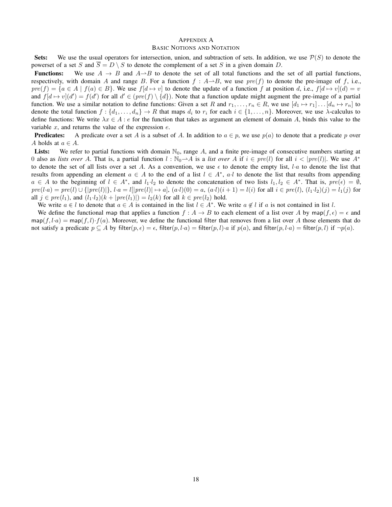## <span id="page-18-0"></span>APPENDIX A

#### BASIC NOTIONS AND NOTATION

Sets: We use the usual operators for intersection, union, and subtraction of sets. In addition, we use  $P(S)$  to denote the powerset of a set S and  $\overline{S} = D \setminus S$  to denote the complement of a set S in a given domain D.

Functions: We use  $A \rightarrow B$  and  $A \rightarrow B$  to denote the set of all total functions and the set of all partial functions, respectively, with domain A and range B. For a function  $f : A \rightarrow B$ , we use  $pre(f)$  to denote the pre-image of f, i.e.,  $pre(f) = \{a \in A \mid f(a) \in B\}$ . We use  $f[d \mapsto v]$  to denote the update of a function f at position d, i.e.,  $f[d \mapsto v](d) = v$ and  $f[d \mapsto v](d') = f(d')$  for all  $d' \in (pre(f) \setminus \{d\})$ . Note that a function update might augment the pre-image of a partial function. We use a similar notation to define functions: Given a set R and  $r_1, \ldots, r_n \in R$ , we use  $[d_1 \mapsto r_1] \ldots [d_n \mapsto r_n]$  to denote the total function  $f: \{d_1, \ldots, d_n\} \to R$  that maps  $d_i$  to  $r_i$  for each  $i \in \{1, \ldots, n\}$ . Moreover, we use  $\lambda$ -calculus to define functions: We write  $\lambda x \in A : e$  for the function that takes as argument an element of domain A, binds this value to the variable  $x$ , and returns the value of the expression  $e$ .

**Predicates:** A predicate over a set A is a subset of A. In addition to  $a \in p$ , we use  $p(a)$  to denote that a predicate p over A holds at  $a \in A$ .

**Lists:** We refer to partial functions with domain  $\mathbb{N}_0$ , range A, and a finite pre-image of consecutive numbers starting at 0 also as *lists over* A. That is, a partial function  $l : \mathbb{N}_0 \to A$  is a *list over* A if  $i \in pre(l)$  for all  $i < |pre(l)|$ . We use  $A^*$ to denote the set of all lists over a set A. As a convention, we use  $\epsilon$  to denote the empty list, l $\epsilon$  to denote the list that results from appending an element  $a \in A$  to the end of a list  $l \in A^*$ ,  $a \cdot l$  to denote the list that results from appending  $a \in A$  to the beginning of  $l \in A^*$ , and  $l_1 \cdot l_2$  to denote the concatenation of two lists  $l_1, l_2 \in A^*$ . That is,  $pre(\epsilon) = \emptyset$ ,  $pre(l \cdot a) = pre(l) \cup \{|pre(l)|\}, l \cdot a = l[|pre(l)| \mapsto a], (a \cdot l)(0) = a, (a \cdot l)(i + 1) = l(i)$  for all  $i \in pre(l), (l_1 \cdot l_2)(j) = l_1(j)$  for all  $j \in pre(l_1)$ , and  $(l_1 \cdot l_2)(k + |pre(l_1)|) = l_2(k)$  for all  $k \in pre(l_2)$  hold.

We write  $a \in l$  to denote that  $a \in A$  is contained in the list  $l \in A^*$ . We write  $a \notin l$  if a is not contained in list l.<br>We define the functional map that applies a function  $f : A \to B$  to each element of a list over A by m

We define the functional map that applies a function  $f : A \to B$  to each element of a list over A by map( $f, \epsilon$ ) =  $\epsilon$  and  $map(f, l \cdot a) = map(f, l) \cdot f(a)$ . Moreover, we define the functional filter that removes from a list over A those elements that do not satisfy a predicate  $p \subseteq A$  by filter $(p, \epsilon) = \epsilon$ , filter $(p, l \cdot a) =$  filter $(p, l) \cdot a$  if  $p(a)$ , and filter $(p, l \cdot a) =$  filter $(p, l)$  if  $\neg p(a)$ .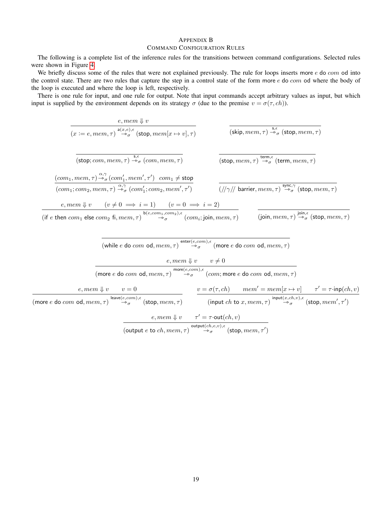## <span id="page-19-0"></span>APPENDIX B COMMAND CONFIGURATION RULES

The following is a complete list of the inference rules for the transitions between command configurations. Selected rules were shown in Figure [4.](#page-11-0)

We briefly discuss some of the rules that were not explained previously. The rule for loops inserts more  $e$  do  $com$  od into the control state. There are two rules that capture the step in a control state of the form more e do com od where the body of the loop is executed and where the loop is left, respectively.

There is one rule for input, and one rule for output. Note that input commands accept arbitrary values as input, but which input is supplied by the environment depends on its strategy  $\sigma$  (due to the premise  $v = \sigma(\tau, ch)$ ).

$$
(x := e, mem, \tau) \xrightarrow{\mathbf{a}(x,e), \epsilon} (\text{stop}, mem[x \rightarrow v], \tau)
$$
\n
$$
\overbrace{(\text{stop}; com, mem, \tau) \xrightarrow{\mathbf{s}, \epsilon} (\text{stop}, mem, \tau) \xrightarrow{\mathbf{s}, \epsilon} (\text{stop}, mem, \tau) \xrightarrow{\mathbf{s}, \epsilon} (\text{stop}, mem, \tau) \xrightarrow{\mathbf{s}, \epsilon} (\text{stop}, mem, \tau)}
$$
\n
$$
\overbrace{(\text{stop}; com, mem, \tau) \xrightarrow{\alpha, \gamma} (\text{com}_1, mem', \tau') \xrightarrow{\text{com}_1 \neq \text{stop}} (\text{stop}, mem, \tau) \xrightarrow{\text{term}, \epsilon} (\text{term}, mem, \tau) \xrightarrow{\alpha, \gamma} (\text{com}_1, comm', \tau') \xrightarrow{\text{com}_1 \neq \text{stop}} (\text{com}_1, comm', \tau') \xrightarrow{\text{sym}_2, \tau \xrightarrow{\text{sym}_2} (\text{com}_1, comm', \tau')} (\text{Norm}_2, mem', \tau') \xrightarrow{\text{sym}_2, \tau \xrightarrow{\text{sym}_2} (\text{top}, mem, \tau) \xrightarrow{\text{Sym}_2, \tau} (\text{stop}, mem, \tau)}
$$
\n
$$
\overbrace{(\text{if } e \text{ then } com_1 \text{ else } com_2 \text{ fi}, mem, \tau) \xrightarrow{\mathbf{b}(e, com_1, com_2), \epsilon} (\text{com}_1; \text{join}, mem, \tau) \xrightarrow{\text{Spin}, \epsilon} (\text{stop}, mem, \tau) \xrightarrow{\text{join}, \epsilon} (\text{stop}, mem, \tau) \xrightarrow{\text{Spin}, \epsilon} (\text{stop}, mem, \tau)}
$$

$$
\frac{\text{(while } e \text{ do } com \text{ od}, mem, \tau) \xrightarrow{\text{enter}(e,com), \epsilon} (\text{more } e \text{ do } com \text{ od}, mem, \tau)}{\text{(more } e \text{ do } com \text{ od}, mem, \tau) \xrightarrow{\text{more}(e,com), \epsilon} (\text{com}; \text{more } e \text{ do } com \text{ od}, mem, \tau)}
$$
\n
$$
e, mem \Downarrow v \qquad v = 0
$$
\n
$$
\text{(more } e \text{ do } com \text{ od}, mem, \tau) \xrightarrow{\text{leave}(e,com), \epsilon} (\text{stop}, mem, \tau) \qquad v = \sigma(\tau, ch) \qquad mem' = mem[x \mapsto v] \qquad \tau' = \tau \cdot \text{inp}(ch, v)
$$
\n
$$
\text{(more } e \text{ do } com \text{ od}, mem, \tau) \xrightarrow{\text{leave}(e,com), \epsilon} (\text{stop}, mem, \tau) \qquad (\text{input } ch \text{ to } x, mem, \tau) \xrightarrow{\text{input}(x, ch, v), \epsilon} (\text{stop}, mem', \tau')
$$
\n
$$
\text{(output } e \text{ to } ch, mem, \tau) \xrightarrow{\text{output}(ch, e, v), \epsilon} (\text{stop}, mem, \tau')
$$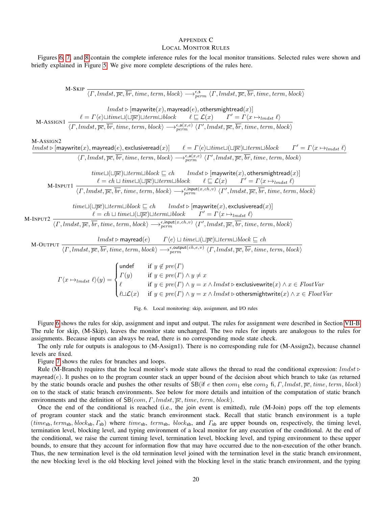## <span id="page-20-0"></span>APPENDIX C LOCAL MONITOR RULES

Figures [6,](#page-20-1) [7,](#page-21-0) and [8](#page-22-0) contain the complete inference rules for the local monitor transitions. Selected rules were shown and briefly explained in Figure [5.](#page-13-0) We give more complete descriptions of the rules here.

M-SKIP 
$$
\overline{\langle \Gamma, \text{lmdst}, \overline{pc}, \overline{br}, \text{time}, \text{term}, \text{block} \rangle} \longrightarrow_{perm}^{\epsilon,5} \overline{\langle \Gamma, \text{lmdst}, \overline{pc}, \overline{br}, \text{time}, \text{term}, \text{block} \rangle}
$$
  
\n $1$   
\n $1$   
\nM-ASSIGN1  $\frac{\ell = \Gamma \langle e \rangle \sqcup \text{time} \sqcup (\sqcup \overline{pc}) \sqcup \text{term} \sqcup \text{block} \quad \ell \subseteq \mathcal{L}(x) \quad \Gamma' = \Gamma \langle x \mapsto \text{lmdst} \ell \rangle}{\langle \Gamma, \text{lmdst}, \overline{pc}, \overline{br}, \text{time}, \text{term}, \text{block} \rangle \longrightarrow_{perm}^{\epsilon, a(x,e)} \langle \Gamma', \text{lmdst}, \overline{pc}, \overline{br}, \text{time}, \text{term}, \text{block} \rangle}$   
\nM-ASSIGN2  
\nM-ASSIGN2  
\n $1$   
\nM-ASSIGN2  
\n $\langle \Gamma, \text{lmdst}, \overline{pc}, \overline{br}, \text{time}, \text{term}, \text{block} \rangle \longrightarrow_{perm}^{\epsilon, a(x,e)} \langle \Gamma', \text{lmdst}, \overline{pc}, \overline{br}, \text{time}, \text{term}, \text{block} \rangle$   
\n $1$   
\n $1$   
\n $\langle \Gamma, \text{lmdst}, \overline{pc}, \overline{br}, \text{time}, \text{term}, \text{block} \rangle \longrightarrow_{perm}^{\epsilon, a(x,e)} \langle \Gamma', \text{lmdst}, \overline{pc}, \overline{br}, \text{time}, \text{term}, \text{block} \rangle$   
\n $1$   
\n $1$   
\n $\langle \Gamma, \text{lmdst}, \overline{pc}, \overline{br}, \text{time}, \text{term}, \text{block} \rangle \longrightarrow_{perm}^{\epsilon, a(x,e)} \langle \Gamma', \text{lmdst}, \overline{pc}, \overline{br}, \text{time}, \text{term}, \text{block} \rangle$   
\n $\langle \Gamma, \text{lmdst}, \overline{pc}, \overline{br}, \text{time}, \text{term}, \text{block} \rangle \longrightarrow_{perm}^{\epsilon, \text{input}(x, \text{ch}, v)}$ 

$$
M\text{-}NPUT2 \frac{\ell = ch \sqcup \text{time} \sqcup (\sqcup \overline{pc}) \sqcup term \sqcup block \qquad \Gamma' = \Gamma \langle x \mapsto_{lmdst} \ell \rangle}{\langle \Gamma, lmdst, \overline{pc}, \overline{br}, \text{time}, \text{term}, \text{block} \rangle \longrightarrow_{perm}^{\epsilon, input(x, ch, v)} \langle \Gamma', \text{lmdst}, \overline{pc}, \overline{br}, \text{time}, \text{term}, \text{block} \rangle}
$$

M-OUTPUT 
$$
\frac{lmdst \triangleright \text{mayread}(e)}{\langle \Gamma, lmdst, \overline{pc}, \overline{br}, \text{time}, \text{term}, \text{block} \rangle \longrightarrow_{perm}^{\epsilon, \text{output}(ch,e,v)} \langle \Gamma, lmdst, \overline{pc}, \overline{br}, \text{time}, \text{term}, \text{block} \rangle}
$$

$$
\Gamma \langle x \mapsto_{lmdst} \ell \rangle(y) = \begin{cases} \text{undef} & \text{if } y \notin pre(\Gamma) \\ \Gamma(y) & \text{if } y \in pre(\Gamma) \land y \neq x \\ \ell & \text{if } y \in pre(\Gamma) \land y = x \land lmdst \triangleright \text{exclusivewrite}(x) \land x \in \text{FloatVar} \\ \ell \sqcup \mathcal{L}(x) & \text{if } y \in pre(\Gamma) \land y = x \land lmdst \triangleright \text{otherwise}(x) \land x \in \text{FloatVar} \end{cases}
$$

<span id="page-20-1"></span>Fig. 6. Local monitoring: skip, assignment, and I/O rules

Figure [6](#page-20-1) shows the rules for skip, assignment and input and output. The rules for assignment were described in Section [VII-B.](#page-12-0) The rule for skip, (M-Skip), leaves the monitor state unchanged. The two rules for inputs are analogous to the rules for assignments. Because inputs can always be read, there is no corresponding mode state check.

The only rule for outputs is analogous to (M-Assign1). There is no corresponding rule for (M-Assign2), because channel levels are fixed.

Figure [7](#page-21-0) shows the rules for branches and loops.

 $M-$ 

Rule (M-Branch) requires that the local monitor's mode state allows the thread to read the conditional expression:  $lmdst \triangleright$ mayread $(e)$ . It pushes on to the program counter stack an upper bound of the decision about which branch to take (as returned by the static bounds oracle and pushes the other results of SB(if e then  $com_1$  else  $com_2$  fi, Γ, lmdst,  $\overline{pc}$ , time, term, block) on to the stack of static branch environments. See below for more details and intuition of the computation of static branch environments and the definition of  $SB(com, \Gamma, \ell mdst, \overline{pc}, \ell m_e, \ell erm, \ell bock).$ 

Once the end of the conditional is reached (i.e., the join event is emitted), rule (M-Join) pops off the top elements of program counter stack and the static branch environment stack. Recall that static branch environment is a tuple  $(time_{sb}, term_{sb}, block_{sb}, F_{sb})$  where  $time_{sb}, term_{sb}, block_{sb},$  and  $F_{sb}$  are upper bounds on, respectively, the timing level, termination level, blocking level, and typing environment of a local monitor for any execution of the conditional. At the end of the conditional, we raise the current timing level, termination level, blocking level, and typing environment to these upper bounds, to ensure that they account for information flow that may have occurred due to the non-execution of the other branch. Thus, the new termination level is the old termination level joined with the termination level in the static branch environment, the new blocking level is the old blocking level joined with the blocking level in the static branch environment, and the typing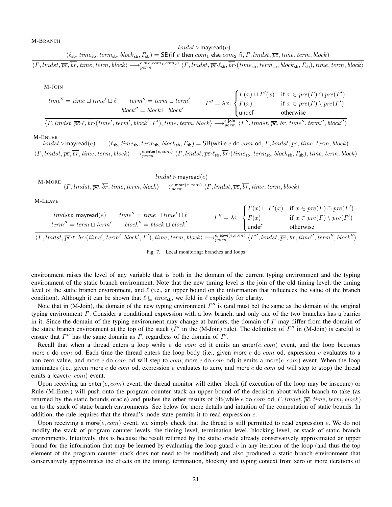M-BRANCH

 $lmdst \triangleright$  mayread(e)  $(\ell_{sb}, time_{sb}, term_{sb}, block_{sb}, F_{sb}) = SB$ (if e then  $com_1$  else  $com_2$  fi,  $\Gamma, lmdst, \overline{pc}, time, term, block)$  $\langle \Gamma,lmdst,\overline{pc},\overline{br},\textit{time},\textit{term},\textit{block}\rangle \longrightarrow_{perm}^{\epsilon,\mathsf{b}(e,com_1,com_2)} \langle \Gamma,lmdst,\overline{pc} \cdot \ell_{\mathsf{sb}},\overline{br}\cdot(\textit{time}_{\mathsf{sb}},\textit{term}_{\mathsf{sb}},\textit{block}_{\mathsf{sb}}),\textit{time},\textit{term},\textit{block}\rangle$ 

M-JOIN

$$
time'' = time \sqcup time' \sqcup \ell \qquad term'' = term \sqcup term' \qquad \qquad \Gamma'' = \lambda x. \begin{cases} \Gamma(x) \sqcup \Gamma'(x) & \text{if } x \in pre(\Gamma) \cap pre(\Gamma') \\ \Gamma(x) & \text{if } x \in pre(\Gamma) \setminus pre(\Gamma') \\ \text{under} \end{cases}
$$

 $\langle \Gamma,lmdst, \overline{pc}\cdot\ell, \overline{br}\cdot (time', term', block', \Gamma'), time, term, block\rangle \longrightarrow_{perm}^{e, \textsf{join}} \langle \Gamma'',lmdst, \overline{pc}, \overline{br}, time'', term'', block'' \rangle$ 

## M-ENTER

 $lmdst \triangleright$  mayread $(e)$   $(\ell_{sb}, \text{time}_{sb}, \text{term}_{sb}, \text{block}_{sb}, \Gamma_{sb}) = \text{SB}(\text{while } e \text{ do } com \text{ od}, \Gamma, \text{l} mdst, \overline{pc}, \text{time}, \text{term}, \text{block})$  $\langle \Gamma,lmdst,\overline{pc},\overline{br},time,term,block\rangle\longrightarrow_{perm}^{\epsilon,enter(\epsilon,com)}\langle \Gamma,lmdst,\overline{pc}\cdot\ell_{\textbf{sb}},\overline{br}\cdot(time_{\textbf{sb}},term_{\textbf{sb}},block_{\textbf{sb}}),time,term,block\rangle$ 

$$
\text{M-MORE } \frac{lmdst \rhd \text{mayread}(e)}{\langle \Gamma, lmdst, \overline{pc}, \overline{br}, \text{time}, \text{term}, \text{block} \rangle \longrightarrow_{perm}^{\epsilon, \text{more}(e, com)}} \langle \Gamma, lmdst, \overline{pc}, \overline{br}, \text{time}, \text{term}, \text{block} \rangle}
$$

M-LEAVE

$$
lmdst \triangleright \text{mayread}(e) \qquad \text{time}'' = \text{time} \sqcup \text{time}' \sqcup \ell \qquad \qquad \Gamma'' = \lambda x. \begin{cases} \Gamma(x) \sqcup \Gamma'(x) & \text{if } x \in pre(\Gamma) \cap pre(\Gamma') \\ \Gamma(x) & \text{if } x \in pre(\Gamma) \setminus pre(\Gamma') \\ \text{time}'' = \text{term} \sqcup \text{term}' & \text{block} \end{cases}
$$

 $\langle \Gamma,lmdst,\overline{pc}\cdot\ell,\overline{br}\cdot (time',term',block',\Gamma'),time,term,block \rangle\longrightarrow_{perm}^{\epsilon,leave(\epsilon,com)} \langle \Gamma'',lmdst,\overline{pc},\overline{br},time'',term'',block'' \rangle$ 

<span id="page-21-0"></span>Fig. 7. Local monitoring: branches and loops

environment raises the level of any variable that is both in the domain of the current typing environment and the typing environment of the static branch environment. Note that the new timing level is the join of the old timing level, the timing level of the static branch environment, and  $\ell$  (i.e., an upper bound on the information that influences the value of the branch condition). Although it can be shown that  $\ell \sqsubseteq \text{time}_{sb}$ , we fold in  $\ell$  explicitly for clarity.

Note that in (M-Join), the domain of the new typing environment  $\Gamma''$  is (and must be) the same as the domain of the original typing environment  $\Gamma$ . Consider a conditional expression with a low branch, and only one of the two branches has a barrier in it. Since the domain of the typing environment may change at barriers, the domain of  $\Gamma$  may differ from the domain of the static branch environment at the top of the stack  $(\Gamma')$  in the (M-Join) rule). The definition of  $\Gamma''$  in (M-Join) is careful to ensure that  $\Gamma''$  has the same domain as  $\Gamma$ , regardless of the domain of  $\Gamma'$ .

Recall that when a thread enters a loop while e do com od it emits an enter(e, com) event, and the loop becomes more e do com od. Each time the thread enters the loop body (i.e., given more e do com od, expression e evaluates to a non-zero value, and more e do com od will step to com; more e do com od) it emits a more $(e, com)$  event. When the loop terminates (i.e., given more e do com od, expression e evaluates to zero, and more e do com od will step to stop) the thread emits a leave $(e, com)$  event.

Upon receiving an enter $(e, com)$  event, the thread monitor will either block (if execution of the loop may be insecure) or Rule (M-Enter) will push onto the program counter stack an upper bound of the decision about which branch to take (as returned by the static bounds oracle) and pushes the other results of SB(while e do com od, Γ, lmdst,  $\overline{pc}$ , time, term, block) on to the stack of static branch environments. See below for more details and intuition of the computation of static bounds. In addition, the rule requires that the thread's mode state permits it to read expression  $e$ .

Upon receiving a more( $e$ , com) event, we simply check that the thread is still permitted to read expression  $e$ . We do not modify the stack of program counter levels, the timing level, termination level, blocking level, or stack of static branch environments. Intuitively, this is because the result returned by the static oracle already conservatively approximated an upper bound for the information that may be learned by evaluating the loop guard  $e$  in any iteration of the loop (and thus the top element of the program counter stack does not need to be modified) and also produced a static branch environment that conservatively approximates the effects on the timing, termination, blocking and typing context from zero or more iterations of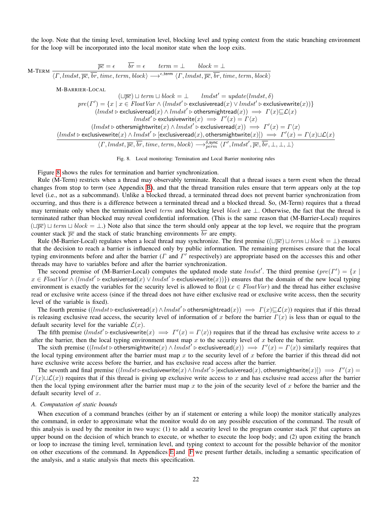the loop. Note that the timing level, termination level, blocking level and typing context from the static branching environment for the loop will be incorporated into the local monitor state when the loop exits.

$$
\overline{pc} = \epsilon \qquad \overline{br} = \epsilon \qquad term = \bot \qquad block = \bot
$$
  

$$
\langle \Gamma, \text{lmdst}, \overline{pc}, \overline{br}, \text{time}, \text{term}, \text{block} \rangle \longrightarrow^{\epsilon, \text{term}} \langle \Gamma, \text{lmdst}, \overline{pc}, \overline{br}, \text{time}, \text{term}, \text{block} \rangle
$$

M-BARRIER-LOCAL

 $(\Box \overline{pc}) \sqcup term \sqcup block = \bot$   $\qquad \qquad lmdst' = update(lmdst, \delta)$  $pre(\Gamma') = \{x \mid x \in \text{FloatVar} \land (\text{lmdst}' \triangleright \text{exclusiveread}(x) \lor \text{lmdst}' \triangleright \text{exclusivewrite}(x))\}$  $($ l $mdist$   $\triangleright$  exclusiveread $(x)$   $\wedge$   $lmdst'$   $\triangleright$  othersmightread $(x)) \implies \Gamma(x) \sqsubseteq \mathcal{L}(x)$  $lmdst' \triangleright$  exclusivewrite $(x) \implies \Gamma'(x) = \Gamma\langle x \rangle$  $(lmdst \triangleright \text{otherwise}(x) \wedge lmdst' \triangleright \text{exclusiveread}(x)) \implies \Gamma'(x) = \Gamma(x)$  $(lmdst \triangleright \text{exclusivewrite}(x) \land lmdst' \triangleright [\text{exclusiveread}(x), \text{othersmightwrite}(x)]) \implies \Gamma'(x) = \Gamma(x) \sqcup \mathcal{L}(x)$  $\langle \mathnormal{\Gamma}, \mathnormal{lmdst}, \overline{pc}, \overline{br}, \mathnormal{time}, \mathnormal{term}, \mathnormal{block} \rangle \longrightarrow_{perm}^{\delta, \mathsf{sync}} \langle \mathnormal{\Gamma}', \mathnormal{lmdst}', \overline{pc}, \overline{br}, \bot, \bot, \bot \rangle$ 

<span id="page-22-0"></span>Fig. 8. Local monitoring: Termination and Local Barrier monitoring rules

Figure [8](#page-22-0) shows the rules for termination and barrier synchronization.

Rule (M-Term) restricts when a thread may observably terminate. Recall that a thread issues a term event when the thread changes from stop to term (see Appendix [B\)](#page-19-0), and that the thread transition rules ensure that term appears only at the top level (i.e., not as a subcommand). Unlike a blocked thread, a terminated thread does not prevent barrier synchronization from occurring, and thus there is a difference between a terminated thread and a blocked thread. So, (M-Term) requires that a thread may terminate only when the termination level term and blocking level block are  $\perp$ . Otherwise, the fact that the thread is terminated rather than blocked may reveal confidential information. (This is the same reason that (M-Barrier-Local) requires  $(\Box \overline{pc}) \sqcup term \sqcup block = \bot$ .) Note also that since the term should only appear at the top level, we require that the program counter stack  $\overline{bc}$  and the stack of static branching environments  $\overline{br}$  are empty.

Rule (M-Barrier-Local) regulates when a local thread may synchronize. The first premise ( $(\Box \overline{pc}) \sqcup term \sqcup block = \bot$ ) ensures that the decision to reach a barrier is influenced only by public information. The remaining premises ensure that the local typing environments before and after the barrier ( $\Gamma$  and  $\Gamma'$  respectively) are appropriate based on the accesses this and other threads may have to variables before and after the barrier synchronization.

The second premise of (M-Barrier-Local) computes the updated mode state  $lmdst'$ . The third premise ( $pre(\Gamma') = \{x \mid s \in \Gamma\}$  $x \in \text{FloatVar} \wedge (\text{lmdst}' \triangleright \text{exclusiveread}(x) \vee \text{lmdst}' \triangleright \text{exclusivewrite}(x))\})$  ensures that the domain of the new local typing environment is exactly the variables for the security level is allowed to float  $(x \in$  FloatVar) and the thread has either exclusive read or exclusive write access (since if the thread does not have either exclusive read or exclusive write access, then the security level of the variable is fixed).

The fourth premise  $((lmdst \triangleright \text{exclusiveread}(x) \wedge lmdst' \triangleright \text{othersmightread}(x)) \implies \Gamma(x) \sqsubseteq \mathcal{L}(x))$  requires that if this thread is releasing exclusive read access, the security level of information of x before the barrier  $\Gamma(x)$  is less than or equal to the default security level for the variable  $\mathcal{L}(x)$ .

The fifth premise  $(lmdst') \geq \text{exclusive write}$   $(\text{c}) \implies \Gamma'(x) = \Gamma(x)$  requires that if the thread has exclusive write access to x after the barrier, then the local typing environment must map  $x$  to the security level of  $x$  before the barrier.

The sixth premise  $((lmdst \triangleright \text{otherwise}(x) \wedge lmdst' \triangleright \text{exclusiveread}(x)) \implies \Gamma'(x) = \Gamma(x))$  similarly requires that the local typing environment after the barrier must map x to the security level of x before the barrier if this thread did not have exclusive write access before the barrier, and has exclusive read access after the barrier.

The seventh and final premise  $((lmdst \triangleright \text{exclusive}wtite(x) \wedge lmdst' \triangleright [\text{exclusive}red(x), \text{othersmight}write(x)]) \implies \Gamma'(x) =$  $\Gamma(x) \sqcup \mathcal{L}(x)$  requires that if this thread is giving up exclusive write access to x and has exclusive read access after the barrier then the local typing environment after the barrier must map  $x$  to the join of the security level of  $x$  before the barrier and the default security level of  $x$ .

#### <span id="page-22-1"></span>*A. Computation of static bounds*

When execution of a command branches (either by an if statement or entering a while loop) the monitor statically analyzes the command, in order to approximate what the monitor would do on any possible execution of the command. The result of this analysis is used by the monitor in two ways: (1) to add a security level to the program counter stack  $\overline{pc}$  that captures an upper bound on the decision of which branch to execute, or whether to execute the loop body; and (2) upon exiting the branch or loop to increase the timing level, termination level, and typing context to account for the possible behavior of the monitor on other executions of the command. In Appendices [E](#page-28-0) and [F](#page-58-0) we present further details, including a semantic specification of the analysis, and a static analysis that meets this specification.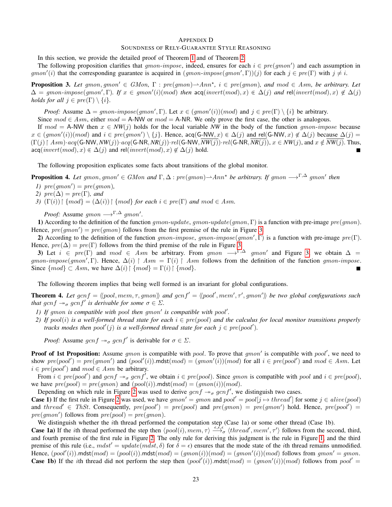## <span id="page-23-0"></span>APPENDIX D SOUNDNESS OF RELY-GUARANTEE STYLE REASONING

In this section, we provide the detailed proof of Theorem [1](#page-9-1) and of Theorem [2.](#page-14-0)

The following proposition clarifies that gmon-impose, indeed, ensures for each  $i \in pre(gmon')$  and each assumption in  $gmon'(i)$  that the corresponding guarantee is acquired in  $(gmon\text{-}impose(gmon',\Gamma))(j)$  for each  $j \in pre(\Gamma)$  with  $j \neq i$ .

<span id="page-23-3"></span>**Proposition 3.** Let gmon, gmon'  $\in$  GMon,  $\Gamma$  : pre(gmon) $\rightarrow$ Ann<sup>\*</sup>,  $i \in pre(gmon)$ , and mod  $\in$  Asm, be arbitrary. Let  $\Delta = g$ mon-impose(gmon', Γ). If  $x \in g$ mon'(i)(mod) then  $\text{acq}(invert(mod), x) \in \Delta(j)$  and  $\text{rel}(invert(mod), x) \notin \Delta(j)$ <br>holds for all  $i \in \text{cnc}(\Gamma) \setminus \{i\}$ *holds for all*  $j \in pre(\Gamma) \setminus \{i\}$ *.* 

*Proof:* Assume  $\Delta = \text{gmon-impose}(\text{gmon}', \Gamma)$ . Let  $x \in (\text{gmon}'(i))(mod)$  and  $j \in \text{pre}(\Gamma) \setminus \{i\}$  be arbitrary.

Since  $mod \in A$ sm, either  $mod = A-NW$  or  $mod = A-NR$ . We only prove the first case, the other is analogous.

If  $mod = A-NW$  then  $x \in NW(j)$  holds for the local variable *NW* in the body of the function gmon-impose because  $x \in (gmon'(i))(mod)$  and  $i \in pre(gmon') \setminus \{j\}$ . Hence,  $\text{ac}(G-NW, x) \notin \Delta(j)$  and  $\text{rel}(G-NW, x) \notin \Delta(j)$  because  $\Delta(j) =$ <br> $\text{CD}(i) \uparrow Acm$ ,  $\text{ca}(G-NW, \text{NW}(i))$ ,  $\text{ca}(G \uparrow NQ, \text{NW}(i))$ ,  $\text{col}(G \uparrow NQ, \text{NW}(i))$ ,  $x \in \text{NW}(i)$ , and  $x \notin \text{NW}(i)$  $(\Gamma(j) \restriction Asm) \cdot \textit{acq}(\mathsf{G-NW}, \textit{NW}(j)) \cdot \textit{acq}(\mathsf{G-NR}, \textit{NR}(j)) \cdot \textit{rel}(\mathsf{G-NW}, \textit{NW}(j)) \cdot \textit{rel}(\mathsf{G-NR}, \textit{NR}(j)), x \in \textit{NW}(j), \text{and } x \notin \textit{NW}(j)$ . Thus,  $\textsf{acq}(invert(mod), x) \in \Delta(j)$  and rel( $invert(mod), x) \notin \Delta(j)$  hold.

The following proposition explicates some facts about transitions of the global monitor.

**Proposition 4.** Let gmon, gmon'  $\in$  GMon and  $\Gamma, \Delta : pre(gmon) \to Ann^{\star}$  be arbitrary. If gmon  $\longrightarrow^{\Gamma,\Delta}$  gmon' then

*1)*  $pre(gmon') = pre(gmon)$ ,

*2)*  $pre(\Delta) = pre(\Gamma)$ *, and* 

<span id="page-23-1"></span>*3)*  $(\Gamma(i))$   $\{mod\} = (\Delta(i))$   $\{mod\}$  *for each*  $i \in pre(\Gamma)$  *and*  $mod \in A$ *sm.* 

*Proof:* Assume  $gmon \rightarrow \Gamma, \Delta gmon'$ .

1) According to the definition of the function gmon-update, gmon-update(gmon, Γ) is a function with pre-image  $pre(gmon)$ . Hence,  $pre(gmon') = pre(gmon)$  follows from the first premise of the rule in Figure [3.](#page-9-0)

2) According to the definition of the function  $gmon\text{-}impose, gmon\text{-}impose(gmon',\Gamma)$  is a function with pre-image  $pre(\Gamma)$ . Hence,  $pre(\Delta) = pre(\Gamma)$  follows from the third premise of the rule in Figure [3.](#page-9-0)

3) Let  $i \in pre(\Gamma)$  and  $mod \in Asm$  be arbitrary. From  $gmon \rightarrow \Gamma, \Delta$  gmon' and Figure [3,](#page-9-0) we obtain  $\Delta =$ gmon-impose(gmon', Γ). Hence,  $\Delta(i) \upharpoonright Asm = \Gamma(i) \upharpoonright Asm$  follows from the definition of the function gmon-impose. Since  $\{mod\} \subset Asm$ , we have  $\Delta(i) \upharpoonright \{mod\} = \Gamma(i) \upharpoonright \{mod\}.$ 

The following theorem implies that being well formed is an invariant for global configurations.

**Theorem 4.** Let  $gcnf = \langle pool, mem, \tau, gmon \rangle$  and  $gcnf' = \langle pool', mem', \tau', gmon' \rangle$  be two global configurations such *that*  $gcnf \rightarrow_{\sigma} gcnf'$  *is derivable for some*  $\sigma \in \Sigma$ *.* 

- *1)* If gmon is compatible with pool then  $g$ mon' is compatible with pool'.
- <span id="page-23-2"></span>*2) If* pool(*i*) *is a well-formed thread state for each*  $i \in pre(pool)$  *and the calculus for local monitor transitions properly tracks modes then*  $pool'(j)$  *is a well-formed thread state for each*  $j \in pre(pool')$ *.*

*Proof:* Assume  $gcnf \rightarrow_{\sigma} gcnf'$  is derivable for  $\sigma \in \Sigma$ .

**Proof of 1st Proposition:** Assume  $gmon$  is compatible with  $pool$ . To prove that  $gmon'$  is compatible with  $pool'$ , we need to show  $pre(pool') = pre(gmon')$  and  $(pool'(i))$ .mdst $(mod) = (gmon'(i))(mod)$  for all  $i \in pre(pool')$  and  $mod \in Asm$ . Let  $i \in pre(pool')$  and  $mod \in Asm$  be arbitrary.

From  $i \in pre(pool')$  and  $gcnf \rightarrow_{\sigma} genf'$ , we obtain  $i \in pre(pool)$ . Since gmon is compatible with pool and  $i \in pre(pool)$ , we have  $pre(pool) = pre(gmon)$  and  $(pool(i))$ .mdst $(mod) = (gmon(i))(mod)$ .

Depending on which rule in Figure [2](#page-7-2) was used to derive  $gcnf \rightarrow_{\sigma} gcnf'$ , we distinguish two cases.

**Case 1)** If the first rule in Figure [2](#page-7-2) was used, we have  $gmon' = gmon$  and  $pool' = pool[j \mapsto thread']$  for some  $j \in alive(pool)$ and thread'  $\in$  ThSt. Consequently,  $pre(pool') = pre(pool)$  and  $pre(gmon) = pre(gmon')$  hold. Hence,  $pre(pool') =$  $pre(gmon')$  follows from  $pre(pool) = pre(gmon)$ .

We distinguish whether the *i*th thread performed the computation step (Case 1a) or some other thread (Case 1b). **Case 1a)** If the *i*th thread performed the step then  $\langle pool(i), mem, \tau \rangle \stackrel{\epsilon, \dot{\epsilon}, \epsilon}{\longrightarrow} \langle thread', mem', \tau' \rangle$  follows from the second, third, and fourth premise of the first rule in Figure [2.](#page-7-2) The only rule for deriving this judgment is the rule in Figure [1,](#page-7-1) and the third

premise of this rule (i.e.,  $mdst' = update(mdst, \delta)$  for  $\delta = \epsilon$ ) ensures that the mode state of the *i*th thread remains unmodified. Hence,  $(pool'(i))$ .mdst $(mod) = (pool(i))$ .mdst $(mod) = (gmon(i))(mod) = (gmon'(i))(mod)$  follows from  $gmon' = gmon$ . **Case 1b**) If the *i*th thread did not perform the step then  $(pool'(i))$  mdst $(mod) = (gmon'(i))(mod)$  follows from  $pool' =$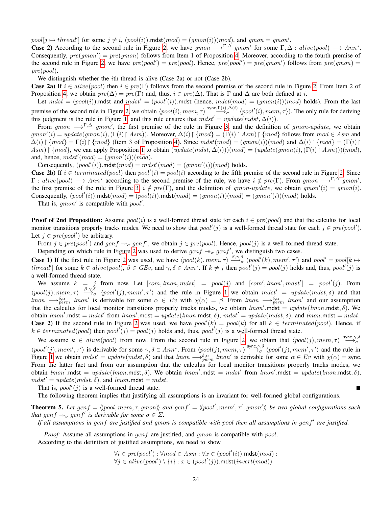$pool[j \mapsto thread']$  for some  $j \neq i$ ,  $(pool(i))$ .mdst $(mod) = (gmon(i))(mod)$ , and  $gmon = gmon'.$ 

**Case 2)** According to the second rule in Figure [2,](#page-7-2) we have  $gmon \rightarrow \Gamma, \Delta$  gmon' for some  $\Gamma, \Delta$ : alive(pool)  $\rightarrow Ann^*$ . Consequently,  $pre(gmon') = pre(gmon)$  follows from Item 1 of Proposition [4.](#page-23-1) Moreover, according to the fourth premise of the second rule in Figure [2,](#page-7-2) we have  $pre(pool') = pre(pool)$ . Hence,  $pre(pool') = pre(gmon')$  follows from  $pre(gmon)$  = pre(pool).

We distinguish whether the *i*th thread is alive (Case 2a) or not (Case 2b).

**Case 2a)** If  $i \in alive(pool)$  then  $i \in pre(\Gamma)$  follows from the second premise of the second rule in Figure [2.](#page-7-2) From Item 2 of Proposition [4,](#page-23-1) we obtain  $pre(\Delta) = pre(\Gamma)$  and, thus,  $i \in pre(\Delta)$ . That is  $\Gamma$  and  $\Delta$  are both defined at i.

Let  $mdst = (pool(i))$ .mdst and  $mdst' = (pool'(i))$ .mdst (hence,  $mdst(mod) = (gmon(i))(mod)$  holds). From the last premise of the second rule in Figure [2,](#page-7-2) we obtain  $\langle pool(i), mem, \tau \rangle \stackrel{\text{sync},\Gamma(i),\Delta(i)}{\longrightarrow} \langle pool'(i),mem, \tau \rangle$ ). The only rule for deriving this judgment is the rule in Figure [1,](#page-7-1) and this rule ensures that  $mdst' = update(mdst, \Delta(i))$ .

From gmon  $\rightarrow^{\Gamma,\Delta}$  gmon', the first premise of the rule in Figure [3,](#page-9-0) and the definition of gmon-update, we obtain  $gmon'(i) = update(gmon(i), (\Gamma(i) \upharpoonright Asm))$ . Moreover,  $\Delta(i) \upharpoonright \{mod\} = (\Gamma(i) \upharpoonright Asm) \upharpoonright \{mod\}$  follows from  $mod \in Asm$  and  $\Delta(i)$   $\{mod\} = \Gamma(i)$   $\{mod\}$  (Item 3 of Proposition [4\)](#page-23-1). Since  $mdst(mod) = (qmon(i))(mod)$  and  $\Delta(i)$   $\{mod\} = \Gamma(i)$  $(Asm) \restriction \{mod\}$ , we can apply Proposition [1](#page-4-1) to obtain  $(update(mdst, \Delta(i)))(mod) = (update(gmon(i), (\Gamma(i) \restriction Asm)))(mod)$ , and, hence,  $mdst'(mod) = (gmon'(i))(mod)$ .

Consequently,  $(pool'(i))$ .mdst $(mod) = mdst'(mod) = (gmon'(i))(mod)$  holds.

**Case 2b)** If  $i \in terminaled(pool)$  then  $pool'(i) = pool(i)$  according to the fifth premise of the second rule in Figure [2.](#page-7-2) Since  $\Gamma: \text{alive}(\text{pool}) \longrightarrow \text{Ann}^{\star}$  according to the second premise of the rule, we have  $i \notin \text{pre}(\Gamma)$ . From  $\text{gmon} \rightarrow^{\Gamma, \Delta} \text{gmon}',$ the first premise of the rule in Figure [3,](#page-9-0)  $i \notin pre(\Gamma)$ , and the definition of gmon-update, we obtain gmon'(i) = gmon(i). Consequently,  $(pool'(i))$ .mdst $(mod) = (pool(i))$ .mdst $(mod) = (gmon(i))(mod) = (gmon'(i))(mod)$  holds.

That is,  $gmon'$  is compatible with  $pool'.$ 

**Proof of 2nd Proposition:** Assume  $pool(i)$  is a well-formed thread state for each  $i \in pre(pool)$  and that the calculus for local monitor transitions properly tracks modes. We need to show that  $pool'(j)$  is a well-formed thread state for each  $j \in pre(pool')$ . Let  $j \in pre(pool')$  be arbitrary.

From  $j \in pre(pool')$  and  $gcnf \rightarrow_{\sigma} genf'$ , we obtain  $j \in pre(pool)$ . Hence,  $pool(j)$  is a well-formed thread state.

Depending on which rule in Figure [2](#page-7-2) was used to derive  $gcnf \rightarrow_{\sigma} gcnf'$ , we distinguish two cases.

**Case 1)** If the first rule in Figure [2](#page-7-2) was used, we have  $\langle pool(k), mem, \tau \rangle \stackrel{\beta, \gamma, \delta}{\longrightarrow} \langle pool'(k), mem', \tau' \rangle$  and  $pool' = pool[k \mapsto k]$ thread'] for some  $k \in alive(pool)$ ,  $\beta \in GEv$ , and  $\gamma, \delta \in Ann^{\star}$ . If  $k \neq j$  then  $pool'(j) = pool(j)$  holds and, thus,  $pool'(j)$  is a well-formed thread state.

We assume  $k = j$  from now. Let  $[com, lmon, mdst] = pool(j)$  and  $[com', lmon', mdst'] = pool'(j)$ . From  $\langle pool(j), mem, \tau \rangle \stackrel{\beta,\gamma,\delta}{\longrightarrow} \langle pool'(j), mem', \tau' \rangle$  and the rule in Figure [1](#page-7-1) we obtain  $mdst' = update(mdst, \delta)$  and that lmon  $\rightarrow_{perm}^{\delta,\alpha}$  lmon' is derivable for some  $\alpha \in Ev$  with  $\chi(\alpha) = \beta$ . From lmon  $\rightarrow_{perm}^{\delta,\alpha}$  lmon' and our assumption that the calculus for local monitor transitions properly tracks modes, we obtain  $lmon'$ .mdst =  $update(lmon.mdst, \delta)$ . We obtain  $lmon'$ .mdst =  $mdst'$  from  $lmon'$ .mdst =  $update(lmon.\text{mdst}, \delta)$ ,  $mdst' = update(mdst, \delta)$ , and  $lmon.\text{mdst} = mdst$ . **Case [2](#page-7-2))** If the second rule in Figure 2 was used, we have  $pool'(k) = pool(k)$  for all  $k \in terminated(pool)$ . Hence, if  $k \in terminated(pool)$  then  $pool'(j) = pool(j)$  holds and, thus,  $pool'(j)$  is a well-formed thread state.

We assume  $k \in alive(pool)$  from now. From the second rule in Figure [2,](#page-7-2) we obtain that  $\langle pool(j), mem, \tau \rangle \stackrel{\text{sync}, \gamma, \delta}{\longrightarrow}$  $\langle pool'(j),mem',\tau' \rangle$  is derivable for some  $\gamma, \delta \in Ann^{\star}$ . From  $\langle pool(j),mem,\tau \rangle \stackrel{\text{sync},\gamma,\delta}{\longrightarrow}_{\sigma} \langle pool'(j),mem',\tau' \rangle$  and the rule in Figure [1](#page-7-1) we obtain  $mdst' = update(mdst, \delta)$  and that  $lmon \rightarrow_{perm}^{\delta,\alpha} lmon'$  is derivable for some  $\alpha \in Ev$  with  $\chi(\alpha) =$  sync. From the latter fact and from our assumption that the calculus for local monitor transitions properly tracks modes, we obtain  $lmon'$ .mdst = update( $lmon$ .mdst,  $\delta$ ). We obtain  $lmon'$ .mdst =  $mdst'$  from  $lmon'$ .mdst = update( $lmon$ .mdst,  $\delta$ ),  $mdst' = update(mdst, \delta)$ , and lmon.mdst = mdst.

That is,  $pool'(j)$  is a well-formed thread state.

The following theorem implies that justifying all assumptions is an invariant for well-formed global configurations.

<span id="page-24-0"></span>**Theorem 5.** Let  $gcnf = \langle pool, mem, \tau, gmon \rangle$  and  $gcnf' = \langle pool', mem', \tau', gmon' \rangle$  be two global configurations such *that*  $gcnf \rightarrow_{\sigma} gcnf'$  *is derivable for some*  $\sigma \in \Sigma$ *.* 

If all assumptions in gcnf are justified and gmon is compatible with pool then all assumptions in gcnf<sup>'</sup> are justified.

*Proof:* Assume all assumptions in gcn f are justified, and gmon is compatible with pool. According to the definition of justified assumptions, we need to show

$$
\forall i \in pre(pool'): \forall mod \in Asm: \forall x \in (pool'(i)).\text{mdst}(mod):
$$
  

$$
\forall j \in alive(pool') \setminus \{i\}: x \in (pool'(j)).\text{mdst}(invert(mod))
$$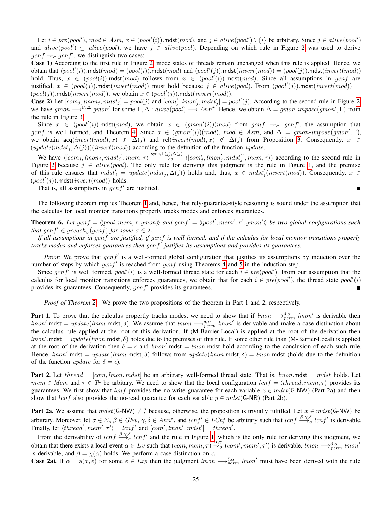Let  $i \in pre(pool')$ ,  $mod \in Asm$ ,  $x \in (pool'(i))$ .mdst $(mod)$ , and  $j \in alive(pool') \setminus \{i\}$  be arbitrary. Since  $j \in alive(pool')$ and  $alive(pool') \subseteq alive(pool)$ , we have  $j \in alive(pool)$ . Depending on which rule in Figure [2](#page-7-2) was used to derive  $gcnf \rightarrow_{\sigma} gcnf'$ , we distinguish two cases:

Case 1) According to the first rule in Figure [2,](#page-7-2) mode states of threads remain unchanged when this rule is applied. Hence, we obtain that  $(pool'(\tilde{i}))$ .mdst $(mod) = (pool(i))$ .mdst $(mod)$  and  $(pool'(j))$ .mdst $(invert(mod)) = (pool(j))$ .mdst $(invert(mod))$ hold. Thus,  $x \in (pool(i))$ .mdst $(mod)$  follows from  $x \in (pool'(i))$ .mdst $(mod)$ . Since all assumptions in gcnf are justified,  $x \in (pool(j))$ .mdst $(invert(mod))$  must hold because  $j \in alive(pool)$ . From  $(pool'(j))$ .mdst $(invert(mod))$  $(pool(j))$ .mdst $(invert(mod))$ , we obtain  $x \in (pool'(j))$ .mdst $(invert(mod))$ .

**Case 2)** Let  $[com_j, lmon_j, mdst_j] = pool(j)$  and  $[com'_j, lmon'_j, mdst'_j] = pool'(j)$ . According to the second rule in Figure [2,](#page-7-2) we have gmon  $\rightarrow^{\Gamma,\Delta}$  gmon' for some  $\Gamma,\Delta: alive(pool) \rightarrow Ann^*$ . Hence, we obtain  $\Delta = gmon\text{-}impose(gmon',\Gamma)$  from the rule in Figure [3.](#page-9-0)

Since  $x \in (pool'(i))$ .mdst $(mod)$ , we obtain  $x \in (gmon'(i))(mod)$  from  $gcnf \rightarrow_{\sigma} gcnf'$ , the assumption that genf is well formed, and Theorem [4.](#page-23-2) Since  $x \in (gmon'(i))(mod)$ ,  $mod \in Asm$ , and  $\Delta = gmon\text{-}impose(gmon', \Gamma)$ , we obtain acq(invert(mod), x)  $\in \Delta(j)$  and rel(invert(mod), x)  $\notin \Delta(j)$  from Proposition [3.](#page-23-3) Consequently,  $x \in$  $(update(mdst<sub>j</sub>, \Delta(j)))(invert(mod))$  according to the definition of the function update.

We have  $\langle [com_j, lmon_j, mdst_j], mem, \tau \rangle \stackrel{\text{sync}, \Gamma(j), \Delta(j)}{\longrightarrow_{\sigma}} \langle [com_j', lmon_j', mdst_j'], mem, \tau \rangle)$  according to the second rule in Figure [2](#page-7-2) because  $j \in alive(pool)$ . The only rule for deriving this judgment is the rule in Figure [1,](#page-7-1) and the premise of this rule ensures that  $mdst'_{j} = update(mdst_{j}, \Delta(j))$  holds and, thus,  $x \in mdst'_{j}(invert(mod))$ . Consequently,  $x \in$  $(pool'(j))$ .mdst $(invert(mod))$  holds.

 $\blacksquare$ 

That is, all assumptions in  $gcnf'$  are justified.

The following theorem implies Theorem [1](#page-9-1) and, hence, that rely-guarantee-style reasoning is sound under the assumption that the calculus for local monitor transitions properly tracks modes and enforces guarantees.

**Theorem 6.** Let  $gcnf = \langle pool, mem, \tau, gmon \rangle$  and  $gcnf' = \langle pool', mem', \tau', gmon' \rangle$  be two global configurations such *that*  $gcnf' \in \text{greach}_{\sigma}(gcnf)$  *for some*  $\sigma \in \Sigma$ *.* 

*If all assumptions in* gcnf *are justified, if* gcnf *is well formed, and if the calculus for local monitor transitions properly tracks modes and enforces guarantees then gcnf' justifies its assumptions and provides its guarantees.* 

*Proof:* We prove that gcnf<sup>'</sup> is a well-formed global configuration that justifies its assumptions by induction over the number of steps by which  $gcnf'$  is reached from  $gcnf$  using Theorems [4](#page-23-2) and [5](#page-24-0) in the induction step.

Since gcn f' is well formed, pool'(i) is a well-formed thread state for each  $i \in pre(pool')$ . From our assumption that the calculus for local monitor transitions enforces guarantees, we obtain that for each  $i \in pre(pool')$ , the thread state  $pool'(i)$ provides its guarantees. Consequently,  $gcnf'$  provides its guarantees.

*Proof of Theorem* [2:](#page-14-0) We prove the two propositions of the theorem in Part 1 and 2, respectively.

**Part 1.** To prove that the calculus propertly tracks modes, we need to show that if  $lmon \rightarrow_{perm}^{\delta,\alpha} lmon'$  is derivable then lmon'.mdst = update(lmon.mdst,  $\delta$ ). We assume that lmon  $\rightarrow_{perm}^{\delta,\alpha}$  lmon' is derivable and make a case distinction about the calculus rule applied at the root of this derivation. If (M-Barrier-Local) is applied at the root of the derivation then  $lmon'$ .mdst =  $update(lmon.mdst, \delta)$  holds due to the premises of this rule. If some other rule than (M-Barrier-Local) is applied at the root of the derivation then  $\delta = \epsilon$  and lmon' mdst = lmon.mdst hold according to the conclusion of each such rule. Hence,  $lmon'$ .mdst =  $update(lmon.\text{mdst}, \delta)$  follows from  $update(lmon.\text{mdst}, \delta) = lmon.\text{mdst}$  (holds due to the definition of the function update for  $\delta = \epsilon$ ).

**Part 2.** Let thread =  $[com, lmon, mdst]$  be an arbitrary well-formed thread state. That is,  $lmon$ .mdst = mdst holds. Let mem  $\in$  Mem and  $\tau \in Tr$  be arbitary. We need to show that the local configuration  $lcnf = \langle thread, mem, \tau \rangle$  provides its guarantees. We first show that lcnf provides the no-write guarantee for each variable  $x \in mds$  (G-NW) (Part 2a) and then show that lcnf also provides the no-read guarantee for each variable  $y \in mdst$  (G-NR) (Part 2b).

**Part 2a.** We assume that  $mdst(G-NW) \neq \emptyset$  because, otherwise, the proposition is trivially fulfilled. Let  $x \in mdst(G-NW)$  be arbitrary. Moreover, let  $\sigma \in \Sigma$ ,  $\beta \in GEv$ ,  $\gamma, \delta \in Ann^{\star}$ , and  $lcnf' \in LCnf$  be arbitrary such that  $lcnf \stackrel{\beta, \gamma, \delta}{\longrightarrow}_{\sigma} lcnf'$  is derivable. Finally, let  $\langle thread', mem', \tau' \rangle = lenf'$  and  $[com', lmon', mdst'] = thread'.$ 

From the derivability of  $lcnf \stackrel{\beta,\gamma,\delta}{\longrightarrow} lcnf'$  and the rule in Figure [1,](#page-7-1) which is the only rule for deriving this judgment, we obtain that there exists a local event  $\alpha \in Ev$  such that  $(com, mem, \tau) \rightarrow \sigma$   $(com', mem', \tau')$  is derivable,  $lmon \rightarrow \sigma \sigma$ ,  $\beta$ ,  $\alpha$  and  $\beta = \gamma(\alpha)$  holds. We perform a case distinction on  $\alpha$ . is derivable, and  $\beta = \chi(\alpha)$  holds. We perform a case distinction on  $\alpha$ .

**Case 2ai.** If  $\alpha = a(x, e)$  for some  $e \in Exp$  then the judgment  $lmon \rightarrow \phi_{perm}^{\delta, \alpha}$  lmon' must have been derived with the rule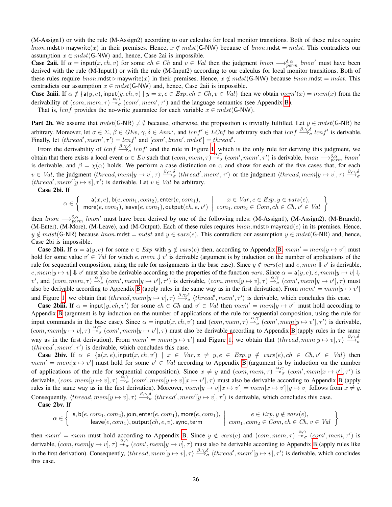(M-Assign1) or with the rule (M-Assign2) according to our calculus for local monitor transitions. Both of these rules require lmon.mdst  $\triangleright$  maywrite(x) in their premises. Hence,  $x \notin mdst$ (G-NW) because of lmon.mdst = mdst. This contradicts our assumption  $x \in mdst(G-NW)$  and, hence, Case 2ai is impossible.

**Case 2aii.** If  $\alpha = \text{input}(x, ch, v)$  for some  $ch \in Ch$  and  $v \in Val$  then the judgment  $lmon \rightarrow_{perm}^{\delta,\alpha} lmon'$  must have been derived with the rule (M-Input1) or with the rule (M-Input2) according to our calculus for local monitor transitions. Both of these rules require lmon.mdst  $\triangleright$  maywrite(x) in their premises. Hence,  $x \notin mdst(G-NW)$  because lmon.mdst = mdst. This contradicts our assumption  $x \in mdst(G-NW)$  and, hence, Case 2aii is impossible.

**Case 2aiii.** If  $\alpha \notin \{a(y, e), \text{input}(y, ch, v) \mid y = x, e \in Exp, ch \in Ch, v \in Val\}$  then we obtain  $mem'(x) = mem(x)$  from the derivability of  $(\overline{com}, \overline{mem}, \tau) \rightarrow_{\sigma}^{\alpha, \gamma} (\overline{com}', \overline{mem}', \tau')$  and the language semantics (see Appendix [B\)](#page-19-0).

That is, *lcnf* provides the no-write guarantee for each variable  $x \in mdst(G-NW)$ .

Part 2b. We assume that  $mdst(G-NR) \neq \emptyset$  because, otherwise, the proposition is trivially fulfilled. Let  $y \in mdst(G-NR)$  be arbitrary. Moreover, let  $\sigma \in \Sigma$ ,  $\beta \in GEv$ ,  $\gamma, \delta \in Ann^{\star}$ , and  $lcnf' \in LCnf$  be arbitrary such that  $lcnf \stackrel{\beta,\gamma,\delta}{\longrightarrow}_{\sigma} lcnf'$  is derivable. Finally, let  $\langle thread', mem', \tau' \rangle = lenf'$  and  $[com', lmon', mdst'] = thread'.$ 

From the derivability of  $lcnf \stackrel{\beta,\gamma,\delta}{\longrightarrow} lcnf'$  and the rule in Figure [1,](#page-7-1) which is the only rule for deriving this judgment, we obtain that there exists a local event  $\alpha \in Ev$  such that  $(com, mem, \tau) \stackrel{\alpha, \gamma}{\rightarrow} \sigma (com', mem', \tau')$  is derivable,  $lmon \rightarrow_{perm}^{\delta, \alpha} lmon'$ is derivable, and  $\beta = \chi(\alpha)$  holds. We perform a case distinction on  $\alpha$  and show for each of the five cases that, for each  $v \in Val$ , the judgment  $\langle thread, mem[y \mapsto v], \tau \rangle \stackrel{\beta,\gamma,\delta}{\longrightarrow_{\sigma}} \langle thread',mem',\tau' \rangle$  or the judgment  $\langle thread,mem[y \mapsto v], \tau \rangle \stackrel{\beta,\gamma,\delta}{\longrightarrow_{\sigma}}$  $\langle thread', mem'[y \mapsto v], \tau' \rangle$  is derivable. Let  $v \in Val$  be arbitrary.

Case 2bi. If

$$
\alpha \in \left\{ \begin{array}{c} \mathsf{a}(x,e), \mathsf{b}(e,com_1,com_2), \mathsf{enter}(e,com_1), \\ \mathsf{more}(e,com_1), \mathsf{leave}(e,com_1), \mathsf{output}(ch, e, v') \end{array} \middle| \begin{array}{c} x \in Var, e \in Exp, y \in vars(e), \\ com_1, com_2 \in Com, ch \in Ch, v' \in Val \end{array} \right\}
$$

then  $l$ mon  $\rightarrow$  $\delta_{perm}$  lmon' must have been derived by one of the following rules: (M-Assign1), (M-Assign2), (M-Branch), (M-Enter), (M-More), (M-Leave), and (M-Output). Each of these rules requires  $lmon.mdst \rhd$  mayread(e) in its premises. Hence,  $y \notin mdst(G-NR)$  because lmon.mdst = mdst and  $y \in vars(e)$ . This contradicts our assumption  $y \in mdst(G-NR)$  and, hence, Case 2bi is impossible.

**Case 2bii.** If  $\alpha = a(y, e)$  for some  $e \in Exp$  with  $y \notin vars(e)$  then, according to Appendix [B,](#page-19-0)  $mem' = mem[y \mapsto v']$  must hold for some value  $v' \in Val$  for which  $e, mem \Downarrow v'$  is derivable (argument is by induction on the number of applications of the rule for sequential composition, using the rule for assignments in the base case). Since  $y \notin vars(e)$  and  $e, mem \Downarrow v'$  is derivable,  $e, mem[y \mapsto v] \Downarrow v'$  must also be derivable according to the properties of the function vars. Since  $\alpha = \mathsf{a}(y, e)$ ,  $e, mem[y \mapsto v] \Downarrow v'$ v', and  $(\text{com}, \text{mem}, \tau) \stackrel{\alpha, \gamma}{\rightarrow} (\text{com}', \text{mem}[y \mapsto v'], \tau')$  is derivable,  $(\text{com}, \text{mem}[y \mapsto v], \tau) \stackrel{\alpha, \gamma}{\rightarrow} (\text{com}', \text{mem}[y \mapsto v'], \tau)$  must<br>also be derivable according to Appendix B (apply rules in the same way as in the first derivat also be derivable according to Appendix [B](#page-19-0) (apply rules in the same way as in the first derivation). From  $mem' = mem[y \mapsto v']$ and Figure [1,](#page-7-1) we obtain that  $\langle thread, mem[y \mapsto v], \tau \rangle \stackrel{\beta,\gamma,\delta}{\longrightarrow} \langle thread',mem',\tau' \rangle$  is derivable, which concludes this case.

**Case 2biii.** If  $\alpha = \text{input}(y, ch, v')$  for some  $ch \in Ch$  and  $v' \in Val$  then  $mem' = mem[y \mapsto v']$  must hold according to Appendix [B](#page-19-0) (argument is by induction on the number of applications of the rule for sequential composition, using the rule for input commands in the base case). Since  $\alpha = \text{input}(x, ch, v')$  and  $(\text{com}, \text{mem}, \tau) \stackrel{\alpha, \gamma'}{\rightarrow} \sigma(\text{com}', \text{mem}[y \mapsto v'], \tau')$  is derivable,  $(com, mem[y \mapsto v], \tau) \stackrel{\alpha, \gamma}{\rightarrow} (com', mem[y \mapsto v'], \tau)$  must also be derivable according to Appendix [B](#page-19-0) (apply rules in the same way as in the first derivation). From  $mem' = mem[y \mapsto v']$  and Figure [1,](#page-7-1) we obtain that  $\langle thread, mem[y \mapsto v], \tau \rangle \xrightarrow{\beta, \gamma, \delta}$  $\langle thread', mem', \tau' \rangle$  is derivable, which concludes this case.

**Case 2biv.** If  $\alpha \in \{a(x, e), \text{input}(x, ch, v') \mid x \in Var, x \neq y, e \in Exp, y \notin vars(e), ch \in Ch, v' \in Val\}$  then  $mem' = mem[x \mapsto v']$  must hold for some  $v' \in Val$  according to Appendix [B](#page-19-0) (argument is by induction on the number of applications of the rule for sequential composition). Since  $x \neq y$  and  $(\text{com}, \text{mem}, \tau) \xrightarrow{\alpha, \gamma} (\text{com}', \text{mem}[x \mapsto v'], \tau')$  is derivable,  $(com, mem[y \mapsto v], \tau) \stackrel{\vec{\alpha}, \gamma}{\rightarrow} (com', mem[y \mapsto v][x \mapsto v'], \tau)$  must also be derivable according to Appendix [B](#page-19-0) (apply<br>rules in the same way as in the first derivation). Moreover, mambus values will member varille was all foll rules in the same way as in the first derivation). Moreover,  $mem[y \mapsto v][x \mapsto v'] = mem[x \mapsto v'][y \mapsto v]$  follows from  $x \neq y$ . Consequently,  $\langle thread, mem[y \mapsto v], \tau \rangle \stackrel{\beta, \gamma, \delta}{\longrightarrow} \langle thread', mem'[y \mapsto v], \tau' \rangle$  is derivable, which concludes this case. Case 2bv. If

Case 20v. 
$$
\mu
$$

$$
\alpha \in \left\{ \begin{array}{c} \mathsf{s}, \mathsf{b}(e, com_1, com_2), \mathsf{join}, \mathsf{enter}(e, com_1), \mathsf{more}(e, com_1), \\ \mathsf{leave}(e, com_1), \mathsf{output}(ch, e, v), \mathsf{sync}, \mathsf{term} \end{array} \middle| \begin{array}{c} e \in Exp, y \notin vars(e), \\ com_1, com_2 \in Com, ch \in Ch, v \in Val \end{array} \right\}
$$

then  $mem' = mem$  must hold according to Appendix [B.](#page-19-0) Since  $y \notin vars(e)$  and  $(com, mem, \tau) \stackrel{\alpha, \gamma}{\rightarrow} (com', mem, \tau')$  is derivable,  $(com, mem[y \mapsto v], \tau) \stackrel{\alpha, \gamma}{\rightarrow} com', mem[y \mapsto v], \tau)$  must also be derivable according to Appendix [B](#page-19-0) (apply rules like in the first derivation). Consequently,  $\langle thread, mem[y \mapsto v], \tau \rangle \stackrel{\beta,\gamma,\delta}{\longrightarrow}_{\sigma} \langle thread', mem'[y \mapsto v], \tau' \rangle$  is derivable, which concludes this case.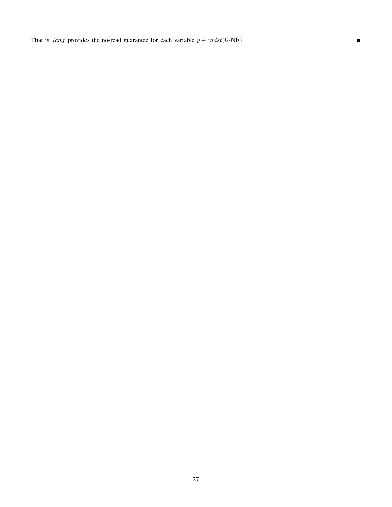That is, lcnf provides the no-read guarantee for each variable  $y \in mdst(G-NR)$ .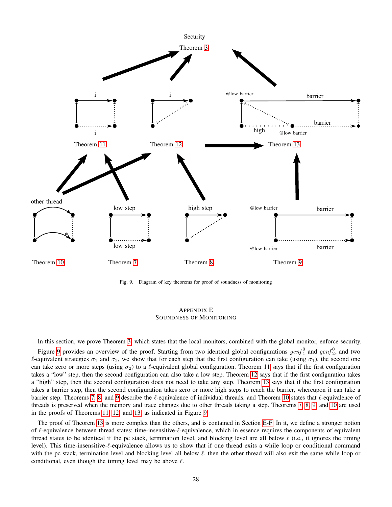

<span id="page-28-1"></span>Fig. 9. Diagram of key theorems for proof of soundness of monitoring

## <span id="page-28-0"></span>APPENDIX E SOUNDNESS OF MONITORING

In this section, we prove Theorem [3,](#page-14-2) which states that the local monitors, combined with the global monitor, enforce security.

Figure [9](#page-28-1) provides an overview of the proof. Starting from two identical global configurations  $gcnf_1^0$  and  $gcnf_2^0$ , and two  $\ell$ -equivalent strategies  $\sigma_1$  and  $\sigma_2$ , we show that for each step that the first configuration can take (using  $\sigma_1$ ), the second one can take zero or more steps (using  $\sigma_2$ ) to a  $\ell$ -equivalent global configuration. Theorem [11](#page-48-0) says that if the first configuration takes a "low" step, then the second configuration can also take a low step. Theorem [12](#page-48-1) says that if the first configuration takes a "high" step, then the second configuration does not need to take any step. Theorem [13](#page-55-0) says that if the first configuration takes a barrier step, then the second configuration takes zero or more high steps to reach the barrier, whereupon it can take a barrier step. Theorems [7,](#page-37-0) [8,](#page-42-0) and [9](#page-44-0) describe the  $\ell$ -equivalence of individual threads, and Theorem [10](#page-46-0) states that  $\ell$ -equivalence of threads is preserved when the memory and trace changes due to other threads taking a step. Theorems [7,](#page-37-0) [8,](#page-42-0) [9,](#page-44-0) and [10](#page-46-0) are used in the proofs of Theorems [11,](#page-48-0) [12,](#page-48-1) and [13,](#page-55-0) as indicated in Figure [9.](#page-28-1)

The proof of Theorem [13](#page-55-0) is more complex than the others, and is contained in Section [E-F.](#page-49-0) In it, we define a stronger notion of  $\ell$ -equivalence between thread states: time-insensitive- $\ell$ -equivalence, which in essence requires the components of equivalent thread states to be identical if the pc stack, termination level, and blocking level are all below  $\ell$  (i.e., it ignores the timing level). This time-insensitive- $\ell$ -equivalence allows us to show that if one thread exits a while loop or conditional command with the pc stack, termination level and blocking level all below  $\ell$ , then the other thread will also exit the same while loop or conditional, even though the timing level may be above  $\ell$ .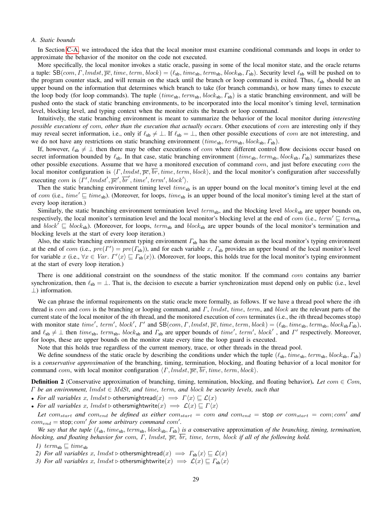## *A. Static bounds*

In Section [C-A,](#page-22-1) we introduced the idea that the local monitor must examine conditional commands and loops in order to approximate the behavior of the monitor on the code not executed.

More specifically, the local monitor invokes a static oracle, passing in some of the local monitor state, and the oracle returns a tuple:  $\text{SB}(com, \Gamma, \text{l} m \text{d} st, \overline{pc}, \text{time}, \text{term}, \text{block}) = (\ell_{\text{sb}}, \text{time}_{\text{sb}}, \text{term}_{\text{sb}}, \text{block}, \text{for}, \text{f}_{\text{sb}}).$  Security level  $\ell_{\text{sb}}$  will be pushed on to the program counter stack, and will remain on the stack until the branch or loop command is exited. Thus,  $\ell_{sb}$  should be an upper bound on the information that determines which branch to take (for branch commands), or how many times to execute the loop body (for loop commands). The tuple ( $time_{sb}$ ,  $term_{sb}$ ,  $block_{sb}$ ,  $\Gamma_{sb}$ ) is a static branching environment, and will be pushed onto the stack of static branching environments, to be incorporated into the local monitor's timing level, termination level, blocking level, and typing context when the monitor exits the branch or loop command.

Intuitively, the static branching environment is meant to summarize the behavior of the local monitor during *interesting possible executions of* com*, other than the execution that actually occurs*. Other executions of com are interesting only if they may reveal secret information, i.e., only if  $\ell_{sb} \neq \bot$ . If  $\ell_{sb} = \bot$ , then other possible executions of *com* are not interesting, and we do not have any restrictions on static branching environment ( $time_{sb}$ ,  $term_{sb}$ ,  $block_{sb}$ ,  $\Gamma_{sb}$ ).

If, however,  $\ell_{sb} \neq \bot$  then there may be other executions of *com* where different control flow decisions occur based on secret information bounded by  $\ell_{sb}$ . In that case, static branching environment (time<sub>sb</sub>, term<sub>sb</sub>, block<sub>sb</sub>,  $\Gamma_{sb}$ ) summarizes these other possible executions. Assume that we have a monitored execution of command com, and just before executing com the local monitor configuration is  $\langle \Gamma, \frac{lmdst}{r\epsilon}, \frac{br}{tme}, \frac{term}{block} \rangle$ , and the local monitor's configuration after successfully executing com is  $\langle \overline{\Gamma'}, \overline{\Gamma'}, \overline{\Gamma'}, \overline{\overline{\nu}}'$ ,  $\overline{\overline{\nu}}'$ ,  $\overline{\overline{\nu}}'$ ,  $\overline{\overline{\nu}}'$ ,  $\overline{\overline{\nu}}'$ ,  $\overline{\overline{\nu}}'$ ,  $\overline{\overline{\nu}}'$ ,  $\overline{\overline{\nu}}'$ ,  $\overline{\overline{\nu}}'$ ,  $\overline{\overline{\nu}}'$ ,  $\overline{\overline{\nu}}'$ ,  $\overline{\overline{\nu}}'$ ,  $\overline{\overline{\nu}}'$ ,  $\$ 

Then the static branching environment timing level  $time_{sb}$  is an upper bound on the local monitor's timing level at the end of com (i.e., time'  $\subseteq$  time<sub>sb</sub>). (Moreover, for loops, time<sub>sb</sub> is an upper bound of the local monitor's timing level at the start of every loop iteration.)

Similarly, the static branching environment termination level  $term_{sb}$ , and the blocking level  $block_{sb}$  are upper bounds on, respectively, the local monitor's termination level and the local monitor's blocking level at the end of *com* (i.e.,  $term' \subseteq term_{sb}$ and block'  $\subseteq$  block<sub>sb</sub>). (Moreover, for loops, term<sub>sb</sub> and block<sub>sb</sub> are upper bounds of the local monitor's termination and blocking levels at the start of every loop iteration.)

Also, the static branching environment typing environment  $\Gamma_{sb}$  has the same domain as the local monitor's typing environment at the end of com (i.e.,  $pre(\Gamma') = pre(\Gamma_{sb})$ ), and for each variable x,  $\Gamma_{sb}$  provides an upper bound of the local monitor's level for variable x (i.e.,  $\forall x \in Var$ .  $\Gamma'(x) \sqsubseteq \Gamma_{sb}(x)$ ). (Moreover, for loops, this holds true for the local monitor's typing environment at the start of every loop iteration.)

There is one additional constraint on the soundness of the static monitor. If the command *com* contains any barrier synchronization, then  $\ell_{sb} = \bot$ . That is, the decision to execute a barrier synchronization must depend only on public (i.e., level ⊥) information.

We can phrase the informal requirements on the static oracle more formally, as follows. If we have a thread pool where the ith thread is com and com is the branching or looping command, and  $\Gamma$ , lmdst, time, term, and block are the relevant parts of the current state of the local monitor of the *i*th thread, and the monitored execution of *com* terminates (i.e., the *i*th thread becomes stop) with monitor state time', term', block', Γ' and SB(com, Γ, lmdst,  $\overline{pc}$ , time, term, block) = ( $\ell_{sb}$ , time<sub>sb</sub>, term<sub>sb</sub>, block<sub>sb</sub>Γ<sub>sb</sub>), and  $\ell_{sb} \neq \bot$  then  $\text{time}_{sb}$ ,  $\text{term}_{sb}$ ,  $\text{block}_{sb}$  and  $\Gamma_{sb}$  are upper bounds of  $\text{time}'$ ,  $\text{term}'$ ,  $\text{block}'$ , and  $\Gamma'$  respectively. Moreover, for loops, these are upper bounds on the monitor state every time the loop guard is executed.

Note that this holds true regardless of the current memory, trace, or other threads in the thread pool.

We define soundness of the static oracle by describing the conditions under which the tuple  $(\ell_{sb}, time_{sb}, term_{sb}, block_{sb}, F_{sb})$ is a *conservative approximation* of the branching, timing, termination, blocking, and floating behavior of a local monitor for command com, with local monitor configuration  $\langle \Gamma, \text{l}mdst, \overline{pc}, \text{br}, \text{time}, \text{term}, \text{block}\rangle$ .

<span id="page-29-0"></span>**Definition 2** (Conservative approximation of branching, timing, termination, blocking, and floating behavior). Let  $com \in Com$ , Γ *be an environment,* lmdst ∈ MdSt*, and* time*,* term*, and* block *be security levels, such that*

- *For all variables* x, lmdst  $\triangleright$  othersmightread(x)  $\implies \Gamma(x) \sqsubseteq \mathcal{L}(x)$
- *For all variables* x, lmdst  $\triangleright$  othersmightwrite(x)  $\implies$   $\mathcal{L}(x) \sqsubseteq \Gamma\langle x \rangle$

Let  $com_{start}$  and  $com_{end}$  be defined as either  $com_{start} = com$  and  $com_{end} = stop$  or  $com_{start} = com; com'$  and  $com_{end} = \text{stop}; com' for some arbitrary command com'.$ 

*We say that the tuple*  $(\ell_{sb}, \text{time}_{sb}, \text{term}_{sb}, \text{block}_{sb}, \Gamma_{sb})$  *is a* conservative approximation *of the branching, timing, termination*, *blocking, and floating behavior for* com*,* Γ*,* lmdst*,* pc*,* br *,* time*,* term*,* block *if all of the following hold.*

- *1)* term<sub>sb</sub>  $\subseteq$  time<sub>sb</sub>
- *2) For all variables* x, *lmdst*  $\triangleright$  othersmightread(x)  $\implies$   $\Gamma_{\mathsf{sb}}\langle x \rangle \sqsubseteq \mathcal{L}(x)$
- *3) For all variables* x,  $lmdst \triangleright$  othersmightwrite $(x) \implies \mathcal{L}(x) \sqsubseteq \Gamma_{\mathsf{sb}}(x)$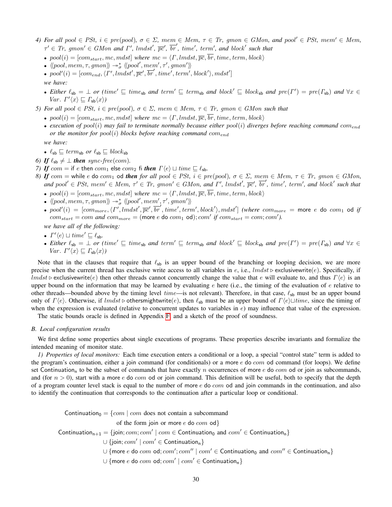- *4)* For all pool  $\in$  PSt,  $i \in pre(pool)$ ,  $\sigma \in \Sigma$ , mem  $\in$  Mem,  $\tau \in Tr$ , gmon  $\in$  GMon, and pool'  $\in$  PSt, mem'  $\in$  Mem,  $\tau' \in \mathit{Tr}$ , gmon'  $\in \mathit{GMon}$  and  $\Gamma'$ , lmdst',  $\overline{pc}'$ ,  $\overline{br}'$ , time', term', and block' such that
	- pool(i) =  $[com_{start}, mc, mdst]$  where  $mc = \langle \Gamma, Imdst, \overline{pc}, \overline{br}, time, term, block \rangle$
	- $\bullet \ \langle \langle pool, mem, \tau, gmon \rangle \rangle \rightarrow^*_{\sigma} \langle \langle pool', mem', \tau', gmon' \rangle \rangle$
	- pool'(i) =  $[com_{end}, \langle I',lmdst', \overline{pc}', \overline{br}', time', term', block'\rangle, mdst']$

- *Either*  $\ell_{sb} = \bot$  *or* (*time'*  $\sqsubseteq$  *time<sub>sb</sub> and term'*  $\sqsubseteq$  *term<sub>sb</sub> and block'*  $\sqsubseteq$  *block<sub>sb</sub> and*  $\text{pre}(\Gamma') = \text{pre}(\Gamma_{sb})$  *and*  $\forall x \in$  $Var. T'(x) \sqsubseteq \Gamma_{\mathsf{sb}}(x)$
- *5)* For all pool  $\in$  PSt,  $i \in pre(pool)$ ,  $\sigma \in \Sigma$ , mem  $\in$  Mem,  $\tau \in Tr$ , gmon  $\in$  GMon such that
	- $pool(i) = [com_{start}, mc, mdst]$  *where*  $mc = \langle \Gamma, lmdst, \overline{pc}, \overline{br}$ , time, term, block $\rangle$
	- execution of  $pool(i)$  may fail to terminate normally because either  $pool(i)$  diverges before reaching command  $com_{end}$ *or the monitor for pool* $(i)$  *blocks before reaching command com*<sub>end</sub>

*we have:*

- $\ell_{sb} \sqsubseteq term_{sb}$  *or*  $\ell_{sb} \sqsubseteq block_{sb}$
- *6) If*  $\ell_{sb} \neq \bot$  *then sync-free(com)*.
- *7) If*  $com =$  if  $e$  then  $com_1$  else  $com_2$  fi *then*  $\Gamma \langle e \rangle \sqcup time \sqsubseteq \ell_{sb}$ *.*
- *8) If*  $com =$  while  $e$  do  $com_1$  od *then for all*  $pool \in PSt$ ,  $i \in pre(pool)$ ,  $\sigma \in \Sigma$ ,  $mem \in Mem$ ,  $\tau \in Tr$ ,  $gmon \in GMon$ ,  $\mathcal{I}$  and  $pool' \in PSt$ ,  $mem' \in Mem$ ,  $\tau' \in Tr$ ,  $gmon' \in GMon$ , and  $\Gamma'$ ,  $lmdst'$ ,  $\overline{pc}'$ ,  $\overline{br}'$ ,  $time'$ ,  $term'$ , and  $block'$  such that
	- $pool(i) = [com_{start}, mc, mdst]$  *where*  $mc = \langle \Gamma, lmdst, \overline{pc}, \overline{br}$ , time, term, block $\rangle$
	- $\langle \langle pool, mem, \tau, gmon \rangle \rangle \rightarrow_{\sigma}^* \langle \langle pool', mem', \tau', gmon' \rangle \rangle$
	- $pool'(i) = [com_{more}, \langle \Gamma', \overrightarrow{lm}dst', \overrightarrow{pc}', \overrightarrow{br}', \overrightarrow{time}', \overrightarrow{term}', \overrightarrow{block}']$  *(where*  $com_{more} =$  more e do  $com_1$  od *if*  $com_{start} = com \text{ and } com_{more} = (more \text{ e do }com_1 \text{ od}); com' \text{ if } com_{start} = com; com').$

*we have all of the following:*

- $\Gamma'\langle e \rangle \sqcup time' \sqsubseteq \ell_{\sf sb}.$
- Either  $\ell_{sb} = \bot$  or (time'  $\sqsubseteq$  time<sub>sb</sub> and term'  $\sqsubseteq$  term<sub>sb</sub> and block'  $\sqsubseteq$  block<sub>sb</sub> and pre(Γ') = pre(Γ<sub>sb</sub>) and  $\forall x \in$  $Var. T'(x) \sqsubseteq \Gamma_{\mathsf{sb}}(x)$

Note that in the clauses that require that  $\ell_{sb}$  is an upper bound of the branching or looping decision, we are more precise when the current thread has exclusive write access to all variables in e, i.e.,  $lmdst \triangleright$  exclusivewrite(e). Specifically, if lmdst  $\triangleright$  exclusivewrite(e) then other threads cannot concurrently change the value that e will evaluate to, and thus  $\Gamma(e)$  is an upper bound on the information that may be learned by evaluating  $e$  here (i.e., the timing of the evaluation of  $e$  relative to other threads—bounded above by the timing level  $time$ —is not relevant). Therefore, in that case,  $\ell_{sb}$  must be an upper bound only of  $\Gamma(e)$ . Otherwise, if  $lmdst \triangleright$  othersmightwrite(e), then  $\ell_{sb}$  must be an upper bound of  $\Gamma(e) \sqcup time$ , since the timing of when the expression is evaluated (relative to concurrent updates to variables in  $e$ ) may influence that value of the expression.

The static bounds oracle is defined in Appendix [F,](#page-58-0) and a sketch of the proof of soundness.

## *B. Local configuration results*

We first define some properties about single executions of programs. These properties describe invariants and formalize the intended meaning of monitor state.

*1) Properties of local monitors:* Each time execution enters a conditional or a loop, a special "control state" term is added to the program's continuation, either a join command (for conditionals) or a more  $e$  do  $com$  od command (for loops). We define set Continuation<sub>n</sub> to be the subset of commands that have exactly n occurrences of more e do com od or join as subcommands, and (for  $n > 0$ ), start with a more e do com od or join command. This definition will be useful, both to specify that the depth of a program counter level stack is equal to the number of more e do com od and join commands in the continuation, and also to identify the continuation that corresponds to the continuation after a particular loop or conditional.

Continuation<sub>0</sub> = { $com$  |  $com$  does not contain a subcommand

of the form join or more  $e$  do  $com$  od}

Continuation<sub>n+1</sub> = {join;  $com; com' | com \in Continuation_0$  and  $com' \in Continuation_n$ }

∪ {join;  $com' \mid com' \in Continuation_n$ }

- ∪ {more  $e$  do  $com$  od;  $com'; com'' \mid com' \in Continuation_0$  and  $com'' \in Continuation_n\}$
- ∪ {more  $e$  do  $com$  od;  $com' \mid com' \in$  Continuation $_{\sf n}$ }

*we have:*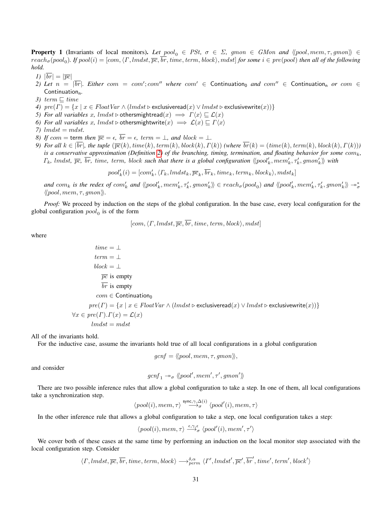<span id="page-31-9"></span>**Property 1** (Invariants of local monitors). Let  $pool_0 \in PSt$ ,  $\sigma \in \Sigma$ , gmon  $\in$  GMon and  $\langle pool, mem, \tau, gmon \rangle \in$  $reach_{\sigma}(pool_0)$ . If  $pool(i) = [com, \langle \Gamma, lmdst, \overline{pc}, \overline{br}, \text{time}, \text{term}, \text{block}\rangle, mdst]$  *for some*  $i \in pre(pool)$  *then all of the following hold.*

- <span id="page-31-1"></span>*1*)  $|\overline{br}| = |\overline{pc}|$
- <span id="page-31-2"></span>2) Let  $n = |\overline{br}|$ . Either com = com'; com" where com'  $\in$  Continuation<sub>0</sub> and com"  $\in$  Continuation<sub>n</sub> or com  $\in$ Continuation<sub>n</sub>.
- <span id="page-31-3"></span>*3)* term  $\subseteq$  time
- <span id="page-31-4"></span>*4)*  $pre(\Gamma) = \{x \mid x \in \text{FloatVar} \land (\text{Imdst} \triangleright \text{exclusiveread}(x) \lor \text{Imdst} \triangleright \text{exclusivewrite}(x))\}$
- <span id="page-31-5"></span>*5) For all variables* x, *lmdst*  $\triangleright$  othersmightread(x)  $\implies$   $\Gamma\langle x \rangle \sqsubseteq \mathcal{L}(x)$
- <span id="page-31-6"></span>*6) For all variables* x, *lmdst*  $\triangleright$  othersmightwrite $(x) \implies \mathcal{L}(x) \sqsubseteq \Gamma\langle x \rangle$
- <span id="page-31-7"></span>*7)* lmdst = mdst*.*
- <span id="page-31-0"></span>*8) If*  $com =$  term *then*  $\overline{pc} = \epsilon$ ,  $\overline{br} = \epsilon$ ,  $term = \bot$ , and  $block = \bot$ .
- <span id="page-31-8"></span>*9)* For all  $k \in |\overline{br}|$ , the tuple  $(\overline{pc}(k), \text{time}(k), \text{term}(k), \text{block}(k), \Gamma(k))$  *(where*  $\overline{br}(k) = (\text{time}(k), \text{term}(k), \text{block}(k), \Gamma(k))$ *) is a conservative approximation (Definition [2\)](#page-29-0) of the branching, timing, termination, and floating behavior for some*  $com_k$ *,*  $\Gamma_k$ , lmdst,  $\overline{pc}$ ,  $\overline{br}$ , time, term, block such that there is a global configuration  $\langle \langle pool'_k, mem'_k, \tau'_k, gmon'_k \rangle \rangle$  with

 $pool'_k(i) = [com'_k, \langle \Gamma_k, \mathit{lmdst}_k, \overline{pc}_k, \overline{br}_k, \mathit{time}_k, \mathit{term}_k, \mathit{block}_k), \mathit{mdst}_k]$ 

 $and\;com_k$  is the redex of  $com'_k$  and  $\langle\!\langle pool'_k, mem'_k, \tau'_k, gmon'_k\rangle\!\rangle \in reach_\sigma(pool_0)$  and  $\langle\!\langle pool'_k, mem'_k, \tau'_k, gmon'_k\rangle\!\rangle \twoheadrightarrow_\sigma^*$  $\langle\langle pool, mem, \tau, gmon\rangle\rangle.$ 

*Proof:* We proceed by induction on the steps of the global configuration. In the base case, every local configuration for the global configuration  $pool_0$  is of the form

 $[com, \langle \Gamma, \mathit{lmdst}, \overline{pc}, \overline{br}, \mathit{time}, \mathit{term}, \mathit{block}\rangle, \mathit{mdst}]$ 

where

$$
time = \bot
$$
\n
$$
term = \bot
$$
\n
$$
block = \bot
$$
\n
$$
\overline{pc} \text{ is empty}
$$
\n
$$
\overline{br} \text{ is empty}
$$
\n
$$
com \in Continuation_0
$$
\n
$$
pre(\Gamma) = \{x \mid x \in \text{FloatVar} \land (lmdst \triangleright exclusiveread(x) \lor lmdst \triangleright exclusivewrite(x))\}
$$
\n
$$
\forall x \in pre(\Gamma). \Gamma(x) = \mathcal{L}(x)
$$
\n
$$
lmdst = mdst
$$

All of the invariants hold.

For the inductive case, assume the invariants hold true of all local configurations in a global configuration

$$
gcnf = \langle \langle pool, mem, \tau, gmon \rangle \rangle,
$$

and consider

$$
\mathit{gcnf}_1 \twoheadrightarrow_{\sigma} \langle\!\langle pool',mem',\tau',gmon'\rangle\!\rangle
$$

There are two possible inference rules that allow a global configuration to take a step. In one of them, all local configurations take a synchronization step.

$$
\langle pool(i),mem, \tau \rangle \stackrel{\mathsf{sync}, \gamma, \Delta(i)}{\longrightarrow} \langle pool'(i),mem, \tau \rangle
$$

In the other inference rule that allows a global configuration to take a step, one local configuration takes a step:

$$
\langle pool(i),mem, \tau \rangle \stackrel{\epsilon, \gamma, \epsilon}{\longrightarrow_{\sigma}} \langle pool'(i),mem', \tau' \rangle
$$

We cover both of these cases at the same time by performing an induction on the local monitor step associated with the local configuration step. Consider

$$
\langle \varGamma, lmdst, \overline{pc}, \overline{br}, time, term, block \rangle \longrightarrow^{\delta,\alpha}_{perm} \langle \varGamma', lmdst', \overline{pc}', \overline{br}', time', term', block' \rangle
$$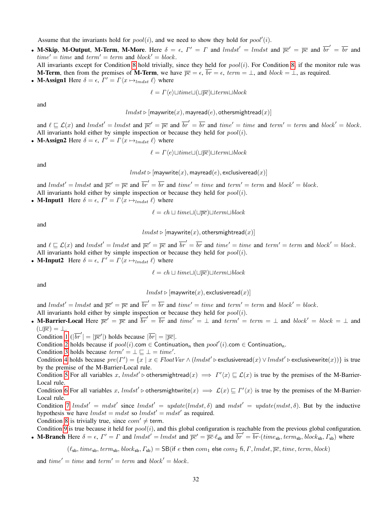Assume that the invariants hold for  $pool(i)$ , and we need to show they hold for  $pool'(i)$ .

- M-Skip, M-Output, M-Term, M-More. Here  $\delta = \epsilon$ ,  $\Gamma' = \Gamma$  and  $lmdst' = lmdst$  and  $\overline{pc}' = \overline{pc}$  and  $\overline{br}' = \overline{br}$  and  $time' = time$  and  $term' = term$  and  $block' = block$ . All invariants except for Condition [8](#page-31-0) hold trivially, since they held for  $pool(i)$ . For Condition [8,](#page-31-0) if the monitor rule was **M-Term**, then from the premises of **M-Term**, we have  $\overline{pc} = \epsilon$ ,  $br = \epsilon$ ,  $term = \bot$ , and  $block = \bot$ , as required.
- M-Assign1 Here  $\delta = \epsilon$ ,  $\Gamma' = \Gamma \langle x \mapsto_{lmds} \ell \rangle$  where

$$
\ell = \Gamma \langle e \rangle \sqcup time \sqcup (\sqcup \overline{pc}) \sqcup term \sqcup block
$$

and

 $lmdst$   $\triangleright$  [maywrite(x), mayread(e), othersmightread(x)]

and  $\ell \sqsubseteq \mathcal{L}(x)$  and  $lmdst' = lmdst$  and  $\overline{pc'} = \overline{pc}$  and  $\overline{br'} = \overline{br}$  and  $time' = time$  and  $term' = term$  and  $block' = block$ . All invariants hold either by simple inspection or because they held for  $pool(i)$ . • M-Assign2 Here  $\delta = \epsilon$ ,  $\Gamma' = \Gamma \langle x \mapsto_{lmdst} \ell \rangle$  where

$$
\ell = \Gamma \langle e \rangle \sqcup time \sqcup (\sqcup \overline{pc}) \sqcup term \sqcup block
$$

and

 $lmdst$   $\triangleright$  [maywrite(x), mayread(e), exclusiveread(x)]

and  $lmdst' = lmdst$  and  $\overline{pc'} = \overline{pc}$  and  $\overline{br'} = \overline{br}$  and  $time' = time$  and  $term' = term$  and  $block' = block$ . All invariants hold either by simple inspection or because they held for  $pool(i)$ .

• **M-Input1** Here  $\delta = \epsilon$ ,  $\Gamma' = \Gamma \langle x \mapsto_{lmdst} \ell \rangle$  where

 $\ell = ch \sqcup time \sqcup (\sqcup \overline{pc}) \sqcup term \sqcup block$ 

and

$$
lmdst\triangleright \left[ \mathsf{maywrite}(x), \mathsf{others mightread}(x) \right]
$$

and  $\ell \sqsubseteq \mathcal{L}(x)$  and  $lmdst' = lmdst$  and  $\overline{pc}' = \overline{pc}$  and  $\overline{br}' = \overline{br}$  and  $time' = time$  and  $term' = term$  and  $block' = block$ . All invariants hold either by simple inspection or because they held for  $pool(i)$ .

• **M-Input2** Here  $\delta = \epsilon$ ,  $\Gamma' = \Gamma \langle x \mapsto_{lmdst} \ell \rangle$  where

$$
\ell = ch \sqcup time \sqcup (\sqcup \overline{pc}) \sqcup term \sqcup block
$$

and

$$
lmdst \triangleright [maywrite(x), exclusiveread(x)]
$$

and  $lmdst' = lmdst$  and  $\overline{pc'} = \overline{pc}$  and  $\overline{br'} = \overline{br}$  and  $time' = time$  and  $term' = term$  and  $block' = block$ . All invariants hold either by simple inspection or because they held for  $pool(i)$ .

- M-Barrier-Local Here  $\overline{pc}' = \overline{pc}$  and  $\overline{br}' = \overline{br}$  and  $\overline{time}' = \perp$  and  $\overline{term}' = \overline{term} = \perp$  and  $\overline{block}' = \perp$  and  $(\sqcup \overline{pc}) = \bot.$ 
	- Condition [1](#page-31-1) ( $|\overline{br}'| = |\overline{pc}'|$ ) holds because  $|\overline{br}| = |\overline{pc}|$ .

Condition [2](#page-31-2) holds because if  $pool(i)$ .com  $\in$  Continuation<sub>n</sub> then  $pool'(i)$ .com  $\in$  Continuation<sub>n</sub>.

Condition [3](#page-31-3) holds because  $term' = \bot \sqsubseteq \bot = time'.$ 

Condition [4](#page-31-4) holds because  $pre(\Gamma') = \{x \mid x \in \text{FloatVar} \land (\text{lmdst}' \triangleright \text{exclusiveread}(x) \lor \text{lmdst}' \triangleright \text{exclusivewrite}(x))\}$  is true by the premise of the M-Barrier-Local rule.

Condition [5](#page-31-5) For all variables x, lmdst'  $\triangleright$  othersmightread(x)  $\implies \Gamma'(x) \sqsubseteq \mathcal{L}(x)$  is true by the premises of the M-Barrier-Local rule.

Condition [6](#page-31-6) For all variables x, lmdst'  $\triangleright$  othersmightwrite(x)  $\implies$   $\mathcal{L}(x) \sqsubseteq \Gamma'(x)$  is true by the premises of the M-Barrier-Local rule.

Condition [7](#page-31-7) lmdst<sup> $d$ </sup> = mdst<sup> $d$ </sup> since lmdst<sup> $d$ </sup> = update(lmdst,  $\delta$ ) and mdst<sup> $d$ </sup> = update(mdst,  $\delta$ ). But by the inductive hypothesis we have  $lmdst = mdst$  so  $lmdst' = mdst'$  as required.

Condition [8](#page-31-0) is trivially true, since  $com' \neq$  term.

Condition [9](#page-31-8) is true because it held for  $pool(i)$ , and this global configuration is reachable from the previous global configuration. • M-Branch Here  $\delta = \epsilon$ ,  $\Gamma' = \Gamma$  and  $\overline{lmdst'} = \overline{lmdst}$  and  $\overline{pc'} = \overline{pc} \cdot \ell_{sb}$  and  $\overline{br'} = \overline{br} \cdot (\overline{time_{sb}}, \overline{term_{sb}}, \overline{block_{sb}}, \Gamma_{sb})$  where

 $(\ell_{sb}, \text{times}_{sb}, \text{term}_{sb}, \text{block}_{sb}, \Gamma_{sb}) = \text{SB}(\text{if } e \text{ then } \text{com}_1 \text{ else } \text{com}_2 \text{ fi}, \Gamma, \text{Imdst}, \overline{pc}, \text{time}, \text{term}, \text{block})$ 

and  $time' = time$  and  $term' = term$  and  $block' = block$ .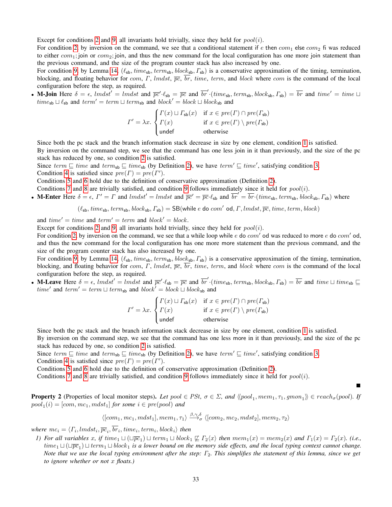Except for conditions [2](#page-31-2) and [9,](#page-31-8) all invariants hold trivially, since they held for  $pool(i)$ .

For condition [2,](#page-31-2) by inversion on the command, we see that a conditional statement if e then  $com_1$  else  $com_2$  fi was reduced to either  $com_1$ ; join or  $com_2$ ; join, and thus the new command for the local configuration has one more join statement than the previous command, and the size of the program counter stack has also increased by one.

For condition [9,](#page-31-8) by Lemma [14,](#page-65-0)  $(\ell_{sb}, \text{time}_{sb}, \text{term}_{sb}, \text{block}_{sb}, \Gamma_{sb})$  is a conservative approximation of the timing, termination, blocking, and floating behavior for com, Γ, lmdst,  $\overline{pc}$ ,  $\overline{br}$ , time, term, and block where com is the command of the local configuration before the step, as required.

• M-Join Here  $\delta = \epsilon$ ,  $lmdst' = lmdst$  and  $\overline{pc}' \cdot \ell_{sb} = \overline{pc}$  and  $\overline{br}' \cdot (time_{sb}, term_{sb}, block_{sb}, F_{sb}) = \overline{br}$  and  $time' = time \sqcup$  $time_{sb} \sqcup \ell_{sb}$  and  $term' = term \sqcup term_{sb}$  and  $block' = block \sqcup block_{sb}$  and

$$
\Gamma' = \lambda x. \begin{cases} \Gamma(x) \sqcup \Gamma_{\text{sb}}(x) & \text{if } x \in \text{pre}(\Gamma) \cap \text{pre}(\Gamma_{\text{sb}}) \\ \Gamma(x) & \text{if } x \in \text{pre}(\Gamma) \setminus \text{pre}(\Gamma_{\text{sb}}) \\ \text{undef} & \text{otherwise} \end{cases}
$$

Since both the pc stack and the branch information stack decrease in size by one element, condition [1](#page-31-1) is satisfied. By inversion on the command step, we see that the command has one less join in it than previously, and the size of the pc stack has reduced by one, so condition [2](#page-31-2) is satisfied.

Since term  $\subseteq$  time and term<sub>sb</sub>  $\subseteq$  time<sub>sb</sub> (by Definition [2\)](#page-29-0), we have term'  $\subseteq$  time', satisfying condition [3.](#page-31-3) Condition [4](#page-31-4) is satisfied since  $pre(\Gamma) = pre(\Gamma')$ .

Conditions [5](#page-31-5) and [6](#page-31-6) hold due to the definition of conservative approximation (Definition [2\)](#page-29-0).

Conditions [7](#page-31-7) and [8](#page-31-0) are trivially satisfied, and condition [9](#page-31-8) follows immediately since it held for  $pool(i)$ .

• M-Enter Here  $\delta = \epsilon$ ,  $\Gamma' = \Gamma$  and  $lmdst' = lmdst$  and  $\overline{pc'} = \overline{pc} \cdot \ell_{sb}$  and  $\overline{br'} = \overline{br} \cdot (time_{sb}, term_{sb}, block_{sb}, F_{sb})$  where

 $(\ell_{sb}, time_{sb}, term_{sb}, block_{sb}, F_{sb}) = SB$ (while e do com' od, Γ, lmdst,  $\overline{pc}$ , time, term, block)

and  $time' = time$  and  $term' = term$  and  $block' = block$ .

Except for conditions [2](#page-31-2) and [9,](#page-31-8) all invariants hold trivially, since they held for  $pool(i)$ .

For condition [2,](#page-31-2) by inversion on the command, we see that a while loop while e do com' od was reduced to more e do com' od, and thus the new command for the local configuration has one more more statement than the previous command, and the size of the program counter stack has also increased by one.

For condition [9,](#page-31-8) by Lemma [14,](#page-65-0)  $(\ell_{sb}, \text{time}_{sb}, \text{term}_{sb}, \text{block}_{sb}, \Gamma_{sb})$  is a conservative approximation of the timing, termination, blocking, and floating behavior for com, Γ, lmdst,  $\overline{pc}$ ,  $\overline{br}$ , time, term, and block where com is the command of the local configuration before the step, as required.

• M-Leave Here  $\delta = \epsilon$ ,  $lmdst' = lmdst$  and  $\overline{pc'} \cdot \ell_{sb} = \overline{pc}$  and  $\overline{br'} \cdot (time_{sb}, term_{sb}, block_{sb}, \Gamma_{sb}) = \overline{br}$  and  $time \sqcup time_{sb} \sqsubseteq$ time' and term' = term  $\sqcup$  term<sub>sb</sub> and block<sup>7</sup> = block  $\sqcup$  block<sub>sb</sub> and

$$
\Gamma' = \lambda x. \begin{cases} \Gamma(x) \sqcup \Gamma_{\mathsf{sb}}(x) & \text{if } x \in \text{pre}(\Gamma) \cap \text{pre}(\Gamma_{\mathsf{sb}}) \\ \Gamma(x) & \text{if } x \in \text{pre}(\Gamma) \setminus \text{pre}(\Gamma_{\mathsf{sb}}) \\ \text{undef} & \text{otherwise} \end{cases}
$$

Since both the pc stack and the branch information stack decrease in size by one element, condition [1](#page-31-1) is satisfied.

By inversion on the command step, we see that the command has one less more in it than previously, and the size of the pc stack has reduced by one, so condition [2](#page-31-2) is satisfied.

Since  $term \sqsubseteq time$  and  $term_{sb} \sqsubseteq time_{sb}$  (by Definition [2\)](#page-29-0), we have  $term' \sqsubseteq time'$ , satisfying condition [3.](#page-31-3) Condition [4](#page-31-4) is satisfied since  $pre(\Gamma) = pre(\Gamma')$ .

Conditions [5](#page-31-5) and [6](#page-31-6) hold due to the definition of conservative approximation (Definition [2\)](#page-29-0).

Conditions [7](#page-31-7) and [8](#page-31-0) are trivially satisfied, and condition [9](#page-31-8) follows immediately since it held for  $pool(i)$ .

<span id="page-33-1"></span>**Property 2** (Properties of local monitor steps). Let  $pool \in PSt$ ,  $\sigma \in \Sigma$ , and  $\langle \langle pool_1,mem_1, \tau_1, gmon_1 \rangle \rangle \in reach_{\sigma}(pool)$ . If  $pool_1(i) = [com, mc_1, mdst_1]$  *for some*  $i \in pre(pool)$  *and* 

$$
\langle [com_1, mc_1, mdst_1], mem_1, \tau_1 \rangle \stackrel{\beta, \gamma, \delta}{\longrightarrow}_{\sigma} \langle [com_2, mc_2, mdst_2], mem_2, \tau_2 \rangle
$$

where  $mc_i = \langle \Gamma_i, lmdst_i, \overline{pc}_i, br_i, time_i, term_i, block_i \rangle$  then

<span id="page-33-0"></span>*1)* For all variables x, if  $time_1 \sqcup (\sqcup \overline{pc}_1) \sqcup term_1 \sqcup block_1 \not\sqsubseteq \Gamma_2\langle x \rangle$  then  $mem_1(x) = mem_2(x)$  and  $\Gamma_1(x) = \Gamma_2(x)$ *.* (i.e.,  $time_1 \sqcup (\sqcup \overline{pc}_1) \sqcup term_1 \sqcup block_1$  *is a lower bound on the memory side effects, and the local typing context cannot change. Note that we use the local typing environment after the step:*  $\Gamma_2$ . This simplifies the statement of this lemma, since we get *to ignore whether or not* x *floats.)*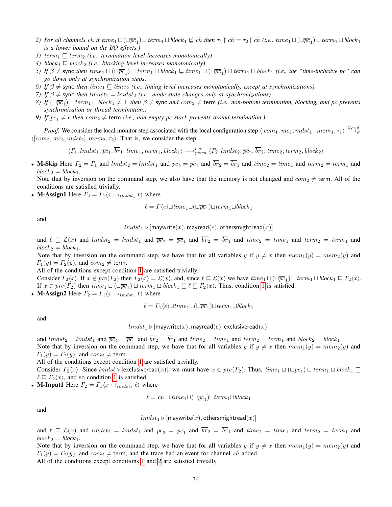- <span id="page-34-0"></span>*2)* For all channels ch if  $time_1 \sqcup (\sqcup \overline{pc}_1) \sqcup term_1 \sqcup block_1 \not\sqsubseteq ch$  then  $\tau_1 \upharpoonright ch = \tau_2 \upharpoonright ch$  (i.e.,  $time_1 \sqcup (\sqcup \overline{pc}_1) \sqcup term_1 \sqcup block_1$ *is a lower bound on the I/O effects.)*
- *3)* term<sub>1</sub>  $\subseteq$  term<sub>2</sub> *(i.e., termination level increases monotonically)*
- *4)*  $block_1 \sqsubseteq block_2$  *(i.e., blocking level increases monotonically)*
- <span id="page-34-1"></span>*5)* If  $\beta \neq$  sync then  $time_1 \sqcup (\sqcup \overline{pc}_1) \sqcup term_1 \sqcup block_1 \sqsubseteq time_1 \sqcup (\sqcup \overline{pc}_1) \sqcup term_1 \sqcup block_1$  (i.e., the "time-inclusive pc" can *go down only at synchronization steps)*
- *6) If*  $\beta \neq$  sync *then*  $time_1 \sqsubseteq time_2$  *(i.e., timing level increases monotonically, except at synchronizations)*
- *7) If*  $\beta \neq$  sync *then*  $lmdst_1 = lmdst_2$  *(i.e., mode state changes only at synchronizations)*
- *8) If*  $(\sqcup \overline{pc}_1) \sqcup term_1 \sqcup block_1 \neq \bot$  then  $\beta \neq$  sync and  $com_2 \neq$  term (i.e., non-bottom termination, blocking, and pc prevents *synchronization or thread termination.)*
- *9) If*  $\overline{pc}_1 \neq \epsilon$  *then*  $com_2 \neq$  term *(i.e., non-empty pc stack prevents thread termination.)*

*Proof:* We consider the local monitor step associated with the local configuration step  $\langle [com_1, mc_1, mdst_1], mem_1, \tau_1 \rangle \stackrel{\beta, \gamma, \delta}{\longrightarrow_{\sigma}}$  $\langle [com_2, mc_2, mdst_2], mem_2, \tau_2 \rangle$ . That is, we consider the step

 $\langle \Gamma_1, lmdst_1, \overline{pc}_1, \overline{br}_1, time_1, term_1, block_1 \rangle \longrightarrow_{perm}^{\epsilon, \alpha} \langle \Gamma_2, lmdst_2, \overline{pc}_2, \overline{br}_2, time_2, term_2, block_2 \rangle$ 

• M-Skip Here  $\Gamma_2 = \Gamma_1$  and  $lmdst_2 = lmdst_1$  and  $\overline{pc}_2 = \overline{pc}_1$  and  $br_2 = br_1$  and  $time_2 = time_1$  and  $term_2 = term_1$  and  $block_2 = block_1$ .

Note that by inversion on the command step, we also have that the memory is not changed and  $com_2 \neq$  term. All of the conditions are satisfied trivially.

• M-Assign1 Here  $\Gamma_2 = \Gamma_1 \langle x \mapsto_{lmdst_1} \ell \rangle$  where

$$
\ell = \Gamma \langle e \rangle \sqcup time_1 \sqcup (\sqcup \overline{pc}_1) \sqcup term_1 \sqcup block_1
$$

and

$$
lmdst_1 \triangleright
$$
 [maywrite $(x)$ , mayread $(e)$ , othersmightread $(x)$ ]

and  $\ell \subseteq \mathcal{L}(x)$  and  $lmdst_2 = lmdst_1$  and  $\overline{pc}_2 = \overline{pc}_1$  and  $\overline{br}_2 = \overline{br}_1$  and  $time_2 = time_1$  and  $term_2 = term_1$  and  $block_2 = block_1$ .

Note that by inversion on the command step, we have that for all variables y if  $y \neq x$  then  $mem_1(y) = mem_2(y)$  and  $\Gamma_1(y) = \Gamma_2(y)$ , and  $com_2 \neq$  term.

All of the conditions except condition [1](#page-33-0) are satisfied trivially.

Consider  $\Gamma_2\langle x \rangle$ . If  $x \notin pre(\Gamma_2)$  then  $\Gamma_2\langle x \rangle = \mathcal{L}(x)$ , and, since  $\ell \sqsubseteq \mathcal{L}(x)$  we have  $time_1 \sqcup (\sqcup \overline{pc}_1) \sqcup term_1 \sqcup block_1 \sqsubseteq \Gamma_2\langle x \rangle$ . If  $x \in pre(\Gamma_2)$  then  $time_1 \sqcup (\sqcup \overline{pc}_1) \sqcup term_1 \sqcup block_1 \sqsubseteq \ell \sqsubseteq \Gamma_2\langle x \rangle$ . Thus, condition [1](#page-33-0) is satisfied.

• M-Assign2 Here  $\Gamma_2 = \Gamma_1 \langle x \mapsto_{lmdst_1} \ell \rangle$  where

 $\ell = \Gamma_1 \langle e \rangle \sqcup time_1 \sqcup (\sqcup \overline{pc}_1) \sqcup term_1 \sqcup block_1$ 

and

 $lmdst_1 \triangleright$  [maywrite(x), mayread(e), exclusiveread(x)]

and  $lmdst_2 = lmdst_1$  and  $\overline{pc}_2 = \overline{pc}_1$  and  $br_2 = br_1$  and  $time_2 = time_1$  and  $term_2 = term_1$  and  $block_2 = block_1$ . Note that by inversion on the command step, we have that for all variables y if  $y \neq x$  then  $mem_1(y) = mem_2(y)$  and  $\Gamma_1(y) = \Gamma_2(y)$ , and  $com_2 \neq$  term.

All of the conditions except condition [1](#page-33-0) are satisfied trivially.

Consider  $\Gamma_2\langle x\rangle$ . Since  $lmdst \triangleright$  [exclusiveread(x)], we must have  $x \in pre(\Gamma_2)$ . Thus,  $time_1 \sqcup (\sqcup \overline{pc}_1) \sqcup term_1 \sqcup block_1 \sqsubseteq$  $\ell \sqsubseteq \Gamma_2\langle x \rangle$ , and so condition [1](#page-33-0) is satisfied.

• **M-Input1** Here  $\Gamma_2 = \Gamma_1 \langle x \mapsto_{lmdst_1} \ell \rangle$  where

$$
\ell = ch \sqcup time_1 \sqcup (\sqcup \overline{pc}_1) \sqcup term_1 \sqcup block_1
$$

and

 $lmdst_1 \triangleright$  [maywrite(x), othersmightread(x)]

and  $\ell \subseteq \mathcal{L}(x)$  and  $lmdst_2 = lmdst_1$  and  $\overline{pc}_2 = \overline{pc}_1$  and  $br_2 = br_1$  and  $time_2 = time_1$  and  $term_2 = term_1$  and  $block_2 = block_1$ .

Note that by inversion on the command step, we have that for all variables y if  $y \neq x$  then  $mem_1(y) = mem_2(y)$  and  $\Gamma_1(y) = \Gamma_2(y)$ , and  $com_2 \neq$  term, and the trace had an event for channel ch added.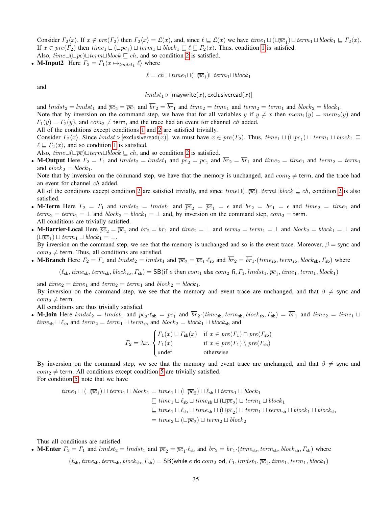Consider  $\Gamma_2\langle x \rangle$ . If  $x \notin pre(\Gamma_2)$  then  $\Gamma_2\langle x \rangle = \mathcal{L}(x)$ , and, since  $\ell \sqsubseteq \mathcal{L}(x)$  we have  $time_1 \sqcup (\sqcup \overline{pc}_1) \sqcup term_1 \sqcup block_1 \sqsubseteq \Gamma_2\langle x \rangle$ . If  $x \in pre(\Gamma_2)$  then  $time_1 \sqcup (\sqcup \overline{pc}_1) \sqcup term_1 \sqcup block_1 \sqsubseteq \ell \sqsubseteq \Gamma_2\langle x \rangle$ . Thus, condition [1](#page-33-0) is satisfied.

Also,  $time \sqcup (\sqcup \overline{pc}) \sqcup term \sqcup block \sqsubseteq ch$ , and so condition [2](#page-34-0) is satisfied.

• **M-Input2** Here  $\Gamma_2 = \Gamma_1 \langle x \mapsto_{lmdst_1} \ell \rangle$  where

$$
\ell = ch \sqcup time_1 \sqcup (\sqcup \overline{pc}_1) \sqcup term_1 \sqcup block_1
$$

and

 $lmdst_1 \triangleright$  [maywrite(x), exclusiveread(x)]

and  $lmdst_2 = lmdst_1$  and  $\overline{pc}_2 = \overline{pc}_1$  and  $br_2 = br_1$  and  $time_2 = time_1$  and  $term_2 = term_1$  and  $block_2 = block_1$ . Note that by inversion on the command step, we have that for all variables y if  $y \neq x$  then  $mem_1(y) = mem_2(y)$  and

 $\Gamma_1(y) = \Gamma_2(y)$ , and  $com_2 \neq$  term, and the trace had an event for channel ch added.

All of the conditions except conditions [1](#page-33-0) and [2](#page-34-0) are satisfied trivially.

Consider  $\Gamma_2\langle x\rangle$ . Since  $lmdst \triangleright$  [exclusiveread(x)], we must have  $x \in pre(\Gamma_2)$ . Thus,  $time_1 \sqcup (\sqcup \overline{pc}_1) \sqcup term_1 \sqcup block_1 \sqsubseteq$  $\ell \sqsubseteq \Gamma_2\langle x \rangle$ , and so condition [1](#page-33-0) is satisfied.

Also,  $time \sqcup (\sqcup \overline{pc}) \sqcup term \sqcup block \sqsubseteq ch$ , and so condition [2](#page-34-0) is satisfied.

• M-Output Here  $\Gamma_2 = \Gamma_1$  and  $lmdst_2 = lmdst_1$  and  $\overline{pc}_2 = \overline{pc}_1$  and  $br_2 = br_1$  and  $time_2 = time_1$  and  $term_2 = term_1$ and  $block_2 = block_1$ .

Note that by inversion on the command step, we have that the memory is unchanged, and  $com_2 \neq$  term, and the trace had an event for channel ch added.

All of the conditions except condition [2](#page-34-0) are satisfied trivially, and since  $time\sqcup(\sqcup\overline{pc})\sqcup term\sqcup block \sqsubset ch$ , condition 2 is also satisfied.

- M-Term Here  $\Gamma_2 = \Gamma_1$  and  $lmdst_2 = lmdst_1$  and  $\overline{pc}_2 = \overline{pc}_1 = \epsilon$  and  $\overline{br}_2 = \overline{br}_1 = \epsilon$  and  $time_2 = time_1$  and  $term_2 = term_1 = \perp$  and  $block_2 = block_1 = \perp$  and, by inversion on the command step,  $com_2$  = term. All conditions are trivially satisfied.
- M-Barrier-Local Here  $\overline{pc}_2 = \overline{pc}_1$  and  $br_2 = br_1$  and  $time_2 = \perp$  and  $term_2 = term_1 = \perp$  and  $block_2 = block_1 = \perp$  and  $(\sqcup \overline{pc}_1) \sqcup term_1 \sqcup block_1 = \bot.$

By inversion on the command step, we see that the memory is unchanged and so is the event trace. Moreover,  $\beta$  = sync and  $com_2 \neq$  term. Thus, all conditions are satisfied.

• M-Branch Here  $\Gamma_2 = \Gamma_1$  and  $lmdst_2 = lmdst_1$  and  $\overline{pc}_2 = \overline{pc}_1 \cdot \ell_{sb}$  and  $br_2 = br_1 \cdot (time_{sb}, term_{sb}, block_{sb}, \Gamma_{sb})$  where

 $(\ell_{\sf sb}, \textit{time}_{\sf sb}, \textit{term}_{\sf sb}, \textit{block}_{\sf sb}, \Gamma_{\sf sb}) = {\sf SB}(\text{if }e \text{ then }com_1 \text{ else }com_2 \text{ fi}, \Gamma_1, \textit{lmdst}_1, \overline{pc}_1, \textit{time}_1, \textit{term}_1, \textit{block}_1)$ 

and  $time_2 = time_1$  and  $term_2 = term_1$  and  $block_2 = block_1$ .

By inversion on the command step, we see that the memory and event trace are unchanged, and that  $\beta \neq$  sync and  $com_2 \neq$  term.

All conditions are thus trivially satisfied.

• M-Join Here  $lmdst_2 = lmdst_1$  and  $\overline{pc}_2 \cdot \ell_{sb} = \overline{pc}_1$  and  $\overline{br}_2 \cdot (time_{sb}, term_{sb}, block_{sb}, \Gamma_{sb}) = \overline{br}_1$  and  $time_2 = time_1 \sqcup$  $time_{sb} \sqcup \ell_{sb}$  and  $term_2 = term_1 \sqcup term_{sb}$  and  $block_2 = block_1 \sqcup block_{sb}$  and

$$
\Gamma_2 = \lambda x. \begin{cases} \Gamma_1(x) \sqcup \Gamma_{\mathsf{sb}}(x) & \text{if } x \in \text{pre}(\Gamma_1) \cap \text{pre}(\Gamma_{\mathsf{sb}}) \\ \Gamma_1(x) & \text{if } x \in \text{pre}(\Gamma_1) \setminus \text{pre}(\Gamma_{\mathsf{sb}}) \\ \text{under} & \text{otherwise} \end{cases}
$$

By inversion on the command step, we see that the memory and event trace are unchanged, and that  $\beta \neq$  sync and  $com_2 \neq$  term. All conditions except condition [5](#page-34-1) are trivially satisfied. For condition [5,](#page-34-1) note that we have

 $\mathit{time}_1 \sqcup (\sqcup \overline{pc}_1) \sqcup \mathit{term}_1 \sqcup \mathit{block}_1 = \mathit{time}_1 \sqcup (\sqcup \overline{pc}_2) \sqcup \ell_{\mathsf{s}\mathsf{b}} \sqcup \mathit{term}_1 \sqcup \mathit{block}_1$  $\sqsubseteq \textit{time}_1 \sqcup \ell_{\textsf{sb}} \sqcup \textit{time}_{\textsf{sb}} \sqcup (\sqcup \overline{pc}_2) \sqcup \textit{term}_1 \sqcup \textit{block}_1$  $\sqsubseteq \textit{time}_1 \sqcup \ell_\textsf{sb} \sqcup \textit{time}_\textsf{sb} \sqcup (\sqcup \overline{pc}_2) \sqcup \textit{term}_1 \sqcup \textit{term}_\textsf{sb} \sqcup \textit{block}_1 \sqcup \textit{block}_\textsf{sb}$  $= \text{time}_2 \sqcup (\sqcup \overline{pc}_2) \sqcup \text{term}_2 \sqcup \text{block}_2$ 

Thus all conditions are satisfied.

• M-Enter  $\Gamma_2 = \Gamma_1$  and  $lmdst_2 = lmdst_1$  and  $\overline{pc}_2 = \overline{pc}_1 \cdot \ell_{sb}$  and  $br_2 = br_1 \cdot (time_{sb}, term_{sb}, block_{sb}, \Gamma_{sb})$  where

 $(\ell_{\sf sb}, time_{\sf sb}, term_{\sf sb}, block_{\sf sb}, \Gamma_{\sf sb}) = {\sf SB}(\textsf{while }e~\textsf{do}~com_2~\textsf{od}, \Gamma_1, Index_1, \overline{pc}_1, time_1, term_1, block_1)$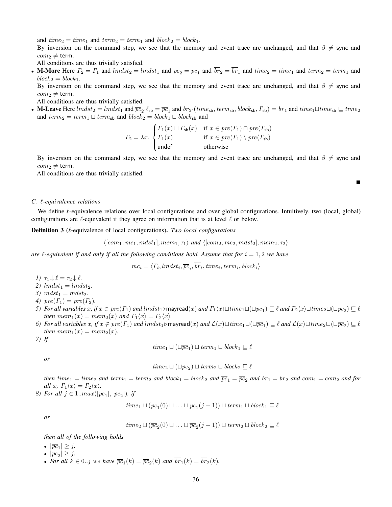and  $time_2 = time_1$  and  $term_2 = term_1$  and  $block_2 = block_1$ .

By inversion on the command step, we see that the memory and event trace are unchanged, and that  $\beta \neq$  sync and  $com_2 \neq$  term.

All conditions are thus trivially satisfied.

• M-More Here  $\Gamma_2 = \Gamma_1$  and  $lmdst_2 = lmdst_1$  and  $\overline{pc}_2 = \overline{pc}_1$  and  $br_2 = br_1$  and  $time_2 = time_1$  and  $term_2 = term_1$  and  $block_2 = block_1$ .

By inversion on the command step, we see that the memory and event trace are unchanged, and that  $\beta \neq$  sync and  $com_2 \neq$  term.

All conditions are thus trivially satisfied.

• M-Leave Here  $lmdst_2 = lmdst_1$  and  $\overline{pc}_2 \cdot \ell_{sb} = \overline{pc}_1$  and  $br_2 \cdot (time_{sb}, term_{sb}, block_{sb}, F_{sb}) = \overline{br}_1$  and  $time_1 \sqcup time_{sb} \sqsubseteq time_2$ and  $term_2 = term_1 \sqcup term_{sb}$  and  $block_2 = block_1 \sqcup block_{sb}$  and

$$
\Gamma_2 = \lambda x. \begin{cases} \Gamma_1(x) \sqcup \Gamma_{\mathsf{sb}}(x) & \text{if } x \in \text{pre}(\Gamma_1) \cap \text{pre}(\Gamma_{\mathsf{sb}}) \\ \Gamma_1(x) & \text{if } x \in \text{pre}(\Gamma_1) \setminus \text{pre}(\Gamma_{\mathsf{sb}}) \\ \text{undef} & \text{otherwise} \end{cases}
$$

By inversion on the command step, we see that the memory and event trace are unchanged, and that  $\beta \neq$  sync and  $com_2 \neq$  term.

г

All conditions are thus trivially satisfied.

#### *C.* `*-equivalence relations*

We define  $\ell$ -equivalence relations over local configurations and over global configurations. Intuitively, two (local, global) configurations are  $\ell$ -equivalent if they agree on information that is at level  $\ell$  or below.

<span id="page-36-5"></span>**Definition 3** ( $\ell$ -equivalence of local configurations). *Two local configurations* 

 $\langle [com_1, mc_1, mdst_1], mem_1, \tau_1 \rangle$  *and*  $\langle [com_2, mc_2, mdst_2], mem_2, \tau_2 \rangle$ 

*are*  $\ell$ -equivalent if and only if all the following conditions hold. Assume that for  $i = 1, 2$  we have

 $mc_i = \langle \Gamma_i, lmdst_i, \overline{pc}_i, br_i, time_i, term_i, block_i \rangle$ 

<span id="page-36-4"></span>*1)*  $\tau_1 \downarrow \ell = \tau_2 \downarrow \ell$ .

- <span id="page-36-6"></span>*2)*  $lmdst_1 = lmdst_2$ .
- <span id="page-36-7"></span>*3)*  $mdst_1 = mdst_2$ .
- <span id="page-36-8"></span>*4)*  $pre(\Gamma_1) = pre(\Gamma_2)$ .
- <span id="page-36-0"></span>*5) For all variables*  $x$ *, if*  $x \in pre(\Gamma_1)$  *and*  $lmdst_1$  $\triangleright$ *mayread* $(x)$  *<i>and*  $\Gamma_1\langle x \rangle \sqcup time_1 \sqcup (\sqcup \overline{pc}_1) \sqsubseteq \ell$  *and*  $\Gamma_2\langle x \rangle \sqcup time_2 \sqcup (\sqcup \overline{pc}_2) \sqsubseteq \ell$ *then*  $mem_1(x) = mem_2(x)$  *and*  $\Gamma_1\langle x \rangle = \Gamma_2\langle x \rangle$ *.*
- <span id="page-36-1"></span>*6) For all variables*  $x$ *, if*  $x \notin pre(\Gamma_1)$  *and*  $lmdst_1 \rhd$  *mayread* $(x)$  *<i>and*  $\mathcal{L}(x) \sqcup time_1 \sqcup (\sqcup \overline{pc}_1) \sqsubseteq \ell$  *and*  $\mathcal{L}(x) \sqcup time_2 \sqcup (\sqcup \overline{pc}_2) \sqsubseteq \ell$ *then*  $mem_1(x) = mem_2(x)$ *.*
- <span id="page-36-2"></span>*7) If*

$$
time_1 \sqcup (\sqcup \overline{pc}_1) \sqcup term_1 \sqcup block_1 \sqsubseteq \ell
$$

*or*

$$
time_2 \sqcup (\sqcup \overline{pc}_2) \sqcup term_2 \sqcup block_2 \sqsubseteq \ell
$$

*then*  $time_1 = time_2$  *and*  $term_1 = term_2$  *and*  $block_1 = block_2$  *and*  $\overline{pc}_1 = \overline{pc}_2$  *and*  $\overline{br_1} = \overline{br_2}$  *and*  $com_1 = com_2$  *and* for *all*  $x, \Gamma_1\langle x \rangle = \Gamma_2\langle x \rangle$ *.* 

<span id="page-36-3"></span>*8*) *For all*  $j \in 1$ .. $max(|\overline{pc}_1|, |\overline{pc}_2|)$ , if

 $\mathit{time}_1 \sqcup (\overline{pc}_1(0) \sqcup \ldots \sqcup \overline{pc}_1(j-1)) \sqcup \mathit{term}_1 \sqcup \mathit{block}_1 \sqsubseteq \ell$ 

*or*

$$
time_2 \sqcup (\overline{pc}_2(0) \sqcup \ldots \sqcup \overline{pc}_2(j-1)) \sqcup term_2 \sqcup block_2 \sqsubseteq \ell
$$

*then all of the following holds*

- $|\overline{pc}_1| \geq j.$
- $|\overline{pc}_2| \geq j$ .
- *For all*  $k \in 0..j$  *we have*  $\overline{pc}_1(k) = \overline{pc}_2(k)$  *and*  $br_1(k) = br_2(k)$ *.*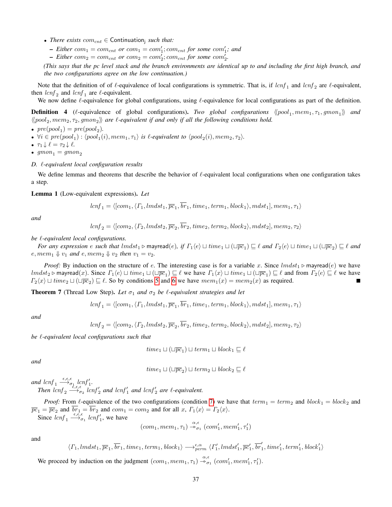- *There exists*  $com_{cnt} \in$  **Continuation**<sub>i</sub> *such that:* 
	- *Either*  $com_1 = com_{cnt}$  or  $com_1 = com'_1$ ;  $com_{cnt}$  for some  $com'_1$ ; and
	- *Either*  $com_2 = com_{cnt}$  *or*  $com_2 = com'_2$ ;  $com_{cnt}$  *for some*  $com'_2$ .

*(This says that the pc level stack and the branch environments are identical up to and including the first high branch, and the two configurations agree on the low continuation.)*

Note that the definition of of  $\ell$ -equivalence of local configurations is symmetric. That is, if  $lcnf_1$  and  $lcnf_2$  are  $\ell$ -equivalent, then  $lcnf_2$  and  $lcnf_1$  are  $\ell$ -equivalent.

We now define  $\ell$ -equivalence for global configurations, using  $\ell$ -equivalence for local configurations as part of the definition.

<span id="page-37-2"></span>**Definition 4** ( $\ell$ -equivalence of global configurations). *Two global configurations*  $\langle \langle pool_1, mem_1, \tau_1, gmon_1 \rangle \rangle$  and  $\langle \langle pool_2, mem_2, \tau_2, gmon_2 \rangle \rangle$  are *l*-equivalent if and only if all the following conditions hold.

- $pre(pool<sub>1</sub>) = pre(pool<sub>2</sub>)$ .
- $\forall i \in pre(pool_1) : \langle pool_1(i), mem_1, \tau_1 \rangle$  *is*  $\ell$ *-equivalent to*  $\langle pool_2(i), mem_2, \tau_2 \rangle$ *.*
- $\tau_1 \downarrow \ell = \tau_2 \downarrow \ell$ .

•  $gmon_1 = gmon_2$ 

## *D.* `*-equivalent local configuration results*

We define lemmas and theorems that describe the behavior of  $\ell$ -equivalent local configurations when one configuration takes a step.

<span id="page-37-1"></span>Lemma 1 (Low-equivalent expressions). *Let*

$$
lcnf_1 = \langle [com_1, \langle \Gamma_1, lmdst_1, \overline{pc}_1, \overline{br}_1, time_1, term_1, block_1 \rangle, mdst_1], mem_1, \tau_1 \rangle
$$

*and*

$$
lcnf_2 = \langle [com_2, \langle \Gamma_2, lmdst_2, \overline{pc}_2, \overline{br}_2, time_2, term_2, block_2 \rangle, mdst_2], mem_2, \tau_2 \rangle
$$

*be*  $\ell$ -equivalent local configurations.

*For any expression*  $e$  *such that*  $lmdst_1 \triangleright$  mayread $(e)$ , if  $\Gamma_1\langle e \rangle \sqcup time_1 \sqcup (\sqcup \overline{pc}_1) \sqsubseteq \ell$  and  $\Gamma_2\langle e \rangle \sqcup time_1 \sqcup (\sqcup \overline{pc}_2) \sqsubseteq \ell$  and  $e, mem_1 \Downarrow v_1$  *and*  $e, mem_2 \Downarrow v_2$  *then*  $v_1 = v_2$ *.* 

*Proof:* By induction on the structure of e. The interesting case is for a variable x. Since  $lmdst_1 \triangleright$  mayread(e) we have  $lmdst_2 \triangleright$  mayread $(x)$ . Since  $\Gamma_1\langle e \rangle \sqcup time_1 \sqcup (\sqcup \overline{pc}_1) \sqsubseteq \ell$  we have  $\Gamma_1\langle x \rangle \sqcup time_1 \sqcup (\sqcup \overline{pc}_1) \sqsubseteq \ell$  and from  $\Gamma_2\langle e \rangle \sqsubseteq \ell$  we have  $\Gamma_2\langle x \rangle \sqcup time_2 \sqcup (\sqcup \overline{pc}_2) \sqsubseteq \ell$ . So by conditions [5](#page-36-0) and [6](#page-36-1) we have  $mem_1(x) = mem_2(x)$  as required.

<span id="page-37-0"></span>**Theorem 7** (Thread Low Step). Let  $\sigma_1$  and  $\sigma_2$  be  $\ell$ -equivalent strategies and let

$$
lcnf_1 = \langle [com_1, \langle \Gamma_1, lmdst_1, \overline{pc}_1, \overline{br}_1, \text{time}_1, \text{term}_1, \text{block}_1 \rangle, mdst_1], \text{mem}_1, \tau_1 \rangle
$$

*and*

$$
lcnf_2 = \langle [com_2, \langle \Gamma_2, lmdst_2, \overline{pc}_2, \overline{br}_2, time_2, term_2, block_2 \rangle, mdst_2], mem_2, \tau_2 \rangle
$$

*be* `*-equivalent local configurations such that*

$$
time_1 \sqcup (\sqcup \overline{pc}_1) \sqcup term_1 \sqcup block_1 \sqsubseteq \ell
$$

*and*

$$
time_1 \sqcup (\sqcup \overline{pc}_2) \sqcup term_2 \sqcup block_2 \sqsubseteq \ell
$$

and  $lcnf_1 \stackrel{\epsilon, \epsilon, \epsilon}{\longrightarrow}_{\sigma_1} lcnf'_1$ .

*Then*  $\lim_{\epsilon \to 0} \int_{\alpha_2}^{1} \frac{\dot{\epsilon}_i \epsilon_i \epsilon_i}{\dot{\epsilon}_i \alpha_i}$  *and*  $\lim_{\epsilon \to 0} f'_1$  *and*  $\lim_{\epsilon \to 0} f'_2$  *are*  $\ell$ -equivalent.

*Proof:* From  $\ell$ -equivalence of the two configurations (condition [7\)](#page-36-2) we have that  $term_1 = term_2$  and  $block_1 = block_2$  and  $\overline{pc}_1 = \overline{pc}_2$  and  $\overline{br}_1 = \overline{br}_2$  and  $com_1 = com_2$  and for all  $x, \Gamma_1\langle x \rangle = \Gamma_2\langle x \rangle$ . Since  $\lim_{\epsilon \to 0} \frac{\epsilon_1 \bar{\epsilon_2} \epsilon_1}{\epsilon_1 \bar{\epsilon_3}} \cdot \lim_{\epsilon \to 0} f'_1$ , we have

$$
(com_1, mem_1, \tau_1) \stackrel{\alpha,\epsilon}{\rightarrow}_{\sigma_1} (com'_1, mem'_1, \tau'_1)
$$

and

$$
\langle \Gamma_1, lmdst_1, \overline{pc}_1, \overline{br}_1, time_1, term_1, block_1 \rangle \longrightarrow_{perm}^{\epsilon, \alpha} \langle \Gamma'_1, lmdst'_1, \overline{pc}'_1, \overline{br}'_1, time'_1, term'_1, block'_1 \rangle
$$

We proceed by induction on the judgment  $(com_1, mem_1, \tau_1) \stackrel{\alpha, \epsilon}{\rightarrow} \sigma$  $\stackrel{\alpha,\epsilon}{\rightarrow}_{\sigma_1} (com'_1,mem'_1, \tau'_1).$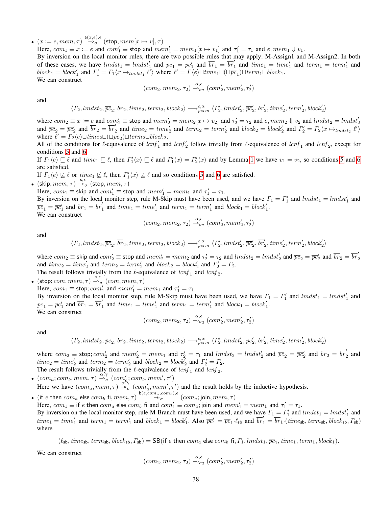•  $(x := e, mem, \tau) \stackrel{a(x,e), \epsilon}{\rightarrow \sigma} (\text{stop}, mem[x \mapsto v], \tau)$ <br>Here,  $aom = x = e$  and  $aom' = \text{stop}$  and me

Here,  $com_1 \equiv x := e$  and  $com'_1 \equiv$  stop and  $mem'_1 = mem_1[x \mapsto v_1]$  and  $\tau'_1 = \tau_1$  and  $e, mem_1 \Downarrow v_1$ .

By inversion on the local monitor rules, there are two possible rules that may apply: M-Assign1 and M-Assign2. In both of these cases, we have  $lmdst_1 = lmdst'_1$  and  $\overline{pc}_1 = \overline{pc}'_1$  and  $\overline{br}_1 = \overline{br}'_1$  and  $time_1 = time'_1$  and  $term_1 = term'_1$  and  $block_1 = block'_1$  and  $\Gamma'_1 = \Gamma_1 \langle x \mapsto_{lmdst_1} \ell' \rangle$  where  $\ell' = \Gamma \langle e \rangle \sqcup time_1 \sqcup (\sqcup \overline{pc}_1) \sqcup term_1 \sqcup block_1$ . We can construct

$$
(com_2, mem_2, \tau_2) \xrightarrow{\alpha, \epsilon} (com'_2, mem'_2, \tau'_2)
$$

and

$$
\langle \Gamma_2, lmdst_2, \overline{pc}_2, \overline{br}_2, time_2, term_2, block_2 \rangle \longrightarrow_{perm}^{\epsilon, \alpha} \langle \Gamma_2', lmdst_2', \overline{pc}_2', \overline{br}_2', time_2', term_2', block_2' \rangle
$$

where  $com_2 \equiv x := e$  and  $com'_2 \equiv$  stop and  $mem'_2 = mem_2[x \mapsto v_2]$  and  $\tau'_2 = \tau_2$  and  $e, mem_2 \Downarrow v_2$  and  $lmdst_2 = lmdst'_2$ and  $\overline{pc}_2 = \overline{pc}'_2$  and  $\overline{br}_2 = \overline{br}'_2$  and  $time_2 = time'_2$  and  $term_2 = term'_2$  and  $block_2 = block'_2$  and  $\overline{I}'_2 = \overline{I}_2 \langle x \mapsto_{lmdst_2} \ell' \rangle$ where  $\ell' = \Gamma_2 \langle e \rangle \sqcup time_2 \sqcup (\sqcup \overline{pc}_2) \sqcup term_2 \sqcup block_2$ .

All of the conditions for  $\ell$ -equivalence of  $lcnf'_1$  and  $lcnf'_2$  follow trivially from  $\ell$ -equivalence of  $lcnf_1$  and  $lcnf_2$ , except for conditions [5](#page-36-0) and [6.](#page-36-1)

If  $\Gamma_1\langle e \rangle \sqsubseteq \ell$  and  $time_1 \sqsubseteq \ell$ , then  $\Gamma'_1\langle x \rangle \sqsubseteq \ell$  and  $\Gamma'_1\langle x \rangle = \Gamma'_2\langle x \rangle$  and by Lemma [1](#page-37-1) we have  $v_1 = v_2$ , so conditions [5](#page-36-0) and [6](#page-36-1) are satisfied.

If  $\Gamma_1\langle e \rangle \not\sqsubseteq \ell$  or  $\text{time}_1 \not\sqsubseteq \ell$ , then  $\Gamma'_1\langle x \rangle \not\sqsubseteq \ell$  and so conditions [5](#page-36-0) and [6](#page-36-1) are satisfied.

•  $(\textsf{skip}, \textit{mem}, \tau) \rightarrow_{\sigma}^{s, \epsilon} (\textsf{stop}, \textit{mem}, \tau)$ <br>
Here,  $\textit{com}_i = \textsf{skip}$  and  $\textit{com}' = \textsf{str}$ 

Here,  $com_1 \equiv$  skip and  $com'_1 \equiv$  stop and  $mem'_1 = mem_1$  and  $\tau'_1 = \tau_1$ .

By inversion on the local monitor step, rule M-Skip must have been used, and we have  $\Gamma_1 = \Gamma'_1$  and  $lmdst_1 = lmdst'_1$  and  $\overline{pc}_1 = \overline{pc}'_1$  and  $\overline{br}_1 = \overline{br}'_1$  and  $time_1 = time'_1$  and  $term_1 = term'_1$  and  $block_1 = block'_1$ . We can construct

$$
(com_2, mem_2, \tau_2) \xrightarrow{\alpha, \epsilon} (com'_2, mem'_2, \tau'_2)
$$

and

$$
\langle \Gamma_2, lmdst_2, \overline{pc}_2, \overline{br}_2, time_2, term_2, block_2 \rangle \longrightarrow_{perm}^{\epsilon, \alpha} \langle \Gamma_2', lmdst_2', \overline{pc}_2', \overline{br}_2', time_2', term_2', block_2' \rangle
$$

where  $com_2 \equiv$  skip and  $com'_2 \equiv$  stop and  $mem'_2 = mem_2$  and  $\tau'_2 = \tau_2$  and  $lmdst_2 = lmdst'_2$  and  $\overline{pc}_2 = \overline{pc}'_2$  and  $\overline{br}_2 = \overline{br}'_2$ and  $time_2 = time'_2$  and  $term_2 = term'_2$  and  $block_2 = block'_2$  and  $\Gamma'_2 = \Gamma_2$ . The result follows trivially from the  $\ell$ -equivalence of  $lcnf_1$  and  $lcnf_2$ .

• (stop; com, mem,  $\tau$ )  $\stackrel{s,\epsilon}{\rightarrow}$  (com, mem,  $\tau$ )

Here,  $com_1 \equiv \text{stop}; com'_1 \text{ and } mem'_1 = mem_1 \text{ and } \tau'_1 = \tau_1$ .

By inversion on the local monitor step, rule M-Skip must have been used, we have  $\Gamma_1 = \Gamma'_1$  and  $lmdst_1 = lmdst'_1$  and  $\overline{pc}_1 = \overline{pc}'_1$  and  $\overline{br}_1 = \overline{br}'_1$  and  $time_1 = time'_1$  and  $term_1 = term'_1$  and  $block_1 = block'_1$ . We can construct

$$
(com_2, mem_2, \tau_2) \xrightarrow{\alpha, \epsilon} (com'_2, mem'_2, \tau'_2)
$$

and

$$
\langle \Gamma_2, lmdst_2, \overline{pc}_2, \overline{br}_2, time_2, term_2, block_2 \rangle \longrightarrow_{perm}^{\epsilon, \alpha} \langle \Gamma_2', lmdst_2', \overline{pc}_2', \overline{br}_2', time_2', term_2', block_2' \rangle
$$

where  $com_2 \equiv \text{stop}; com'_2$  and  $mem'_2 = mem_1$  and  $\tau'_2 = \tau_1$  and  $lmdst_2 = lmdst'_2$  and  $\overline{pc}_2 = \overline{pc}'_2$  and  $\overline{br}_2 = \overline{br}'_2$  and  $time_2 = time'_2$  and  $term_2 = term'_2$  and  $block_2 = block'_2$  and  $\Gamma'_2 = \Gamma_2$ . The result follows trivially from the  $\ell$ -equivalence of  $lcnf_1$  and  $lcnf_2$ .

- $(\textit{com}_a; \textit{com}_b, \textit{mem}, \tau) \stackrel{\alpha, \gamma}{\rightarrow}_{\sigma} (\textit{com}_a^{\prime}; \textit{com}_b, \textit{mem}^{\prime}, \tau^{\prime})$ Here we have  $(com_a, mem, \tau) \stackrel{\alpha, \gamma}{\rightarrow} (com'_a, mem', \tau')$  and the result holds by the inductive hypothesis.
- (if e then  $com_a$  else  $com_b$  fi,  $mem, \tau$ )<br>
Here  $com_a \equiv$  if e then  $com_a$  else  $com_a$ , fi and  $com' \equiv com$  ; join, mem,  $\tau$ )
- Here,  $com_1 \equiv$  if e then  $com_a$  else  $com_b$  fi and  $com'_1 \equiv com_a$ ; join and  $mem'_1 = mem_1$  and  $\tau'_1 = \tau_1$ .
- By inversion on the local monitor step, rule M-Branch must have been used, and we have  $\Gamma_1 = \Gamma'_1$  and  $lmdst_1 = lmdst'_1$  and  $time_1 = time'_1$  and  $term_1 = term'_1$  and  $block_1 = block'_1$ . Also  $\overline{pc}'_1 = \overline{pc}_1 \cdot \ell_{sb}$  and  $\overline{br}'_1 = \overline{br}_1 \cdot (time_{sb}, term_{sb}, block_{sb}, F_{sb})$ where

 $(\ell_{\sf sb}, time_{\sf sb}, term_{\sf sb}, block_{\sf sb}, \Gamma_{\sf sb}) = {\sf SB}(\text{if } e \text{ then } com_a \text{ else } com_b \text{ fi}, \Gamma_1, lmdst_1, \overline{pc}_1, time_1, term_1, block_1).$ 

We can construct

$$
(com_2, mem_2, \tau_2) \stackrel{\alpha, \epsilon}{\rightarrow}_{\sigma_2} (com'_2, mem'_2, \tau'_2)
$$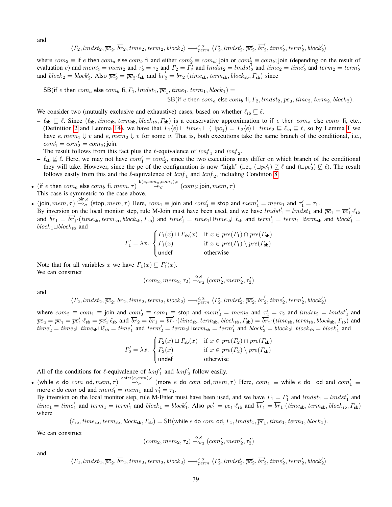and

$$
\langle \varGamma_2, lmdst_2, \overline{pc}_2, \overline{br}_2, time_2, term_2, block_2 \rangle \longrightarrow_{perm}^{\epsilon, \alpha} \langle \varGamma'_2, lmdst'_2, \overline{pc}'_2, \overline{br}'_2, time'_2, term'_2, block'_2 \rangle
$$

where  $com_2 \equiv$  if e then  $com_a$  else  $com_b$  fi and either  $com'_2 \equiv com_a$ ; join or  $com'_2 \equiv com_b$ ; join (depending on the result of evaluation e) and  $mem_2' = mem_2$  and  $\tau_2' = \tau_2$  and  $\tau_2 = \overline{r_2'}$  and  $lmdst_2 = lmdst_2'$  and  $time_2 = time_2'$  and  $term_2 = term_2'$ and  $block_2 = block'_2$ . Also  $\overline{pc}'_2 = \overline{pc}_2 \cdot \overline{\ell}_{sb}$  and  $\overline{br}'_2 = \overline{br}_2 \cdot (\overline{time}_{sb}, \overline{term}_{sb}, \overline{block}_{sb}, \overline{I}_{sb})$  since

 $\mathsf{SB}(\text{if } e \text{ then } com_a \text{ else } com_b \text{ fi}, \Gamma_1, lmdst_1, \overline{pc}_1, time_1, term_1, block_1) =$ 

 $\mathsf{SB}(\text{if } e \text{ then } com_a \text{ else } com_b \text{ fi}, \Gamma_2, lmdst_2, \overline{pc}_2, time_2, term_2, block_2).$ 

We consider two (mutually exclusive and exhaustive) cases, based on whether  $\ell_{sb} \sqsubseteq \ell$ .

- $-\ell_{sb} \subseteq \ell$ . Since  $(\ell_{sb}, time_{sb}, term_{sb}, block_{sb}, \Gamma_{sb})$  is a conservative approximation to if e then  $com_a$  else  $com_b$  fi, etc., (Definition [2](#page-29-0) and Lemma [14\)](#page-65-0), we have that  $\Gamma_1\langle e \rangle \sqcup time_1 \sqcup (\sqcup \overline{pc}_1) = \Gamma_2\langle e \rangle \sqcup time_2 \sqsubseteq \ell_{sb} \sqsubseteq \ell$ , so by Lemma [1](#page-37-1) we have  $e, mem_1 \Downarrow v$  and  $e, mem_2 \Downarrow v$  for some v. That is, both executions take the same branch of the conditional, i.e.,  $com'_1 = com'_2 = com_a; join.$ 
	- The result follows from this fact plus the  $\ell$ -equivalence of  $lcnf_1$  and  $lcnf_2$ .
- $-\ell_{sb} \not\sqsubseteq \ell$ . Here, we may not have  $com'_1 = com'_2$ , since the two executions may differ on which branch of the conditional they will take. However, since the pc of the configuration is now "high" (i.e.,  $(\sqcup \overline{pc}'_1) \not\sqsubseteq \ell$  and  $(\sqcup \overline{pc}'_2) \not\sqsubseteq \ell$ ). The result follows easily from this and the  $\ell$ -equivalence of  $lcnf_1$  and  $lcnf_2$ , including Condition [8.](#page-36-3)
- (if  $e$  then  $com_a$  else  $com_b$  fi,  $mem, \tau)$  $\stackrel{\mathsf{b}(e, com_a, com_b), \epsilon}{\rightarrow} (com_b; \text{join}, mem, \tau)$ This case is symmetric to the case above.
- (join, mem,  $\tau$ )  $\rightarrow \infty$  (stop, mem,  $\tau$ ) Here,  $com_1 \equiv$  join and  $com'_1 \equiv$  stop and  $mem'_1 = mem_1$  and  $\tau'_1 = \tau_1$ .<br>By inversion on the local monitor stap, rule M Join must have been used, and we have *leaded*  $\tau'_1 = l$ By inversion on the local monitor step, rule M-Join must have been used, and we have  $lmdst_1' = lmdst_1$  and  $\overline{pc}_1 = \overline{pc}_1' \cdot \ell_{sb}$ and  $\overline{br}_1 = \overline{br}_1' \cdot (time_{sb}, term_{sb}, block_{sb}, F_{sb})$  and  $time_1' = time_1 \sqcup time_{sb} \sqcup \ell_{sb}$  and  $term_1' = term_1 \sqcup term_{sb}$  and  $block_1' =$  $block_{1}$ L $block_{sb}$  and

$$
\Gamma_1' = \lambda x. \begin{cases} \Gamma_1(x) \sqcup \Gamma_{\text{sb}}(x) & \text{if } x \in \text{pre}(\Gamma_1) \cap \text{pre}(\Gamma_{\text{sb}}) \\ \Gamma_1(x) & \text{if } x \in \text{pre}(\Gamma_1) \setminus \text{pre}(\Gamma_{\text{sb}}) \\ \text{under} & \text{otherwise} \end{cases}
$$

Note that for all variables x we have  $\Gamma_1(x) \sqsubseteq \Gamma'_1(x)$ . We can construct

$$
(com_2, mem_2, \tau_2) \xrightarrow{\alpha, \epsilon} (com'_2, mem'_2, \tau'_2)
$$

and

$$
\langle \Gamma_2, lmdst_2, \overline{pc}_2, \overline{br}_2, time_2, term_2, block_2 \rangle \longrightarrow_{perm}^{\epsilon, \alpha} \langle \Gamma_2', lmdst_2', \overline{pc}_2', \overline{br}_2', time_2', term_2', block_2' \rangle
$$

where  $com_2 \equiv com_1 \equiv$  join and  $com'_2 \equiv com_1 \equiv$  stop and  $mem'_2 = mem_2$  and  $\tau'_2 = \tau_2$  and  $lmdst_2 = lmdst'_2$  and  $\overline{pc}_2 = \overline{pc}_1 - \overline{pc}_1' \cdot \ell_{sb} = \overline{pc}_2' \cdot \ell_{sb}$  and  $\overline{br}_2 = \overline{br}_1 - \overline{br}_1' \cdot (time_{sb}, term_{sb}, block_{sb}, \overline{ls}_b) = \overline{br}_2' \cdot (time_{sb}, term_{sb}, block_{sb}, \overline{ls}_b)$  and  $time'_2 = time_2 \sqcup time_{sb} \sqcup \ell_{sb} = time'_1$  and  $term'_2 = term_2 \sqcup term_{sb} = term'_1$  and  $block'_2 = block_2 \sqcup block_{sb} = block'_1$  and

$$
\Gamma_2' = \lambda x. \begin{cases} \Gamma_2(x) \sqcup \Gamma_{\text{sb}}(x) & \text{if } x \in \text{pre}(\Gamma_2) \cap \text{pre}(\Gamma_{\text{sb}}) \\ \Gamma_2(x) & \text{if } x \in \text{pre}(\Gamma_2) \setminus \text{pre}(\Gamma_{\text{sb}}) \\ \text{undefined} & \text{otherwise} \end{cases}
$$

All of the conditions for  $\ell$ -equivalence of  $lcnf'_1$  and  $lcnf'_2$  follow easily.

• (while e do com od, mem,  $\tau$ )  $\overset{\text{enter}(e, com)}{\rightarrow} \sigma$  (more e do com od, mem,  $\tau$ ) Here, com<sub>1</sub>  $\equiv$  while e do od and com'<sub>1</sub>  $\equiv$  more e do com od, mem,  $\tau$ ) Here, com<sub>1</sub>  $\equiv$  while e do od and com'<sub>1</sub> more *e* do *com* od and  $mem'_1 = mem_1$  and  $\tau'_1 = \tau_1$ .

By inversion on the local monitor step, rule M-Enter must have been used, and we have  $\Gamma_1 = \Gamma'_1$  and  $lmdst_1 = lmdst'_1$  and  $time_1 = time'_1$  and  $term_1 = term'_1$  and  $block_1 = block'_1$ . Also  $\overline{pc}'_1 = \overline{pc}_1 \cdot \ell_{sb}$  and  $\overline{br}'_1 = \overline{br}_1 \cdot (time_{sb}, term_{sb}, block_{sb}, F_{sb})$ where

 $(\ell_{\sf sb}, \textit{time}_{\sf sb}, \textit{term}_{\sf sb}, \textit{block}_{\sf sb}, \Gamma_{\sf sb}) = \sf{SB}(\textsf{while } e \textsf{ do } \textit{com } \textsf{ od}, \Gamma_1, \textit{lmdst}_1, \overline{pc}_1, \textit{time}_1, \textit{term}_1, \textit{block}_1).$ 

We can construct

$$
(com_2, mem_2, \tau_2) \stackrel{\alpha, \epsilon}{\rightarrow}_{\sigma_2} (com'_2, mem'_2, \tau'_2)
$$

and

$$
\langle \Gamma_2, lmdst_2, \overline{pc}_2, \overline{br}_2, time_2, term_2, block_2 \rangle \longrightarrow_{perm}^{\epsilon, \alpha} \langle \Gamma_2', lmdst_2', \overline{pc}_2', \overline{br}_2', time_2', term_2', block_2' \rangle
$$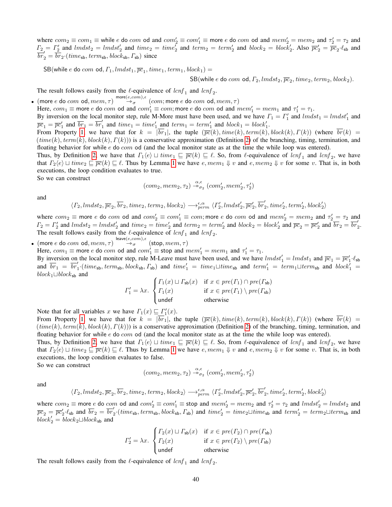where  $com_2 \equiv com_1 \equiv$  while e do com od and  $com'_2 \equiv com'_1 \equiv$  more e do com od and  $mem'_2 = mem_2$  and  $\tau'_2 = \tau_2$  and  $\Gamma_2 = \Gamma'_2$  and  $lmdst_2 = lmdst'_2$  and  $time_2 = time_2$  and  $term_2 = term_2$  and  $block_2 = block_2'$ . Also  $\overline{pc}'_2 = \overline{pc}_2 \cdot \ell_{sb}$  and  $\frac{z}{br_2} = \frac{z}{br_2} (time_{sb}, term_{sb}, block_{sb}, F_{sb})$  since

 $\mathsf{SB}(\mathsf{while}~e~\mathsf{do}~com~\mathsf{od},\Gamma_1, lmdst_1,\overline{pc}_1, time_1, term_1, block_1) =$ 

 ${\sf SB}(\textsf{while }e\textsf{ do }\textit{com} \textsf{ od}, \varGamma_2, \mathit{lmdst}_2, \overline{pc}_2, \mathit{time}_2, \mathit{term}_2, \mathit{block}_2).$ 

The result follows easily from the  $\ell$ -equivalence of  $lcnf_1$  and  $lcnf_2$ .

• (more e do com od,  $mem, \tau$ )  $\rightarrow_{\sigma}^{more(e, com), \epsilon} (com; more e$  do com od,  $mem, \tau$ )

Here,  $com_1 \equiv$  more e do  $com$  od and  $com'_1 \equiv com;$  more e do  $com$  od and  $mem'_1 = mem_1$  and  $\tau'_1 = \tau_1$ .

By inversion on the local monitor step, rule M-More must have been used, and we have  $\Gamma_1 = \Gamma'_1$  and  $lmdst_1 = lmdst'_1$  and  $\overline{pc}_1 = \overline{pc}'_1$  and  $\overline{br}_1 = \overline{br}'_1$  and  $time_1 = time'_1$  and  $term_1 = term'_1$  and  $block_1 = block'_1$ .

From Property [1,](#page-31-9) we have that for  $k = |br_1|$ , the tuple  $(\overline{pc}(k), time(k), term(k), block(k), \Gamma(k))$  (where  $br(k) =$  $(time(k), term(k), block(k), \Gamma(k))$  is a conservative approximation (Definition [2\)](#page-29-0) of the branching, timing, termination, and floating behavior for while e do com od (and the local monitor state as at the time the while loop was entered).

Thus, by Definition [2,](#page-29-0) we have that  $\Gamma_1\langle e \rangle \sqcup time_1 \sqsubseteq \overline{pc}(k) \sqsubseteq \ell$ . So, from  $\ell$ -equivalence of  $lcnf_1$  and  $lcnf_2$ , we have that  $\Gamma_2(e) \sqcup \text{time}_2 \sqsubseteq \overline{pc}(k) \sqsubseteq \ell$ . Thus by Lemma [1](#page-37-1) we have  $e, mem_1 \Downarrow v$  and  $e, mem_2 \Downarrow v$  for some v. That is, in both executions, the loop condition evaluates to true.

So we can construct

$$
(com_2, mem_2, \tau_2) \stackrel{\alpha, \epsilon}{\rightarrow}_{\sigma_2} (com'_2, mem'_2, \tau'_2)
$$

and

$$
\langle \Gamma_2, lmdst_2, \overline{pc}_2, \overline{br}_2, time_2, term_2, block_2 \rangle \longrightarrow_{perm}^{\epsilon, \alpha} \langle \Gamma_2', lmdst_2', \overline{pc}_2', \overline{br}_2', time_2', term_2', block_2' \rangle
$$

where  $com_2 \equiv$  more e do com od and  $com'_2 \equiv com'_1 \equiv com;$  more e do com od and  $mem'_2 = mem_2$  and  $\tau'_2 = \tau_2$  and  $\Gamma_2 = \Gamma'_2$  and  $lmdst_2 = lmdst'_2$  and  $time_2 = \overline{time'_2}$  and  $term_2 = term'_2$  and  $block_2 = block'_2$  and  $\overline{pc}_2 = \overline{pc'_2}$  and  $\overline{br}_2 = \overline{br'_2}$ . The result follows easily from the  $\ell$ -equivalence of  $lcnf_1$  and  $lcnf_2$ .

• (more e do com od, mem,  $\tau$ )  $\overset{\text{leave}(e, com), \epsilon}{\rightarrow} (\text{stop}, mem, \tau)$ <br>Here, some  $\tau$  more s do som od and som'  $\tau$  stop and s

Here,  $com_1 \equiv$  more  $e$  do  $com$  od and  $com'_1 \equiv$  stop and  $mem'_1 = mem_1$  and  $\tau'_1 = \tau_1$ . By inversion on the local monitor step, rule M-Leave must have been used, and we have  $lmdst_1' = lmdst_1$  and  $\overline{pc}_1 = \overline{pc}_1' \cdot \ell_{sb}$ and  $\overline{br_1} = \overline{br'_1} \cdot (time_{sb}, term_{sb}, block_{sb}, F_{sb})$  and  $time'_1 = time_1 \sqcup time_{sb}$  and  $term'_1 = term_1 \sqcup term_{sb}$  and  $block'_1 =$  $block_1 \sqcup block_{sb}$  and

$$
\Gamma_1' = \lambda x. \begin{cases} \Gamma_1(x) \sqcup \Gamma_{\mathsf{sb}}(x) & \text{if } x \in \text{pre}(\Gamma_1) \cap \text{pre}(\Gamma_{\mathsf{sb}}) \\ \Gamma_1(x) & \text{if } x \in \text{pre}(\Gamma_1) \setminus \text{pre}(\Gamma_{\mathsf{sb}}) \\ \text{undef} & \text{otherwise} \end{cases}
$$

Note that for all variables x we have  $\Gamma_1(x) \sqsubseteq \Gamma'_1(x)$ .

From Property [1,](#page-31-9) we have that for  $k = |br_1|$ , the tuple  $(\overline{pc}(k), time(k), term(k), block(k), \Gamma(k))$  (where  $br(k) =$  $(time(k), term(k), block(k), \Gamma(k))$  is a conservative approximation (Definition [2\)](#page-29-0) of the branching, timing, termination, and floating behavior for while e do com od (and the local monitor state as at the time the while loop was entered).

Thus, by Definition [2,](#page-29-0) we have that  $\Gamma_1\langle e \rangle \sqcup time_1 \sqsubseteq \overline{pc}(k) \sqsubseteq \ell$ . So, from  $\ell$ -equivalence of  $lcnf_1$  and  $lcnf_2$ , we have that  $\Gamma_2\langle e \rangle \sqcup \text{time}_2 \sqsubseteq \overline{pc}(k) \sqsubseteq \ell$ . Thus by Lemma [1](#page-37-1) we have  $e, mem_1 \Downarrow v$  and  $e, mem_2 \Downarrow v$  for some v. That is, in both executions, the loop condition evaluates to false.

So we can construct

$$
(com_2, mem_2, \tau_2) \xrightarrow{\alpha, \epsilon} (com'_2, mem'_2, \tau'_2)
$$

and

$$
\langle \Gamma_2, lmdst_2, \overline{pc}_2, \overline{br}_2, time_2, term_2, block_2 \rangle \longrightarrow_{perm}^{\epsilon, \alpha} \langle \Gamma_2', lmdst_2', \overline{pc}_2', \overline{br}_2', time_2', term_2', block_2' \rangle
$$

where  $com_2 \equiv$  more e do com od and  $com'_2 \equiv com'_1 \equiv$  stop and  $mem'_2 = mem_2$  and  $\tau'_2 = \tau_2$  and  $lmdst'_2 = lmdst_2$  and  $\overline{pc}_2 = \overline{pc}'_2 \cdot \overline{\ell}_{sb}$  and  $\overline{br}_2 = \overline{br}'_2 \cdot (times_{sb}, term_{sb}, block_{sb}, T_{sb})$  and  $time'_2 = time_2 \sqcup time_{sb}$  and  $term'_2 = term_2 \sqcup term_{sb}$  and  $block'_2 = block_2 \sqcup block_{sb}$  and

$$
\Gamma_2' = \lambda x. \begin{cases} \Gamma_2(x) \sqcup \Gamma_{\text{sb}}(x) & \text{if } x \in \text{pre}(\Gamma_2) \cap \text{pre}(\Gamma_{\text{sb}}) \\ \Gamma_2(x) & \text{if } x \in \text{pre}(\Gamma_2) \setminus \text{pre}(\Gamma_{\text{sb}}) \\ \text{undef} & \text{otherwise} \end{cases}
$$

The result follows easily from the  $\ell$ -equivalence of  $lcnf_1$  and  $lcnf_2$ .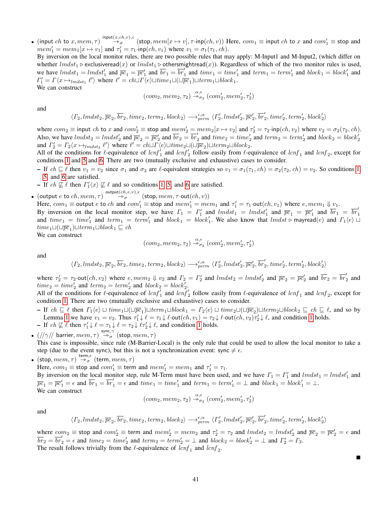• (input ch to x, mem, τ ) input(x,ch,v), \_<sup>σ</sup> (stop, mem[<sup>x</sup> 7→ <sup>v</sup>], τ ·inp(ch, v)) Here, com<sup>1</sup> <sup>≡</sup> input ch to <sup>x</sup> and com<sup>0</sup> <sup>1</sup> ≡ stop and  $mem'_1 = mem_1[x \mapsto v_1]$  and  $\tau'_1 = \tau_1 \cdot inp(ch, v_1)$  where  $v_1 = \sigma_1(\tau_1, ch)$ .

By inversion on the local monitor rules, there are two possible rules that may apply: M-Input1 and M-Input2, (which differ on whether  $lmdst_1 \triangleright$  exclusiveread(x) or  $lmdst_1 \triangleright$  othersmightread(x)). Regardless of which of the two monitor rules is used, we have  $lmdst_1 = lmdst'_1$  and  $\overline{pc}_1 = \overline{pc}'_1$  and  $\overline{br}_1 = \overline{br''_1}$  and  $time_1 = time'_1$  and  $term_1 = term'_1$  and  $block_1 = block'_1$  and  $\Gamma'_1 = \Gamma \langle x \mapsto_{lmdst_1} \ell' \rangle$  where  $\ell' = ch \sqcup \Gamma \langle e \rangle \sqcup time_1 \sqcup (\sqcup \overline{pc}_1) \sqcup term_1 \sqcup block_1$ . We can construct

$$
(com_2, mem_2, \tau_2) \stackrel{\alpha, \epsilon}{\rightarrow}_{\sigma_2} (com'_2, mem'_2, \tau'_2)
$$

and

$$
\langle \Gamma_2, lmdst_2, \overline{pc}_2, \overline{br}_2, time_2, term_2, block_2 \rangle \longrightarrow_{perm}^{\epsilon, \alpha} \langle \Gamma_2', lmdst_2', \overline{pc}_2', \overline{br}_2', time_2', term_2', block_2' \rangle
$$

where  $com_2 \equiv \text{input } ch$  to x and  $com'_2 \equiv \text{stop and } mem'_2 = mem_2[x \mapsto v_2]$  and  $\tau'_2 = \tau_2 \cdot \text{inp}(ch, v_2)$  where  $v_2 = \sigma_2(\tau_2, ch)$ . Also, we have  $lmdst_2 = lmdst'_2$  and  $\overline{pc}_2 = \overline{pc}'_2$  and  $\overline{br}_2 = \overline{br}'_2$  and  $time_2 = time'_2$  and  $term_2 = term'_2$  and  $block_2 = block'_2$ and  $\Gamma'_2 = \Gamma_2 \langle x \mapsto_{lmdst_2} \ell' \rangle$  where  $\ell' = ch \sqcup \Gamma \langle e \rangle \sqcup time_2 \sqcup (\sqcup \overline{pc}_2) \sqcup term_2 \sqcup block_2$ .

All of the conditions for  $\ell$ -equivalence of  $lcnf'_1$  and  $lcnf'_2$  follow easily from  $\ell$ -equivalence of  $lcnf_1$  and  $lcnf_2$ , except for conditions [1](#page-36-4) and [5](#page-36-0) and [6.](#page-36-1) There are two (mutually exclusive and exhaustive) cases to consider.

- If  $ch \sqsubseteq \ell$  then  $v_1 = v_2$  since  $\sigma_1$  and  $\sigma_2$  are  $\ell$ -equivalent strategies so  $v_1 = \sigma_1(\tau_1, ch) = \sigma_2(\tau_2, ch) = v_2$ . So conditions [1,](#page-36-4) [5,](#page-36-0) and [6](#page-36-1) are satisfied.
- If  $ch \not\sqsubseteq \ell$  then  $\Gamma'_1\langle x \rangle \not\sqsubseteq \ell$  and so conditions [1,](#page-36-4) [5,](#page-36-0) and [6](#page-36-1) are satisfied.

• (output *e* to *ch*, 
$$
mem, \tau
$$
)<sup>output</sup> $(ch, e, v)$ , <sup>$\epsilon$</sup>   
•  $\rightarrow_{\sigma}$  (stop,  $mem, \tau$ -out(*ch*, *v*))

(output e to ch, mem,  $\tau$ )  $\xrightarrow{\rightarrow} \sigma$  (stop, mem,  $\tau$ ·out(ch, v))<br>Here, com<sub>1</sub>  $\equiv$  output e to ch and com'<sub>1</sub>  $\equiv$  stop and mem'<sub>1</sub>  $=$  mem<sub>1</sub> and  $\tau'_{1} = \tau_{1}$ ·out(ch, v<sub>1</sub>) where e, mem<sub>1</sub>  $\Downarrow$  v<sub>1</sub>.

By inversion on the local monitor step, we have  $\Gamma_1 = \Gamma_1'$  and  $lmdst_1 = lmdst_1'$  and  $\overline{pc}_1 = \overline{pc}_1'$  and  $\overline{br}_1 = \overline{br_1'}$ and  $time_1 = time'_1$  and  $term_1 = term'_1$  and  $block_1 = block'_1$ . We also know that  $lmdst \triangleright$  mayread $(e)$  and  $\Gamma_1\langle e \rangle \square$  $time_1 \sqcup (\sqcup \overline{pc}_1) \sqcup term_1 \sqcup block_1 \sqsubseteq ch$ 

We can construct

$$
(com_2, mem_2, \tau_2) \xrightarrow{\alpha, \epsilon} (com'_2, mem'_2, \tau'_2)
$$

and

$$
\langle \varGamma_2, lmdst_2, \overline{pc}_2, \overline{br}_2, time_2, term_2, block_2 \rangle \longrightarrow_{perm}^{\epsilon, \alpha} \langle \varGamma_2', lmdst_2', \overline{pc}_2', \overline{br}_2', time_2', term_2', block_2' \rangle
$$

where  $\tau'_2 = \tau_2$  out $(ch, v_2)$  where  $e, mem_2 \Downarrow v_2$  and  $\Gamma_2 = \Gamma'_2$  and  $lmdst_2 = lmdst'_2$  and  $\overline{pc}_2 = \overline{pc}'_2$  and  $\overline{br}_2 = \overline{br}'_2$  and  $time_2 = time'_2$  and  $term_2 = term'_2$  and  $block_2 = block'_2$ .

All of the conditions for  $\ell$ -equivalence of  $lcnf'_1$  and  $lcnf'_2$  follow easily from  $\ell$ -equivalence of  $lcnf_1$  and  $lcnf_2$ , except for condition [1.](#page-36-4) There are two (mutually exclusive and exhaustive) cases to consider.

- If  $ch \sqsubseteq \ell$  then  $\Gamma_1 \langle e \rangle \sqcup time_1 \sqcup (\sqcup \overline{pc}_1) \sqcup term_1 \sqcup block_1 = \Gamma_2 \langle e \rangle \sqcup time_2 \sqcup (\sqcup \overline{pc}_2) \sqcup term_2 \sqcup block_2 \sqsubseteq ch \sqsubseteq \ell$ , and so by Lemma [1](#page-36-4) we have  $v_1 = v_2$ . Thus  $\tau'_1 \downarrow \ell = \tau_1 \downarrow \ell$  out $(ch, v_1) = \tau_2 \downarrow \ell$  out $(ch, v_2) \tau'_2 \downarrow \ell$ , and condition 1 holds.
- If  $ch \not\sqsubseteq \ell$  then  $\tau'_1 \downarrow \ell = \tau_1 \downarrow \ell = \tau_2 \downarrow \ell \tau'_2 \downarrow \ell$ , and condition [1](#page-36-4) holds.
- $(|/\gamma|)$  barrier,  $mem, \tau$   $\rightarrow_{\sigma}^{sync, \gamma}$  (stop,  $mem, \tau$ )<br>This case is impossible, since rule (M Barrier

This case is impossible, since rule (M-Barrier-Local) is the only rule that could be used to allow the local monitor to take a step (due to the event sync), but this is not a synchronization event: sync  $\neq \epsilon$ .

• (stop,  $mem, \tau$ )  $\rightarrow_{\sigma}^{term,\epsilon}$  (term,  $mem, \tau$ )<br>Here,  $com = \tau$  top, and  $com' = \tau$ 

Here,  $com_1 \equiv \text{stop and } com'_1 \equiv \text{term and } mem'_1 = mem_1$  and  $\tau'_1 = \tau_1$ .

By inversion on the local monitor step, rule M-Term must have been used, and we have  $\Gamma_1 = \Gamma'_1$  and  $lmdst_1 = lmdst'_1$  and  $\overline{pc}_1 = \overline{pc}'_1 = \epsilon$  and  $\overline{br}_1 = \overline{br}'_1 = \epsilon$  and  $time_1 = time'_1$  and  $term_1 = term'_1 = \bot$  and  $block_1 = block_1 = \bot$ . We can construct

$$
(com_2, mem_2, \tau_2) \xrightarrow{\alpha, \epsilon} (com'_2, mem'_2, \tau'_2)
$$

and

$$
\langle \varGamma_2, lmdst_2, \overline{pc}_2, \overline{br}_2, time_2, term_2, block_2 \rangle \longrightarrow_{perm}^{\epsilon, \alpha} \langle \varGamma'_2, lmdst'_2, \overline{pc}'_2, \overline{br}'_2, time'_2, term'_2, block'_2 \rangle
$$

where  $com_2 \equiv$  stop and  $com'_2 \equiv$  term and  $mem'_2 = mem_2$  and  $\tau'_2 = \tau_2$  and  $lmdst_2 = lmdst'_2$  and  $\overline{pc}_2 = \overline{pc}'_2 = \epsilon$  and  $\overline{br_2} = \overline{br'_2} = \epsilon$  and  $time_2 = time'_2$  and  $term_2 = term'_2 = \bot$  and  $block_2 = block'_2 = \bot$  and  $\Gamma'_2 = \Gamma_2$ . The result follows trivially from the  $\ell$ -equivalence of  $lcnf_1$  and  $lcnf_2$ .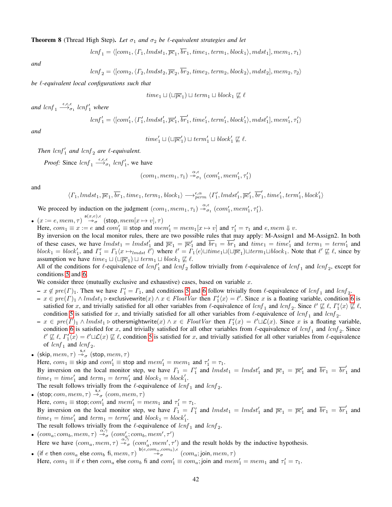<span id="page-42-0"></span>**Theorem 8** (Thread High Step). Let  $\sigma_1$  and  $\sigma_2$  be  $\ell$ -equivalent strategies and let

$$
lcnf_1 = \langle [com_1, \langle \Gamma_1, lmdst_1, \overline{pc}_1, \overline{br}_1, time_1, term_1, block_1 \rangle, mdst_1], mem_1, \tau_1 \rangle
$$

*and*

$$
lcnf_2 = \langle [com_2, \langle \Gamma_2, Imdst_2, \overline{pc}_2, \overline{br}_2, time_2, term_2, block_2), mdst_2], mem_2, \tau_2 \rangle
$$

*be* `*-equivalent local configurations such that*

$$
time_1 \sqcup (\sqcup \overline{pc}_1) \sqcup term_1 \sqcup block_1 \not\sqsubseteq \ell
$$

and  $\text{lenf}_1 \stackrel{\epsilon, \epsilon, \epsilon}{\longrightarrow}_{\sigma_1} \text{lenf}'_1$  where

$$
\mathit{lcnf}_1' = \langle [\mathit{com}_1', \langle \mathit{\Gamma}_1', \mathit{lmdst}_1', \overline{\mathit{pc}}_1', \overline{\mathit{br}}_1', \mathit{time}_1', \mathit{term}_1', \mathit{block}_1' \rangle, \mathit{mdst}_1'], \mathit{mem}_1', \tau_1' \rangle
$$

*and*

 $time'_1 \sqcup (\sqcup \overline{pc}'_1) \sqcup term'_1 \sqcup block'_1 \not\sqsubseteq \ell.$ 

*Then*  $lcnf'_1$  and  $lcnf_2$  are  $l$ -equivalent.

*Proof:* Since  $lcnf_1 \stackrel{\epsilon,\epsilon,\epsilon}{\longrightarrow} \sigma_1 lcnf_1'$ , we have

$$
(com_1, mem_1, \tau_1) \stackrel{\alpha,\epsilon}{\rightarrow}_{\sigma_1} (com'_1, mem'_1, \tau'_1)
$$

and

$$
\langle \varGamma_1, lmdst_1, \overline{pc}_1, \overline{br}_1, time_1, term_1, block_1 \rangle \longrightarrow_{perm}^{\epsilon, \alpha} \langle \varGamma'_1, lmdst'_1, \overline{pc}'_1, \overline{br}'_1, time'_1, term'_1, block'_1 \rangle
$$

We proceed by induction on the judgment  $(com_1, mem_1, \tau_1) \stackrel{\alpha, \epsilon}{\rightarrow} \sigma$  $\stackrel{\alpha,\epsilon}{\rightarrow}_{\sigma_1} (com'_1,mem'_1, \tau'_1).$ 

•  $(x := e, mem, \tau) \stackrel{a(x,e), \epsilon}{\rightarrow \sigma} (\text{stop}, mem[x \mapsto v], \tau)$ <br>Here,  $aom = x = e$  and  $aom' = \text{stop}$  and me

Here,  $com_1 \equiv x := e$  and  $com'_1 \equiv \text{stop and } mem'_1 = mem_1[x \mapsto v]$  and  $\tau'_1 = \tau_1$  and  $e, mem \Downarrow v$ .

By inversion on the local monitor rules, there are two possible rules that may apply: M-Assign1 and M-Assign2. In both of these cases, we have  $lmdst_1 = lmdst'_1$  and  $\overline{pc}_1 = \overline{pc}'_1$  and  $\overline{br}_1 = \overline{br}'_1$  and  $time_1 = time'_1$  and  $term_1 = term'_1$  and  $block_1 = block'_1$ , and  $\Gamma'_1 = \Gamma_1 \langle x \mapsto_{lmdst} \ell' \rangle$  where  $\ell' = \Gamma_1 \langle e \rangle \sqcup time_1 \sqcup (\sqcup \overline{pc}_1) \sqcup term_1 \sqcup block_1$ . Note that  $\ell' \not\sqsubseteq \ell$ , since by assumption we have  $time_1 \sqcup (\sqcup \overline{pc}_1) \sqcup term_1 \sqcup block_1 \not\sqsubseteq \ell$ .

All of the conditions for  $\ell$ -equivalence of  $lcnf'_1$  and  $lcnf_2$  follow trivially from  $\ell$ -equivalence of  $lcnf_1$  and  $lcnf_2$ , except for conditions [5](#page-36-0) and [6.](#page-36-1)

We consider three (mutually exclusive and exhaustive) cases, based on variable  $x$ .

- $x \notin pre(\Gamma)_1$ . Then we have  $\Gamma'_1 = \Gamma_1$ , and conditions [5](#page-36-0) and [6](#page-36-1) follow trivially from  $\ell$ -equivalence of  $lcnf_1$  and  $lcnf_2$ .
- $x \in pre(\Gamma)_{1} \wedge lmdst_{1} \triangleright$  exclusivewrite $(x) \wedge x \in FloatVar$  then  $\Gamma'_{1}\langle x \rangle = \ell'$ . Since x is a floating variable, condition [6](#page-36-1) is satisfied for x, and trivially satisfied for all other variables from  $\ell$ -equivalence of  $lcnf_1$  and  $lcnf_2$ . Since  $\ell' \not\sqsubseteq \ell$ ,  $\Gamma'_1\langle x \rangle \not\sqsubseteq \ell$ , condition [5](#page-36-0) is satisfied for x, and trivially satisfied for all other variables from  $\ell$ -equivalence of  $lcnf_1$  and  $lcnf_2$ .
- $x \in pre(\Gamma)_1 \wedge \text{lmdst}_1 \triangleright \text{otherwise}(x) \wedge x \in \text{FloatVar}$  then  $\Gamma'_1(x) = \ell' \sqcup \mathcal{L}(x)$ . Since x is a floating variable, condition [6](#page-36-1) is satisfied for x, and trivially satisfied for all other variables from  $\ell$ -equivalence of  $lcnf_1$  and  $lcnf_2$ . Since  $\ell' \not\sqsubseteq \ell$ ,  $\Gamma'_1\langle x \rangle = \ell' \sqcup \mathcal{L}(x) \not\sqsubseteq \ell$ , condition [5](#page-36-0) is satisfied for x, and trivially satisfied for all other variables from  $\ell$ -equivalence of  $lcnf_1$  and  $lcnf_2$ .
- (skip,  $mem, \tau$ )  $\stackrel{s,\epsilon}{\rightarrow} \sigma$  (stop,  $mem, \tau$ )<br>Here,  $com, \tau$  skip, and  $com' = \epsilon t$

Here,  $com_1 \equiv$  skip and  $com'_1 \equiv$  stop and  $mem'_1 = mem_1$  and  $\tau'_1 = \tau_1$ . By inversion on the local monitor step, we have  $\Gamma_1 = \Gamma_1'$  and  $lmdst_1 = lmdst_1'$  and  $\overline{pc}_1 = \overline{pc}_1'$  and  $\overline{br}_1 = \overline{br}_1'$  and  $time_1 = time'_1$  and  $term_1 = term'_1$  and  $block_1 = block'_1$ .

The result follows trivially from the  $\ell$ -equivalence of  $lcnf_1$  and  $lcnf_2$ .

- (stop; com, mem,  $\tau$ )  $\rightarrow_{\sigma}^{s,\epsilon}$  (com, mem,  $\tau$ ) Here,  $com_1 \equiv \text{stop}; com'_1 \text{ and } mem'_1 = mem_1 \text{ and } \tau'_1 = \tau_1$ . By inversion on the local monitor step, we have  $\Gamma_1 = \Gamma_1'$  and  $lmdst_1 = lmdst_1'$  and  $\overline{pc}_1 = \overline{pc}_1'$  and  $\overline{br}_1 = \overline{br}_1'$  and  $time_1 = time'_1$  and  $term_1 = term'_1$  and  $block_1 = block'_1$ . The result follows trivially from the  $\ell$ -equivalence of  $lcnf_1$  and  $lcnf_2$ .
- $(\textit{com}_a; \textit{com}_b, \textit{mem}, \tau) \stackrel{\alpha, \gamma}{\rightarrow}_{\sigma} (\textit{com}_a^{\prime}; \textit{com}_b, \textit{mem}^{\prime}, \tau^{\prime})$ Here we have  $(com_a, mem, \tau) \stackrel{\alpha, \gamma}{\rightarrow} (com'_a, mem', \tau')$  and the result holds by the inductive hypothesis.
- (if e then  $com_a$  else  $com_b$  fi,  $mem, \tau$ )  $\stackrel{b(e, com_a, com_b), \epsilon}{\rightarrow} (com_a; join, mem, \tau)$ <br>Here  $com_a =$  if a then some olso some fi and som' = some ioin and more Here,  $com_1 \equiv \text{if } e \text{ then } com_a$  else  $com_b$  fi and  $com'_1 \equiv com_a; \text{join and } mem'_1 = mem_1$  and  $\tau'_1 = \tau_1$ .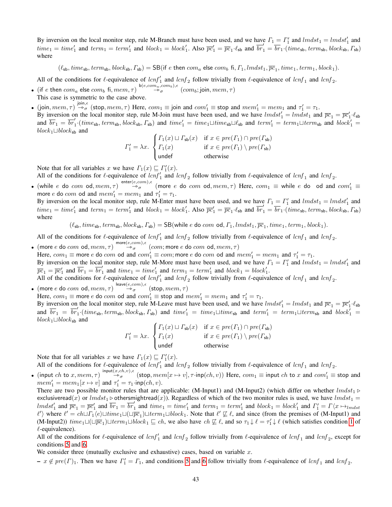By inversion on the local monitor step, rule M-Branch must have been used, and we have  $\Gamma_1 = \Gamma'_1$  and  $lmdst_1 = lmdst'_1$  and  $time_1 = time'_1$  and  $term_1 = term'_1$  and  $block_1 = block'_1$ . Also  $\overline{pc}'_1 = \overline{pc}_1 \cdot \ell_{sb}$  and  $\overline{br}'_1 = \overline{br}_1 \cdot (time_{sb}, term_{sb}, block_{sb}, F_{sb})$ where

 $(\ell_{\sf sb}, time_{\sf sb}, term_{\sf sb}, block_{\sf sb}, \Gamma_{\sf sb}) = {\sf SB}(\text{if } e \text{ then } com_a \text{ else } com_b \text{ fi}, \Gamma_1, lmdst_1, \overline{pc}_1, time_1, term_1, block_1).$ 

All of the conditions for  $\ell$ -equivalence of  $lcnf'_1$  and  $lcnf_2$  follow trivially from  $\ell$ -equivalence of  $lcnf_1$  and  $lcnf_2$ .

• (if e then  $com_a$  else  $com_b$  fi,  $mem, \tau$ )  $\stackrel{b(e, com_a, com_b), \epsilon}{\rightarrow}$   $(com_b; join, mem, \tau)$ <br>This case is symmetric to the case above This case is symmetric to the case above.

• (join, mem,  $\tau$ )  $\rightarrow \infty$  (stop, mem,  $\tau$ ) Here,  $com_1 \equiv$  join and  $com'_1 \equiv$  stop and  $mem'_1 = mem_1$  and  $\tau'_1 = \tau_1$ .<br>By inversion on the local monitor stap, rule M Join must have been used, and we have *leaded*  $\tau'_1 = lmdet$ , an By inversion on the local monitor step, rule M-Join must have been used, and we have  $lmdst_1' = lmdst_1$  and  $\overline{pc}_1 = \overline{pc}_1' \cdot \ell_{sb}$ and  $\overline{br}_1 = \overline{br}_1' \cdot (time_{sb}, term_{sb}, block_{sb}, F_{sb})$  and  $time_1' = time_1 \sqcup time_{sb} \sqcup \ell_{sb}$  and  $term_1' = term_1 \sqcup term_{sb}$  and  $block_1' =$ 

$$
\varGamma_1' = \lambda x. \begin{cases} \varGamma_1(x) \sqcup \varGamma_{\mathsf{sb}}(x) & \text{if } x \in \mathit{pre}(\varGamma_1) \cap \mathit{pre}(\varGamma_{\mathsf{sb}}) \\ \varGamma_1(x) & \text{if } x \in \mathit{pre}(\varGamma_1) \setminus \mathit{pre}(\varGamma_{\mathsf{sb}}) \\ \text{under} & \text{otherwise} \end{cases}
$$

Note that for all variables x we have  $\Gamma_1(x) \sqsubseteq \Gamma'_1(x)$ .

 $block_{1}$ L $block_{sb}$  and

All of the conditions for  $\ell$ -equivalence of  $lcnf'_1$  and  $lcnf_2$  follow trivially from  $\ell$ -equivalence of  $lcnf_1$  and  $lcnf_2$ .

• (while e do com od, mem,  $\tau$ )  $\rightarrow_{\sigma}^{\text{enter}(e, com)}$ , (more e do com od, mem,  $\tau$ ) Here, com<sub>1</sub>  $\equiv$  while e do od and com'<sub>1</sub>  $\equiv$  more e do com od and mem'<sub>1</sub> = mem, and  $\tau' = \tau$ . more *e* do *com* od and  $mem'_1 = mem_1$  and  $\tau'_1 = \tau_1$ . By inversion on the local monitor step, rule M-Enter must have been used, and we have  $\Gamma_1 = \Gamma'_1$  and  $lmdst_1 = lmdst'_1$  and

 $time_1 = time'_1$  and  $term_1 = term'_1$  and  $block_1 = block'_1$ . Also  $\overline{pc}'_1 = \overline{pc}_1 \cdot \ell_{sb}$  and  $\overline{br}'_1 = \overline{br}_1 \cdot (time_{sb}, term_{sb}, block_{sb}, F_{sb})$ where

 $(\ell_{\sf sb}, \textit{time}_{\sf sb}, \textit{term}_{\sf sb}, \textit{block}_{\sf sb}, \Gamma_{\sf sb}) = \sf{SB}(\textsf{while }e\textsf{ do }\textit{com }\textsf{ od}, \Gamma_1, \textit{lmdst}_1, \overline{pc}_1, \textit{time}_1, \textit{term}_1, \textit{block}_1).$ 

All of the conditions for  $\ell$ -equivalence of  $lcnf'_1$  and  $lcnf_2$  follow trivially from  $\ell$ -equivalence of  $lcnf_1$  and  $lcnf_2$ .

- (more e do com od, mem,  $\tau$ ) more(e,com), $\epsilon$  (com; more e do com od, mem,  $\tau$ ) Here,  $com_1 \equiv$  more e do com od and  $com'_1 \equiv com$ ; more e do com od and  $mem'_1 = mem_1$  and  $\tau'_1 = \tau_1$ . By inversion on the local monitor step, rule M-More must have been used, and we have  $\Gamma_1 = \Gamma'_1$  and  $lmdst_1 = lmdst'_1$  and  $\overline{pc}_1 = \overline{pc}'_1$  and  $\overline{br}_1 = \overline{br}'_1$  and  $time_1 = time'_1$  and  $term_1 = term'_1$  and  $block_1 = block'_1$ . All of the conditions for  $\ell$ -equivalence of  $lcnf'_1$  and  $lcnf_2$  follow trivially from  $\ell$ -equivalence of  $lcnf_1$  and  $lcnf_2$ .
- (more e do com od, mem,  $\tau$ )  $\overset{\text{leave}(e, com), \epsilon}{\rightarrow} (\text{stop}, mem, \tau)$ <br>Here, some  $\tau$  more s do som od and som'  $\tau$  stop and s Here,  $com_1 \equiv$  more e do  $com$  od and  $com'_1 \equiv$  stop and  $mem'_1 = mem_1$  and  $\tau'_1 = \tau_1$ . By inversion on the local monitor step, rule M-Leave must have been used, and we have  $lmdst_1' = lmdst_1$  and  $\overline{pc}_1 = \overline{pc}_1' \cdot \ell_{sb}$ and  $\overline{br}_1 = \overline{br}_1'$  (time<sub>sb</sub>, term<sub>sb</sub>, block<sub>sb</sub>,  $\Gamma_{sb}$ ) and time'<sub>1</sub> = time<sub>1</sub> $\sqcup$ time<sub>sb</sub> and term'<sub>1</sub> = term<sub>1</sub> $\sqcup$ term<sub>sb</sub> and block'<sub>1</sub> =  $block_1 \sqcup block_{sb}$  and

$$
\varGamma_1' = \lambda x. \begin{cases} \varGamma_1(x) \sqcup \varGamma_{\mathsf{sb}}(x) & \text{if } x \in \mathit{pre}(\varGamma_1) \cap \mathit{pre}(\varGamma_{\mathsf{sb}}) \\ \varGamma_1(x) & \text{if } x \in \mathit{pre}(\varGamma_1) \setminus \mathit{pre}(\varGamma_{\mathsf{sb}}) \\ \text{under} & \text{otherwise} \end{cases}
$$

Note that for all variables x we have  $\Gamma_1(x) \sqsubseteq \Gamma'_1(x)$ .

All of the conditions for  $\ell$ -equivalence of  $lcnf'_1$  and  $lcnf_2$  follow trivially from  $\ell$ -equivalence of  $lcnf_1$  and  $lcnf_2$ .

• (input ch to x, mem, τ ) input(x,ch,v), \_<sup>σ</sup> (stop, mem[<sup>x</sup> 7→ <sup>v</sup>], τ ·inp(ch, v)) Here, com<sup>1</sup> <sup>≡</sup> input ch to <sup>x</sup> and com<sup>0</sup> <sup>1</sup> ≡ stop and  $mem'_1 = mem_1[x \mapsto v]$  and  $\tau'_1 = \tau_1 \cdot inp(ch, v)$ .

There are two possible monitor rules that are applicable: (M-Input1) and (M-Input2) (which differ on whether  $lmdst_1 \triangleright$ exclusiveread(x) or  $lmdst_1 \triangleright$  othersmightread(x)). Regardless of which of the two monitor rules is used, we have  $lmdst_1$  = lmdst'<sub>1</sub> and  $\overline{pc}_1 = \overline{pc}'_1$  and  $\overline{br}_1 = \overline{br}'_1$  and  $time_1 = time'_1$  and  $term_1 = term'_1$  and  $block_1 = block'_1$  and  $\Gamma'_1 = \Gamma \langle x \mapsto_{lmdst} \rangle$  $\ell'$  where  $\ell' = ch \sqcup T_1 \langle e \rangle \sqcup time_1 \sqcup (\sqcup \overline{pc}_1) \sqcup term_1 \sqcup block_1$ . Note that  $\ell' \not\sqsubseteq \ell$ , and since (from the premises of (M-Input1) and (M-Input2))  $time_1 \sqcup (\sqcup \overline{pc}_1) \sqcup term_1 \sqcup block_1 \sqsubseteq ch$ , we also have  $ch \not\sqsubseteq \ell$ , and so  $\tau_1 \downarrow \ell = \tau'_1 \downarrow \ell$  (which satisfies condition [1](#page-36-4) of  $\ell$ -equivalence).

All of the conditions for  $\ell$ -equivalence of  $lcnf'_1$  and  $lcnf_2$  follow trivially from  $\ell$ -equivalence of  $lcnf_1$  and  $lcnf_2$ , except for conditions [5](#page-36-0) and [6.](#page-36-1)

We consider three (mutually exclusive and exhaustive) cases, based on variable  $x$ .

 $- x \notin pre(\Gamma)_1$ . Then we have  $\Gamma'_1 = \Gamma_1$ , and conditions [5](#page-36-0) and [6](#page-36-1) follow trivially from  $\ell$ -equivalence of  $lcnf_1$  and  $lcnf_2$ .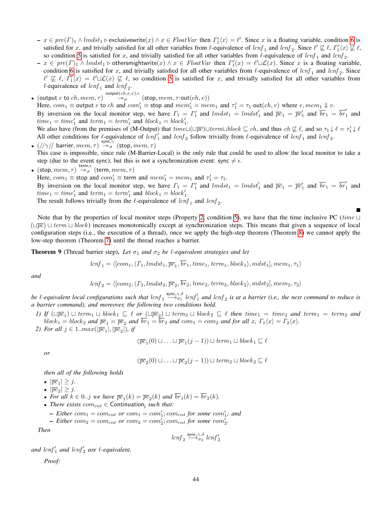- $x \in pre(\Gamma)_{1} \wedge lmdst_{1} \triangleright$  exclusivewrite $(x) \wedge x \in FloatVar$  then  $\Gamma'_{1}\langle x \rangle = \ell'$ . Since x is a floating variable, condition [6](#page-36-1) is satisfied for x, and trivially satisfied for all other variables from  $\ell$ -equivalence of  $lcnf_1$  and  $lcnf_2$ . Since  $\ell' \not\sqsubseteq \ell$ ,  $\Gamma'_1\langle x \rangle \not\sqsubseteq \ell$ , so condition [5](#page-36-0) is satisfied for x, and trivially satisfied for all other variables from  $\ell$ -equivalence of  $lcnf_1$  and  $lcnf_2$ .
- $x \in pre(\Gamma)_1 \wedge \text{lmdst}_1 \triangleright \text{otherwise}(x) \wedge x \in \text{FloatVar}$  then  $\Gamma'_1(x) = \ell' \sqcup \mathcal{L}(x)$ . Since x is a floating variable, condition [6](#page-36-1) is satisfied for x, and trivially satisfied for all other variables from  $\ell$ -equivalence of  $lcnf_1$  and  $lcnf_2$ . Since  $\ell' \not\sqsubseteq \ell$ ,  $\Gamma'_1\langle x \rangle = \ell' \sqcup \mathcal{L}(x) \not\sqsubseteq \ell$ , so condition [5](#page-36-0) is satisfied for x, and trivially satisfied for all other variables from  $\ell$ -equivalence of  $lcnf_1$  and  $lcnf_2$ .
- (output e to ch, mem,  $\tau$ )  $\overset{\text{output}(ch,e,v),\epsilon}{\rightarrow_{\sigma}}$  (stop, mem,  $\tau$ -out $(ch,v)$ )

Here,  $com_1 \equiv$  output  $e$  to  $ch$  and  $com'_1 \equiv$  stop and  $mem'_1 = mem_1$  and  $\tau'_1 = \tau_1 \cdot out(ch, v)$  where  $e, mem_1 \Downarrow v$ . By inversion on the local monitor step, we have  $\Gamma_1 = \Gamma_1'$  and  $lmds$   $\Gamma_1 = lmds$   $\Gamma_1'$  and  $\overline{pc}_1 = \overline{pc}_1'$  and  $\overline{br}_1 = \overline{br}_1'$  and  $time_1 = time'_1$  and  $term_1 = term'_1$  and  $block_1 = block'_1$ . We also have (from the premises of (M-Output) that  $time \Box(\Box \overline{pc}) \Box term \Box block \sqsubseteq ch$ , and thus  $ch \not\sqsubseteq \ell$ , and so  $\tau_1 \downarrow \ell = \tau_1' \downarrow \ell$ All other conditions for  $\ell$ -equivalence of  $lcnf'_1$  and  $lcnf_2$  follow trivially from  $\ell$ -equivalence of  $lcnf_1$  and  $lcnf_2$ .

- $(|/\gamma|)$  barrier,  $mem, \tau$   $\rightarrow_{\sigma}^{sync, \gamma}$  (stop,  $mem, \tau$ )<br>This case is impossible, since rule (M Berrier This case is impossible, since rule (M-Barrier-Local) is the only rule that could be used to allow the local monitor to take a step (due to the event sync), but this is not a synchronization event: sync  $\neq \epsilon$ .
- (stop,  $mem, \tau$ )  $\rightarrow_{\sigma}^{term,\epsilon}$  (term,  $mem, \tau$ )<br>Here,  $com = \tau$  top, and  $com' = \tau$ 
	- Here,  $com_1 \equiv$  stop and  $com'_1 \equiv$  term and  $mem'_1 = mem_1$  and  $\tau'_1 = \tau_1$ .

By inversion on the local monitor step, we have  $\Gamma_1 = \Gamma_1'$  and  $\overline{l}mdst_1 = lmdst_1'$  and  $\overline{pc}_1 = \overline{pc}_1'$  and  $\overline{br}_1 = \overline{br}_1'$  and  $time_1 = time'_1$  and  $term_1 = term'_1$  and  $block_1 = block'_1$ .

П

The result follows trivially from the  $\ell$ -equivalence of  $lcnf_1$  and  $lcnf_2$ .

Note that by the properties of local monitor steps (Property [2,](#page-33-1) condition [5\)](#page-34-1), we have that the time inclusive PC (time  $\Box$  $(\Box \overline{pc}) \sqcup term \sqcup block$  increases monotonically except at synchronization steps. This means that given a sequence of local configuration steps (i.e., the execution of a thread), once we apply the high-step theorem (Theorem [8\)](#page-42-0) we cannot apply the low-step theorem (Theorem [7\)](#page-37-0) until the thread reaches a barrier.

<span id="page-44-0"></span>**Theorem 9** (Thread barrier step). Let  $\sigma_1$  and  $\sigma_2$  be  $\ell$ -equivalent strategies and let

$$
lcnf_1 = \langle [com_1, \langle \Gamma_1, lmdst_1, \overline{pc}_1, \overline{br}_1, time_1, term_1, block_1 \rangle, mdst_1], mem_1, \tau_1 \rangle
$$

*and*

$$
lcnf_2 = \langle [com_2, \langle \Gamma_2, lmdst_2, \overline{pc}_2, \overline{br}_2, time_2, term_2, block_2 \rangle, mdst_2], mem_2, \tau_2 \rangle
$$

*be*  $\ell$ -equivalent local configurations such that  $lcnf_1 \stackrel{sync, γ, \delta}{\longrightarrow}_{\sigma_1} lcnf'_1$  and  $lcnf_2$  is at a barrier (i.e., the next command to reduce is *a barrier command), and moreover, the following two conditions hold.*

- *1)* If  $(\sqcup \overline{pc}_1) \sqcup term_1 \sqcup block_1 \sqsubseteq \ell$  or  $(\sqcup \overline{pc}_2) \sqcup term_2 \sqcup block_2 \sqsubseteq \ell$  then  $time_1 = time_2$  and  $term_1 = term_2$  and  $block_1 = block_2$  *and*  $\overline{pc}_1 = \overline{pc}_2$  *and*  $\overline{br}_1 = \overline{br}_2$  *and*  $com_1 = com_2$  *and*  $for$  *all*  $x$ ,  $\Gamma_1\langle x \rangle = \Gamma_2\langle x \rangle$ *.*
- *2)* For all  $j \in 1$ ... $max(|\overline{pc}_1|, |\overline{pc}_2|)$ , if

$$
(\overline{pc}_1(0) \sqcup \ldots \sqcup \overline{pc}_1(j-1)) \sqcup term_1 \sqcup block_1 \sqsubseteq \ell
$$

*or*

$$
(\overline{pc}_2(0) \sqcup \ldots \sqcup \overline{pc}_2(j-1)) \sqcup term_2 \sqcup block_2 \sqsubseteq \ell
$$

*then all of the following holds*

- $|\overline{pc}_1| \geq j.$
- $|\overline{pc}_2| \geq j$ .

• For all 
$$
k \in 0..j
$$
 we have  $\overline{pc}_1(k) = \overline{pc}_2(k)$  and  $\overline{br}_1(k) = \overline{br}_2(k)$ .

• *There exists*  $com_{cnt} \in$  Continuation<sub>j</sub> *such that:* 

- Either 
$$
com_1 = com_{cnt}
$$
 or  $com_1 = com'_1$ ;  $com_{cnt}$  for some  $com'_1$ ; and  
- Either  $com_2 = com_{cnt}$  or  $com_2 = com'_2$ ;  $com_{cnt}$  for some  $com'_2$ .

*Then*

$$
\mathit{lcnf}_2\xrightarrow{\mathsf{sync},\gamma,\delta}\mathit{lcnf}_2'
$$

and  $lcnf'_1$  and  $lcnf'_2$  are  $l$ -equivalent.

*Proof:*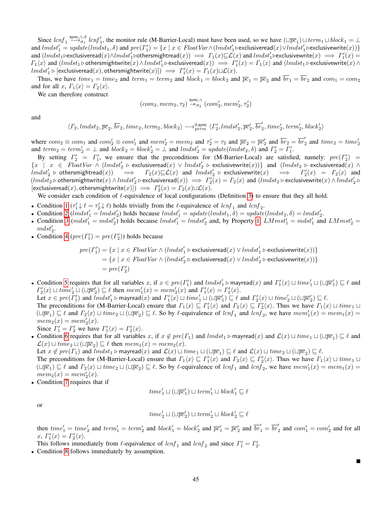Since  $lcnf_1 \stackrel{\text{sync}, \gamma, \delta}{\longrightarrow} lcnf_1'$ , the monitor rule (M-Barrier-Local) must have been used, so we have  $(\Box \overline{pc}_1) \sqcup term_1 \sqcup block_1 = \bot$ and  $lmdst_1' = update(lmdst_1, \delta)$  and  $pre(\Gamma_1') = \{x \mid x \in FloatVar \wedge (lmdst_1'$ Dexclusiveread $(x) \vee lmdst_1'$ Dexclusivewrite $(x))\}$ and  $(lmdst_1$ Dexclusiveread $(x)\wedge mdst_1'$ Dothersmightread $(x))\implies \varGamma_1(x){\sqsubseteq}\mathcal{L}(x)$  and  $lmdst_1'$ Dexclusivewrite $(x)\implies \varGamma_1'(x){\sqsubseteq}\mathcal{L}(x)$  $\varGamma_1\langle x\rangle$  and  $(lmdst_1 \triangleright \text{otherwise}(x)\wedge lmdst_1' \triangleright \text{exclusiveread}(x)) \implies \varGamma_1'(x)=\varGamma_1\langle x\rangle$  and  $(lmdst_1 \triangleright \text{exclusivewrite}(x)\wedge lmdst_1')$  $\mathit{lmdst}_1' \triangleright [\textsf{exclusiveread}(x), \textsf{othersmightwrite}(x)]) \implies \varGamma_1'(x) = \varGamma_1(x) \sqcup \mathcal{L}(x).$ 

Thus, we have  $time_1 = time_2$  and  $term_1 = term_2$  and  $block_1 = block_2$  and  $\overline{pc}_1 = \overline{pc}_2$  and  $br_1 = br_2$  and  $com_1 = com_2$ and for all x,  $\Gamma_1\langle x\rangle = \Gamma_2\langle x\rangle$ .

We can therefore construct

$$
(com_2, mem_2, \tau_2) \xrightarrow{\text{sync}, \gamma} (com'_2, mem'_2, \tau'_2)
$$

and

$$
\langle \Gamma_2, lmdst_2, \overline{pc}_2, \overline{br}_2, time_2, term_2, block_2 \rangle \longrightarrow_{perm}^{\delta, \text{sync}} \langle \Gamma_2', lmdst_2', \overline{pc}_2', \overline{br}_2', time_2', term_2', block_2' \rangle
$$

where  $com_2 \equiv com_1$  and  $com'_2 \equiv com'_1$  and  $mem'_2 = mem_2$  and  $\tau'_2 = \tau_2$  and  $\overline{pc}_2 = \overline{pc}'_2$  and  $\overline{br}_2 = \overline{br}'_2$  and  $time_2 = time'_2$ and  $term_2 = term'_2 = \perp$  and  $block_2 = block'_2 = \perp$  and  $lmdst'_2 = update(lmdst_2, \delta)$  and  $\Gamma'_2 = \Gamma'_1$ .

By setting  $\Gamma'_2 = \Gamma'_1$ , we ensure that the preconditions for (M-Barrier-Local) are satisfied, namely:  $pre(\Gamma'_2)$  =  $\{x \mid x \in \textit{FloatVar} \land (lmdst_2' \bowtie \textit{exclusiveread}(x) \lor lmdst_2' \bowtie \textit{exclusivewrite}(x))\}$  and  $(lmdst_2 \bowtie \textit{exclusiveread}(x) \land \textit{exclusiverate}(x))$ lmdst<sup>0</sup> <sup>2</sup> . othersmightread(x)) =⇒ Γ2(x)vL(x) and lmdst<sup>0</sup> <sup>2</sup> . exclusivewrite(x) =⇒ Γ 0 2 (x) = Γ2hxi and  $(lmdst_2 \triangleright \text{otherwise}(x) \wedge lmdst_2' \triangleright \text{exclusiveread}(x)) \implies \Gamma_2'(x) = \Gamma_2\langle x \rangle \text{ and } (lmdst_2 \triangleright \text{exclusivewrite}(x) \wedge lmdst_2' \triangleright \text{nextusivewrite}(x))$  $\text{[exclusiveread}(x), \text{otherwise}(x)]$   $\implies$   $\varGamma'_2(x) = \varGamma_2(x) \sqcup \mathcal{L}(x)$ .

We consider each condition of  $\ell$ -equivalence of local configurations (Definition [3\)](#page-36-5) to ensure that they all hold.

- Condition [1](#page-36-4)  $(\tau_1' \downarrow \ell = \tau_2' \downarrow \ell)$  holds trivially from the  $\ell$ -equivalence of  $lcnf_1$  and  $lcnf_2$ .
- Condition [2](#page-36-6)  $(lmdst_1' = lmdst_2')$  holds because  $lmdst_1' = update(lmdst_1, \delta) = update(lmdst_2, \delta) = lmdst_2'.$
- Condition [3](#page-36-7)  $(mdst_1' = mdst_2')$  holds because  $lmdst_1' = lmdst_2'$  and, by Property [1,](#page-31-9)  $LMmst_1' = mdst_1'$  and  $LMmst_2' =$  $mdst'_2$ .
- Condition [4](#page-36-8) ( $pre(\Gamma'_1) = pre(\Gamma'_2)$ ) holds because

$$
\begin{aligned} pre(\varGamma'_1) & = \{x \mid x \in \textit{FloatVar} \land (\textit{lmdst}'_1 \triangleright \textit{exclusiveread}(x) \lor \textit{lmdst}'_1 \triangleright \textit{exclusivewrite}(x))\}\\ & = \{x \mid x \in \textit{FloatVar} \land (\textit{lmdst}'_2 \triangleright \textit{exclusiveread}(x) \lor \textit{lmdst}'_2 \triangleright \textit{exclusivewrite}(x))\}\\ & = \textit{pre}(\varGamma'_2) \end{aligned}
$$

• Condition [5](#page-36-0) requires that for all variables x, if  $x \in pre(\Gamma'_1)$  and  $lmdst'_1 \triangleright$  mayread $(x)$  and  $\Gamma'_1\langle x \rangle \sqcup time'_1 \sqcup (\sqcup \overline{pc'_1}) \sqsubseteq \ell$  and  $\Gamma'_2\langle x\rangle \sqcup \text{time}_2' \sqcup (\sqcup \overline{pc}'_2) \sqsubseteq \ell$  then  $\text{mem}_1'(x) = \text{mem}_2'(x)$  and  $\Gamma'_1\langle x\rangle = \Gamma'_2\langle x\rangle$ . Let  $x \in pre(\overline{I'_1})$  and  $\overline{I}mdst'_1 \triangleright$  mayread $\overline{(x)}$  and  $\overline{I'_1}\langle x \rangle \sqcup \overline{t}ime'_1 \sqcup (\overline{\sqcup}\overline{pc}'_1) \sqsubseteq \ell$  and  $\overline{I'_2}\langle x \rangle \sqcup \overline{t}ime'_2 \sqcup (\sqcup \overline{pc}'_2) \sqsubseteq \ell$ . The preconditions for (M-Barrier-Local) ensure that  $\Gamma_1\langle x \rangle \sqsubseteq \Gamma'_1\langle x \rangle$  and  $\Gamma_2\langle x \rangle \sqsubseteq \Gamma'_2\langle x \rangle$ . Thus we have  $\Gamma_1\langle x \rangle \sqcup \text{time}_1 \sqcup$  $(\Box \overline{pc}_1) \sqsubseteq \ell$  and  $\Gamma_2\langle x \rangle \sqcup time_2 \sqcup (\Box \overline{pc}_2) \sqsubseteq \ell$ . So by  $\ell$ -equivalence of  $lcnf_1$  and  $lcnf_2$ , we have  $mem'_1(x) = mem_1(x) =$ 

$$
mem_2(x) = mem'_2(x).
$$
  
Since  $\Gamma'_1 = \Gamma'_2$  we have  $\Gamma'_1\langle x \rangle = \Gamma'_2\langle x \rangle$ .

Since  $\Gamma'_1 = \Gamma'_2$  we have  $\Gamma'_1\langle x \rangle = \Gamma'_2\langle x \rangle$ .<br>• Condition [6](#page-36-1) requires that for all variables x, if  $x \notin pre(\Gamma_1)$  and  $lmdst_1 \triangleright$  mayread(x) and  $\mathcal{L}(x) \sqcup time_1 \sqcup (\sqcup \overline{pc}_1) \sqsubseteq \ell$  and  $\mathcal{L}(x) \sqcup time_2 \sqcup (\sqcup \overline{pc}_2) \sqsubseteq \ell$  then  $mem_1(x) = mem_2(x)$ .

Let  $x \notin pre(\Gamma_1)$  and  $lmdst_1 \triangleright$  mayread $(x)$  and  $\mathcal{L}(x) \sqcup time_1 \sqcup (\sqcup \overline{pc}_1) \sqsubseteq \ell$  and  $\mathcal{L}(x) \sqcup time_2 \sqcup (\sqcup \overline{pc}_2) \sqsubseteq \ell$ . The preconditions for (M-Barrier-Local) ensure that  $\Gamma_1\langle x \rangle \sqsubseteq \Gamma'_1\langle x \rangle$  and  $\Gamma_2\langle x \rangle \sqsubseteq \Gamma'_2\langle x \rangle$ . Thus we have  $\Gamma_1\langle x \rangle \sqcup \text{time}_1 \sqcup$  $(\Box \overline{pc}_1) \sqsubseteq \ell$  and  $\Gamma_2\langle x \rangle \sqcup time_2 \sqcup (\Box \overline{pc}_2) \sqsubseteq \ell$ . So by  $\ell$ -equivalence of  $lcnf_1$  and  $lcnf_2$ , we have  $mem'_1(x) = mem_1(x) =$  $mem_2(x) = mem'_2(x).$ 

• Condition [7](#page-36-2) requires that if

$$
\mathit{time}_1' \sqcup (\sqcup \overline{pc}_1') \sqcup \mathit{term}_1' \sqcup \mathit{block}_1' \sqsubseteq \ell
$$

or

$$
\mathit{time}_2' \sqcup (\sqcup \overline{pc}_2') \sqcup \mathit{term}_2' \sqcup \mathit{block}_2' \sqsubseteq \ell
$$

then  $time'_1 = time'_2$  and  $term'_1 = term'_2$  and  $block'_1 = block'_2$  and  $\overline{pc}'_1 = \overline{pc}'_2$  and  $\overline{br}'_1 = \overline{br}'_2$  and  $com'_1 = com'_2$  and for all  $x, \Gamma'_1\langle x\rangle = \Gamma'_2\langle x\rangle.$ 

- This follows immediately from  $\ell$ -equivalence of  $lcnf_1$  and  $lcnf_2$  and since  $\Gamma'_1 = \Gamma'_2$ .
- Condition [8](#page-36-3) follows immediately by assumption.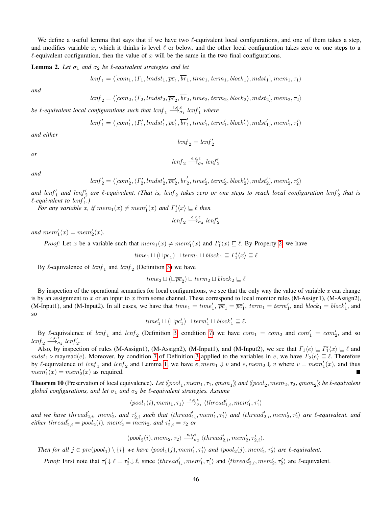We define a useful lemma that says that if we have two  $\ell$ -equivalent local configurations, and one of them takes a step, and modifies variable x, which it thinks is level  $\ell$  or below, and the other local configuration takes zero or one steps to a  $\ell$ -equivalent configuration, then the value of x will be the same in the two final configurations.

<span id="page-46-1"></span>**Lemma 2.** Let  $\sigma_1$  and  $\sigma_2$  be  $\ell$ -equivalent strategies and let

$$
lcnf_1 = \langle [com_1, \langle \Gamma_1, lmdst_1, \overline{pc}_1, br_1, time_1, term_1, block_1 \rangle, mdst_1], mem_1, \tau_1 \rangle
$$

*and*

$$
\mathit{lcnf}_2=\langle [\mathit{com}_2,\langle \mathit{\Gamma}_2, \mathit{lmdst}_2,\overline{\mathit{pc}}_2,\overline{\mathit{br}}_2,\mathit{time}_2,\mathit{term}_2,\mathit{block}_2\rangle,\mathit{mdst}_2],\mathit{mem}_2,\mathit{\tau}_2\rangle
$$

*be*  $\ell$ -equivalent local configurations such that  $\lbrack cnf_1 \stackrel{\epsilon, \epsilon, \epsilon}{\longrightarrow} c_1 \text{ }lcnf'_1$  where

$$
\mathit{lcnf}_1'=\langle [\mathit{com}_1',\langle \mathit{\Gamma}_1',\mathit{lmdst}_1',\overline{\mathit{pc}}_1',\overline{\mathit{br}}_1',\mathit{time}_1',\mathit{term}_1',\mathit{block}_1'\rangle,\mathit{mdst}_1'],\mathit{mem}_1',\tau_1'\rangle
$$

*and either*

$$
\mathit{lcnf}_2=\mathit{lcnf}_2'
$$

*or*

$$
\textit{lcnf}_{2} \xrightarrow{\epsilon, \epsilon, \epsilon} \textit{lcnf}_{2}^{\prime}
$$

*and*

$$
lcnf_2' = \langle [com_2', \langle \Gamma_2', lmdst_2', \overline{pc}_2', \overline{br}_2', time_2', term_2', block_2'\rangle, mdst_2'], mem_2', \tau_2' \rangle
$$

and l $cnf'_1$  and l $cnf'_2$  are  $\ell$ -equivalent. (That is, l $cnf_2$  takes zero or one steps to reach local configuration l $cnf'_2$  that is  $\ell$ -equivalent to  $lcnf'_1$ .)

*For any variable x, if*  $mem_1(x) \neq mem'_1(x)$  *and*  $\Gamma'_1\langle x \rangle \sqsubseteq \ell$  *then* 

$$
\mathit{lcnf}_2 \xrightarrow{\epsilon,\epsilon,\epsilon} \mathit{lcnf}_2'
$$

*and*  $mem'_1(x) = mem'_2(x)$ .

*Proof:* Let x be a variable such that  $mem_1(x) \neq mem'_1(x)$  and  $\Gamma'_1\langle x \rangle \sqsubseteq \ell$ . By Property [2,](#page-33-1) we have

 $\mathit{time}_1 \sqcup (\sqcup \overline{pc}_1) \sqcup \mathit{term}_1 \sqcup \mathit{block}_1 \sqsubseteq \varGamma'_1\langle x \rangle \sqsubseteq \ell$ 

By  $\ell$ -equivalence of  $lcnf_1$  and  $lcnf_2$  (Definition [3\)](#page-36-5) we have

$$
time_2 \sqcup (\sqcup \overline{pc}_2) \sqcup term_2 \sqcup block_2 \sqsubseteq \ell
$$

By inspection of the operational semantics for local configurations, we see that the only way the value of variable  $x$  can change is by an assignment to x or an input to x from some channel. These correspond to local monitor rules (M-Assign1), (M-Assign2), (M-Input1), and (M-Input2). In all cases, we have that  $time_1 = time'_1$ ,  $pc_1 = pc'_1$ ,  $term_1 = term'_1$ , and  $block_1 = block'_1$ , and so

$$
\mathit{time}_1' \sqcup (\sqcup \overline{pc}_1') \sqcup \mathit{term}_1' \sqcup \mathit{block}_1' \sqsubseteq \ell.
$$

By  $\ell$ -equivalence of  $lcnf_1$  and  $lcnf_2$  (Definition [3,](#page-36-5) condition [7\)](#page-36-2) we have  $com_1 = com_2$  and  $com'_1 = com'_2$ , and so  $lcnf_2 \stackrel{\epsilon, \epsilon, \bar{\epsilon}}{\longrightarrow}_{\sigma_2} lcnf'_2.$ 

Also, by inspection of rules (M-Assign1), (M-Assign2), (M-Input1), and (M-Input2), we see that  $\Gamma_1\langle e \rangle \sqsubseteq \Gamma'_1\langle x \rangle \sqsubseteq \ell$  and  $mdst_1 \triangleright$  mayread(e). Moreover, by condition [7](#page-36-2) of Definition [3](#page-36-5) applied to the variables in e, we have  $\Gamma_2\langle e \rangle \sqsubseteq \ell$ . Therefore by  $\ell$ -equivalence of  $lcnf_1$  and  $lcnf_2$  and Lemma [1,](#page-37-1) we have  $e, mem_1 \Downarrow v$  and  $e, mem_2 \Downarrow v$  where  $v = mem'_1(x)$ , and thus  $mem'_1(x) = mem'_2(x)$  as required.

<span id="page-46-0"></span>**Theorem 10** (Preservation of local equivalence). Let  $\langle pool_1, mem_1, \tau_1, gmon_1 \rangle$  and  $\langle pool_2, mem_2, \tau_2, gmon_2 \rangle$  be  $\ell$ -equivalent *global configurations, and let*  $\sigma_1$  *and*  $\sigma_2$  *be l-equivalent strategies. Assume* 

$$
\langle pool_1(i),mem_1, \tau_1 \rangle \stackrel{\epsilon, \epsilon, \epsilon}{\longrightarrow}_{\sigma_1} \langle thread_{1,i}',mem_1', \tau_1' \rangle
$$

and we have thread'<sub>2,i</sub>, mem'<sub>2</sub>, and  $\tau'_{2,i}$  such that  $\langle thread'_{1_i},mem'_1,\tau'_1\rangle$  and  $\langle thread'_{2,i},mem'_2,\tau'_2\rangle$  are  $\ell$ -equivalent. and *either*  $thread'_{2,i} = pool_2(i)$ *,*  $mem'_2 = mem_2$ *, and*  $\tau'_{2,i} = \tau_2$  *or* 

$$
\langle pool_2(i), mem_2, \tau_2 \rangle \stackrel{\epsilon, \epsilon, \epsilon}{\longrightarrow}_{\sigma_2} \langle thread_{2,i}', mem_2', \tau_{2,i}' \rangle.
$$

Then for all  $j \in pre(pool_1) \setminus \{i\}$  we have  $\langle pool_1(j), mem'_1, \tau'_1 \rangle$  and  $\langle pool_2(j), mem'_2, \tau'_2 \rangle$  are  $\ell$ -equivalent.

*Proof:* First note that  $\tau'_1 \downarrow \ell = \tau'_2 \downarrow \ell$ , since  $\langle thread'_{1_i}, mem'_1, \tau'_1 \rangle$  and  $\langle thread'_{2,i}, mem'_2, \tau'_2 \rangle$  are  $\ell$ -equivalent.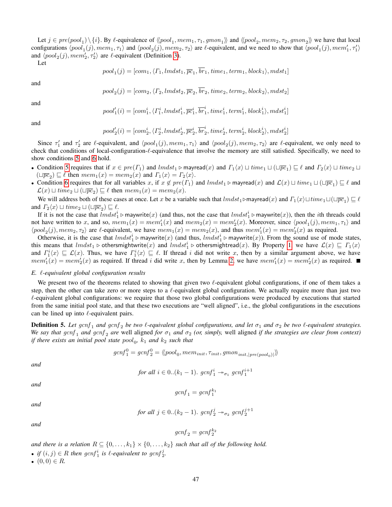Let  $j \in pre(pool_1) \setminus \{i\}$ . By  $\ell$ -equivalence of  $\langle pool_1, mem_1, \tau_1, gmon_1 \rangle \rangle$  and  $\langle pool_2, mem_2, \tau_2, gmon_2 \rangle \rangle$  we have that local configurations  $\langle pool_1(j), mem_1, \tau_1 \rangle$  and  $\langle pool_2(j), mem_2, \tau_2 \rangle$  are  $\ell$ -equivalent, and we need to show that  $\langle pool_1(j), mem'_1, \tau'_1 \rangle$ and  $\langle pool_2(j), mem'_2, \tau'_2 \rangle$  are  $\ell$ -equivalent (Definition [3\)](#page-36-5).

Let

$$
pool_1(j) = [com_1, \langle \Gamma_1, \text{Imdst}_1, \overline{pc}_1, \overline{br}_1, \text{time}_1, \text{term}_1, \text{block}_1), \text{mdst}_1]
$$

and

$$
pool_2(j) = [com_2, \langle \Gamma_2, \text{Imdst}_2, \overline{pc}_2, \text{br}_2, \text{time}_2, \text{term}_2, \text{block}_2), \text{mdst}_2]
$$

and

$$
pool'_1(i) = [com^i_1, \langle \varGamma^i_1, \mathit{lmdst}^i_1, \overline{pc}^i_1, \overline{br}^i_1, \mathit{time}^i_1, \mathit{term}^i_1, \mathit{block}^i_1 \rangle, \mathit{mdst}^i_1]
$$

and

$$
pool'_2(i) = [com^i_2, \langle \Gamma^i_2, \mathit{lmdst}^i_2, \overline{pc}^i_2, \overline{br}^i_2, \mathit{time}^i_2, \mathit{term}^i_2, \mathit{block}^i_2 \rangle, \mathit{mdst}^i_2]
$$

Since  $\tau'_1$  and  $\tau'_2$  are  $\ell$ -equivalent, and  $\langle pool_1(j), mem_1, \tau_1 \rangle$  and  $\langle pool_2(j), mem_2, \tau_2 \rangle$  are  $\ell$ -equivalent, we only need to check that conditions of local-configuration- $\ell$ -equivalence that involve the memory are still satisfied. Specifically, we need to show conditions [5](#page-36-0) and [6](#page-36-1) hold.

- Condition [5](#page-36-0) requires that if  $x \in pre(\Gamma_1)$  and  $lmdst_1 \triangleright$  mayread $(x)$  and  $\Gamma_1(x) \sqcup time_1 \sqcup (\sqcup \overline{pc}_1) \sqsubseteq \ell$  and  $\Gamma_2\langle x \rangle \sqcup time_2 \sqcup$  $(\Box \overline{pc}_2) \sqsubseteq \ell$  then  $mem_1(x) = mem_2(x)$  and  $\Gamma_1\langle x \rangle = \Gamma_2\langle x \rangle$ .
- Condition [6](#page-36-1) requires that for all variables x, if  $x \notin pre(\Gamma_1)$  and  $lmdst_1 \triangleright$  mayread $(x)$  and  $\mathcal{L}(x) \sqcup time_1 \sqcup (\sqcup \overline{pc}_1) \sqsubseteq \ell$  and  $\mathcal{L}(x) \sqcup time_2 \sqcup (\sqcup \overline{pc}_2) \sqsubseteq \ell$  then  $mem_1(x) = mem_2(x)$ .

We will address both of these cases at once. Let x be a variable such that  $lmdst_1 \triangleright$  mayread $(x)$  and  $\Gamma_1\langle x \rangle \sqcup time_1 \sqcup (\sqcup \overline{pc}_1) \sqsubseteq \ell$ and  $\Gamma_2\langle x \rangle \sqcup time_2 \sqcup (\sqcup \overline{pc}_2) \sqsubseteq \ell$ .

If it is not the case that  $Imdst_1^i \triangleright$  maywrite(x) (and thus, not the case that  $Imdst_1^i \triangleright$  maywrite(x)), then the *i*th threads could not have written to x, and so,  $mem_1(x) = mem'_1(x)$  and  $mem_2(x) = mem'_2(x)$ . Moreover, since  $\langle pool_1(j), mem_1, \tau_1 \rangle$  and  $\langle pool_2(j), mem_2, \tau_2 \rangle$  are  $\ell$ -equivalent, we have  $mem_1(x) = mem_2(x)$ , and thus  $mem'_1(x) = mem'_2(x)$  as required.

Otherwise, it is the case that  $lmdst_1^i \triangleright$  maywrite $(x)$  (and thus,  $lmdst_1^i \triangleright$  maywrite $(x)$ ). From the sound use of mode states, this means that  $lmdst_1 \triangleright$  othersmightwrite $(x)$  and  $lmdst_1^i \triangleright$  othersmightread $(x)$ . By Property [1,](#page-31-9) we have  $\mathcal{L}(x) \sqsubseteq \Gamma_1\langle x \rangle$ and  $\Gamma_1^i(x) \sqsubseteq \mathcal{L}(x)$ . Thus, we have  $\Gamma_1^i(x) \sqsubseteq \ell$ . If thread i did not write x, then by a similar argument above, we have  $mem'_1(x) = mem'_2(x)$  as required. If thread i did write x, then by Lemma [2,](#page-46-1) we have  $mem'_1(x) = mem'_2(x)$  as required.

## *E.* `*-equivalent global configuration results*

We present two of the theorems related to showing that given two  $\ell$ -equivalent global configurations, if one of them takes a step, then the other can take zero or more steps to a  $\ell$ -equivalent global configuration. We actually require more than just two  $\ell$ -equivalent global configurations: we require that those two global configurations were produced by executions that started from the same initial pool state, and that these two executions are "well aligned", i.e., the global configurations in the executions can be lined up into  $\ell$ -equivalent pairs.

**Definition 5.** Let gcnf<sub>1</sub> and gcnf<sub>2</sub> be two  $\ell$ -equivalent global configurations, and let  $\sigma_1$  and  $\sigma_2$  be two  $\ell$ -equivalent strategies. *We say that gcnf*<sub>1</sub> *and gcnf*<sub>2</sub> *are* well aligned *for*  $\sigma_1$  *and*  $\sigma_2$  *(or, simply, well aligned if the strategies are clear from context) if there exists an initial pool state*  $pool_0$ *,*  $k_1$  *and*  $k_2$  *such that* 

$$
gcnf_1^0 = gcnf_2^0 = \langle \langle pool_0, mem_{init}, \tau_{init}, gmon_{init,|pre(pool_0)|} \rangle
$$

*and*

for all 
$$
i \in 0..(k_1 - 1)
$$
.  $gcnf_1^i \rightarrow_{\sigma_1} gcnf_1^{i+1}$ 

*and*

$$
gcnf_1 = gcnf_1^{k_1}
$$

*and*

for all 
$$
j \in 0..(k_2-1)
$$
.  $gcnf_2^j \rightarrow_{\sigma_2} gcnf_2^{j+1}$ 

*and*

$$
\operatorname{gcnf}_2 = \operatorname{gcnf}_2^{k_2}
$$

*and there is a relation*  $R \subseteq \{0, \ldots, k_1\} \times \{0, \ldots, k_2\}$  *such that all of the following hold.* 

• *if*  $(i, j) \in R$  *then*  $gcnf_1^i$  *is l-equivalent to*  $gcnf_2^j$ *.* 

•  $(0, 0) \in R$ .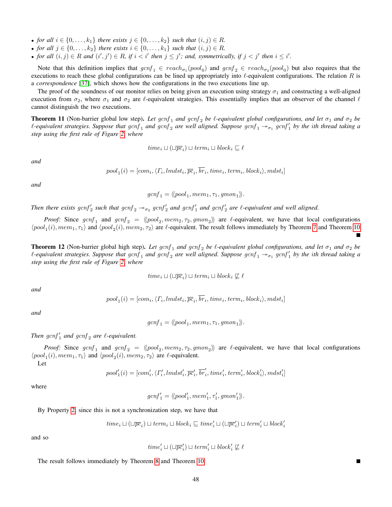- *for all*  $i \in \{0, ..., k_1\}$  *there exists*  $j \in \{0, ..., k_2\}$  *such that*  $(i, j) \in R$ *.*
- *for all*  $j \in \{0, ..., k_2\}$  *there exists*  $i \in \{0, ..., k_1\}$  *such that*  $(i, j) \in R$ *.*
- for all  $(i, j) \in R$  and  $(i', j') \in R$ , if  $i < i'$  then  $j \leq j'$ ; and, symmetrically, if  $j < j'$  then  $i \leq i'$ .

Note that this definition implies that  $gcnf_1 \in reach_{\sigma_1}(pool_0)$  and  $gcnf_2 \in reach_{\sigma_2}(pool_0)$  but also requires that the executions to reach these global configurations can be lined up appropriately into  $\ell$ -equivalent configurations. The relation R is a *correspondence* [\[37\]](#page-17-3), which shows how the configurations in the two executions line up.

The proof of the soundness of our monitor relies on being given an execution using strategy  $\sigma_1$  and constructing a well-aligned execution from  $\sigma_2$ , where  $\sigma_1$  and  $\sigma_2$  are l-equivalent strategies. This essentially implies that an observer of the channel l cannot distinguish the two executions.

<span id="page-48-0"></span>**Theorem 11** (Non-barrier global low step). Let gcnf<sub>1</sub> and gcnf<sub>2</sub> be l-equivalent global configurations, and let  $\sigma_1$  and  $\sigma_2$  be  $\ell$ -equivalent strategies. Suppose that  $gcnf_1$  and  $gcnf_2$  are well aligned. Suppose  $gcnf_1 \rightarrow_{\sigma_1} gcnf'_1$  by the ith thread taking a *step using the first rule of Figure [2,](#page-7-2) where*

$$
time_i \sqcup (\sqcup \overline{pc}_i) \sqcup term_i \sqcup block_i \sqsubseteq \ell
$$

*and*

 $pool_1(i) = [com_i, \langle \Gamma_i, lmdst_i, \overline{pc}_i, br_i, time_i, term_i, block_i \rangle, mdst_i]$ 

*and*

$$
gcnf_1 = \langle \langle pool_1, mem_1, \tau_1, gmon_1 \rangle \rangle.
$$

*Then there exists gcnf*<sup> $\prime$ </sup><sub>2</sub> *such that gcnf*<sub>2</sub>  $\rightarrow$ <sub> $\sigma$ 2</sub> *gcnf*<sup> $\prime$ </sup><sub>2</sub> *and gcnf*<sup> $\prime$ </sup><sub>1</sub> *and gcnf*<sup> $\prime$ </sup><sub>2</sub> *are l*-equivalent and well aligned.

*Proof:* Since  $gcnf_1$  and  $gcnf_2 = \langle pool_2, mem_2, \tau_2, gmon_2 \rangle$  are  $\ell$ -equivalent, we have that local configurations  $\langle pool_1(i), mem_1, \tau_1 \rangle$  and  $\langle pool_2(i), mem_2, \tau_2 \rangle$  are  $\ell$ -equivalent. The result follows immediately by Theorem [7](#page-37-0) and Theorem [10.](#page-46-0)

<span id="page-48-1"></span>**Theorem 12** (Non-barrier global high step). Let gcnf<sub>1</sub> and gcnf<sub>2</sub> be  $\ell$ -equivalent global configurations, and let  $\sigma_1$  and  $\sigma_2$  be  $\ell$ -equivalent strategies. Suppose that  $gcnf_1$  and  $gcnf_2$  are well aligned. Suppose  $gcnf_1 \rightarrow_{\sigma_1} gcnf'_1$  by the ith thread taking a *step using the first rule of Figure [2,](#page-7-2) where*

$$
time_i \sqcup (\sqcup \overline{pc}_i) \sqcup term_i \sqcup block_i \not\sqsubseteq \ell
$$

*and*

 $pool_1(i) = [com_i, \langle \Gamma_i, lmdst_i, \overline{pc}_i, \overline{br}_i, time_i, term_i, block_i \rangle, mdst_i]$ 

*and*

$$
gcnf_1 = \langle \langle pool_1, mem_1, \tau_1, gmon_1 \rangle \rangle.
$$

Then  $gcnf'_1$  and  $gcnf_2$  are  $\ell$ -equivalent.

*Proof:* Since  $gcnf_1$  and  $gcnf_2 = \langle pool_2, mem_2, \tau_2, gmon_2 \rangle$  are  $\ell$ -equivalent, we have that local configurations  $\langle pool_1(i), mem_1, \tau_1 \rangle$  and  $\langle pool_2(i), mem_2, \tau_2 \rangle$  are  $\ell$ -equivalent.

Let

$$
pool'_1(i) = [com'_i, \langle \Gamma'_i, lmdst'_i, \overline{pc}'_i, \overline{br}'_i, \textit{time}'_i, \textit{term}'_i, \textit{block}'_i \rangle, mdst'_i]
$$

where

 $gcnf'_1 = \langle \langle pool'_1, mem'_1, \tau'_1, gmon'_1 \rangle \rangle.$ 

By Property [2,](#page-33-1) since this is not a synchronization step, we have that

$$
time_i \sqcup (\sqcup \overline{pc}_i) \sqcup term_i \sqcup block_i \sqsubseteq time'_i \sqcup (\sqcup \overline{pc}'_i) \sqcup term'_i \sqcup block'_i
$$

and so

$$
\mathit{time}_i' \sqcup (\sqcup \overline{pc}_i') \sqcup \mathit{term}_i' \sqcup \mathit{block}_i' \not\sqsubseteq \ell
$$

The result follows immediately by Theorem [8](#page-42-0) and Theorem [10.](#page-46-0)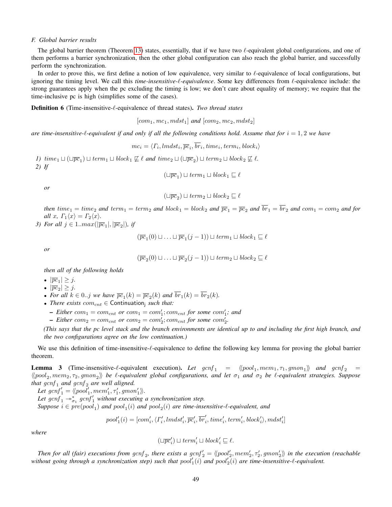#### <span id="page-49-0"></span>*F. Global barrier results*

The global barrier theorem (Theorem [13\)](#page-55-0) states, essentially, that if we have two  $\ell$ -equivalent global configurations, and one of them performs a barrier synchronization, then the other global configuration can also reach the global barrier, and successfully perform the synchronization.

In order to prove this, we first define a notion of low equivalence, very similar to  $\ell$ -equivalence of local configurations, but ignoring the timing level. We call this *time-insensitive-* $\ell$ *-equivalence*. Some key differences from  $\ell$ -equivalence include: the strong guarantees apply when the pc excluding the timing is low; we don't care about equality of memory; we require that the time-inclusive pc is high (simplifies some of the cases).

<span id="page-49-5"></span>**Definition 6** (Time-insensitive- $\ell$ -equivalence of thread states). *Two thread states* 

 $[com_1, mc_1, mdst_1]$  *and*  $[com_2, mc_2, mdst_2]$ 

are time-insensitive- $\ell$ -equivalent if and only if all the following conditions hold. Assume that for  $i = 1, 2$  we have

 $mc_i = \langle \Gamma_i, lmdst_i, \overline{pc}_i, \overline{br}_i, \textit{time}_i, \textit{term}_i, \textit{block}_i \rangle$ 

<span id="page-49-3"></span><span id="page-49-2"></span>*1)*  $time_1 \sqcup (\sqcup \overline{pc}_1) \sqcup term_1 \sqcup block_1 \not\sqsubseteq \ell$  and  $time_2 \sqcup (\sqcup \overline{pc}_2) \sqcup term_2 \sqcup block_2 \not\sqsubseteq \ell$ . *2) If*

 $(\sqcup \overline{pc}_1) \sqcup term_1 \sqcup block_1 \sqsubseteq \ell$ 

*or*

$$
(\sqcup \overline{pc}_2) \sqcup term_2 \sqcup block_2 \sqsubseteq \ell
$$

*then*  $time_1 = time_2$  *and*  $term_1 = term_2$  *and*  $block_1 = block_2$  *and*  $\overline{pc}_1 = \overline{pc}_2$  *and*  $\overline{br_1} = \overline{br_2}$  *and*  $com_1 = com_2$  *and* for *all*  $x$ *,*  $\Gamma_1\langle x \rangle = \Gamma_2\langle x \rangle$ *.* 

<span id="page-49-4"></span>*3*) For all  $j \in 1$ ... $max(|\overline{pc}_1|, |\overline{pc}_2|)$ , if

 $(\overline{pc}_1(0) \sqcup \ldots \sqcup \overline{pc}_1(j-1)) \sqcup term_1 \sqcup block_1 \sqsubseteq \ell$ 

*or*

$$
(\overline{pc}_2(0) \sqcup \ldots \sqcup \overline{pc}_2(j-1)) \sqcup term_2 \sqcup block_2 \sqsubseteq \ell
$$

*then all of the following holds*

- $\bullet$   $|\overline{pc}_1| \geq j.$
- $|\overline{pc}_2| \geq j$ .
- *For all*  $k \in 0..j$  *we have*  $\overline{pc}_1(k) = \overline{pc}_2(k)$  *and*  $br_1(k) = br_2(k)$ *.*
- *There exists*  $com_{cnt} \in$  Continuation<sub>i</sub> *such that:* 
	- *Either*  $com_1 = com_{cnt}$  or  $com_1 = com'_1$ ;  $com_{cnt}$  for some  $com'_1$ ; and
	- *Either*  $com_2 = com_{cnt}$  *or*  $com_2 = com'_2$ ;  $com_{cnt}$  *for some*  $com'_2$ .

*(This says that the pc level stack and the branch environments are identical up to and including the first high branch, and the two configurations agree on the low continuation.)*

We use this definition of time-insensitive- $\ell$ -equivalence to define the following key lemma for proving the global barrier theorem.

<span id="page-49-1"></span>**Lemma 3** (Time-insensitive- $\ell$ -equivalent execution). Let  $gcnf_1 = \langle pool_1, mem_1, \tau_1, gmon_1 \rangle$  and  $gcnf_2$  $\langle \langle pool_2, mem_2, \tau_2, gmon_2 \rangle \rangle$  be *l*-equivalent global configurations, and let  $\sigma_1$  and  $\sigma_2$  be *l*-equivalent strategies. Suppose *that*  $gcnf_1$  *and*  $gcnf_2$  *are well aligned.* 

Let  $\text{genf}_1' = \langle \text{good}_1', \text{mem}_1', \tau_1', \text{gmon}_1' \rangle \rangle.$ Let  $gcnf_1 \rightarrow_{\sigma_1}^* gcnf'_1$  without executing a synchronization step.  $Suppose \, i \in pre(pool_1) \, and \, pool_1(i) \, and \, pool_2(i) \, are \, time-insensitive-{{\ell}-equiv}$ *indent, and* 

$$
pool'_1(i) = [com'_i, \langle \Gamma'_i, lmdst'_i, \overline{pc}'_i, \overline{br}'_i, time'_i, term'_i, block'_i\rangle, mdst'_i]
$$

*where*

$$
(\sqcup \overline{pc}'_i) \sqcup term'_i \sqcup block'_i \sqsubseteq \ell.
$$

Then for all (fair) executions from  $gcnf_2$ , there exists a  $gcnf_2' = \langle\!\langle pool'_2,mem'_2, \tau'_2, gmon'_2\rangle\!\rangle$  in the execution (reachable without going through a synchronization step) such that  $pool'_1(i)$  and  $pool'_2(i)$  are time-insensitive- $\ell$ -equivalent.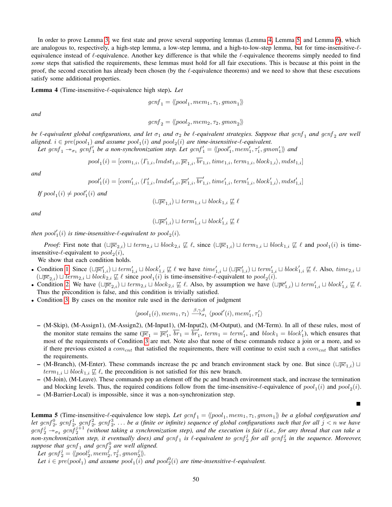In order to prove Lemma [3,](#page-49-1) we first state and prove several supporting lemmas (Lemma [4,](#page-50-0) Lemma [5,](#page-50-1) and Lemma [6\)](#page-53-0), which are analogous to, respectively, a high-step lemma, a low-step lemma, and a high-to-low-step lemma, but for time-insensitive- $\ell$ equivalence instead of  $\ell$ -equivalence. Another key difference is that while the  $\ell$ -equivalence theorems simply needed to find *some* steps that satisfied the requirements, these lemmas must hold for all fair executions. This is because at this point in the proof, the second execution has already been chosen (by the  $\ell$ -equivalence theorems) and we need to show that these executions satisfy some additional properties.

<span id="page-50-0"></span>**Lemma 4** (Time-insensitive- $\ell$ -equivalence high step). Let

$$
gcnf_1 = \langle \langle pool_1, mem_1, \tau_1, gmon_1 \rangle \rangle
$$

*and*

 $\text{gcnf}_2 = \langle \hspace{-0.2em} \langle \text{pool}_2, \text{mem}_2, \tau_2, \text{gmon}_2 \rangle \hspace{-0.2em} \rangle$ 

*be*  $\ell$ -equivalent global configurations, and let  $\sigma_1$  and  $\sigma_2$  be  $\ell$ -equivalent strategies. Suppose that gcnf<sub>1</sub> and gcnf<sub>2</sub> are well  $a$ *ligned.*  $i \in pre(pool_1)$  and assume  $pool_1(i)$  and  $pool_2(i)$  are time-insensitive- $\ell$ -equivalent.

Let  $gcnf_1 \rightarrow_{\sigma_1} gcnf'_1$  be a non-synchronization step. Let  $gcnf'_1 = \langle pool'_1, mem'_1, \tau'_1, gmon'_1 \rangle$  and

$$
pool_1(i) = [com_{1,i}, \langle \varGamma_{1,i}, \textit{Imdst}_{1,i}, \overline{pc}_{1,i}, \overline{br}_{1,i}, \textit{time}_{1,i}, \textit{term}_{1,i}, \textit{block}_{1,i} \rangle, mdst_{1,i}]
$$

*and*

$$
pool'_1(i) = [com'_{1,i}, \langle \varGamma'_{1,i}, lmdst'_{1,i}, \overline{pc}'_{1,i}, \overline{br}'_{1,i}, time'_{1,i}, term'_{1,i}, block'_{1,i}\rangle, mdst'_{1,i}]
$$

*If*  $pool_1(i) \neq pool'_1(i)$  *and* 

$$
(\sqcup \overline{pc}_{1,i}) \sqcup term_{1,i} \sqcup block_{1,i} \not\sqsubseteq \ell
$$

*and*

$$
(\sqcup \overline{pc}'_{1,i}) \sqcup term'_{1,i} \sqcup block'_{1,i} \not\sqsubseteq \ell
$$

then  $pool'_1(i)$  is time-insensitive- $\ell$ -equivalent to  $pool_2(i)$ .

*Proof:* First note that  $(\sqcup \overline{pc}_{2,i}) \sqcup term_{2,i} \sqcup block_{2,i} \not\sqsubseteq \ell$ , since  $(\sqcup \overline{pc}_{1,i}) \sqcup term_{1,i} \sqcup block_{1,i} \not\sqsubseteq \ell$  and  $pool_1(i)$  is timeinsensitive- $\ell$ -equivalent to  $pool_2(i)$ ,

We show that each condition holds.

- Condition [1.](#page-49-2) Since  $(\Box \overline{pc}'_{1,i}) \Box \text{ term}'_{1,i} \Box \text{ block}'_{1,i} \not\sqsubseteq \ell$  we have  $\text{time}'_{1,i} \Box (\Box \overline{pc}'_{1,i}) \Box \text{ term}'_{1,i} \Box \text{ block}'_{1,i} \not\sqsubseteq \ell$ . Also,  $\text{time}_{2,i} \Box$  $(\sqcup \overline{pc}_{2,i}) \sqcup term_{2,i} \sqcup block_{2,i} \not\sqsubseteq \ell$  since  $pool_1(i)$  is time-insensitive- $\ell$ -equivalent to  $pool_2(i)$ .
- Condition [2.](#page-49-3) We have  $(\Box \overline{pc}_{2,i}) \sqcup term_{2,i} \sqcup block_{2,i} \not\sqsubseteq \ell$ . Also, by assumption we have  $(\Box \overline{pc}_{1,i}') \sqcup term_{1,i}' \sqcup block_{1,i}' \not\sqsubseteq \ell$ . Thus the precondition is false, and this condition is trivially satisfied.
- Condition [3.](#page-49-4) By cases on the monitor rule used in the derivation of judgment

$$
\langle pool_1(i), mem_1, \tau_1 \rangle \stackrel{\beta, \gamma, \delta}{\longrightarrow}_{\sigma_1} \langle pool'(i), mem'_1, \tau'_1 \rangle
$$

- (M-Skip), (M-Assign1), (M-Assign2), (M-Input1), (M-Input2), (M-Output), and (M-Term). In all of these rules, most of the monitor state remains the same  $(\overline{pc}_1 = \overline{pc}'_1, \overline{br}_1 = \overline{br}'_1, \overline{term}_1 = \overline{term}'_1$ , and  $block_1 = block'_1$ ), which ensures that most of the requirements of Condition [3](#page-49-4) are met. Note also that none of these commands reduce a join or a more, and so if there previous existed a  $com_{cnt}$  that satisfied the requirements, there will continue to exist such a  $com_{cnt}$  that satisfies the requirements.
- (M-Branch), (M-Enter). These commands increase the pc and branch environment stack by one. But since  $(\Box \overline{p}c_{1,i})$   $\Box$  $term_{1,i} \sqcup block_{1,i} \not\sqsubseteq \ell$ , the precondition is not satisfied for this new branch.
- (M-Join), (M-Leave). These commands pop an element off the pc and branch environment stack, and increase the termination and blocking levels. Thus, the required conditions follow from the time-insensitive- $\ell$ -equivalence of  $pool_1(i)$  and  $pool_2(i)$ .

г

– (M-Barrier-Local) is impossible, since it was a non-synchronization step.

<span id="page-50-1"></span>**Lemma 5** (Time-insensitive- $\ell$ -equivalence low step). Let  $gcnf_1 = \langle \langle pool_1, mem_1, \tau_1, gmon_1 \rangle \rangle$  be a global configuration and *let*  $gcnf_2^0$ ,  $gcnf_2^1$ ,  $gcnf_2^2$ ,  $gcnf_2^3$ , ... be a (finite or infinite) sequence of global configurations such that for all  $j < n$  we have  $gcnf_2^j \rightarrow_{\sigma_2} gcnf_2^{j+1}$  (without taking a synchronization step), and the execution is fair (i.e., for any thread that can take a *non-synchronization step, it eventually does) and*  $gcnf_1$  *is*  $\ell$ *-equivalent to*  $gcnf_2^j$  *for all*  $gcnf_2^j$  *in the sequence. Moreover,* suppose that  $gcnf_1$  and  $gcnf_2^0$  are well aligned.

Let 
$$
gcnf_2^j = \langle \langle pool_2^j, mem_2^j, \tau_2^j, gmon_2^j \rangle \rangle
$$
.

Let  $gcnf_2^j = \langle \langle pool_2^j, mem_2^j, \tau_2^j, gmon_2^j \rangle \rangle$ .<br>Let  $i \in pre(pool_1)$  and assume  $pool_1(i)$  and  $pool_2^0(i)$  are time-insensitive-l-equivalent.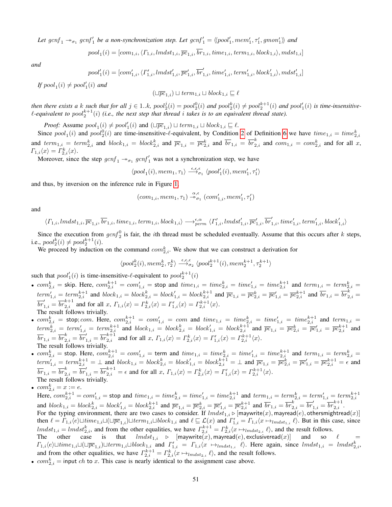Let  $gcnf_1 \rightarrow_{\sigma_1} gcnf'_1$  be a non-synchronization step. Let  $gcnf'_1 = \langle pool'_1, mem'_1, \tau'_1, gmon'_1 \rangle \rangle$  and

 $pool_1(i) = [com_{1,i},\langle \Gamma_{1,i},lmdst_{1,i}, \overline{pc}_{1,i}, \overline{br}_{1,i}, time_{1,i}, term_{1,i}, block_{1,i}\rangle, mdst_{1,i}]$ 

*and*

$$
pool'_1(i) = [com'_{1,i}, \langle \varGamma'_{1,i}, lmdst'_{1,i}, \overline{pc}'_{1,i}, \overline{br}'_{1,i}, time'_{1,i}, term'_{1,i}, block'_{1,i}\rangle, mdst'_{1,i}]
$$

*If*  $pool_1(i) \neq pool'_1(i)$  *and* 

$$
(\sqcup \overline{pc}_{1,i}) \sqcup term_{1,i} \sqcup block_{1,i} \sqsubseteq \ell
$$

then there exists a k such that for all  $j \in 1..k$ ,  $pool_2^j(i) = pool_2^0(i)$  and  $pool_2^k(i) \neq pool_2^{k+1}(i)$  and  $pool_1'(i)$  is time-insensitive- $\ell$ -equivalent to  $pool_2^{k+1}(i)$  (i.e., the next step that thread i takes is to an equivalent thread state).

*Proof:* Assume  $pool_1(i) \neq pool'_1(i)$  and  $(\sqcup \overline{pc}_{1,i}) \sqcup term_{1,i} \sqcup block_{1,i} \sqsubseteq \ell$ .

Since  $pool_1(i)$  and  $pool_2^0(i)$  are time-insensitive- $\ell$ -equivalent, by Condition [2](#page-49-3) of Definition [6](#page-49-5) we have  $time_{1,i} = time_{2,i}^k$ and  $term_{1,i} = term_{2,i}^k$  and  $block_{1,i}^k = block_{2,i}^k$  and  $\overline{pc}_{1,i} = \overline{pc}_{2,i}^k$  and  $\overline{br}_{1,i} = \overline{br}_{2,i}^k$  and  $com_{1,i} = com_{2,i}^k$  and for all x,  $\Gamma_{1,i}\langle x\rangle = \Gamma_{2,i}^k\langle x\rangle.$ 

Moreover, since the step  $\varrho cnf_1 \rightarrow_{\sigma_1} \varrho cnf'_1$  was not a synchronization step, we have

$$
\langle pool_1(i),mem_1, \tau_1 \rangle \xrightarrow{\epsilon, \epsilon, \epsilon} \langle pool'_1(i),mem'_1, \tau'_1 \rangle
$$

and thus, by inversion on the inference rule in Figure [1,](#page-7-1)

$$
(com_{1,i},mem_1, \tau_1) \xrightarrow{\alpha,\epsilon} com'_{1,i},mem'_1, \tau'_1)
$$

and

$$
\langle \Gamma_{1,i},lmdst_{1,i},\overline{pc}_{1,i},\overline{br}_{1,i},time_{1,i},term_{1,i},block_{1,i}\rangle\longrightarrow_{perm}^{\epsilon,\alpha}\langle \Gamma'_{1,i},lmdst'_{1,i},\overline{pc}'_{1,i},\overline{br}'_{1,i},time'_{1,i},term'_{1,i},block'_{1,i}\rangle
$$

Since the execution from  $gcnf_2^0$  is fair, the *i*th thread must be scheduled eventually. Assume that this occurs after k steps, i.e.,  $pool_2^k(i) \neq pool_2^{k+1}(i)$ .

We proceed by induction on the command  $com_{2,i}^k$ . We show that we can construct a derivation for

$$
\langle pool^{k}_2(i),mem^{k}_2,\tau^{k}_2\rangle \xrightarrow{\epsilon,\epsilon,\epsilon} \langle pool^{k+1}_2(i),mem^{k+1}_2,\tau^{k+1}_2\rangle
$$

such that  $pool'_1(i)$  is time-insensitive- $\ell$ -equivalent to  $pool_2^{k+1}(i)$ 

- $com_{2,i}^k =$  skip. Here,  $com_{2,i}^{k+1} = com'_{1,i} =$  stop and  $time_{1,i} = time_{2,i}^k = time'_{1,i} = time_{2,i}^{k+1}$  and  $term_{1,i} = term_{2,i}^k =$  $term'_{1,i} = term_{2,i}^{k+1}$  and  $block_{1,i}^k = block_{2,i}^k = block'_{1,i} = block_{2,i}^{k+1}$  and  $\overline{pc}_{1,i} = \overline{pc}_{2,i}^k = \overline{pc}'_{1,i} = \overline{pc}_{2,i}^{k+1}$  and  $\overline{br}_{1,i} = \overline{br}'_{2,i} = \overline{pc}^k_{1,i}$  $\overline{br}'_{1,i} = \overline{br}^{k+1}_{2,i}$  and for all  $x, \Gamma_{1,i}\langle x \rangle = \Gamma^k_{2,i}\langle x \rangle = \Gamma^l_{1,i}\langle x \rangle = \Gamma^{k+1}_{2,i}\langle x \rangle$ . The result follows trivially.
- $com_{2,i}^k = \text{stop; com. Here, } com_{2,i}^{k+1} = com'_{1,i} = com \text{ and } time_{1,i} = time_{2,i}^k = time_{1,i}^k = time_{2,i}^{k+1}$  and  $term_{1,i} =$  $term_{2,i}^k = term'_{1,i} = term_{2,i}^{k+1}$  and  $block_{1,i}^k = block_{2,i}^k = block'_{1,i} = block_{2,i}^{k+1}$  and  $\overline{pc}_{1,i} = \overline{pc}_{2,i}^k = \overline{pc}'_{1,i} = \overline{pc}_{2,i}^{k+1}$  and  $\overline{br}_{1,i} = \overline{br}_{2,i}^k = \overline{br}_{1,i}^{\prime} = \overline{br}_{2,i}^{\prime +1}$  and for all  $x, \Gamma_{1,i} \langle x \rangle = \Gamma_{2,i}^k \langle x \rangle = \Gamma_{1,i}^{\prime} \langle x \rangle = \Gamma_{2,i}^{k+1} \langle x \rangle$ . The result follows trivially.
- $com_{2,i}^k =$  stop. Here,  $com_{2,i}^{k+1} = com_{1,i}' =$  term and  $time_{1,i} = time_{2,i}^k = time_{1,i}' = time_{2,i}^{k+1}$  and  $term_{1,i} = term_{2,i}^k =$  $term'_{1,i} = term_{2,i}^{k+1} = \bot$  and  $block_{1,i}^k = block_{2,i}^k = block'_{1,i} = block_{2,i}^{k+1} = \bot$  and  $\overline{pc}_{1,i} = \overline{pc}_{2,i}^k = \overline{pc}'_{1,i} = \overline{pc}_{2,i}^{k+1} = \epsilon$  and  $\overline{br}_{1,i} = \overline{br}_{2,i}^k = \overline{br}_{1,i}^k = \overline{br}_{2,i}^{k+1} = \epsilon$  and for all  $x, T_{1,i} \langle x \rangle = \Gamma_{2,i}^k \langle x \rangle = \Gamma_{1,i}^l \langle x \rangle = \Gamma_{2,i}^{k+1} \langle x \rangle$ . The result follows trivially.
- $com_{2,i}^k = x := e.$

Here,  $com_{2,i}^{k+1} = com'_{1,i} = stop$  and  $time_{1,i} = time_{2,i}^k = time'_{1,i} = time_{2,i}^{k+1}$  and  $term_{1,i} = term_{2,i}^k = term'_{1,i} = term_{2,i}^{k+1}$ and  $block_{1,i}^k = block_{2,i}^k = block_{1,i}^k = block_{2,i}^{k+1}$  and  $\overline{pc}_{1,i} = \overline{pc}_{2,i}^k = \overline{pc}_{1,i}^{k+1} = \overline{pc}_{2,i}^{k+1}$  and  $\overline{br}_{1,i} = \overline{br}_{2,i}^k = \overline{br}_{1,i}^k = \overline{br}_{2,i}^{k+1}$ .

For the typing environment, there are two cases to consider. If  $lmdst_{1,i} \triangleright [$ maywrite $(x),$ mayread $(e),$ othersmightread $(x)]$ then  $\ell = \Gamma_{1,i} \langle e \rangle \sqcup time_{1,i} \sqcup (\sqcup \overline{pc}_{1,i}) \sqcup term_{1,i} \sqcup block_{1,i}$  and  $\ell \sqsubseteq \mathcal{L}(x)$  and  $\Gamma'_{1,i} = \Gamma_{1,i} \langle x \mapsto_{lmdst_{1,i}} \ell \rangle$ . But in this case, since  $lmdst_{1,i} = lmdst_{2,i}^k$ , and from the other equalities, we have  $\Gamma_{2,i}^{k+1} = \Gamma_{2,i}^k \langle x \mapsto_{lmdst_{2,i}} \ell \rangle$ , and the result follows.

The other case is that  $lmdst_{1,i}$   $\triangleright$   $[maywrite(x), mayread(e), exclusiveread(x)]$  and so  $\ell$  =  $\Gamma_{1,i}\langle e\rangle \sqcup time_{1,i} \sqcup (\sqcup \overline{pc}_{1,i}) \sqcup term_{1,i} \sqcup block_{1,i}$  and  $\Gamma'_{1,i} = \Gamma_{1,i}\langle x \mapsto_{lmdst_{1,i}} \ell \rangle$ . Here again, since  $lmdst_{1,i} = lmdst_{2,i}$ , and from the other equalities, we have  $\Gamma_{2,i}^{k+1} = \Gamma_{2,i}^k \langle x \mapsto_{lmdst_{2,i}} \ell \rangle$ , and the result follows.

•  $com_{2,i}^k$  = input *ch* to *x*. This case is nearly identical to the assignment case above.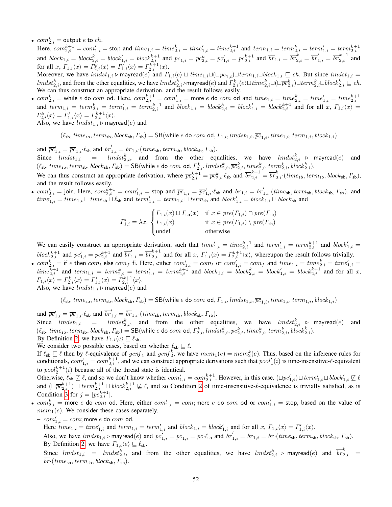$\bullet \;\; com_{2,i}^k = \textsf{output}\; e \;\textsf{to}\; ch.$ 

Here,  $com_{2,i}^{k+1} = com'_{1,i} = stop$  and  $time_{1,i} = time_{2,i}^k = time'_{1,i} = time_{2,i}^{k+1}$  and  $term_{1,i} = term_{2,i}^k = term'_{1,i} = term_{2,i}^{k+1}$ and  $block_{1,i}^k = block_{2,i}^k = block_{1,i}^k = block_{2,i}^{k+1}$  and  $\overline{pc}_{1,i} = \overline{pc}_{2,i}^k = \overline{pc}_{2,i}^k = \overline{pc}_{2,i}^{k+1}$  and  $\overline{br}_{1,i} = \overline{br}_{2,i}^k = \overline{br}_{1,i}^k = \overline{br}_{2,i}^{k+1}$  and for all  $x$ ,  $\Gamma_{1,i}\langle x\rangle = \Gamma_{2,i}^k\langle x\rangle = \Gamma_{1,i}'\langle x\rangle = \Gamma_{2,i}^{k+1}\langle x\rangle$ .

Moreover, we have  $lmdst_{1,i} \triangleright$  mayread $(e)$  and  $\varGamma_{1,i}(e) \sqcup time_{1,i} \sqcup (\sqcup \overline{pc}_{1,i}) \sqcup term_{1,i} \sqcup block_{1,i} \sqsubseteq ch$ . But since  $lmdst_{1,i} =$  $lmdst_{2,i}^k$ , and from the other equalities, we have  $lmdst_{2,i}^k \rhd$ mayread $(e)$  and  $\Gamma_{2,i}^k \langle e \rangle \sqcup time_{2,i}^k \sqcup (\sqcup \overline{pc}_{2,i}^k) \sqcup term_{2,i}^k \sqcup block_{2,i}^k \sqsubseteq ch$ . We can thus construct an appropriate derivation, and the result follows easily.

•  $com_{2,i}^k$  = while e do com od. Here,  $com_{2,i}^{k+1}$  =  $com'_{1,i}$  = more e do com od and  $time_{1,i} = time_{2,i}^k = time_{1,i}^k = time_{2,i}^{k+1}$ <br>and  $term_{1,i} = term_{2,i}^k = term'_{1,i} = term'_{2,i}$  and  $block_{1,i}^k = block_{2,i}^k = block_{1,i}^k = block_{2,i}^{k+1}$  and for all  $x, T_{1,i}\langle x \rangle =$  $\Gamma_{2,i}^k \langle x \rangle = \Gamma_{1,i}' \langle x \rangle = \Gamma_{2,i}^{k+1} \langle x \rangle.$ 

Also, we have  $lmdst_{1,i} \triangleright$  mayread(e) and

 $(\ell_{\mathsf{sb}}, \mathit{time}_{\mathsf{sb}}, \mathit{term}_{\mathsf{sb}}, \mathit{block}_{\mathsf{sb}}, \Gamma_{\mathsf{sb}}) = \mathsf{SB}(\mathsf{while} \ e \ \mathsf{do} \ \mathit{com} \ \mathsf{od}, \Gamma_{1,i}, \mathit{lmdst}_{1,i}, \overline{\mathit{pc}}_{1,i}, \mathit{time}_{1,i}, \mathit{term}_{1,i}, \mathit{block}_{1,i})$ 

and  $\overline{pc}_{1,i}' = \overline{pc}_{1,i} \cdot \ell_{\mathsf{s}\mathsf{b}}$  and  $\overline{br}'_{1,i} = \overline{br}_{1,i} \cdot (time_{\mathsf{s}\mathsf{b}}, term_{\mathsf{s}\mathsf{b}}, block_{\mathsf{s}\mathsf{b}}, \Gamma_{\mathsf{s}\mathsf{b}}).$ Since  $lmdst_{1,i}$  =  $lmdst_{2,i}^k$ , and from the other equalities, we have  $lmdst_{2,i}^k$   $\triangleright$  mayread $(e)$  and  $(\ell_{\sf sb}, \textit{time}_{\sf sb}, \textit{term}_{\sf sb}, \textit{block}_{\sf sb}, \Gamma_{\sf sb}) = \textsf{SB}(\textsf{while } e \textsf{ do } \textit{com } \textsf{ od}, \Gamma^k_{2,i}, \textit{lmds} t^k_{2,i}, \overline{pc}^k_{2,i}, \textit{time}_{2,i}^k, \textit{term}_{2,i}^k, \textit{block}_{2,i}^k).$ We can thus construct an appropriate derivation, where  $\overline{pc}_{2,i}^{k+1} = \overline{pc}_{2,i}^k \cdot \ell_{sb}$  and  $\overline{br}_{2,i}^{k+1} = \overline{br}_{2,i}^k \cdot (time_{sb}, term_{sb}, block_{sb}, F_{sb})$ , and the result follows easily.

•  $com_{2,i}^k =$  join. Here,  $com_{2,i}^{k+1} = com'_{1,i} =$  stop and  $\overline{pc}_{1,i} = \overline{pc}'_{1,i} \cdot \ell_{sb}$  and  $\overline{br}_{1,i} = \overline{br}'_{1,i} \cdot (time_{sb}, term_{sb}, block_{sb}, F_{sb})$ , and  $time_{1,i}^T = time_{1,i} \sqcup time_{sb} \sqcup \ell_{sb}$  and  $term_{1,i}^{\prime} = term_{1,i} \sqcup term_{sb}$  and  $block_{1,i}^{\prime} = block_{1,i} \sqcup block_{sb}$  and

$$
\Gamma'_{1,i} = \lambda x. \begin{cases} \Gamma_{1,i}(x) \sqcup \Gamma_{\mathsf{sb}}(x) & \text{if } x \in \text{pre}(\Gamma_{1,i}) \cap \text{pre}(\Gamma_{\mathsf{sb}}) \\ \Gamma_{1,i}(x) & \text{if } x \in \text{pre}(\Gamma_{1,i}) \setminus \text{pre}(\Gamma_{\mathsf{sb}}) \\ \text{undef} & \text{otherwise} \end{cases}
$$

We can easily construct an appropriate derivation, such that  $time'_{1,i} = time^{k+1}_{2,i}$  and  $term'_{1,i} = term^{k+1}_{2,i}$  and  $block'_{1,i} =$  $block_{2,i}^{k+1}$  and  $\overline{pc}_{1,i}' = \overline{pc}_{2,i}^{k+1}$  and  $\overline{br}_{1,i}' = \overline{br}_{2,i}^{k+1}$  and for all x,  $\Gamma_{1,i}'(x) = \Gamma_{2,i}^{k+1}(x)$ , whereupon the result follows trivially.

•  $com_{2,i}^k =$  if e then  $com_t$  else  $com_f$  fi. Here, either  $com'_{1,i} = com_t$  or  $com'_{1,i} = com_f$  and  $time_{1,i} = time_{2,i}^k = time'_{1,i}$  $time_{2,i}^{k+1}$  and  $term_{1,i} = term_{2,i}^k = term'_{1,i} = term_{2,i}^{k+1}$  and  $block_{1,i} = block_{2,i}^k = block_{1,i}^k = block_{2,i}^{k+1}$  and for all x,  $\Gamma_{1,i}\langle x\rangle = \Gamma_{2,i}^k\langle x\rangle = \Gamma_{1,i}'\langle x\rangle = \Gamma_{2,i}^{k+1}\langle x\rangle.$ 

Also, we have  $lmdst_{1,i} \triangleright$  mayread $(e)$  and

 $(\ell_{\mathsf{sb}}, \mathit{time}_{\mathsf{sb}}, \mathit{term}_{\mathsf{sb}}, \mathit{block}_{\mathsf{sb}}, \Gamma_{\mathsf{sb}}) = \mathsf{SB}(\mathsf{while} \; e \; \mathsf{do} \; \mathit{com} \; \mathsf{od}, \Gamma_{1,i}, \mathit{lmdst}_{1,i}, \overline{\mathit{pc}}_{1,i}, \mathit{time}_{1,i}, \mathit{term}_{1,i}, \mathit{block}_{1,i})$ 

and  $\overline{pc}_{1,i}' = \overline{pc}_{1,i} \cdot \ell_{\mathsf{s}\mathsf{b}}$  and  $\overline{br}'_{1,i} = \overline{br}_{1,i} \cdot (time_{\mathsf{s}\mathsf{b}}, term_{\mathsf{s}\mathsf{b}}, block_{\mathsf{s}\mathsf{b}}, \Gamma_{\mathsf{s}\mathsf{b}}).$ Since  $lmdst_{1,i}$  =  $lmdst_{2,i}^k$ , and from the other equalities, we have  $lmdst_{2,i}^k$   $\triangleright$  mayread $(e)$  and  $(\ell_{\sf sb}, \textit{time}_{\sf sb}, \textit{term}_{\sf sb}, \textit{block}_{\sf sb}, \Gamma_{\sf sb}) = \textsf{SB}(\textsf{while } e \textsf{ do } \textit{com } \textsf{ od}, \Gamma^k_{2,i}, \textit{lmds} t^k_{2,i}, \overline{pc}^k_{2,i}, \textit{time}_{2,i}^k, \textit{term}_{2,i}^k, \textit{block}_{2,i}^k).$ By Definition [2,](#page-29-0) we have  $\Gamma_{1,i}\langle e \rangle \sqsubseteq \ell_{\text{sb}}$ .

We consider two possible cases, based on whether  $\ell_{sb} \sqsubseteq \ell$ .

If  $\ell_{sb} \sqsubseteq \ell$  then by  $\ell$ -equivalence of  $gcnf_1$  and  $gcnf_2^k$ , we have  $mem_1(e) = mem_2^k(e)$ . Thus, based on the inference rules for conditionals,  $com'_{1,i} = com^{k+1}_{2,i}$ , and we can construct appropriate derivations such that  $pool'_1(i)$  is time-insensitive- $\ell$ -equivalent to  $pool_2^{k+1}(i)$  because all of the thread state is identical.

Otherwise,  $\ell_{sb} \not\sqsubseteq \ell$ , and so we don't know whether  $com'_{1,i} = com^{k+1}_{2,i}$ . However, in this case,  $(\Box \overline{pc}'_{1,i}) \Box term'_{1,i} \Box block'_{1,i} \not\sqsubseteq \ell$ and  $(\Box \overline{pc}_{2,i}^{k+1}) \Box term_{2,i}^{k+1} \Box block_{2,i}^{k+1} \not\sqsubseteq \ell$ , and so Condition [2](#page-49-3) of time-insensitive- $\ell$ -equivalence is trivially satisfied, as is Condition [3](#page-49-4) for  $j = |\overline{pc}_{2,i}^{k+1}|$ .

- $com_{2,i}^k =$  more e do  $com$  od. Here, either  $com_{1,i}' = com$ ; more e do  $com$  od or  $com_{1,i}' =$  stop, based on the value of  $mem<sub>1</sub>(e)$ . We consider these cases separately.
	- $-com'_{1,i} = com;$  more  $e$  do  $com$  od.

Here  $time_{1,i} = time'_{1,i}$  and  $term_{1,i} = term'_{1,i}$  and  $block_{1,i} = block'_{1,i}$  and for all  $x, T_{1,i}\langle x \rangle = \Gamma'_{1,i}\langle x \rangle$ .

Also, we have  $lmdst_{1,i} \triangleright$  mayread $(e)$  and  $\overline{pc}_{1,i}' = \overline{pc}_{1,i} = \overline{pc} \cdot \ell_{sb}$  and  $\overline{br}_{1,i}' = \overline{br}_{1,i} = \overline{br} \cdot (time_{sb}, term_{sb}, block_{sb}, F_{sb})$ . By Definition [2,](#page-29-0) we have  $\Gamma_{1,i}\langle e \rangle \sqsubseteq \ell_{\text{sb}}$ .

Since  $lmdst_{1,i}$  =  $lmdst_{2,i}^{k}$ , and from the other equalities, we have  $lmdst_{2,i}^{k} \triangleright$  mayread $(e)$  and  $\overline{br}_{2,i}^{k}$  =  $br \cdot (time_{sb}, term_{sb}, block_{sb}, \Gamma_{sb}).$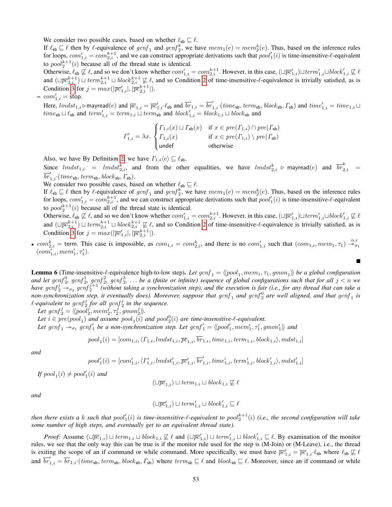We consider two possible cases, based on whether  $\ell_{sb} \sqsubseteq \ell$ .

If  $\ell_{sb} \sqsubseteq \ell$  then by  $\ell$ -equivalence of  $gcnf_1$  and  $gcnf_2^k$ , we have  $mem_1(e) = mem_2^k(e)$ . Thus, based on the inference rules for loops,  $com'_{1,i} = com^{k+1}_{2,i}$ , and we can construct appropriate derivations such that  $pool'_1(i)$  is time-insensitive- $\ell$ -equivalent to  $pool_2^{k+1}(i)$  because all of the thread state is identical.

Otherwise,  $\ell_{sb} \not\sqsubseteq \ell$ , and so we don't know whether  $com'_{1,i} = com^{k+1}_{2,i}$ . However, in this case,  $(\Box \overline{pc}'_{1,i}) \Box term'_{1,i} \Box block'_{1,i} \not\sqsubseteq \ell$ and  $(\Box \overline{pc}_{2,i}^{k+1}) \Box \text{ term}_{2,i}^{k+1} \Box \text{ block}_{2,i}^{k+1} \not\sqsubseteq \ell$ , and so Condition [2](#page-49-3) of time-insensitive- $\ell$ -equivalence is trivially satisfied, as is Condition [3](#page-49-4) for  $j = max(|\overline{pc}'_{1,i}|, |\overline{pc}_{2,i}^{k+1}|).$ 

$$
- \ com_{1,i}' = \mathsf{stop}.
$$

Here,  $lmdst_{1,i} \triangleright$  mayread $(e)$  and  $\overline{pc}_{1,i} = \overline{pc}'_{1,i} \cdot \ell_{sb}$  and  $\overline{br}_{1,i} = \overline{br}'_{1,i} \cdot (times_{sb}, term_{sb}, block_{sb}, F_{sb})$  and  $time'_{1,i} = time_{1,i} \sqcup$  $time_{sb} \sqcup \ell_{sb}$  and  $term'_{1,i} = term_{1,i} \sqcup term_{sb}$  and  $block'_{1,i} = block_{1,i} \sqcup block_{sb}$  and

$$
\Gamma'_{1,i} = \lambda x. \begin{cases} \Gamma_{1,i}(x) \sqcup \Gamma_{\mathsf{sb}}(x) & \text{if } x \in \text{pre}(\Gamma_{1,i}) \cap \text{pre}(\Gamma_{\mathsf{sb}}) \\ \Gamma_{1,i}(x) & \text{if } x \in \text{pre}(\Gamma_{1,i}) \setminus \text{pre}(\Gamma_{\mathsf{sb}}) \\ \text{undef} & \text{otherwise} \end{cases}
$$

Also, we have By Definition [2,](#page-29-0) we have  $\Gamma_{1,i}\langle e \rangle \sqsubseteq \ell_{\mathsf{sb}}$ .

Since  $lmdst_{1,i}$  =  $lmdst_{2,i}^k$ , and from the other equalities, we have  $lmdst_{2,i}^k \triangleright$  mayread $(e)$  and  $\overline{br}_{2,i}^k$  =  $\overline{br}'_{1,i}.(time_{sb}, term_{sb}, block_{sb}, \overline{r}_{sb}).$ 

We consider two possible cases, based on whether  $\ell_{sb} \sqsubseteq \ell$ .

If  $\ell_{sb} \sqsubseteq \ell$  then by  $\ell$ -equivalence of  $gcnf_1$  and  $gcnf_2^k$ , we have  $mem_1(e) = mem_2^k(e)$ . Thus, based on the inference rules for loops,  $com'_{1,i} = com^{k+1}_{2,i}$ , and we can construct appropriate derivations such that  $pool'_1(i)$  is time-insensitive- $\ell$ -equivalent to  $pool_2^{k+1}(i)$  because all of the thread state is identical.

Otherwise,  $\ell_{sb} \not\sqsubseteq \ell$ , and so we don't know whether  $com'_{1,i} = com^{k+1}_{2,i}$ . However, in this case,  $(\Box \overline{pc}'_{1,i}) \Box term'_{1,i} \Box block'_{1,i} \not\sqsubseteq \ell$ and  $(\Box \overline{pc}_{2,i}^{k+1}) \Box \text{ term}_{2,i}^{k+1} \Box \text{ block}_{2,i}^{k+1} \not\sqsubseteq \ell$ , and so Condition [2](#page-49-3) of time-insensitive- $\ell$ -equivalence is trivially satisfied, as is Condition [3](#page-49-4) for  $j = max(|\overline{pc}'_{1,i}|, |\overline{pc}^{k+1}_{2,i}|)$ .

•  $com_{2,i}^k =$  term. This case is impossible, as  $com_{1,i} = com_{2,i}^k$ , and there is no  $com'_{1,i}$  such that  $(com_{1,i}, mem_1, \tau_1) \stackrel{\alpha,\epsilon}{\rightarrow} \sigma$  $\rightarrow \sigma_1$  $(com'_{1,i}, mem'_{1}, \tau'_{1}).$ 

<span id="page-53-0"></span>**Lemma 6** (Time-insensitive- $\ell$ -equivalence high-to-low step). Let  $gcnf_1 = \langle pool_1, mem_1, \tau_1, gmon_1 \rangle$  be a global configuration and let  $gcnf_2^0$ ,  $gcnf_2^1$ ,  $gcnf_2^2$ ,  $gcnf_2^3$ , ... be a (finite or infinite) sequence of global configurations such that for all  $j < n$  we *have*  $gcnf_2^j \rightarrow_{\sigma_2} gcnf_2^{j+1}$  (without taking a synchronization step), and the execution is fair (i.e., for any thread that can take a non-synchronization step, it eventually does). Moreover, suppose that  $gcnf_1$  and  $gcnf_2^0$  are well aligned, and that  $gcnf_1$  is  $\ell$ -equivalent to gcnf<sup>2</sup> for all gcnf<sup>2</sup> in the sequence.

Let  $\text{genf}_2^j = \langle \langle \text{pool}_2^j, \text{mem}_2^j, \tau_2^j, \text{gmon}_2^j \rangle \rangle$ .

Let  $i \in pre(pool_1)$  and assume  $pool_1(i)$  and  $pool_2^0(i)$  are time-insensitive- $\ell$ -equivalent. Let  $gcnf_1 \rightarrow_{\sigma_1} gcnf'_1$  be a non-synchronization step. Let  $gcnf'_1 = \langle pool'_1, mem'_1, \tau'_1, gmon'_1 \rangle \rangle$  and

$$
pool_1(i) = [com_{1,i}, \langle \Gamma_{1,i}, \text{Imdst}_{1,i}, \overline{pc}_{1,i}, \overline{br}_{1,i}, \text{time}_{1,i}, \text{term}_{1,i}, \text{block}_{1,i} \rangle, mdst_{1,i}]
$$

*and*

$$
pool'_1(i) = [com'_{1,i}, \langle \varGamma'_{1,i}, lmdst'_{1,i}, \overline{pc}'_{1,i}, \overline{br}'_{1,i}, time'_{1,i}, term'_{1,i}, block'_{1,i}\rangle, mdst'_{1,i}]
$$

*If*  $pool_1(i) \neq pool'_1(i)$  *and* 

$$
(\sqcup \overline{pc}_{1,i}) \sqcup term_{1,i} \sqcup block_{1,i} \not\sqsubseteq \ell
$$

*and*

$$
(\sqcup \overline{pc}'_{1,i}) \sqcup term'_{1,i} \sqcup block'_{1,i} \sqsubseteq \ell
$$

then there exists a k such that  $pool'_1(i)$  is time-insensitive- $\ell$ -equivalent to  $pool_2^{k+1}(i)$  (i.e., the second configuration will take *some number of high steps, and eventually get to an equivalent thread state).*

*Proof:* Assume  $(\sqcup \overline{pc}_{1,i}) \sqcup term_{1,i} \sqcup block_{1,i} \not\sqsubseteq \ell$  and  $(\sqcup \overline{pc}_{1,i}') \sqcup term_{1,i}' \sqcup block_{1,i}' \sqsubseteq \ell$ . By examination of the monitor rules, we see that the only way this can be true is if the monitor rule used for the step is (M-Join) or (M-Leave), i.e., the thread is exiting the scope of an if command or while command. More specifically, we must have  $\overline{pc}_{1,i}' = \overline{pc}_{1,i} \cdot \ell_{sb}$  where  $\ell_{sb} \not\sqsubseteq \ell$ and  $\overline{br}'_{1,i} = \overline{br}_{1,i}$  (time<sub>sb</sub>, term<sub>sb</sub>, block<sub>sb</sub>,  $\Gamma_{sb}$ ) where term<sub>sb</sub>  $\Gamma$  and block<sub>sb</sub>  $\Gamma$  and block<sub>sb</sub>  $\Gamma$  and block<sub>sb</sub>  $\Gamma$  and block<sub>sb</sub>  $\Gamma$  and block<sub>sb</sub>  $\Gamma$  and block<sub>sb</sub>  $\Gamma$  and if command or w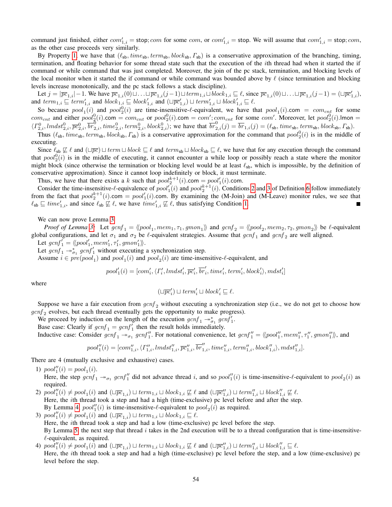command just finished, either  $com'_{1,i} = stop; com$  for some  $com$ , or  $com'_{1,i} = stop$ . We will assume that  $com'_{1,i} = stop; com$ , as the other case proceeds very similarly.

By Property [1,](#page-31-9) we have that  $(\ell_{sb}, time_{sb}, term_{sb}, block_{sb}, \Gamma_{sb})$  is a conservative approximation of the branching, timing, termination, and floating behavior for some thread state such that the execution of the ith thread had when it started the if command or while command that was just completed. Moreover, the join of the pc stack, termination, and blocking levels of the local monitor when it started the if command or while command was bounded above by  $\ell$  (since termination and blocking levels increase monotonically, and the pc stack follows a stack discipline).

Let  $j = |\overline{pc}_{1,i}| - 1$ . We have  $\overline{pc}_{1,i}(0) \sqcup \ldots \sqcup \overline{pc}_{1,i}(j-1) \sqcup term_{1,i} \sqcup block_{1,i} \sqsubseteq \ell$ , since  $\overline{pc}_{1,i}(0) \sqcup \ldots \sqcup \overline{pc}_{1,i}(j-1) = (\sqcup \overline{pc}'_{1,i}),$ and  $term_{1,i} \sqsubseteq term'_{1,i}$  and  $block_{1,i} \sqsubseteq block'_{1,i}$  and  $(\sqcup \overline{pc}'_{1,i}) \sqcup term'_{1,i} \sqcup block'_{1,i} \sqsubseteq \ell$ .

So because  $pool_1(i)$  and  $pool_2^0(i)$  are time-insensitive- $\ell$ -equivalent, we have that  $pool_1(i)$ .com =  $com_{cnt}$  for some com<sub>cnt</sub> and either  $pool_2^0(i)$ .com =  $com_{cnt}$  or  $pool_2^0(i)$ .com =  $com$ ; com<sub>cnt</sub> for some com'. Moreover, let  $pool_2^0(i)$ .lmon =  $\langle \Gamma_{2,i}^0, \overline{lm} \, \mathcal{S}_{2,i}^0, \overline{\mathcal{F}_{2,i}^0}, \overline{\mathcal{F}_{2,i}^0}, \text{time}_{2,i}^0, \text{term}_{2,i}^0, \text{block}_{2,i}^0 \rangle$ ; we have that  $\overline{\mathcal{F}_{2,i}^0}(j) = \overline{\mathcal{F}_{1,i}}(j) = (\ell_{\mathsf{sb}}, \text{time}_{\mathsf{sb}}, \text{term}_{\mathsf{sb}}, \text{block}_{\mathsf{sb}}, \Gamma_{\mathsf{sb}})$ .

Thus  $(\ell_{sb}, \text{time}_{sb}, \text{term}_{sb}, \text{block}_{sb}, \Gamma_{sb})$  is a conservative approximation for the command that  $pool_2^0(i)$  is in the middle of executing.

Since  $\ell_{sb} \not\sqsubseteq \ell$  and  $(\square \overline{pc}) \sqcup term \sqcup block \sqsubseteq \ell$  and  $term_{sb} \sqcup block_{sb} \sqsubseteq \ell$ , we have that for any execution through the command that  $pool_2^0(i)$  is in the middle of executing, it cannot encounter a while loop or possibly reach a state where the monitor might block (since otherwise the termination or blocking level would be at least  $\ell_{sb}$ , which is impossible, by the definition of conservative approximation). Since it cannot loop indefinitely or block, it must terminate.

Thus, we have that there exists a k such that  $pool_2^{k+1}(i)$ .com =  $pool'_1(i)$ .com.

Thus, we have that there exists a  $\kappa$  such that  $p_{\text{tot}_2}^2$  (*i*).com =  $p_{\text{tot}_1}(i)$ .com.<br>Consider the time-insensitive-*l*-equivalence of  $p_{\text{tot}_1}^1(i)$  and  $p_{\text{tot}_2}^1(i)$ . Conditions [2](#page-49-3) and [3](#page-49-4) of Definition [6](#page-49-5) follo from the fact that  $pool_2^{k+1}(i)$ .com =  $pool'_1(i)$ .com. By examining the (M-Join) and (M-Leave) monitor rules, we see that  $\ell_{sb} \sqsubseteq \text{time}_{1,i}'$ , and since  $\ell_{sb} \not\sqsubseteq \ell$ , we have  $\text{time}_{1,i}' \not\sqsubseteq \ell$ , thus satisfying Condition [1.](#page-49-2)

We can now prove Lemma [3.](#page-49-1)

*Proof of Lemma [3:](#page-49-1)* Let  $gcnf_1 = \langle pool_1, mem_1, \tau_1, gmon_1 \rangle$  and  $gcnf_2 = \langle pool_2, mem_2, \tau_2, gmon_2 \rangle$  be  $\ell$ -equivalent global configurations, and let  $\sigma_1$  and  $\sigma_2$  be  $\ell$ -equivalent strategies. Assume that  $gcnf_1$  and  $gcnf_2$  are well aligned.

Let  $\text{genf}_1' = \langle \text{good}_1', \text{mem}_1', \tau_1', \text{gmon}_1' \rangle$ .

Let  $\text{genf}_1 \rightarrow_{\sigma_1}^* \text{genf}_1'$  without executing a synchronization step.

Assume  $i \in pre(pool_1)$  and  $pool_1(i)$  and  $pool_2(i)$  are time-insensitive- $\ell$ -equivalent, and

$$
pool'_1(i) = [com'_i, \langle \Gamma'_i, lmdst'_i, \overline{pc}'_i, \overline{br}'_i, time'_i, term'_i, block'_i\rangle, mdst'_i]
$$

where

$$
(\sqcup \overline{pc}'_i) \sqcup term'_i \sqcup block'_i \sqsubseteq \ell.
$$

Suppose we have a fair execution from  $gcnf_2$  without executing a synchronization step (i.e., we do not get to choose how  $gcnf_2$  evolves, but each thread eventually gets the opportunity to make progress).

We proceed by induction on the length of the execution  $gcnf_1 \rightarrow_{\sigma_1}^* gcnf'_1$ .

Base case: Clearly if  $gcnf_1 = gcnf_1'$  then the result holds immediately.

Inductive case: Consider  $gcnf_1 \rightarrow_{\sigma_1} gcnf_1''$ . For notational convenience, let  $gcnf_1'' = \langle pool_1'', mem_1'', \tau_1'', gmon_1'' \rangle$ , and

$$
pool''_1(i) = [com''_{1,i}, \langle \varGamma''_{1,i}, lmdst''_{1,i}, \overline{pc''}_{1,i}, \overline{br''}_{1,i}, time''_{1,i}, term''_{1,i}, block''_{1,i}\rangle, mdst''_{1,i}].
$$

There are 4 (mutually exclusive and exhaustive) cases.

1)  $pool''_1(i) = pool_1(i)$ .

Here, the step  $gcnf_1 \rightarrow_{\sigma_1} gcnf''_1$  did not advance thread i, and so  $pool''_1(i)$  is time-insensitive- $\ell$ -equivalent to  $pool_2(i)$  as required.

 $2) \ \ \text{pool''_1}(i) \neq \text{pool}_1(i) \ \text{and} \ (\sqcup \overline{pc}_{1,i}) \sqcup \text{term}_{1,i} \sqcup \text{block}_{1,i} \not\sqsubseteq \ell \ \text{and} \ (\sqcup \overline{pc}_{1,i}'') \sqcup \text{term}_{1,i}'' \sqcup \text{block}_{1,i}'' \not\sqsubseteq \ell.$ Here, the ith thread took a step and had a high (time-exclusive) pc level before and after the step. By Lemma [4,](#page-50-0)  $pool''_1(i)$  is time-insensitive- $\ell$ -equivalent to  $pool_2(i)$  as required.

3)  $pool''_1(i) \neq pool_1(i)$  and  $(\sqcup \overline{pc}_{1,i}) \sqcup term_{1,i} \sqcup block_{1,i} \sqsubseteq \ell$ . Here, the ith thread took a step and had a low (time-exclusive) pc level before the step. By Lemma [5,](#page-50-1) the next step that thread  $i$  takes in the 2nd execution will be to a thread configuration that is time-insensitive- $\ell$ -equivalent, as required.

4)  $pool''_1(i) \neq pool_1(i)$  and  $(\sqcup \overline{pc}_{1,i}) \sqcup term_{1,i} \sqcup block_{1,i} \not\sqsubseteq \ell$  and  $(\sqcup \overline{pc''_{1,i}}) \sqcup term''_{1,i} \sqcup block''_{1,i} \sqsubseteq \ell$ . Here, the ith thread took a step and had a high (time-exclusive) pc level before the step, and a low (time-exclusive) pc level before the step.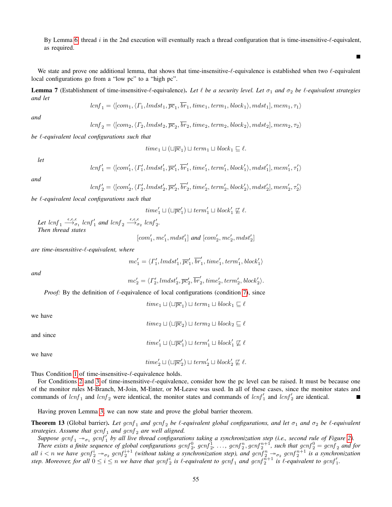By Lemma [6,](#page-53-0) thread i in the 2nd execution will eventually reach a thread configuration that is time-insensitive- $\ell$ -equivalent, as required.

 $\blacksquare$ 

We state and prove one additional lemma, that shows that time-insensitive- $\ell$ -equivalence is established when two  $\ell$ -equivalent local configurations go from a "low pc" to a "high pc".

<span id="page-55-1"></span>**Lemma** 7 (Establishment of time-insensitive- $\ell$ -equivalence). Let  $\ell$  be a security level. Let  $\sigma_1$  and  $\sigma_2$  be  $\ell$ -equivalent strategies *and let*

$$
lcnf_1 = \langle [com_1, \langle \Gamma_1, lmdst_1, \overline{pc}_1, \overline{br}_1, \text{time}_1, \text{term}_1, \text{block}_1 \rangle, mdst_1], \text{mem}_1, \tau_1 \rangle
$$

*and*

$$
lcnf_2 = \langle [com_2, \langle \Gamma_2, \text{Imdst}_2, \overline{pc}_2, \text{br}_2, \text{time}_2, \text{term}_2, \text{block}_2 \rangle, \text{mdst}_2], \text{mem}_2, \tau_2 \rangle
$$

*be*  $\ell$ -equivalent local configurations such that

 $time_1 \sqcup (\sqcup \overline{pc}_1) \sqcup term_1 \sqcup block_1 \sqsubseteq \ell.$ 

*let*

$$
lcnf_1' = \langle [com_1', \langle \Gamma_1', lmdst_1', \overline{pc}_1', \overline{br}_1', time_1', term_1', block_1' \rangle, mdst_1'], mem_1', \tau_1' \rangle
$$

*and*

$$
lcnf_2' = \langle [com_2', \langle \varGamma_2', lmdst_2', \overline{pc}_2', \overline{br}_2', time_2', term_2', block_2'\rangle, mdst_2'], mem_2', \tau_2' \rangle
$$

*be* `*-equivalent local configurations such that*

$$
time'_1 \sqcup (\sqcup \overline{pc}'_1) \sqcup term'_1 \sqcup block'_1 \not\sqsubseteq \ell.
$$

Let  $lcnf_1 \stackrel{\epsilon,\epsilon,\epsilon}{\longrightarrow} \frac{lcnf'_1}{\sigma_1}$  and  $lcnf_2 \stackrel{\epsilon,\epsilon,\epsilon}{\longrightarrow} \frac{lcnf'_2}{\sigma_2}$ . *Then thread states*

 $[com'_1, mc'_1, mdst'_1]$  and  $[com'_2, mc'_2, mdst'_2]$ 

*are time-insensitive-*`*-equivalent, where*

$$
mc'_1 = \langle \varGamma'_1, lmdst'_1, \overline{pc}'_1, \overline{br}'_1, time'_1, term'_1, block'_1 \rangle
$$

*and*

$$
nc_2' = \langle \Gamma_2',lmdst_2',\overline{pc}_2',\overline{br}_2',time_2',term_2',block_2' \rangle.
$$

*Proof:* By the definition of  $\ell$ -equivalence of local configurations (condition [7\)](#page-36-2), since

 $\gamma$ 

$$
time_1 \sqcup (\sqcup \overline{pc}_1) \sqcup term_1 \sqcup block_1 \sqsubseteq \ell
$$

we have

$$
time_2 \sqcup (\sqcup \overline{pc}_2) \sqcup term_2 \sqcup block_2 \sqsubseteq \ell
$$

and since

$$
\mathit{time}_1' \sqcup (\sqcup \overline{pc}_1') \sqcup \mathit{term}_1' \sqcup \mathit{block}_1' \not\sqsubseteq \ell
$$

we have

$$
time'_2 \sqcup (\sqcup \overline{pc}'_2) \sqcup term'_2 \sqcup block'_2 \not\sqsubseteq \ell.
$$

Thus Condition [1](#page-49-2) of time-insensitive- $\ell$ -equivalence holds.

For Conditions [2](#page-49-3) and [3](#page-49-4) of time-insensitive- $\ell$ -equivalence, consider how the pc level can be raised. It must be because one of the monitor rules M-Branch, M-Join, M-Enter, or M-Leave was used. In all of these cases, since the monitor states and commands of  $lcnf_1$  and  $lcnf_2$  were identical, the monitor states and commands of  $lcnf'_1$  and  $lcnf'_2$  are identical.

Having proven Lemma [3,](#page-49-1) we can now state and prove the global barrier theorem.

<span id="page-55-0"></span>**Theorem 13** (Global barrier). Let gcnf<sub>1</sub> and gcnf<sub>2</sub> be  $\ell$ -equivalent global configurations, and let  $\sigma_1$  and  $\sigma_2$  be  $\ell$ -equivalent *strategies. Assume that*  $gcnf_1$  *and*  $gcnf_2$  *are well aligned.* 

*Suppose*  $gcnf_1 \rightarrow_{\sigma_1} gcnf'_1$  by all live thread configurations taking a synchronization step (i.e., second rule of Figure [2\)](#page-7-2).

There exists a finite sequence of global configurations  $gcnf_2^0$ ,  $gcnf_2^1$ , ...,  $gcnf_2^n$ ,  $gcnf_2^{n+1}$ , such that  $gcnf_2^0 = gcnf_2$  and for all  $i < n$  we have  $gcnf_2^{i} \rightarrow \sigma_2 gcnf_2^{i+1}$  (without taking a synchronization step), and  $gcnf_2^n \rightarrow \sigma_2 gcnf_2^{n+1}$  is a synchronization step. Moreover, for all  $0 \le i \le n$  we have that  $gcnf_2^i$  is  $\ell$ -equivalent to  $gcnf_1$  and  $gcnf_2^{n+1}$  is  $\ell$ -equivalent to  $gcnf'_1$ .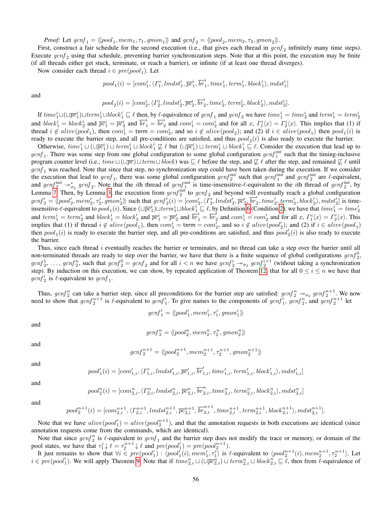*Proof:* Let  $gcnf_1 = \langle \langle pool_1, mem_1, \tau_1, gmon_1 \rangle \rangle$  and  $gcnf_2 = \langle \langle pool_2, mem_2, \tau_2, gmon_2 \rangle \rangle$ .

First, construct a fair schedule for the second execution (i.e., that gives each thread in  $\text{genf}_2$  infinitely many time steps). Execute  $\text{genf}_2$  using that schedule, preventing barrier synchronization steps. Note that at this point, the execution may be finite (if all threads either get stuck, terminate, or reach a barrier), or infinite (if at least one thread diverges).

Now consider each thread  $i \in pre(pool<sub>1</sub>)$ . Let

 $pool_1(i) = [com_1^i, \langle \Gamma_1^i, lmdst_1^i, \overline{pc}_1^i, \overline{br}_1^i, time_1^i, term_1^i, block_1^i \rangle, mdst_1^i]$ 

and

$$
pool_2(i) = [com_2^i, \langle \varGamma_2^i, \operatorname{Imdst}_2^i, \overline{pc}_2^i, \overline{br}_2^i, \operatorname{time}_2^i, \operatorname{term}_2^i, \operatorname{block}_2^i \rangle, \operatorname{mdst}_2^i].
$$

If  $time_1^i \sqcup (\sqcup \overline{pc}_1^i) \sqcup term_1^i \sqcup block_1^i \sqsubseteq \ell$  then, by  $\ell$ -equivalence of  $gcnf_1$  and  $gcnf_2$  we have  $time_1^i = time_2^i$  and  $term_1^i = term_2^i$ and  $block^{\overline{i}}_1 = block^{\overline{i}}_2$  and  $\overline{pc}^i_1 = \overline{pc}^i_2$  and  $\overline{br}^i_1 = \overline{br}^i_2$  and  $com^i_1 = com^i_2$  and for all x,  $\Gamma^i_1(x) = \Gamma^i_2(x)$ . This implies that (1) if thread  $i \notin alive(pool_1)$ , then  $com_1^i = \text{term} = com_2^i$ , and so  $i \notin alive(pool_2)$ ; and (2) if  $i \in alive(pool_1)$  then  $pool_1(i)$  is ready to execute the barrier step, and all pre-conditions are satisfied, and thus  $pool_2(i)$  is also ready to execute the barrier.

Otherwise,  $\text{time}_1^i \sqcup (\sqcup \overline{pc}_1^i) \sqcup \text{term}_1^i \sqcup \text{block}_1^i \sqsubseteq \ell$  but  $(\sqcup \overline{pc}_1^i) \sqcup \text{term}_1^i \sqcup \text{block}_1^i \sqsubseteq \ell$ . Consider the execution that lead up to  $gcnf_1$ . There was some step from one global configuration to some global configuration  $gcnf_1^{init}$  such that the timing-inclusive program counter level (i.e.,  $time \sqcup (\sqcup \overline{pc}) \sqcup term \sqcup block)$  was  $\sqsubseteq \ell$  before the step, and  $\not\sqsubseteq \ell$  after the step, and remained  $\not\sqsubseteq \ell$  until  $gcnf_1$  was reached. Note that since that step, no synchronization step could have been taken during the execution. If we consider the execution that lead to  $gcnf_1$ , there was some global configuration  $gcnf_2^{init}$  such that  $gcnf_1^{init}$  and  $gcnf_2^{init}$  are  $\ell$ -equivalent, and  $gcnf_2^{init} \rightarrow_{\sigma_2}^* gcnf_2$ . Note that the *i*th thread of  $gcnf_1^{init}$  is time-insensitive- $\ell$ -equivalent to the *i*th thread of  $gcnf_2^{init}$ , by Lemma [7.](#page-55-1) Then, by Lemma [3,](#page-49-1) the execution from  $gcnf_2^{init}$  to  $gcnf_2$  and beyond will eventually reach a global configuration  $gcnf'_{2} = \langle \langle pool'_{2}, mem'_{2}, \tau'_{2}, gmon'_{2} \rangle \rangle$  such that  $gcnf'_{2}(i) = [com'_{2}, \langle \Gamma'_{2}, Imdst'_{2}, \overline{pc}'_{2}, \overline{br'_{2}}, time'_{2}, term'_{2}, block'_{2}\rangle, mdst'_{2}]$  is timeinsensitive- $\ell$ -equivalent to  $pool_1(i)$ . Since  $(\Box \overline{pc}_1^i) \Box term_1^i \Box block_1^i \sqsubseteq \ell$ , by Definition [6](#page-49-5) (Condition [2\)](#page-49-3), we have that  $time_1^i = time_2'$ and  $term_1^i = term'_2$  and  $block_1^i = block'_2$  and  $overline{pc}_1^i = \overline{pc}'_2$  and  $overline{br}_1^i = \overline{br}'_2$  and  $com_1^i = com'_2$  and for all x,  $\Gamma_1^i(x) = \Gamma_2'(x)$ . This implies that (1) if thread  $i \notin alive(pool_1)$ , then  $com_1^i = \text{term} = com_2^i$ , and so  $i \notin alive(pool_2)$ ; and (2) if  $i \in alive(pool_1)$ then  $pool_1(i)$  is ready to execute the barrier step, and all pre-conditions are satisfied, and thus  $pool_2'(i)$  is also ready to execute the barrier.

Thus, since each thread i eventually reaches the barrier or terminates, and no thread can take a step over the barrier until all non-terminated threads are ready to step over the barrier, we have that there is a finite sequence of global configurations  $gcnf_2^0$ ,  $gcnf_2^1, \ldots, gcnf_2^n$ , such that  $gcnf_2^0 = gcnf_2$  and for all  $i < n$  we have  $gcnf_2^i \rightarrow_{\sigma_2} gcnf_2^{i+1}$  (without taking a synchronization step). By induction on this execution, we can show, by repeated application of Theorem [12,](#page-48-1) that for all  $0 \le i \le n$  we have that  $gcnf_2^i$  is  $\ell$ -equivalent to  $gcnf_1$ .

Thus,  $gcnf_2^n$  can take a barrier step, since all preconditions for the barrier step are satisfied:  $gcnf_2^n \rightarrow_{\sigma_2} gcnf_2^{n+1}$ . We now need to show that  $gcnf_2^{n+1}$  is  $\ell$ -equivalent to  $gcnf_1'$ . To give names to the components of  $gcnf_1'$ ,  $gcnf_2^n$ , and  $gcnf_2^{n+1}$  let

$$
\mathit{genf}_1' = \langle\!\langle pool'_1, mem'_1, \tau'_1, gmon'_1 \rangle\!\rangle
$$

and

$$
\textit{genf}_2^n = \langle\!\langle \textit{pool}_2^n, \textit{mem}_2^n, \tau_2^n, \textit{gmon}_2^n \rangle\!\rangle
$$

and

$$
gcnf_2^{n+1} = \langle \langle pool_2^{n+1}, mem_2^{n+1}, \tau_2^{n+1}, gmon_2^{n+1} \rangle \rangle
$$

and

$$
pool'_1(i) = [com'_{1,i}, \langle \varGamma'_{1,i}, lmdst'_{1,i}, \overline{pc}'_{1,i}, \overline{br}'_{1,i}, time'_{1,i}, term'_{1,i}, block'_{1,i}\rangle, mdst'_{1,i}]
$$

and

and

$$
pool_2^n(i) = [com^n_{2,i}, \langle \varGamma^n_{2,i}, lmdst^n_{2,i}, \overline{pc}^n_{2,i}, \overline{br}^n_{2,i}, time^n_{2,i}, term^n_{2,i}, block^n_{2,i}\rangle, mdst^n_{2,i}]
$$

$$
pool^{n+1}_2(i) = [com^{n+1}_{2,i}, \langle \varGamma^{n+1}_{2,i}, !mdst^{n+1}_{2,i}, \overline{pc}^{n+1}_{2,i}, \overline{br}^{n+1}_{2,i}, time^{n+1}_{2,i}, term^{n+1}_{2,i}, block^{n+1}_{2,i}\rangle, mdst^{n+1}_{2,i}].
$$

Note that we have  $alive(pool'_1) = alive(pool_2^{n+1})$ , and that the annotation requests in both executions are identical (since annotation requests come from the commands, which are identical).

Note that since  $gcnf_2^n$  is  $\ell$ -equivalent to  $gcnf_1$  and the barrier step does not modify the trace or memory, or domain of the pool states, we have that  $\tau'_1 \downarrow \ell = \tau_2^{n+1} \downarrow \ell$  and  $pre(pool'_1) = pre(pool_2^{n+1})$ .

It just remains to show that  $\forall i \in pre(pool'_1) : \langle pool'_1(i), mem'_1, \tau'_1 \rangle$  is  $\ell$ -equivalent to  $\langle pool_2^{n+1}(i), mem_2^{n+1}, \tau_2^{n+1} \rangle$ . Let  $i \in pre(pool'_1)$ . We will apply Theorem [9.](#page-44-0) Note that if  $time_{2,i}^n \sqcup (\sqcup \overline{pc}_{2,i}^n) \sqcup term_{2,i}^n \sqcup block_{2,i}^n \sqsubseteq \ell$ , then from  $\ell$ -equivalence of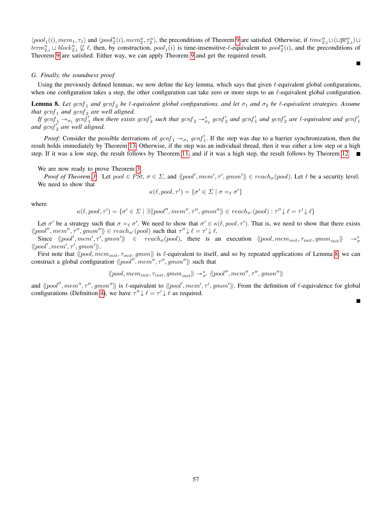$\langle pool_1(i), mem_1, \tau_1 \rangle$  and  $\langle pool_2^n(i), mem_2^n, \tau_2^n \rangle$ , the preconditions of Theorem [9](#page-44-0) are satisfied. Otherwise, if  $time_{2,i}^n \sqcup (\sqcup \overline{pc}_{2,i}^n) \sqcup$ term<sup>n</sup><sub>2,i</sub>  $\Box$  block<sup>n</sup><sub>2,i</sub>  $\Box$   $\ell$ , then, by construction,  $pool_1(i)$  is time-insensitive- $\ell$ -equivalent to  $pool_2^n(i)$ , and the preconditions of Theorem [9](#page-44-0) are satisfied. Either way, we can apply Theorem [9](#page-44-0) and get the required result.

#### *G. Finally, the soundness proof*

Using the previously defined lemmas, we now define the key lemma, which says that given  $\ell$ -equivalent global configurations, when one configuration takes a step, the other configuration can take zero or more steps to an  $\ell$ -equivalent global configuration.

<span id="page-57-0"></span>**Lemma 8.** Let gcnf<sub>1</sub> and gcnf<sub>2</sub> be l-equivalent global configurations, and let  $\sigma_1$  and  $\sigma_2$  be l-equivalent strategies. Assume *that*  $gcnf_1$  *and*  $gcnf_2$  *are well aligned.* 

*If*  $gcnf_1 \rightarrow_{\sigma_1} gcnf_1'$  *then there exists*  $gcnf_2'$  *such that*  $gcnf_2 \rightarrow_{\sigma_2}^* gcnf_2'$  *and*  $gcnf_1'$  *and*  $gcnf_2'$  *are*  $\ell$ *-equivalent and*  $gcnf_1'$ and  $gcnf'_2$  are well aligned.

*Proof:* Consider the possible derivations of  $gcnf_1 \rightarrow_{\sigma_1} gcnf'_1$ . If the step was due to a barrier synchronization, then the result holds immediately by Theorem [13.](#page-55-0) Otherwise, if the step was an individual thread, then it was either a low step or a high step. If it was a low step, the result follows by Theorem [11,](#page-48-0) and if it was a high step, the result follows by Theorem [12.](#page-48-1)

We are now ready to prove Theorem [3.](#page-14-2)

*Proof of Theorem [3:](#page-14-2)* Let  $pool \in PSt, \sigma \in \Sigma$ , and  $\langle \langle pool', mem', \tau', gmon' \rangle \rangle \in reach_{\sigma}(pool)$ . Let  $\ell$  be a security level. We need to show that

$$
\kappa(\ell, pool, \tau') = \{ \sigma' \in \Sigma \mid \sigma =_{\ell} \sigma' \}
$$

where

$$
\kappa(\ell, pool, \tau') = \{\sigma' \in \Sigma \mid \exists \langle pool'',mem'', \tau'',gmon'' \rangle \} \in reach_{\sigma'}(pool) : \tau'' \downarrow \ell = \tau' \downarrow \ell \}
$$

Let  $\sigma'$  be a strategy such that  $\sigma =_{\ell} \sigma'$ . We need to show that  $\sigma' \in \kappa(\ell, pool, \tau')$ . That is, we need to show that there exists  $\langle \langle pool'',mem'',\tau'',gmon'' \rangle \rangle \in reach_{\sigma'}(pool)$  such that  $\tau'' \downarrow \ell = \tau' \downarrow \ell$ .

Since  $\langle \langle pool',mem', \tau',gmon' \rangle \rangle \in reach_{\sigma} (pool),$  there is an execution  $\langle \langle pool,mem_{init}, \tau_{init},gmon_{init} \rangle \rightarrow_{\sigma}^{*}$  $\langle \langle pool', mem',\tau',gmon' \rangle \rangle.$ 

First note that  $\langle pool, mem_{init}, \tau_{init}, gmon \rangle$  is  $\ell$ -equivalent to itself, and so by repeated applications of Lemma [8,](#page-57-0) we can construct a global configuration  $\langle \langle pool'' , mem'' , \tau'' , gmon'' \rangle \rangle$  such that

 $\langle \hspace{-0.2em} \langle pool,mem_{init}, \tau_{init}, gmon_{init} \rangle \rightarrow^*_{\sigma'} \langle \hspace{-0.2em} \langle pool'',mem'', \tau'', gmon'' \rangle \rangle$ 

and  $\langle pool'',mem'', \tau'', gmon'' \rangle$  is  $\ell$ -equivalent to  $\langle pool', mem', \tau', gmon' \rangle$ . From the definition of  $\ell$ -equivalence for global configurations (Definition [4\)](#page-37-2), we have  $\tau'' \downarrow \ell = \tau' \downarrow \ell$  as required.

 $\blacksquare$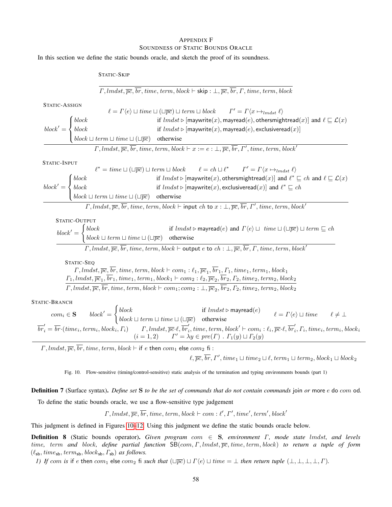## <span id="page-58-0"></span>APPENDIX F SOUNDNESS OF STATIC BOUNDS ORACLE

In this section we define the static bounds oracle, and sketch the proof of its soundness.

## STATIC-SKIP

|               | $\Gamma$ , $lmdst, \overline{pc}, \overline{br}, time, term, block \vdash \mathsf{skip}: \bot, \overline{pc}, \overline{br}, \Gamma, time, term, block$                                                                                                                                                                                                                                                                                                                                                                                                                    |
|---------------|----------------------------------------------------------------------------------------------------------------------------------------------------------------------------------------------------------------------------------------------------------------------------------------------------------------------------------------------------------------------------------------------------------------------------------------------------------------------------------------------------------------------------------------------------------------------------|
| STATIC-ASSIGN |                                                                                                                                                                                                                                                                                                                                                                                                                                                                                                                                                                            |
|               | $\ell = \Gamma \langle e \rangle \sqcup \mathit{time} \sqcup (\sqcup \overline{pc}) \sqcup \mathit{term} \sqcup \mathit{block} \qquad \Gamma' = \Gamma \langle x \mapsto_{\mathit{lmdst}} \ell \rangle$                                                                                                                                                                                                                                                                                                                                                                    |
|               | if $lmdst \triangleright [maywrite(x), mayread(e), othersmightread(x)]$ and $\ell \sqsubseteq \mathcal{L}(x)$                                                                                                                                                                                                                                                                                                                                                                                                                                                              |
|               |                                                                                                                                                                                                                                                                                                                                                                                                                                                                                                                                                                            |
|               | $blockblock' = \begin{cases} block & \text{if } lmdst \triangleright [\text{maywrite}(x), \text{mayread}(e), \text{otherwise}) \\ block & \text{if } lmdst \triangleright [\text{maywrite}(x), \text{mayread}(e), \text{exclusiveread}(x)] \\ block \sqcup term \sqcup time \sqcup (\sqcup \overline{pc}) & \text{otherwise} \end{cases}$                                                                                                                                                                                                                                  |
|               | $\overline{\Gamma, lmdst, \overline{pc}, \overline{br}, \textit{time}, \textit{term}, \textit{block} \vdash x := e : \bot, \overline{pc}, \overline{br}, \Gamma', \textit{time}, \textit{term}, \textit{block}'$                                                                                                                                                                                                                                                                                                                                                           |
| STATIC-INPUT  |                                                                                                                                                                                                                                                                                                                                                                                                                                                                                                                                                                            |
|               | $\ell^* = \text{time} \sqcup (\sqcup \overline{pc}) \sqcup \text{term} \sqcup \text{block}$ $\ell = \text{ch} \sqcup \ell^*$ $\Gamma' = \Gamma \langle x \mapsto \text{lmdst} \ell \rangle$                                                                                                                                                                                                                                                                                                                                                                                |
|               |                                                                                                                                                                                                                                                                                                                                                                                                                                                                                                                                                                            |
|               |                                                                                                                                                                                                                                                                                                                                                                                                                                                                                                                                                                            |
|               | $\label{eq:block} \textit{block}' = \begin{cases} \textit{block} & \textit{if } \textit{lmdst} \triangleright [\text{maywrite}(x), \textit{otherwise}(x)] \textit{ and } \ell^* \sqsubseteq \textit{ch} \textit{ and } \ell \sqsubseteq \mathcal{L}(x) \\ \textit{block} & \textit{if } \textit{lmdst} \triangleright [\text{maywrite}(x), \textit{exclusiveread}(x)] \textit{ and } \ell^* \sqsubseteq \textit{ch} \\ \textit{block} \sqcup \textit{term} \sqcup \textit{time} \sqcup (\sqcup \overline{pc}) & \textit{otherwise} \end{cases}$                            |
|               | $\Gamma$ , lmdst, $\overline{pc}$ , $\overline{br}$ , time, term, block $\vdash$ input ch to $x : \bot$ , $\overline{pc}$ , $\overline{br}$ , $\Gamma'$ , time, term, block'                                                                                                                                                                                                                                                                                                                                                                                               |
| STATIC-OUTPUT |                                                                                                                                                                                                                                                                                                                                                                                                                                                                                                                                                                            |
|               |                                                                                                                                                                                                                                                                                                                                                                                                                                                                                                                                                                            |
|               | $\mathit{block'} = \begin{cases} \mathit{block} & \text{if } \mathit{lmdst} \rhd \mathsf{mayread}(e) \text{ and } \mathit{\Gamma}\langle e \rangle \sqcup \mathit{ time} \sqcup (\sqcup \overline{pc}) \sqcup \mathit{ term} \sqsubseteq \mathit{ch} \\ \mathit{block} \sqcup \mathit{ term} \sqcup \mathit{time} \sqcup (\sqcup \overline{pc}) & \text{otherwise} \end{cases}$                                                                                                                                                                                            |
|               | $\Gamma, lmdst, \overline{pc}, \overline{br}, time, term, block \vdash$ output $e$ to $ch: \bot, \overline{pc}, \overline{br}, \Gamma, time, term, block'$                                                                                                                                                                                                                                                                                                                                                                                                                 |
| STATIC-SEQ    |                                                                                                                                                                                                                                                                                                                                                                                                                                                                                                                                                                            |
|               | $\Gamma$ , lmdst, $\overline{pc}$ , $\overline{br}$ , time, term, block $\vdash com_1:\ell_1,\overline{pc}_1,\overline{br}_1,\Gamma_1,$ time <sub>1</sub> , term <sub>1</sub> , block <sub>1</sub>                                                                                                                                                                                                                                                                                                                                                                         |
|               | $\Gamma_1,$ lmdst, $\overline{pc}_1, \overline{br}_1,$ time <sub>1</sub> , term <sub>1</sub> , block <sub>1</sub> $\vdash$ com <sub>2</sub> : $\ell_2, \overline{pc}_2, \overline{br}_2, \Gamma_2,$ time <sub>2</sub> , term <sub>2</sub> , block <sub>2</sub>                                                                                                                                                                                                                                                                                                             |
|               | $\overline{\Gamma}$ , lmdst, $\overline{pc}$ , $\overline{br}$ , time, term, block $\vdash com_1;com_2:\bot, \overline{pc}_2, \overline{br}_2, \Gamma_2, time_2, term_2, block_2$                                                                                                                                                                                                                                                                                                                                                                                          |
| STATIC-BRANCH |                                                                                                                                                                                                                                                                                                                                                                                                                                                                                                                                                                            |
|               |                                                                                                                                                                                                                                                                                                                                                                                                                                                                                                                                                                            |
|               | $com_i \in \mathbf{S} \qquad block' = \begin{cases} block & \text{if } lmdst \vartriangleright \text{mayread}(e) \\ block \sqcup term \sqcup time \sqcup (\sqcup \overline{pc}) & \text{otherwise} \end{cases} \qquad \ell = \Gamma \langle e \rangle \sqcup time \qquad \ell \neq \bot \\ \overline{br'}_i = \overline{br} \cdot (time_i, term_i, block_i, \Gamma_i) \qquad \Gamma, lmdst, \overline{pc} \cdot \ell, \overline{br'}_i, time, term, block' \vdash com_i : \ell_i, \overline{pc} \cdot \ell, \overline{br'}_i, \Gamma_i, time_i, term_i, block_i \\ (i = 1$ |

 $\Gamma$ , lmdst,  $\overline{pc}$ ,  $\overline{br}$ , time, term, block  $\vdash$  if e then com<sub>1</sub> else com<sub>2</sub> fi :

 $\ell, \overline{pc}, \overline{br}, \Gamma', time_1 \sqcup time_2 \sqcup \ell, term_1 \sqcup term_2, block_1 \sqcup block_2$ 

<span id="page-58-1"></span>Fig. 10. Flow-sensitive (timing/control-sensitive) static analysis of the termination and typing environments bounds (part 1)

Definition 7 (Surface syntax). *Define set* S *to be the set of commands that do not contain commands* join *or* more e do com od*.*

To define the static bounds oracle, we use a flow-sensitive type judgement

 $\Gamma$ , lmdst,  $\overline{pc}$ ,  $\overline{br}$ , time, term, block  $\vdash$  com :  $\ell', \Gamma',$  time', term', block'

This judgment is defined in Figures [10](#page-58-1)[–12.](#page-59-0) Using this judgment we define the static bounds oracle below.

<span id="page-58-3"></span>Definition 8 (Static bounds operator). *Given program* com ∈ S*, environment* Γ*, mode state* lmdst*, and levels* time*,* term *and* block*, define partial function* SB(com, Γ, lmdst, pc, time, term, block) *to return a tuple of form*  $(\ell_{\mathsf{sb}}, \textit{time}_{\mathsf{sb}}, \textit{term}_{\mathsf{sb}}, \textit{block}_{\mathsf{sb}}, \Gamma_{\mathsf{sb}})$  *as follows.* 

<span id="page-58-2"></span>*1) If* com *is* if *e* then com<sub>1</sub> else com<sub>2</sub> fi such that  $(\Box \overline{pc}) \sqcup \Gamma \langle e \rangle \sqcup \text{time} = \bot$  then return tuple  $(\bot, \bot, \bot, \bot, \Gamma)$ .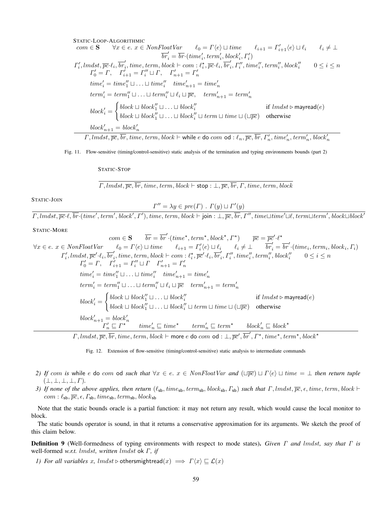STATIC-LOOP-ALGORITHMIC

$$
com \in \mathbf{S} \qquad \forall x \in e. \ x \in NonFloatVar \qquad \ell_0 = \Gamma \langle e \rangle \sqcup time \qquad \ell_{i+1} = \Gamma'_{i+1} \langle e \rangle \sqcup \ell_i \qquad \ell_i \neq \bot
$$
\n
$$
\overline{br'_i} = \overline{br} \cdot (time'_i, term'_i, block'_i, \Gamma'_i)
$$
\n
$$
\Gamma'_i, \text{Imdst}, \overline{pc} \cdot \ell_i, \overline{br'_i}, \text{ time, term, block} \vdash com : \ell_i^{\star}, \overline{pc} \cdot \ell_i, \overline{br'_i}, \Gamma''_i, \text{ time}''_i, \text{ term}''_i, \text{block}''_i \qquad 0 \leq i \leq n
$$
\n
$$
\Gamma'_0 = \Gamma, \quad \Gamma'_{i+1} = \Gamma''_i \sqcup \Gamma, \quad \Gamma'_{n+1} = \Gamma'_n
$$
\n
$$
time'_i = time''_1 \sqcup \ldots \sqcup time''_i \quad time'_{n+1} = time'_n
$$
\n
$$
term'_i = term''_1 \sqcup \ldots \sqcup term''_i \sqcup \ell_i \sqcup \overline{pc}, \quad term'_{n+1} = term'_n
$$
\n
$$
block'_i = \begin{cases} block \sqcup block_1' \sqcup \ldots \sqcup block_1'' & \text{if } \text{Imdst} \uplus \text{mayread}(e) \\ block \sqcup block_1' \sqcup \ldots \sqcup block_i'' & \text{if } \text{Imdst} \uplus \text{mayread}(e) \end{cases}
$$
\n
$$
block'_n_{n+1} = block'_n
$$

<span id="page-59-2"></span> $\Gamma,lmdst,\overline{pc},\overline{br},time,term,block \vdash \textsf{while }e$  do  $com$  od :  $\ell_n,\overline{pc},\overline{br},\Gamma'_n,time'_n,term'_n,block'_n$ 

Fig. 11. Flow-sensitive (timing/control-sensitive) static analysis of the termination and typing environments bounds (part 2)

STATIC-STOP

 $\overline{\Gamma, \text{l} m \text{d} st, \overline{pc}, \overline{\text{br}}, \text{time}, \text{term}, \text{block} \vdash \textsf{stop} : \bot, \overline{\text{pc}}, \overline{\text{br}}, \Gamma, \text{time}, \text{term}, \text{block}}$ 

STATIC-JOIN

$$
\Gamma'' = \lambda y \in pre(\Gamma) \cdot \Gamma(y) \sqcup \Gamma'(y)
$$

 $\Gamma,lmdst,\overline{pc}\cdot\ell,\overline{br}\cdot (time',term',block',\Gamma'),time,term,block \vdash join: \bot, \overline{pc}, \overline{br}, \Gamma'',time \sqcup time' \sqcup \ell,term \sqcup term',block \sqcup block' \sqcup block'$ 

STATIC-MORE

$$
com \in \mathbf{S} \qquad \overline{br} = \overline{br'} \cdot (time^{\star}, term^{\star}, block^{\star}, \Gamma^{\star}) \qquad \overline{pc} = \overline{pc'} \cdot \ell^{\star}
$$
\n
$$
\forall x \in e. \ x \in NonFloatVar \qquad \ell_0 = \Gamma \langle e \rangle \sqcup time \qquad \ell_{i+1} = \Gamma'_i \langle e \rangle \sqcup \ell_i \qquad \ell_i \neq \bot \qquad \overline{br}'_i = \overline{br'} \cdot (time_i, term_i, block_i, \Gamma_i)
$$
\n
$$
\Gamma'_i, \text{Imdst}, \overline{pc'} \cdot \ell_i, \overline{br}'_i, \text{time}, term, block \vdash com : \ell^{\star}_i, \overline{pc'} \cdot \ell_i, \overline{br}'_i, \text{time''}_i, term''_i, block''_i \qquad 0 \leq i \leq n
$$
\n
$$
\Gamma'_0 = \Gamma, \qquad \Gamma'_{i+1} = \Gamma''_i \sqcup \Gamma \qquad \Gamma'_{n+1} = \Gamma'_n
$$
\n
$$
time'_i = time''_1 \sqcup \ldots \sqcup time''_i \quad time'_{n+1} = time'_n
$$
\n
$$
term'_i = term''_1 \sqcup \ldots \sqcup term''_i \sqcup \ell_i \sqcup \overline{pc} \quad term'_{n+1} = term'_n
$$
\n
$$
block'_i = \begin{cases} block \sqcup block \sqcup block_1' \sqcup \ldots \sqcup block_i' & \text{if } \text{Imdst} \vartriangleright \text{mayread}(e) \\ block \sqcup block_1' \sqcup \ldots \sqcup block_i' \sqcup term \sqcup time \sqcup (\sqcup \overline{pc}) & \text{otherwise} \end{cases}
$$
\n
$$
block'_{n+1} = block'_n
$$
\n
$$
\Gamma'_n \sqsubseteq \Gamma^{\star} \qquad time'_n \sqsubseteq time^{\star} \qquad term'_n \sqsubseteq term^{\star} \qquad block'_n \sqsubseteq block^{\star}
$$
\n
$$
\Gamma, \text{Imdst}, \overline{pc}, \overline{br}, \text{time}, term, block \vdash more e \text{ do } com \text{ od} : \bot, \overline{pc'}, \overline{br'}, \text{time'}, term, block \vdash
$$

<span id="page-59-0"></span>Fig. 12. Extension of flow-sensitive (timing/control-sensitive) static analysis to intermediate commands

- <span id="page-59-1"></span>*2) If* com *is* while e do com od *such that*  $\forall x \in e$ .  $x \in NonFloatVar$  *and*  $(\sqcup \overline{pc}) \sqcup \Gamma \langle e \rangle \sqcup time = \bot$  *then return tuple*  $(\perp, \perp, \perp, \perp, \perp, \Gamma)$ .
- *3) If none of the above applies, then return*  $(\ell_{sb}, \text{time}_{sb}, \text{term}_{sb}, \text{block}_{sb}, \Gamma_{sb})$  *such that*  $\Gamma$ , *lmdst*,  $\overline{pc}$ ,  $\epsilon$ , *time*, *term*, *block*  $\vdash$  $com: \ell_{sb}, \overline{pc}, \epsilon, \Gamma_{sb}, time_{sb}, term_{sb}, block_{sb}$

Note that the static bounds oracle is a partial function: it may not return any result, which would cause the local monitor to block.

The static bounds operator is sound, in that it returns a conservative approximation for its arguments. We sketch the proof of this claim below.

Definition 9 (Well-formedness of typing environments with respect to mode states). *Given* Γ *and* lmdst*, say that* Γ *is* well-formed *w.r.t.* lmdst*, written* lmdst ok Γ*, if*

*1) For all variables* x, *lmdst*  $\triangleright$  othersmightread(x)  $\implies \Gamma\langle x \rangle \sqsubseteq \mathcal{L}(x)$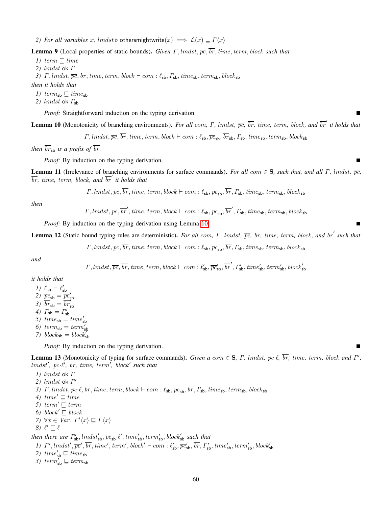*2) For all variables* x, *lmdst*  $\triangleright$  othersmightwrite(x)  $\implies$   $\mathcal{L}(x) \sqsubseteq \Gamma\langle x \rangle$ 

<span id="page-60-4"></span>**Lemma 9** (Local properties of static bounds). *Given*  $\Gamma$ , lmdst,  $\overline{pc}$ ,  $\overline{br}$ , time, term, block such that

- *1)* term  $\Box$  time
- *2)* lmdst ok Γ

*3)*  $\Gamma$ , lmdst,  $\overline{pc}$ ,  $\overline{br}$ , time, term, block  $\vdash$  com :  $\ell_{sb}$ ,  $\Gamma_{sb}$ , time<sub>sb</sub>, term<sub>sb</sub>, block<sub>sb</sub>

*then it holds that*

- *1)* term<sub>sb</sub>  $\subseteq$  time<sub>sb</sub>
- *2)* lmdst ok Γsb

*Proof:* Straightforward induction on the typing derivation.

<span id="page-60-0"></span>**Lemma 10** (Monotonicity of branching environments). *For all com, Γ, lmdst,*  $\overline{pc}$ *,*  $\overline{br}$ *, time, term, block, and*  $\overline{br}'$  *it holds that* 

 $\Gamma$ , lmdst,  $\overline{pc}$ ,  $\overline{br}$ , time, term, block  $\vdash$  com :  $\ell_{\mathsf{sb}}$ ,  $\overline{pc}_{\mathsf{sb}}$ ,  $\overline{lr}_{\mathsf{sb}}$ ,  $\Gamma_{\mathsf{sb}}$ , time<sub>sb</sub>, term<sub>sb</sub>, block<sub>sb</sub>

*then*  $\overline{br}_{sb}$  *is a prefix of*  $\overline{br}$ *.* 

*Proof:* By induction on the typing derivation.

<span id="page-60-1"></span>Lemma 11 (Irrelevance of branching environments for surface commands). *For all* com ∈ S*, such that, and all* Γ*,* lmdst*,* pc*,*  $\overline{br}$ , time, term, block, and  $\overline{br}'$  it holds that

Г

 $\Gamma$ , lmdst,  $\overline{pc}$ ,  $\overline{br}$ , time, term, block  $\vdash$  com :  $\ell_{\mathsf{sb}}$ ,  $\overline{pc}_{\mathsf{sb}}$ ,  $\overline{br}$ ,  $\Gamma_{\mathsf{sb}}$ , time<sub>sb</sub>, term<sub>sb</sub>, block<sub>sb</sub>

*then*

$$
\Gamma, lmdst, \overline{pc}, \overline{br}', time, term, block \vdash com: \ell_{\sf sb}, \overline{pc}_{\sf sb}, \overline{br}', \Gamma_{\sf sb}, time_{\sf sb}, term_{\sf sb}, block_{\sf sb}
$$

*Proof:* By induction on the typing derivation using Lemma [10.](#page-60-0)

<span id="page-60-2"></span>**Lemma 12** (Static bound typing rules are deterministic). *For all com, Γ, lmdst,*  $\overline{pc}$ *,*  $\overline{br}$ *, time, term, block, and*  $\overline{br}'$  *such that* 

$$
\Gamma, lmdst, \overline{pc}, \overline{br}, time, term, block \vdash com : \ell_{\sf sb}, \overline{pc}_{\sf sb}, \overline{br}, \Gamma_{\sf sb}, time_{\sf sb}, term_{\sf sb}, block_{\sf sb}
$$

*and*

$$
\Gamma
$$
,  
lmdst,  $\overline{pc}$ ,  $\overline{br}$ , time, term, block  $\vdash com : \ell'_{sb}, \overline{pc}'_{sb}, \overline{br}', \Gamma'_{sb}, time'_{sb}, term'_{sb}, block'_{sb}$ 

*it holds that*

- *1*)  $\ell_{sb} = \ell'_{sb}$ 2)  $\overline{pc}_{sb} = \overline{pc}'_{sb}$ <br>3)  $\overline{br}_{sb} = \overline{br}'_{sb}$
- *4*)  $\Gamma_{\rm sb} = \Gamma_{\rm sb}'$
- 5)  $time_{sb} = time_{sb}'$
- 6)  $term_{sb} = term'_{sb}$
- *7*)  $block_{sb} = block_{sb}^{\prime}$

*Proof:* By induction on the typing derivation.

<span id="page-60-3"></span>**Lemma 13** (Monotonicity of typing for surface commands). Given a com  $\in$  **S**,  $\Gamma$ , lmdst,  $\overline{pc} \cdot \ell$ ,  $\overline{br}$ , time, term, block and  $\Gamma'$ ,  $lmdst', \overline{pc}\cdot \ell', \overline{br, time, term', block' such that$ 

*1)* lmdst ok Γ

*2)* lmdst ok Γ 0

*3*)  $\Gamma$ , lmdst,  $\overline{pc}\cdot\ell$ ,  $\overline{br}$ , time, term, block  $\vdash$  com :  $\ell_{sb}$ ,  $\overline{pc}_{sb}$ ,  $\overline{br}$ ,  $\Gamma_{sb}$ , time<sub>sb</sub>, term<sub>sb</sub>, block<sub>sb</sub>

*4)*  $time' \sqsubseteq time$ 

*5)*  $term' \sqsubseteq term$ 

- *6)* block'  $\sqsubseteq$  block
- *7*)  $\forall x \in Var$ .  $\Gamma'(x) \sqsubseteq \Gamma(x)$
- 8)  $\ell' \sqsubseteq \ell$

*then there are*  $\Gamma'_{\rm sb}$ ,  $lmdst'_{\rm sb}$ ,  $\overline{pc}_{\rm sb}$ ,  $\ell'$ ,  $time'_{\rm sb}$ ,  $term'_{\rm sb}$ ,  $block'_{\rm sb}$  such that

*1)*  $\Gamma'$ ,  $lmdst'$ ,  $\overline{pc}'$ ,  $\overline{br}$ ,  $time'$ ,  $term'$ ,  $block' \vdash com : \ell'_{sb}, \overline{pc}'_{sb}, \overline{br}$ ,  $\Gamma'_{sb}, time'_{sb}, term'_{sb}, block'_{sb}$ 

2)  $time'_{sb} \sqsubseteq time_{sb}$ 

3)  $term'_{sb} \sqsubseteq term_{sb}$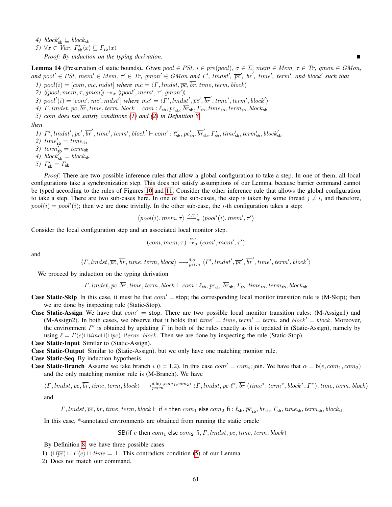4)  $block'_\mathsf{sb} \sqsubseteq block_\mathsf{sb}$ 

$$
5) \ \forall x \in \text{Var. } \Gamma'_{\text{sb}}\langle x \rangle \sqsubseteq \Gamma_{\text{sb}}\langle x \rangle
$$

*Proof: By induction on the typing derivation.*

<span id="page-61-1"></span>**Lemma 14** (Preservation of static bounds). *Given pool* ∈ PSt,  $i$  ∈ pre(pool),  $σ$  ∈ Σ, mem ∈ Mem,  $τ$  ∈ Tr, gmon ∈ GMon,  $a$  and  $pool' \in PSt$ ,  $mem' \in Mem$ ,  $\tau' \in Tr$ ,  $g$  mon'  $\in GM$  on and  $\Gamma'$ ,  $l$  mdst',  $\overline{pc}'$ ,  $\overline{br}'$ ,  $time'$ ,  $term'$ , and  $block'$  such that

Е

*1)*  $pool(i) = [com, mc, mdst]$  *where*  $mc = \langle \Gamma, \text{l} mdst, \overline{pc}, \overline{br}$ , time, term, block)

 $2) \hspace{0.2cm} \langle \hspace{-0.2cm} \langle pool,mem, \tau, gmon \rangle \rangle \rightarrow_{\sigma} \langle \hspace{-0.2cm} \langle pool',mem', \tau', gmon' \rangle \rangle$ 

 $\mathcal{L}(\mathcal{L}) = [\mathit{com}', \mathit{mc}', \mathit{mdst}']$  where  $\mathit{mc}' = \langle \mathit{\Gamma}', \mathit{lmdst}', \overline{\mathit{pc}}', \overline{\mathit{br}}', \mathit{time}', \mathit{term}', \mathit{block}' \rangle$ 

- *4*)  $\Gamma$ , lmdst,  $\overline{pc}$ ,  $\overline{br}$ , time, term, block  $\vdash$  com :  $\ell_{\mathsf{sb}}$ ,  $\overline{pc}_{\mathsf{sb}}$ ,  $\overline{lr}_{\mathsf{sb}}$ ,  $\Gamma_{\mathsf{sb}}$ , time<sub>sb</sub>, term<sub>sb</sub>, block<sub>sb</sub>
- <span id="page-61-0"></span>*5)* com *does not satisfy conditions [\(1\)](#page-58-2) and [\(2\)](#page-59-1) in Definition [8.](#page-58-3)*

*then*

*1*)  $\Gamma'$ ,  $lmdst', \overline{pc}', \overline{br}', time', term', block' \vdash com' : \ell'_{sb}, \overline{pc}'_{sb}, \overline{br}'_{sb}, \Gamma'_{sb}, time'_{sb}, term'_{sb}, block'_{sb}$ 2)  $time'_{sb} = time_{sb}$ 3)  $term'_{sb} = term_{sb}$ 4)  $block_{sb}^{'} = block_{sb}$ 5)  $\Gamma'_{\rm sb} = \Gamma_{\rm sb}$ 

*Proof:* There are two possible inference rules that allow a global configuration to take a step. In one of them, all local configurations take a synchronization step. This does not satisfy assumptions of our Lemma, because barrier command cannot be typed according to the rules of Figures [10](#page-58-1) and [11.](#page-59-2) Consider the other inference rule that allows the global configuration to take a step. There are two sub-cases here. In one of the sub-cases, the step is taken by some thread  $j \neq i$ , and therefore,  $pool(i) = pool'(i)$ ; then we are done trivially. In the other sub-case, the *i*-th configuration takes a step:

$$
\langle pool(i),mem, \tau \rangle \stackrel{\epsilon, \gamma, \epsilon}{\longrightarrow_{\sigma}} \langle pool'(i),mem', \tau' \rangle
$$

Consider the local configuration step and an associated local monitor step.

$$
(com, mem, \tau) \stackrel{\alpha, \epsilon}{\rightarrow}_{\sigma} (com', mem', \tau')
$$

and

$$
\langle \Gamma, lmdst, \overline{pc}, \overline{br}, time, term, block \rangle \longrightarrow_{perm}^{\delta, \alpha} \langle \Gamma', lmdst', \overline{pc}', \overline{br}', time', term', block' \rangle
$$

We proceed by induction on the typing derivation

$$
\Gamma
$$
,  $lmdst$ ,  $\overline{pc}$ ,  $\overline{br}$ ,  $time$ ,  $term$ ,  $block \vdash com : \ell_{sb}$ ,  $\overline{pc}_{sb}$ ,  $\overline{lr}_{sb}$ ,  $\Gamma_{sb}$ ,  $time_{sb}$ ,  $term_{sb}$ ,  $block_{sb}$ 

**Case Static-Skip** In this case, it must be that  $com' = stop$ ; the corresponding local monitor transition rule is (M-Skip); then we are done by inspecting rule (Static-Stop).

**Case Static-Assign** We have that  $com' = stop$ . There are two possible local monitor transition rules: (M-Assign1) and (M-Assign2). In both cases, we observe that it holds that time' = time, term' = term, and block' = block. Moreover, the environment  $\Gamma'$  is obtained by updating  $\Gamma$  in both of the rules exactly as it is updated in (Static-Assign), namely by using  $\ell = \Gamma(e) \sqcup time \sqcup \sqcup \overline{pc} \sqcup term \sqcup block$ . Then we are done by inspecting the rule (Static-Stop).

Case Static-Input Similar to (Static-Assign).

Case Static-Output Similar to (Static-Assign), but we only have one matching monitor rule.

Case Static-Seq By induction hypothesis.

**Case Static-Branch** Assume we take branch i (i = 1,2). In this case  $com' = com_i$ ; join. We have that  $\alpha = b(e, com_1, com_2)$ and the only matching monitor rule is (M-Branch). We have

 $\langle \Gamma,lmdst,\overline{pc},\overline{br},time,term,block\rangle\longrightarrow_{perm}^{\delta,\mathsf{b(e,comm,comm)}}\langle \Gamma,lmdst,\overline{pc}\cdot \ell^{*},\overline{br}.(time^{*},term^{*},block^{*}),time,term,block\rangle$ 

and

$$
\Gamma, lmdst, \overline{pc}, \overline{br}, time, term, block \vdash \text{if } e \text{ then } com_1 \text{ else } com_2 \text{ fi} : \ell_{\textsf{sb}}, \overline{pc}_{\textsf{sb}}, \overline{br}_{\textsf{sb}}, \overline{t_{\textsf{sb}}}, time_{\textsf{sb}}, term_{\textsf{sb}}, block_{\textsf{sb}}
$$

In this case, \*-annotated environments are obtained from running the static oracle

SB(if e then  $com_1$  else  $com_2$  fi,  $\Gamma$ , lmdst,  $\overline{pc}$ , time, term, block)

By Definition [8,](#page-58-3) we have three possible cases

- 1)  $(\Box \overline{pc}) \sqcup \Gamma \langle e \rangle \sqcup \text{time} = \bot$ . This contradicts condition [\(5\)](#page-61-0) of our Lemma.
- 2) Does not match our command.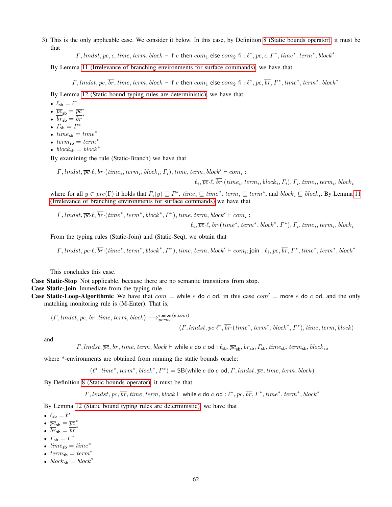3) This is the only applicable case. We consider it below. In this case, by Definition [8 \(Static bounds operator\),](#page-58-3) it must be that

 $\Gamma$ ,  $lmdst, \overline{pc}, \epsilon$ ,  $time, term, block \vdash$  if  $e$  then  $com_1$  else  $com_2$  fi :  $\ell^*, \overline{pc}, \epsilon, \Gamma^*, time^*, term^*, block^*$ 

By Lemma [11 \(Irrelevance of branching environments for surface commands\),](#page-60-1) we have that

 $\Gamma,lmdst,\overline{pc},\overline{br},time,term,block \vdash$  if  $e$  then  $com_1$  else  $com_2$  fi :  $\ell^*,\overline{pc},\overline{br},\Gamma^*,time^*,term^*,block^*$ 

By Lemma [12 \(Static bound typing rules are deterministic\),](#page-60-2) we have that

- $\ell_{\sf sb} = \ell^*$
- $\overline{pc}_{\text{sb}} = \overline{pc}_{*}^{*}$
- $b r_{sb} = b r^*$
- $\Gamma_{\text{sb}} = \Gamma^*$
- $time_{sb} = time^*$
- $term_{sh} = term^*$
- $block_{\rm sb} = block^*$

By examining the rule (Static-Branch) we have that

 $\Gamma, lmdst, \overline{pc}\cdot\ell, \overline{br}\cdot (time_i, term_i, block_i, \Gamma_i), time, term, block' \vdash com_i:$  $\ell_i, \overline{pc}\!\cdot\!\ell, br\!\cdot\!(time_i, term_i, block_i, \varGamma_i), \varGamma_i, time_i, term_i, block_i$ 

where for all  $y \in pre(\Gamma)$  it holds that  $\Gamma_i(y) \sqsubseteq \Gamma^*$ ,  $\text{time}_i \sqsubseteq \text{time}^*$ ,  $\text{term}_i \sqsubseteq \text{term}^*$ , and  $\text{block}_i \sqsubseteq \text{block}_i$ . By Lemma [11](#page-60-1) [\(Irrelevance of branching environments for surface commands\)](#page-60-1) we have that

$$
\Gamma, \text{lmdst}, \overline{pc} \cdot \ell, \overline{br} \cdot (\text{time}^*, \text{term}^*, \text{block}^*, \Gamma^*), \text{time}, \text{term}, \text{block}' \vdash \text{com}_i : \\ \ell_i, \overline{pc} \cdot \ell, \overline{br} \cdot (\text{time}^*, \text{term}^*, \text{block}^*, \Gamma^*), \Gamma_i, \text{time}_i, \text{term}_i, \text{block}_i
$$

From the typing rules (Static-Join) and (Static-Seq), we obtain that

 $\Gamma,lmdst,\overline{pc}\cdot\ell,\overline{br}\cdot (time^*,term^*,block^*,\Gamma^*),time,term,block'\vdash com_i;join:\ell_i,\overline{pc},\overline{br},\Gamma^*,time^*,term^*,block^*$ 

This concludes this case.

Case Static-Stop Not applicable, because there are no semantic transitions from stop.

Case Static-Join Immediate from the typing rule.

**Case Static-Loop-Algorithmic** We have that  $com =$  while e do c od, in this case  $com' =$  more e do c od, and the only matching monitoring rule is (M-Enter). That is,

$$
\langle \Gamma, lmdst, \overline{pc}, \overline{br}, time, term, block \rangle \longrightarrow_{perm}^{\epsilon, \text{enter}(e, com)}
$$

$$
\langle \Gamma, lmdst, \overline{pc} \cdot \ell^*, \overline{br} \cdot (time^*, term^*, block^*, \Gamma^*), time, term, block \rangle
$$

and

 $\Gamma$ , lmdst,  $\overline{pc}$ ,  $\overline{br}$ , time, term, block  $\vdash$  while e do c od :  $\ell_{sb}$ ,  $\overline{pc}_{sb}$ ,  $\overline{br}_{sb}$ ,  $\Gamma_{sb}$ , time<sub>sb</sub>, term<sub>sb</sub>, block<sub>sb</sub>

where \*-environments are obtained from running the static bounds oracle:

$$
(\ell^*, time^*, term^*, block^*, \Gamma^*) = SB(while e do c od, \Gamma, \text{Im}dst, \overline{pc}, time, term, block)
$$

By Definition [8 \(Static bounds operator\),](#page-58-3) it must be that

 $\Gamma,lmdst,\overline{pc},\overline{br},time,term,block \vdash \textsf{while }e\ \textsf{do }c\ \textsf{od}: \ell^*,\overline{pc},\overline{br},\Gamma^*,time^*,term^*,block^*$ 

By Lemma [12 \(Static bound typing rules are deterministic\),](#page-60-2) we have that

$$
\bullet\ \ell_{\sf sb} = \ell^*
$$

- $\overline{pc}_{\text{sb}} = \overline{pc}_{\text{a}}^*$
- $b r_{sb} = \frac{F}{b r^*}$
- $\Gamma_{\text{sb}} = \Gamma^*$
- $time_{sb} = time^*$
- $term_{sb} = term^*$
- $block_{sb} = block^*$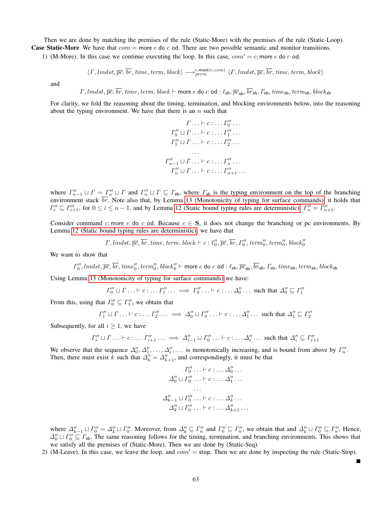Then we are done by matching the premises of the rule (Static-More) with the premises of the rule (Static-Loop). **Case Static-More** We have that  $com =$  more e do c od. There are two possible semantic and monitor transitions.

1) (M-More). In this case we continue executing the loop. In this case,  $com' = c$ ; more e do c od.

$$
\langle \Gamma, \textit{lmdst}, \overline{pc}, \overline{br}, \textit{time}, \textit{term}, \textit{block} \rangle \longrightarrow^{\epsilon, \textit{more}(e, com)}_{\textit{perm}} \langle \Gamma, \textit{lmdst}, \overline{pc}, \overline{br}, \textit{time}, \textit{term}, \textit{block} \rangle
$$

and

 $\Gamma$ , lmdst,  $\overline{pc}$ ,  $\overline{br}$ , time, term, block  $\vdash$  more e do c od :  $\ell_{\sf sb}$ ,  $\overline{pc}_{\sf sb}$ ,  $\overline{br}_{\sf sb}$ ,  $\Gamma_{\sf sb}$ , term<sub>sb</sub>, block<sub>sb</sub>

For clarity, we fold the reasoning about the timing, termination, and blocking environments below, into the reasoning about the typing environment. We have that there is an  $n$  such that



where  $\Gamma''_{n-1} \sqcup \Gamma = \Gamma''_n \sqcup \Gamma$  and  $\Gamma''_n \sqcup \Gamma \sqsubseteq \Gamma_{sb}$ , where  $\Gamma_{sb}$  is the typing environment on the top of the branching environment stack  $\overline{br}$ . Note also that, by Lemma [13 \(Monotonicity of typing for surface commands\),](#page-60-3) it holds that  $\Gamma''_i \subseteq \Gamma''_{i+1}$ , for  $0 \le i \le n-1$ , and by Lemma [12 \(Static bound typing rules are deterministic\),](#page-60-2)  $\Gamma''_n = \Gamma''_{n+1}$ .

Consider command c; more e do c od. Because  $c \in S$ , it does not change the branching or pc environments. By Lemma [12 \(Static bound typing rules are deterministic\),](#page-60-2) we have that

$$
\Gamma
$$
,  $lmdst$ ,  $\overline{pc}$ ,  $\overline{br}$ ,  $time$ ,  $term$ ,  $block \vdash c : \ell_0''$ ,  $\overline{pc}$ ,  $\overline{br}$ ,  $\Gamma_0''$ ,  $term_0''$ ,  $term_0''$ ,  $block_0''$ 

We want to show that

$$
\Gamma''_0, lmdst, \overline{pc}, \overline{br}, time''_0, term''_0, block''_0 \vdash more\ e\ do\ c\ od: \ell_{\rm sb}, \overline{pc}_{\rm sb}, \overline{br}_{\rm sb}, \Gamma_{\rm sb}, time_{\rm sb}, term_{\rm sb}, block_{\rm sb}
$$

Using Lemma [13 \(Monotonicity of typing for surface commands\)](#page-60-3) we have:

$$
\Gamma_0'' \sqcup \Gamma \ldots \vdash c : \ldots \Gamma_1'' \ldots \implies \Gamma_0'' \ldots \vdash c : \ldots \Delta_0'' \ldots \text{ such that } \Delta_0'' \sqsubseteq \Gamma_1''
$$

From this, using that  $\Gamma_0'' \sqsubseteq \Gamma_1''$ , we obtain that

$$
\Gamma_1'' \sqcup \Gamma \ldots \vdash c : \ldots \Gamma_2'' \ldots \implies \Delta_0'' \sqcup \Gamma_0'' \ldots \vdash c : \ldots \Delta_1'' \ldots \text{ such that } \Delta_1'' \sqsubseteq \Gamma_2''
$$

Subsequently, for all  $i > 1$ , we have

$$
\varGamma_i'' \sqcup \varGamma \ldots \vdash c : \ldots \varGamma_{i+1}'' \ldots \implies \varDelta_{i-1}'' \sqcup \varGamma_0'' \ldots \vdash c : \ldots \varDelta_i'' \ldots \text{ such that } \varDelta_i'' \sqsubseteq \varGamma_{i+1}''
$$

We observe that the sequence  $\Delta_0''$ ,  $\Delta_1''$ , ...,  $\Delta_i''$ , ... is monotonically increasing, and is bound from above by  $\Gamma_n''$ . Then, there must exist k such that  $\Delta_k'' = \Delta_{k+1}''$ , and correspondingly, it must be that

$$
\Gamma_0'', \dots \vdash c : \dots \Delta_0'', \dots
$$

$$
\Delta_0'' \sqcup \Gamma_0'', \dots \vdash c : \dots \Delta_1'', \dots
$$

$$
\dots
$$

$$
\Delta_{k-1}'' \sqcup \Gamma_0'', \dots \vdash c : \dots \Delta_k'', \dots
$$

$$
\Delta_k'' \sqcup \Gamma_0'', \dots \vdash c : \dots \Delta_{k+1}'' \dots
$$

where  $\Delta_{k-1}'' \sqcup \Gamma_0'' = \Delta_k'' \sqcup \Gamma_0''$ . Moreover, from  $\Delta_k'' \sqsubseteq \Gamma_n''$  and  $\Gamma_0'' \sqsubseteq \Gamma_n''$ , we obtain that and  $\Delta_k'' \sqcup \Gamma_0'' \sqsubseteq \Gamma_n''$ . Hence,  $\Delta''_k \sqcup \Gamma''_0 \sqsubseteq \Gamma_{\text{sb}}$ . The same reasoning follows for the timing, termination, and branching environments. This shows that we satisfy all the premises of (Static-More). Then we are done by (Static-Seq).

2) (M-Leave). In this case, we leave the loop, and  $com' = stop$ . Then we are done by inspecting the rule (Static-Stop).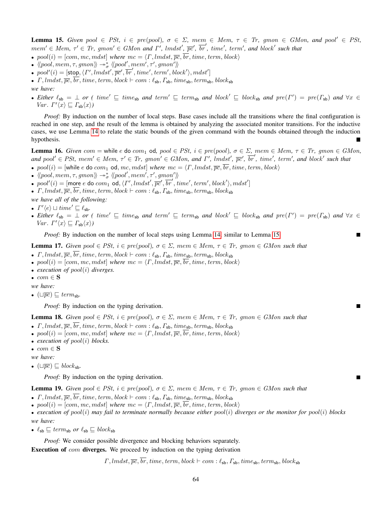<span id="page-64-0"></span>**Lemma 15.** Given pool  $\in PSt$ ,  $i \in pre(pool)$ ,  $\sigma \in \Sigma$ , mem  $\in$  Mem,  $\tau \in Tr$ , gmon  $\in$  GMon, and pool'  $\in PSt$ ,  $m$ em'  $\in$  *Mem,*  $\tau' \in \mathit{Tr}$ ,  $g$ mon'  $\in$  GMon and  $\Gamma'$ , lmdst',  $\overline{pc}'$ ,  $\overline{br}'$ , time', term', and block' such that

•  $pool(i) = [com, mc, mdst]$  *where*  $mc = \langle \Gamma, lmdst, \overline{pc}, \overline{br}$ , time, term, block $\rangle$ 

- $\bullet \ \ \langle \!\langle pool,mem, \tau, gmon \rangle \!\rangle \twoheadrightarrow^{*}_{\sigma} \ \langle \!\langle pool', mem', \tau', gmon' \rangle \!\rangle$
- pool'(i) =  $[\mathsf{stop}, \langle \Gamma', \overline{\mathit{indst}'}, \overline{\mathit{pc}}', \overline{\mathit{br}'}, \mathit{time}', \mathit{term}', \mathit{block}'\rangle, mdst']$
- $\Gamma$ , lmdst,  $\overline{pc}$ ,  $\overline{br}$ , time, term, block  $\vdash$  com :  $\ell_{\mathsf{sb}}$ ,  $\Gamma_{\mathsf{sb}}$ , time<sub>sb</sub>, term<sub>sb</sub>, block<sub>sb</sub>

• *Either*  $\ell_{sb} = \bot$  *or* ( $\text{time}' \subseteq \text{time}_{sb}$  *and*  $\text{term}' \subseteq \text{term}_{sb}$  *and*  $\text{block}' \subseteq \text{block}_{sb}$  *and*  $\text{pre}(\Gamma') = \text{pre}(\Gamma_{sb})$  *and*  $\forall x \in \mathbb{R}$  $Var. T'(x) \sqsubseteq \Gamma_{\mathsf{sb}}(x)$ 

*Proof:* By induction on the number of local steps. Base cases include all the transitions where the final configuration is reached in one step, and the result of the lemma is obtained by analyzing the associated monitor transitions. For the inductive cases, we use Lemma [14](#page-61-1) to relate the static bounds of the given command with the bounds obtained through the induction hypothesis.

<span id="page-64-3"></span>**Lemma 16.** Given  $com =$  while e do  $com_1$  od,  $pool \in PSt$ ,  $i \in pre(pool)$ ,  $\sigma \in \Sigma$ ,  $mem \in Mem$ ,  $\tau \in Tr$ ,  $gmon \in GMon$ ,  $a$  and  $p$  *ool'*  $\in$  *PSt, mem'*  $\in$  *Mem,*  $\tau' \in$  *Tr, gmon'*  $\in$  *GMon, and*  $\Gamma'$ *, lmdst',*  $\overline{pc'}$ *,*  $\overline{br'}$ *, time', term', and block'* such that

- pool(i) = [while e do com<sub>1</sub> od, mc, mdst] where  $mc = \langle \Gamma, \text{lmdst}, \overline{pc}, \overline{br}$ , time, term, block)
- $\bullet \ \ \langle \!\langle pool,mem, \tau, gmon \rangle \rangle \twoheadrightarrow^{*}_{\sigma} \ \langle \!\langle pool', mem', \tau', gmon' \rangle \rangle$
- pool'(i) = [more e do com<sub>1</sub> od,  $\langle \Gamma',lmdst',\overline{pc}',\overline{br}',\overline{time}',term',block'\rangle,mdst']$
- $\Gamma$ , lmdst,  $\overline{pc}$ , br, time, term, block  $\vdash$  com :  $\ell_{\mathsf{sb}}$ ,  $\Gamma_{\mathsf{sb}}$ , time<sub>sb</sub>, term<sub>sb</sub>, block<sub>sb</sub>
- *we have all of the following:*
- $\Gamma'\langle e \rangle \sqcup time' \sqsubseteq \ell_{\sf sb}.$
- Either  $\ell_{sb} = \bot$  or ( $\text{ time'} \sqsubseteq \text{ time}_{sb}$  and  $\text{ term'} \sqsubseteq \text{ term}_{sb}$  and  $\text{ block'} \sqsubseteq \text{ block}_{sb}$  and  $\text{ pre}(\Gamma') = \text{ pre}(\Gamma_{sb})$  and  $\forall x \in \mathcal{C}$ Var.  $\Gamma'\langle x\rangle \sqsubseteq \Gamma_{\mathsf{sb}}\langle x\rangle$ )

*Proof:* By induction on the number of local steps using Lemma [14,](#page-61-1) similar to Lemma [15.](#page-64-0)

<span id="page-64-1"></span>**Lemma 17.** *Given pool* ∈ PSt,  $i \in pre(pool)$ ,  $σ \in Σ$ ,  $mem \in Mem$ ,  $τ \in Tr$ ,  $gmon \in GMon$  such that

- $\Gamma$ , lmdst,  $\overline{pc}$ ,  $\overline{br}$ , time, term, block  $\vdash$  com :  $\ell_{\mathsf{sb}}$ ,  $\Gamma_{\mathsf{sb}}$ , time<sub>sb</sub>, term<sub>sb</sub>, block<sub>sb</sub>
- pool(i) =  $[com, mc, mdst]$  where  $mc = \langle \Gamma, \text{l} mdst, \overline{pc}, \overline{br}, \text{time}, \text{term}, \text{block} \rangle$
- *execution of* pool(i) *diverges.*
- $com \in \mathbf{S}$

*we have:*

•  $(\Box \overline{pc}) \sqsubseteq term_{sb}$ .

*Proof:* By induction on the typing derivation.

<span id="page-64-2"></span>Lemma 18. *Given* pool ∈ PSt*,* i ∈ pre(pool)*,* σ ∈ Σ*,* mem ∈ Mem*,* τ ∈ Tr *,* gmon ∈ GMon *such that*

- $\Gamma$ , lmdst,  $\overline{pc}$ ,  $\overline{br}$ , time, term, block  $\vdash$  com :  $\ell_{\mathsf{sb}}$ ,  $\Gamma_{\mathsf{sb}}$ , time<sub>sb</sub>, term<sub>sb</sub>, block<sub>sb</sub>
- $pool(i) = [com, mc, mdst]$  where  $mc = \langle \Gamma, \text{Imdst}, \overline{pc}, \text{br}, \text{time}, \text{term}, \text{block} \rangle$
- *execution of* pool(i) *blocks.*

•  $com \in S$ 

*we have:*

•  $(\Box \overline{pc}) \sqsubseteq block_{sb}$ .

*Proof:* By induction on the typing derivation.

<span id="page-64-4"></span>Lemma 19. *Given* pool ∈ PSt*,* i ∈ pre(pool)*,* σ ∈ Σ*,* mem ∈ Mem*,* τ ∈ Tr *,* gmon ∈ GMon *such that*

- $\Gamma$ , lmdst,  $\overline{pc}$ ,  $\overline{br}$ , time, term, block  $\vdash$  com :  $\ell_{\mathsf{sb}}$ ,  $\Gamma_{\mathsf{sb}}$ , time<sub>sb</sub>, term<sub>sb</sub>, block<sub>sb</sub>
- pool(i) =  $[com, mc, mdst]$  where  $mc = \langle \Gamma, \text{lmdst}, \overline{pc}, \overline{br}, \text{time}, \text{term}, \text{block} \rangle$

• *execution of* pool(i) *may fail to terminate normally because either* pool(i) *diverges or the monitor for* pool(i) *blocks we have:*

•  $\ell_{sb} \sqsubseteq term_{sb}$  *or*  $\ell_{sb} \sqsubseteq block_{sb}$ 

*Proof:* We consider possible divergence and blocking behaviors separately.

**Execution of** com **diverges.** We proceed by induction on the typing derivation

 $\Gamma$ , lmdst,  $\overline{pc}$ ,  $\overline{br}$ , time, term, block  $\vdash$  com :  $\ell_{\mathsf{sb}}$ ,  $\Gamma_{\mathsf{sb}}$ , time<sub>sb</sub>, term<sub>sb</sub>, block<sub>sb</sub>

П

*we have:*